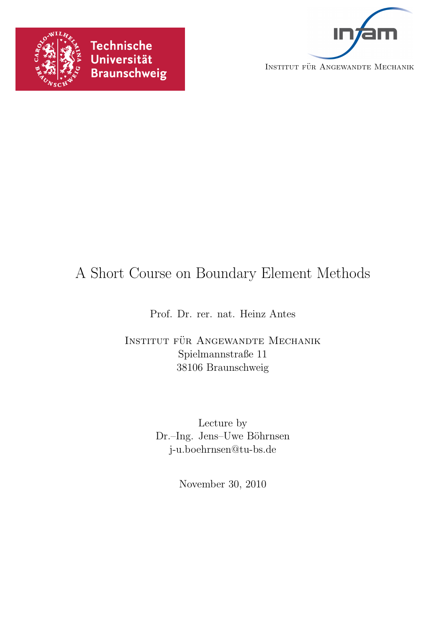



# A Short Course on Boundary Element Methods

Prof. Dr. rer. nat. Heinz Antes

INSTITUT FÜR ANGEWANDTE MECHANIK Spielmannstraße 11 38106 Braunschweig

> Lecture by Dr.–Ing. Jens–Uwe Böhrnsen j-u.boehrnsen@tu-bs.de

> > November 30, 2010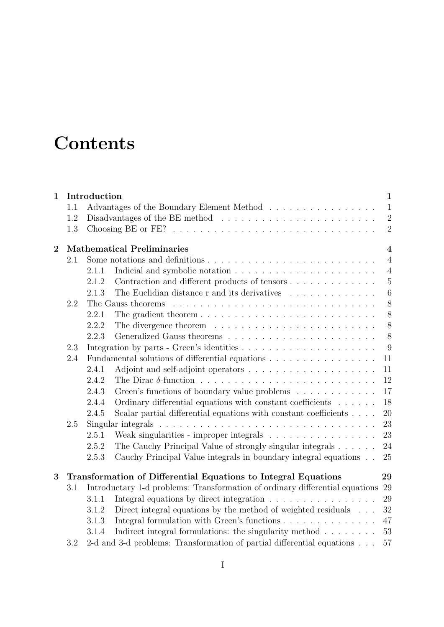# **Contents**

| $\mathbf{1}$ |     | Introduction                                                 |                                                                                                   | $\mathbf{1}$   |  |  |  |  |  |
|--------------|-----|--------------------------------------------------------------|---------------------------------------------------------------------------------------------------|----------------|--|--|--|--|--|
|              | 1.1 |                                                              | Advantages of the Boundary Element Method                                                         | $\mathbf{1}$   |  |  |  |  |  |
|              | 1.2 |                                                              |                                                                                                   | $\overline{2}$ |  |  |  |  |  |
|              | 1.3 |                                                              |                                                                                                   | $\overline{2}$ |  |  |  |  |  |
| $\mathbf{2}$ |     | <b>Mathematical Preliminaries</b><br>$\overline{\mathbf{4}}$ |                                                                                                   |                |  |  |  |  |  |
|              | 2.1 |                                                              |                                                                                                   | $\overline{4}$ |  |  |  |  |  |
|              |     | 2.1.1                                                        |                                                                                                   | $\overline{4}$ |  |  |  |  |  |
|              |     | 2.1.2                                                        | Contraction and different products of tensors                                                     | $\overline{5}$ |  |  |  |  |  |
|              |     | 2.1.3                                                        | The Euclidian distance $r$ and its derivatives $\ldots \ldots \ldots \ldots$                      | 6              |  |  |  |  |  |
|              | 2.2 |                                                              | The Gauss theorems                                                                                | $8\,$          |  |  |  |  |  |
|              |     | 2.2.1                                                        | The gradient theorem $\ldots \ldots \ldots \ldots \ldots \ldots \ldots \ldots \ldots$             | 8              |  |  |  |  |  |
|              |     | 2.2.2                                                        |                                                                                                   | 8              |  |  |  |  |  |
|              |     | 2.2.3                                                        |                                                                                                   | 8              |  |  |  |  |  |
|              | 2.3 |                                                              |                                                                                                   | 9              |  |  |  |  |  |
|              | 2.4 |                                                              | Fundamental solutions of differential equations                                                   | 11             |  |  |  |  |  |
|              |     | 2.4.1                                                        |                                                                                                   | 11             |  |  |  |  |  |
|              |     | 2.4.2                                                        |                                                                                                   | 12             |  |  |  |  |  |
|              |     | 2.4.3                                                        | Green's functions of boundary value problems                                                      | 17             |  |  |  |  |  |
|              |     | 2.4.4                                                        | Ordinary differential equations with constant coefficients                                        | 18             |  |  |  |  |  |
|              |     | 2.4.5                                                        | Scalar partial differential equations with constant coefficients                                  | 20             |  |  |  |  |  |
|              | 2.5 |                                                              | Singular integrals $\ldots \ldots \ldots \ldots \ldots \ldots \ldots \ldots \ldots \ldots \ldots$ | 23             |  |  |  |  |  |
|              |     | 2.5.1                                                        | Weak singularities - improper integrals                                                           | 23             |  |  |  |  |  |
|              |     | 2.5.2                                                        | The Cauchy Principal Value of strongly singular integrals $\ldots \ldots$                         | 24             |  |  |  |  |  |
|              |     | 2.5.3                                                        | Cauchy Principal Value integrals in boundary integral equations                                   | 25             |  |  |  |  |  |
| 3            |     |                                                              | Transformation of Differential Equations to Integral Equations                                    | 29             |  |  |  |  |  |
|              | 3.1 |                                                              | Introductary 1-d problems: Transformation of ordinary differential equations                      | 29             |  |  |  |  |  |
|              |     | 3.1.1                                                        | Integral equations by direct integration                                                          | 29             |  |  |  |  |  |
|              |     | 3.1.2                                                        | Direct integral equations by the method of weighted residuals                                     | 32             |  |  |  |  |  |
|              |     | 3.1.3                                                        |                                                                                                   | 47             |  |  |  |  |  |
|              |     | 3.1.4                                                        | Indirect integral formulations: the singularity method $\ldots \ldots$                            | 53             |  |  |  |  |  |
|              | 3.2 |                                                              | 2-d and 3-d problems: Transformation of partial differential equations                            | 57             |  |  |  |  |  |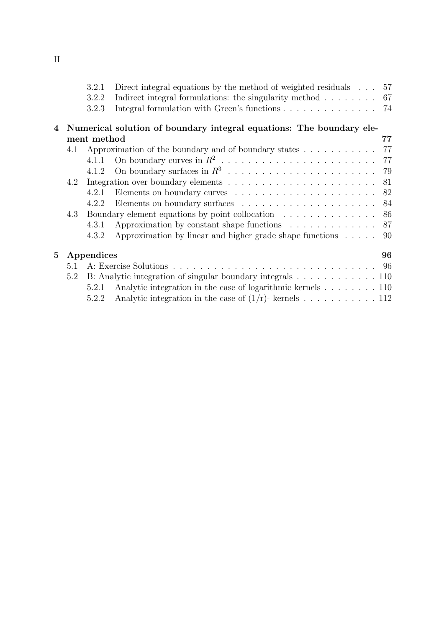|                                                                   |                  | 3.2.1 | Direct integral equations by the method of weighted residuals $\ldots$ 57           |    |  |  |
|-------------------------------------------------------------------|------------------|-------|-------------------------------------------------------------------------------------|----|--|--|
|                                                                   |                  | 3.2.2 | Indirect integral formulations: the singularity method $\ldots \ldots \ldots$ 67    |    |  |  |
|                                                                   |                  | 3.2.3 | Integral formulation with Green's functions $\ldots \ldots \ldots \ldots \ldots$ 74 |    |  |  |
| 4                                                                 |                  |       | Numerical solution of boundary integral equations: The boundary ele-                |    |  |  |
|                                                                   | ment method      |       |                                                                                     |    |  |  |
| 4.1                                                               |                  |       | Approximation of the boundary and of boundary states $\dots \dots \dots$            | 77 |  |  |
|                                                                   |                  | 4.1.1 |                                                                                     | 77 |  |  |
|                                                                   |                  | 4.1.2 |                                                                                     | 79 |  |  |
|                                                                   | 4.2              |       |                                                                                     | 81 |  |  |
|                                                                   |                  | 4.2.1 |                                                                                     | 82 |  |  |
|                                                                   |                  | 4.2.2 |                                                                                     | 84 |  |  |
|                                                                   | 4.3              |       | Boundary element equations by point collocation                                     | 86 |  |  |
|                                                                   |                  | 4.3.1 | Approximation by constant shape functions                                           | 87 |  |  |
|                                                                   |                  | 4.3.2 | Approximation by linear and higher grade shape functions $\ldots$ .                 | 90 |  |  |
| $5\overline{)}$                                                   | Appendices<br>96 |       |                                                                                     |    |  |  |
|                                                                   | 5.1              |       |                                                                                     |    |  |  |
| B: Analytic integration of singular boundary integrals 110<br>5.2 |                  |       |                                                                                     |    |  |  |
|                                                                   |                  | 5.2.1 | Analytic integration in the case of logarithmic kernels 110                         |    |  |  |
|                                                                   |                  | 5.2.2 | Analytic integration in the case of $(1/r)$ - kernels 112                           |    |  |  |
|                                                                   |                  |       |                                                                                     |    |  |  |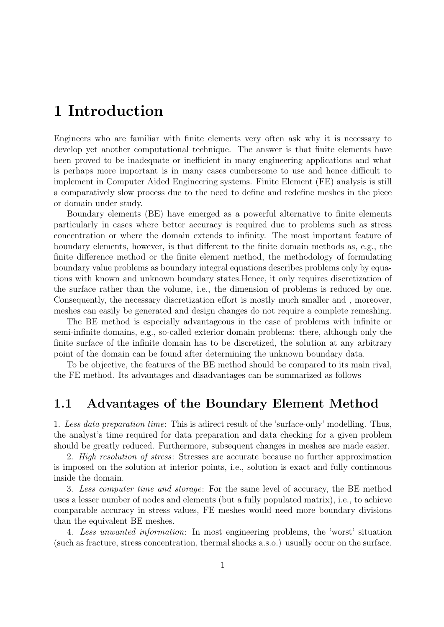## 1 Introduction

Engineers who are familiar with finite elements very often ask why it is necessary to develop yet another computational technique. The answer is that finite elements have been proved to be inadequate or inefficient in many engineering applications and what is perhaps more important is in many cases cumbersome to use and hence difficult to implement in Computer Aided Engineering systems. Finite Element (FE) analysis is still a comparatively slow process due to the need to define and redefine meshes in the piece or domain under study.

Boundary elements (BE) have emerged as a powerful alternative to finite elements particularly in cases where better accuracy is required due to problems such as stress concentration or where the domain extends to infinity. The most important feature of boundary elements, however, is that different to the finite domain methods as, e.g., the finite difference method or the finite element method, the methodology of formulating boundary value problems as boundary integral equations describes problems only by equations with known and unknown boundary states.Hence, it only requires discretization of the surface rather than the volume, i.e., the dimension of problems is reduced by one. Consequently, the necessary discretization effort is mostly much smaller and , moreover, meshes can easily be generated and design changes do not require a complete remeshing.

The BE method is especially advantageous in the case of problems with infinite or semi-infinite domains, e.g., so-called exterior domain problems: there, although only the finite surface of the infinite domain has to be discretized, the solution at any arbitrary point of the domain can be found after determining the unknown boundary data.

To be objective, the features of the BE method should be compared to its main rival, the FE method. Its advantages and disadvantages can be summarized as follows

## 1.1 Advantages of the Boundary Element Method

1. Less data preparation time: This is adirect result of the 'surface-only' modelling. Thus, the analyst's time required for data preparation and data checking for a given problem should be greatly reduced. Furthermore, subsequent changes in meshes are made easier.

2. High resolution of stress: Stresses are accurate because no further approximation is imposed on the solution at interior points, i.e., solution is exact and fully continuous inside the domain.

3. Less computer time and storage: For the same level of accuracy, the BE method uses a lesser number of nodes and elements (but a fully populated matrix), i.e., to achieve comparable accuracy in stress values, FE meshes would need more boundary divisions than the equivalent BE meshes.

4. Less unwanted information: In most engineering problems, the 'worst' situation (such as fracture, stress concentration, thermal shocks a.s.o.) usually occur on the surface.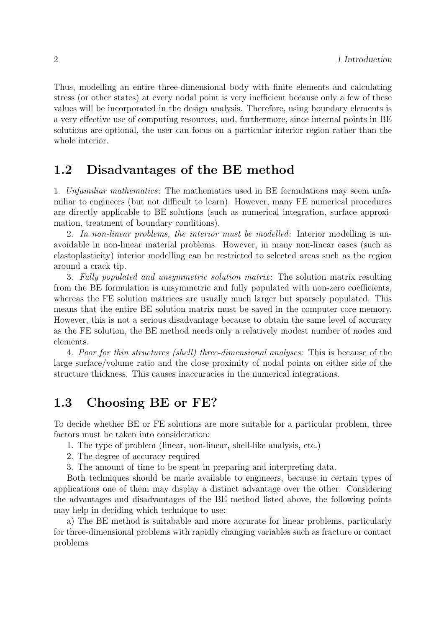Thus, modelling an entire three-dimensional body with finite elements and calculating stress (or other states) at every nodal point is very inefficient because only a few of these values will be incorporated in the design analysis. Therefore, using boundary elements is a very effective use of computing resources, and, furthermore, since internal points in BE solutions are optional, the user can focus on a particular interior region rather than the whole interior.

## 1.2 Disadvantages of the BE method

1. Unfamiliar mathematics: The mathematics used in BE formulations may seem unfamiliar to engineers (but not difficult to learn). However, many FE numerical procedures are directly applicable to BE solutions (such as numerical integration, surface approximation, treatment of boundary conditions).

2. In non-linear problems, the interior must be modelled: Interior modelling is unavoidable in non-linear material problems. However, in many non-linear cases (such as elastoplasticity) interior modelling can be restricted to selected areas such as the region around a crack tip.

3. Fully populated and unsymmetric solution matrix : The solution matrix resulting from the BE formulation is unsymmetric and fully populated with non-zero coefficients, whereas the FE solution matrices are usually much larger but sparsely populated. This means that the entire BE solution matrix must be saved in the computer core memory. However, this is not a serious disadvantage because to obtain the same level of accuracy as the FE solution, the BE method needs only a relatively modest number of nodes and elements.

4. Poor for thin structures (shell) three-dimensional analyses: This is because of the large surface/volume ratio and the close proximity of nodal points on either side of the structure thickness. This causes inaccuracies in the numerical integrations.

## 1.3 Choosing BE or FE?

To decide whether BE or FE solutions are more suitable for a particular problem, three factors must be taken into consideration:

- 1. The type of problem (linear, non-linear, shell-like analysis, etc.)
- 2. The degree of accuracy required
- 3. The amount of time to be spent in preparing and interpreting data.

Both techniques should be made available to engineers, because in certain types of applications one of them may display a distinct advantage over the other. Considering the advantages and disadvantages of the BE method listed above, the following points may help in deciding which technique to use:

a) The BE method is suitabable and more accurate for linear problems, particularly for three-dimensional problems with rapidly changing variables such as fracture or contact problems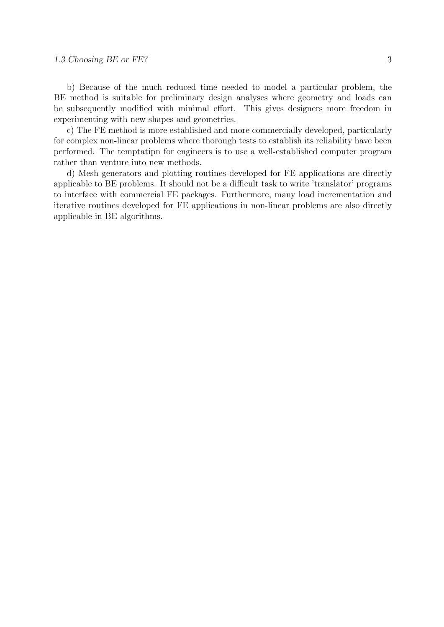#### 1.3 Choosing BE or FE? 3

b) Because of the much reduced time needed to model a particular problem, the BE method is suitable for preliminary design analyses where geometry and loads can be subsequently modified with minimal effort. This gives designers more freedom in experimenting with new shapes and geometries.

c) The FE method is more established and more commercially developed, particularly for complex non-linear problems where thorough tests to establish its reliability have been performed. The temptatipn for engineers is to use a well-established computer program rather than venture into new methods.

d) Mesh generators and plotting routines developed for FE applications are directly applicable to BE problems. It should not be a difficult task to write 'translator' programs to interface with commercial FE packages. Furthermore, many load incrementation and iterative routines developed for FE applications in non-linear problems are also directly applicable in BE algorithms.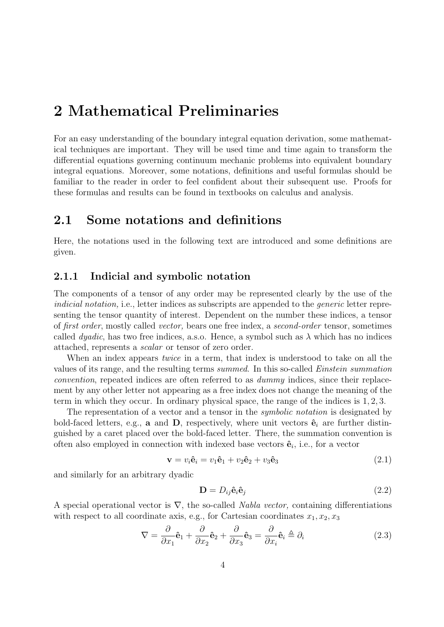## 2 Mathematical Preliminaries

For an easy understanding of the boundary integral equation derivation, some mathematical techniques are important. They will be used time and time again to transform the differential equations governing continuum mechanic problems into equivalent boundary integral equations. Moreover, some notations, definitions and useful formulas should be familiar to the reader in order to feel confident about their subsequent use. Proofs for these formulas and results can be found in textbooks on calculus and analysis.

## 2.1 Some notations and definitions

Here, the notations used in the following text are introduced and some definitions are given.

#### 2.1.1 Indicial and symbolic notation

The components of a tensor of any order may be represented clearly by the use of the indicial notation, i.e., letter indices as subscripts are appended to the *generic* letter representing the tensor quantity of interest. Dependent on the number these indices, a tensor of first order, mostly called vector, bears one free index, a second-order tensor, sometimes called *dyadic*, has two free indices, a.s.o. Hence, a symbol such as  $\lambda$  which has no indices attached, represents a scalar or tensor of zero order.

When an index appears *twice* in a term, that index is understood to take on all the values of its range, and the resulting terms summed. In this so-called Einstein summation convention, repeated indices are often referred to as dummy indices, since their replacement by any other letter not appearing as a free index does not change the meaning of the term in which they occur. In ordinary physical space, the range of the indices is 1, 2, 3.

The representation of a vector and a tensor in the *symbolic notation* is designated by bold-faced letters, e.g., **a** and **D**, respectively, where unit vectors  $\hat{\mathbf{e}}_i$  are further distinguished by a caret placed over the bold-faced letter. There, the summation convention is often also employed in connection with indexed base vectors  $\hat{\mathbf{e}}_i$ , i.e., for a vector

$$
\mathbf{v} = v_i \hat{\mathbf{e}}_i = v_1 \hat{\mathbf{e}}_1 + v_2 \hat{\mathbf{e}}_2 + v_3 \hat{\mathbf{e}}_3 \tag{2.1}
$$

and similarly for an arbitrary dyadic

$$
\mathbf{D} = D_{ij}\hat{\mathbf{e}}_i\hat{\mathbf{e}}_j \tag{2.2}
$$

A special operational vector is  $\nabla$ , the so-called *Nabla vector*, containing differentiations with respect to all coordinate axis, e.g., for Cartesian coordinates  $x_1, x_2, x_3$ 

$$
\nabla = \frac{\partial}{\partial x_1} \hat{\mathbf{e}}_1 + \frac{\partial}{\partial x_2} \hat{\mathbf{e}}_2 + \frac{\partial}{\partial x_3} \hat{\mathbf{e}}_3 = \frac{\partial}{\partial x_i} \hat{\mathbf{e}}_i \triangleq \partial_i
$$
 (2.3)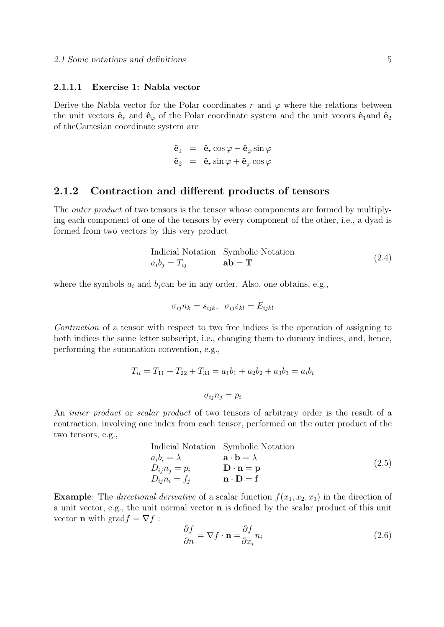#### 2.1.1.1 Exercise 1: Nabla vector

Derive the Nabla vector for the Polar coordinates r and  $\varphi$  where the relations between the unit vectors  $\hat{\mathbf{e}}_r$  and  $\hat{\mathbf{e}}_\varphi$  of the Polar coordinate system and the unit vecors  $\hat{\mathbf{e}}_1$  and  $\hat{\mathbf{e}}_2$ of theCartesian coordinate system are

$$
\begin{array}{rcl}\n\hat{\mathbf{e}}_1 &=& \hat{\mathbf{e}}_r \cos \varphi - \hat{\mathbf{e}}_\varphi \sin \varphi \\
\hat{\mathbf{e}}_2 &=& \hat{\mathbf{e}}_r \sin \varphi + \hat{\mathbf{e}}_\varphi \cos \varphi\n\end{array}
$$

#### 2.1.2 Contraction and different products of tensors

The *outer product* of two tensors is the tensor whose components are formed by multiplying each component of one of the tensors by every component of the other, i.e., a dyad is formed from two vectors by this very product

$$
\begin{array}{ll}\n\text{Indicial Notation} & \text{Symbolic Notation} \\
a_i b_j = T_{ij} & \text{ab} = \mathbf{T}\n\end{array} \tag{2.4}
$$

where the symbols  $a_i$  and  $b_j$ can be in any order. Also, one obtains, e.g.,

$$
\sigma_{ij} n_k = s_{ijk}, \quad \sigma_{ij} \varepsilon_{kl} = E_{ijkl}
$$

Contraction of a tensor with respect to two free indices is the operation of assigning to both indices the same letter subscript, i.e., changing them to dummy indices, and, hence, performing the summation convention, e.g.,

$$
T_{ii} = T_{11} + T_{22} + T_{33} = a_1b_1 + a_2b_2 + a_3b_3 = a_ib_i
$$

$$
\sigma_{ij}n_j = p_i
$$

An *inner product* or *scalar product* of two tensors of arbitrary order is the result of a contraction, involving one index from each tensor, performed on the outer product of the two tensors, e.g.,

$$
\begin{array}{ll}\n\text{Indicial Notation} & \text{Symbolic Notation} \\
a_i b_i = \lambda & \mathbf{a} \cdot \mathbf{b} = \lambda \\
D_{ij} n_j = p_i & \mathbf{D} \cdot \mathbf{n} = \mathbf{p} \\
D_{ij} n_i = f_j & \mathbf{n} \cdot \mathbf{D} = \mathbf{f}\n\end{array} \tag{2.5}
$$

**Example:** The *directional derivative* of a scalar function  $f(x_1, x_2, x_3)$  in the direction of a unit vector, e.g., the unit normal vector n is defined by the scalar product of this unit vector **n** with grad $f = \nabla f$ :

$$
\frac{\partial f}{\partial n} = \nabla f \cdot \mathbf{n} = \frac{\partial f}{\partial x_i} n_i \tag{2.6}
$$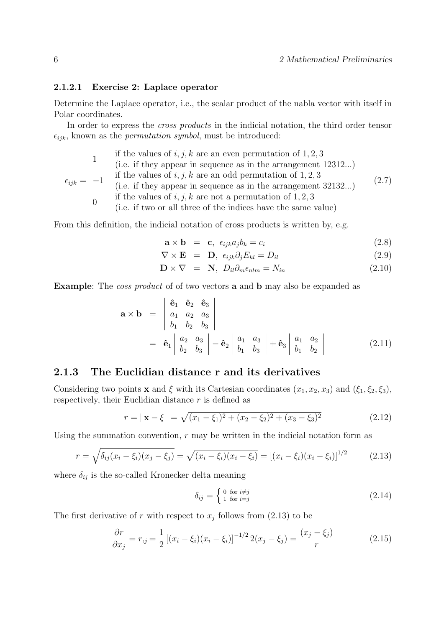#### 2.1.2.1 Exercise 2: Laplace operator

Determine the Laplace operator, i.e., the scalar product of the nabla vector with itself in Polar coordinates.

In order to express the *cross products* in the indicial notation, the third order tensor  $\epsilon_{ijk}$ , known as the *permutation symbol*, must be introduced:

|                       |                | if the values of i, j, k are an even permutation of $1, 2, 3$<br>(i.e. if they appear in sequence as in the arrangement $12312$ )                                                                                                                                |       |
|-----------------------|----------------|------------------------------------------------------------------------------------------------------------------------------------------------------------------------------------------------------------------------------------------------------------------|-------|
| $\epsilon_{ijk} = -1$ | $\overline{0}$ | if the values of i, j, k are an odd permutation of $1, 2, 3$<br>(i.e. if they appear in sequence as in the arrangement $32132$ )<br>if the values of i, j, k are not a permutation of $1, 2, 3$<br>(i.e. if two or all three of the indices have the same value) | (2.7) |
|                       |                |                                                                                                                                                                                                                                                                  |       |

From this definition, the indicial notation of cross products is written by, e.g.

$$
\mathbf{a} \times \mathbf{b} = \mathbf{c}, \ \epsilon_{ijk} a_j b_k = c_i \tag{2.8}
$$

$$
\nabla \times \mathbf{E} = \mathbf{D}, \ \epsilon_{ijk} \partial_j E_{kl} = D_{il} \tag{2.9}
$$

$$
\mathbf{D} \times \nabla = \mathbf{N}, \ D_{il} \partial_m \epsilon_{nlm} = N_{in} \tag{2.10}
$$

Example: The coss product of of two vectors a and b may also be expanded as

$$
\mathbf{a} \times \mathbf{b} = \begin{vmatrix} \hat{\mathbf{e}}_1 & \hat{\mathbf{e}}_2 & \hat{\mathbf{e}}_3 \\ a_1 & a_2 & a_3 \\ b_1 & b_2 & b_3 \end{vmatrix}
$$
  
=  $\hat{\mathbf{e}}_1 \begin{vmatrix} a_2 & a_3 \\ b_2 & b_3 \end{vmatrix} - \hat{\mathbf{e}}_2 \begin{vmatrix} a_1 & a_3 \\ b_1 & b_3 \end{vmatrix} + \hat{\mathbf{e}}_3 \begin{vmatrix} a_1 & a_2 \\ b_1 & b_2 \end{vmatrix}$  (2.11)

### 2.1.3 The Euclidian distance r and its derivatives

Considering two points **x** and  $\xi$  with its Cartesian coordinates  $(x_1, x_2, x_3)$  and  $(\xi_1, \xi_2, \xi_3)$ , respectively, their Euclidian distance  $r$  is defined as

$$
r = |\mathbf{x} - \xi| = \sqrt{(x_1 - \xi_1)^2 + (x_2 - \xi_2)^2 + (x_3 - \xi_3)^2}
$$
 (2.12)

Using the summation convention,  $r$  may be written in the indicial notation form as

$$
r = \sqrt{\delta_{ij}(x_i - \xi_i)(x_j - \xi_j)} = \sqrt{(x_i - \xi_i)(x_i - \xi_i)} = [(x_i - \xi_i)(x_i - \xi_i)]^{1/2}
$$
(2.13)

where  $\delta_{ij}$  is the so-called Kronecker delta meaning

$$
\delta_{ij} = \begin{cases} 0 & \text{for } i \neq j \\ 1 & \text{for } i = j \end{cases}
$$
 (2.14)

The first derivative of r with respect to  $x_j$  follows from (2.13) to be

$$
\frac{\partial r}{\partial x_j} = r_{,j} = \frac{1}{2} \left[ (x_i - \xi_i)(x_i - \xi_i) \right]^{-1/2} 2(x_j - \xi_j) = \frac{(x_j - \xi_j)}{r}
$$
(2.15)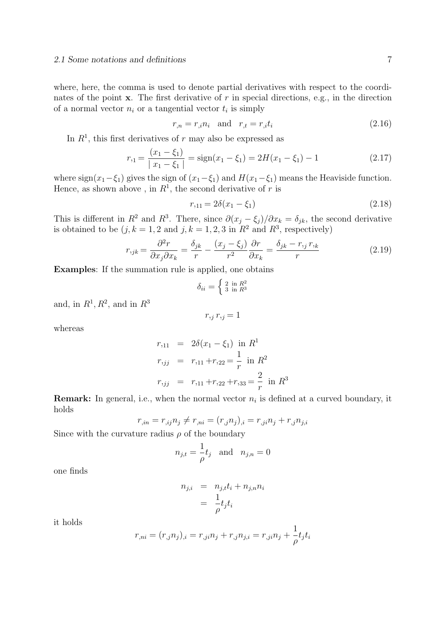where, here, the comma is used to denote partial derivatives with respect to the coordinates of the point  $x$ . The first derivative of  $r$  in special directions, e.g., in the direction of a normal vector  $n_i$  or a tangential vector  $t_i$  is simply

$$
r_{,n} = r_{,i} n_i \quad \text{and} \quad r_{,t} = r_{,i} t_i \tag{2.16}
$$

In  $R<sup>1</sup>$ , this first derivatives of r may also be expressed as

$$
r_{,1} = \frac{(x_1 - \xi_1)}{|x_1 - \xi_1|} = \text{sign}(x_1 - \xi_1) = 2H(x_1 - \xi_1) - 1
$$
\n(2.17)

where sign(x<sub>1</sub>−ξ<sub>1</sub>) gives the sign of (x<sub>1</sub>−ξ<sub>1</sub>) and  $H(x_1-ξ_1)$  means the Heaviside function. Hence, as shown above, in  $R^1$ , the second derivative of r is

$$
r_{,11} = 2\delta(x_1 - \xi_1) \tag{2.18}
$$

This is different in  $R^2$  and  $R^3$ . There, since  $\partial (x_j - \xi_j)/\partial x_k = \delta_{jk}$ , the second derivative is obtained to be  $(j, k = 1, 2 \text{ and } j, k = 1, 2, 3 \text{ in } R^2 \text{ and } R^3$ , respectively)

$$
r_{ijk} = \frac{\partial^2 r}{\partial x_j \partial x_k} = \frac{\delta_{jk}}{r} - \frac{(x_j - \xi_j)}{r^2} \frac{\partial r}{\partial x_k} = \frac{\delta_{jk} - r_{,j} r_{,k}}{r}
$$
(2.19)

Examples: If the summation rule is applied, one obtains

$$
\delta_{ii} = \begin{cases} 2 \text{ in } R^2 \\ 3 \text{ in } R^3 \end{cases}
$$

and, in  $R^1, R^2$ , and in  $R^3$ 

$$
r_{,j} \, r_{,j} = 1
$$

whereas

$$
r_{,11} = 2\delta(x_1 - \xi_1) \text{ in } R^1
$$
  
\n
$$
r_{,jj} = r_{,11} + r_{,22} = \frac{1}{r} \text{ in } R^2
$$
  
\n
$$
r_{,jj} = r_{,11} + r_{,22} + r_{,33} = \frac{2}{r} \text{ in } R^3
$$

**Remark:** In general, i.e., when the normal vector  $n_i$  is defined at a curved boundary, it holds

$$
r_{,in} = r_{,ij}n_j \neq r_{,ni} = (r_{,j}n_j)_{,i} = r_{,ji}n_j + r_{,j}n_{j,i}
$$

Since with the curvature radius  $\rho$  of the boundary

$$
n_{j,t} = \frac{1}{\rho} t_j \quad \text{and} \quad n_{j,n} = 0
$$

one finds

$$
n_{j,i} = n_{j,t}t_i + n_{j,n}n_i
$$
  
= 
$$
\frac{1}{\rho}t_jt_i
$$

it holds

$$
r_{,ni} = (r_{,j}n_{j})_{,i} = r_{,ji}n_{j} + r_{,j}n_{j,i} = r_{,ji}n_{j} + \frac{1}{\rho}t_{j}t_{i}
$$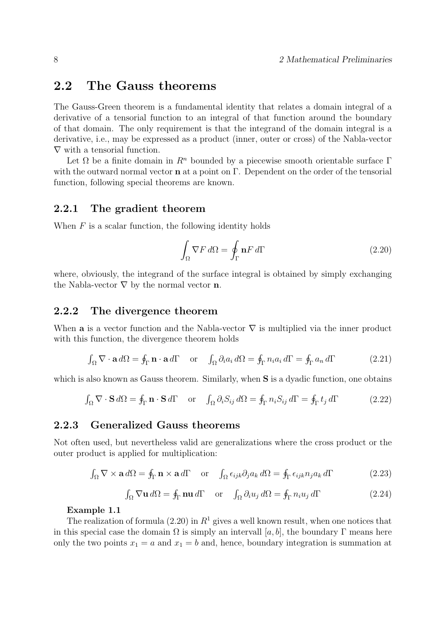## 2.2 The Gauss theorems

The Gauss-Green theorem is a fundamental identity that relates a domain integral of a derivative of a tensorial function to an integral of that function around the boundary of that domain. The only requirement is that the integrand of the domain integral is a derivative, i.e., may be expressed as a product (inner, outer or cross) of the Nabla-vector  $\nabla$  with a tensorial function.

Let  $\Omega$  be a finite domain in  $\mathbb{R}^n$  bounded by a piecewise smooth orientable surface Γ with the outward normal vector **n** at a point on  $\Gamma$ . Dependent on the order of the tensorial function, following special theorems are known.

#### 2.2.1 The gradient theorem

When  $F$  is a scalar function, the following identity holds

$$
\int_{\Omega} \nabla F \, d\Omega = \oint_{\Gamma} \mathbf{n} F \, d\Gamma \tag{2.20}
$$

where, obviously, the integrand of the surface integral is obtained by simply exchanging the Nabla-vector  $\nabla$  by the normal vector **n**.

#### 2.2.2 The divergence theorem

When **a** is a vector function and the Nabla-vector  $\nabla$  is multiplied via the inner product with this function, the divergence theorem holds

$$
\int_{\Omega} \nabla \cdot \mathbf{a} \, d\Omega = \oint_{\Gamma} \mathbf{n} \cdot \mathbf{a} \, d\Gamma \quad \text{or} \quad \int_{\Omega} \partial_i a_i \, d\Omega = \oint_{\Gamma} n_i a_i \, d\Gamma = \oint_{\Gamma} a_n \, d\Gamma \tag{2.21}
$$

which is also known as Gauss theorem. Similarly, when S is a dyadic function, one obtains

$$
\int_{\Omega} \nabla \cdot \mathbf{S} \, d\Omega = \oint_{\Gamma} \mathbf{n} \cdot \mathbf{S} \, d\Gamma \quad \text{or} \quad \int_{\Omega} \partial_i S_{ij} \, d\Omega = \oint_{\Gamma} n_i S_{ij} \, d\Gamma = \oint_{\Gamma} t_j \, d\Gamma \tag{2.22}
$$

#### 2.2.3 Generalized Gauss theorems

Not often used, but nevertheless valid are generalizations where the cross product or the outer product is applied for multiplication:

$$
\int_{\Omega} \nabla \times \mathbf{a} \, d\Omega = \oint_{\Gamma} \mathbf{n} \times \mathbf{a} \, d\Gamma \quad \text{or} \quad \int_{\Omega} \epsilon_{ijk} \partial_j a_k \, d\Omega = \oint_{\Gamma} \epsilon_{ijk} n_j a_k \, d\Gamma \tag{2.23}
$$

$$
\int_{\Omega} \nabla \mathbf{u} \, d\Omega = \oint_{\Gamma} \mathbf{n} \mathbf{u} \, d\Gamma \quad \text{or} \quad \int_{\Omega} \partial_i u_j \, d\Omega = \oint_{\Gamma} n_i u_j \, d\Gamma \tag{2.24}
$$

#### Example 1.1

The realization of formula (2.20) in  $R<sup>1</sup>$  gives a well known result, when one notices that in this special case the domain  $\Omega$  is simply an intervall [a, b], the boundary  $\Gamma$  means here only the two points  $x_1 = a$  and  $x_1 = b$  and, hence, boundary integration is summation at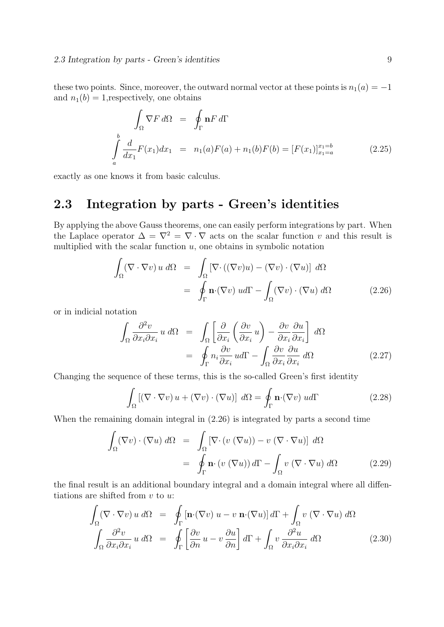these two points. Since, moreover, the outward normal vector at these points is  $n_1(a) = -1$ and  $n_1(b) = 1$ , respectively, one obtains

$$
\int_{\Omega} \nabla F d\Omega = \oint_{\Gamma} \mathbf{n} F d\Gamma
$$
\n
$$
\int_{a}^{b} \frac{d}{dx_{1}} F(x_{1}) dx_{1} = n_{1}(a) F(a) + n_{1}(b) F(b) = [F(x_{1})]_{x_{1}=a}^{x_{1}=b} \qquad (2.25)
$$

exactly as one knows it from basic calculus.

## 2.3 Integration by parts - Green's identities

By applying the above Gauss theorems, one can easily perform integrations by part. When the Laplace operator  $\Delta = \nabla^2 = \nabla \cdot \nabla$  acts on the scalar function v and this result is multiplied with the scalar function  $u$ , one obtains in symbolic notation

$$
\int_{\Omega} (\nabla \cdot \nabla v) u \, d\Omega = \int_{\Omega} [\nabla \cdot ((\nabla v)u) - (\nabla v) \cdot (\nabla u)] \, d\Omega
$$
\n
$$
= \oint_{\Gamma} \mathbf{n} \cdot (\nabla v) u d\Gamma - \int_{\Omega} (\nabla v) \cdot (\nabla u) \, d\Omega \tag{2.26}
$$

or in indicial notation

$$
\int_{\Omega} \frac{\partial^2 v}{\partial x_i \partial x_i} u \, d\Omega = \int_{\Omega} \left[ \frac{\partial}{\partial x_i} \left( \frac{\partial v}{\partial x_i} u \right) - \frac{\partial v}{\partial x_i} \frac{\partial u}{\partial x_i} \right] \, d\Omega
$$
\n
$$
= \oint_{\Gamma} n_i \frac{\partial v}{\partial x_i} u d\Gamma - \int_{\Omega} \frac{\partial v}{\partial x_i} \frac{\partial u}{\partial x_i} \, d\Omega \tag{2.27}
$$

Changing the sequence of these terms, this is the so-called Green's first identity

$$
\int_{\Omega} [(\nabla \cdot \nabla v) u + (\nabla v) \cdot (\nabla u)] d\Omega = \oint_{\Gamma} \mathbf{n} \cdot (\nabla v) u d\Gamma \qquad (2.28)
$$

When the remaining domain integral in (2.26) is integrated by parts a second time

$$
\int_{\Omega} (\nabla v) \cdot (\nabla u) \, d\Omega = \int_{\Omega} [\nabla \cdot (v (\nabla u)) - v (\nabla \cdot \nabla u)] \, d\Omega
$$
\n
$$
= \oint_{\Gamma} \mathbf{n} \cdot (v (\nabla u)) \, d\Gamma - \int_{\Omega} v (\nabla \cdot \nabla u) \, d\Omega \tag{2.29}
$$

the final result is an additional boundary integral and a domain integral where all diffentiations are shifted from  $v$  to  $u$ :

$$
\int_{\Omega} (\nabla \cdot \nabla v) u \, d\Omega = \oint_{\Gamma} [\mathbf{n} \cdot (\nabla v) u - v \mathbf{n} \cdot (\nabla u)] d\Gamma + \int_{\Omega} v (\nabla \cdot \nabla u) \, d\Omega
$$
\n
$$
\int_{\Omega} \frac{\partial^2 v}{\partial x_i \partial x_i} u \, d\Omega = \oint_{\Gamma} \left[ \frac{\partial v}{\partial n} u - v \frac{\partial u}{\partial n} \right] d\Gamma + \int_{\Omega} v \frac{\partial^2 u}{\partial x_i \partial x_i} \, d\Omega \tag{2.30}
$$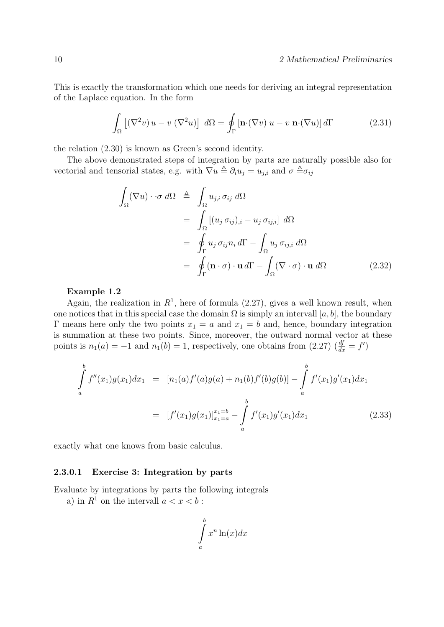This is exactly the transformation which one needs for deriving an integral representation of the Laplace equation. In the form

$$
\int_{\Omega} \left[ (\nabla^2 v) u - v (\nabla^2 u) \right] d\Omega = \oint_{\Gamma} \left[ \mathbf{n} \cdot (\nabla v) u - v \mathbf{n} \cdot (\nabla u) \right] d\Gamma \tag{2.31}
$$

the relation (2.30) is known as Green's second identity.

The above demonstrated steps of integration by parts are naturally possible also for vectorial and tensorial states, e.g. with  $\nabla u \triangleq \partial_i u_j = u_{j,i}$  and  $\sigma \triangleq \sigma_{ij}$ 

$$
\int_{\Omega} (\nabla u) \cdot \sigma \, d\Omega \triangleq \int_{\Omega} u_{j,i} \, \sigma_{ij} \, d\Omega
$$
\n
$$
= \int_{\Omega} [(u_j \, \sigma_{ij})_{,i} - u_j \, \sigma_{ij,i}] \, d\Omega
$$
\n
$$
= \oint_{\Gamma} u_j \, \sigma_{ij} n_i \, d\Gamma - \int_{\Omega} u_j \, \sigma_{ij,i} \, d\Omega
$$
\n
$$
= \oint_{\Gamma} (\mathbf{n} \cdot \sigma) \cdot \mathbf{u} \, d\Gamma - \int_{\Omega} (\nabla \cdot \sigma) \cdot \mathbf{u} \, d\Omega \qquad (2.32)
$$

#### Example 1.2

Again, the realization in  $R<sup>1</sup>$ , here of formula (2.27), gives a well known result, when one notices that in this special case the domain  $\Omega$  is simply an intervall [a, b], the boundary Γ means here only the two points  $x_1 = a$  and  $x_1 = b$  and, hence, boundary integration is summation at these two points. Since, moreover, the outward normal vector at these points is  $n_1(a) = -1$  and  $n_1(b) = 1$ , respectively, one obtains from (2.27)  $\left(\frac{df}{dx} = f'\right)$ 

$$
\int_{a}^{b} f''(x_1)g(x_1)dx_1 = [n_1(a)f'(a)g(a) + n_1(b)f'(b)g(b)] - \int_{a}^{b} f'(x_1)g'(x_1)dx_1
$$
\n
$$
= [f'(x_1)g(x_1)]_{x_1=a}^{x_1=b} - \int_{a}^{b} f'(x_1)g'(x_1)dx_1 \qquad (2.33)
$$

exactly what one knows from basic calculus.

#### 2.3.0.1 Exercise 3: Integration by parts

Evaluate by integrations by parts the following integrals

a) in  $R^1$  on the intervall  $a < x < b$ :

$$
\int_{a}^{b} x^{n} \ln(x) dx
$$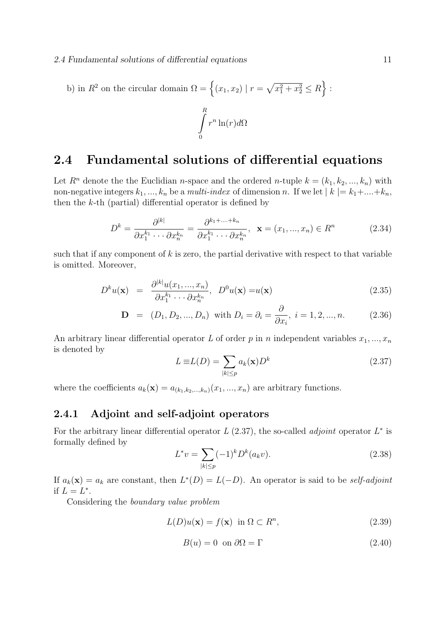b) in  $R^2$  on the circular domain  $\Omega = \{(x_1, x_2) | r = \sqrt{x_1^2 + x_2^2} \le R\}$ :

$$
\int\limits_0^R r^n \ln(r) d\Omega
$$

## 2.4 Fundamental solutions of differential equations

Let  $R^n$  denote the the Euclidian *n*-space and the ordered *n*-tuple  $k = (k_1, k_2, ..., k_n)$  with non-negative integers  $k_1, ..., k_n$  be a *multi-index* of dimension n. If we let  $|k| = k_1 + ... + k_n$ , then the  $k$ -th (partial) differential operator is defined by

$$
D^{k} = \frac{\partial^{|k|}}{\partial x_1^{k_1} \cdots \partial x_n^{k_n}} = \frac{\partial^{k_1 + \dots + k_n}}{\partial x_1^{k_1} \cdots \partial x_n^{k_n}}, \quad \mathbf{x} = (x_1, \dots, x_n) \in R^n \tag{2.34}
$$

such that if any component of  $k$  is zero, the partial derivative with respect to that variable is omitted. Moreover,

$$
D^{k}u(\mathbf{x}) = \frac{\partial^{|k|}u(x_1,...,x_n)}{\partial x_1^{k_1}\cdots\partial x_n^{k_n}}, \quad D^{0}u(\mathbf{x}) = u(\mathbf{x})
$$
\n(2.35)

$$
\mathbf{D} = (D_1, D_2, ..., D_n) \text{ with } D_i = \partial_i = \frac{\partial}{\partial x_i}, \ i = 1, 2, ..., n. \tag{2.36}
$$

An arbitrary linear differential operator L of order p in n independent variables  $x_1, ..., x_n$ is denoted by

$$
L \equiv L(D) = \sum_{|k| \le p} a_k(\mathbf{x}) D^k \tag{2.37}
$$

where the coefficients  $a_k(\mathbf{x}) = a_{(k_1,k_2,...,k_n)}(x_1,...,x_n)$  are arbitrary functions.

#### 2.4.1 Adjoint and self-adjoint operators

For the arbitrary linear differential operator  $L(2.37)$ , the so-called *adjoint* operator  $L^*$  is formally defined by

$$
L^*v = \sum_{|k| \le p} (-1)^k D^k(a_k v). \tag{2.38}
$$

If  $a_k(\mathbf{x}) = a_k$  are constant, then  $L^*(D) = L(-D)$ . An operator is said to be self-adjoint if  $L=L^*$ .

Considering the boundary value problem

$$
L(D)u(\mathbf{x}) = f(\mathbf{x}) \text{ in } \Omega \subset R^n,
$$
\n(2.39)

$$
B(u) = 0 \text{ on } \partial\Omega = \Gamma \tag{2.40}
$$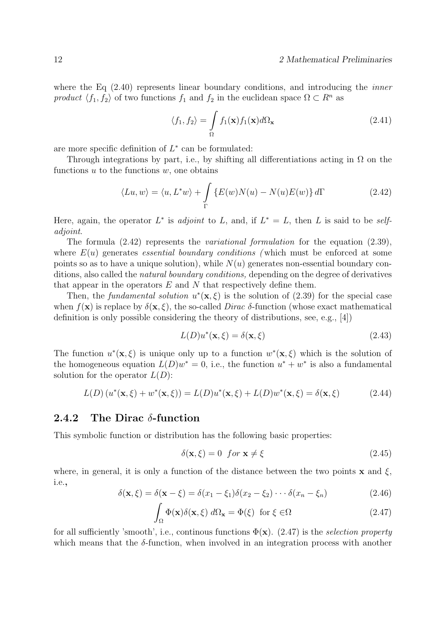where the Eq  $(2.40)$  represents linear boundary conditions, and introducing the *inner* product  $\langle f_1, f_2 \rangle$  of two functions  $f_1$  and  $f_2$  in the euclidean space  $\Omega \subset \mathbb{R}^n$  as

$$
\langle f_1, f_2 \rangle = \int_{\Omega} f_1(\mathbf{x}) f_1(\mathbf{x}) d\Omega_{\mathbf{x}} \tag{2.41}
$$

are more specific definition of  $L^*$  can be formulated:

Through integrations by part, i.e., by shifting all differentiations acting in  $\Omega$  on the functions  $u$  to the functions  $w$ , one obtains

$$
\langle Lu, w \rangle = \langle u, L^*w \rangle + \int_{\Gamma} \{ E(w)N(u) - N(u)E(w) \} d\Gamma \tag{2.42}
$$

Here, again, the operator  $L^*$  is *adjoint* to L, and, if  $L^* = L$ , then L is said to be *self*adjoint.

The formula  $(2.42)$  represents the *variational formulation* for the equation  $(2.39)$ , where  $E(u)$  generates *essential boundary conditions* (which must be enforced at some points so as to have a unique solution), while  $N(u)$  generates non-essential boundary conditions, also called the natural boundary conditions, depending on the degree of derivatives that appear in the operators  $E$  and  $N$  that respectively define them.

Then, the fundamental solution  $u^*(\mathbf{x}, \xi)$  is the solution of (2.39) for the special case when  $f(\mathbf{x})$  is replace by  $\delta(\mathbf{x}, \xi)$ , the so-called *Dirac*  $\delta$ -function (whose exact mathematical definition is only possible considering the theory of distributions, see, e.g., [4])

$$
L(D)u^*(\mathbf{x}, \xi) = \delta(\mathbf{x}, \xi)
$$
\n(2.43)

The function  $u^*(\mathbf{x}, \xi)$  is unique only up to a function  $w^*(\mathbf{x}, \xi)$  which is the solution of the homogeneous equation  $L(D)w^* = 0$ , i.e., the function  $u^* + w^*$  is also a fundamental solution for the operator  $L(D)$ :

$$
L(D)(u^*(\mathbf{x}, \xi) + w^*(\mathbf{x}, \xi)) = L(D)u^*(\mathbf{x}, \xi) + L(D)w^*(\mathbf{x}, \xi) = \delta(\mathbf{x}, \xi)
$$
(2.44)

#### 2.4.2 The Dirac  $\delta$ -function

This symbolic function or distribution has the following basic properties:

$$
\delta(\mathbf{x}, \xi) = 0 \quad \text{for } \mathbf{x} \neq \xi \tag{2.45}
$$

where, in general, it is only a function of the distance between the two points  $x$  and  $\xi$ , i.e.,

$$
\delta(\mathbf{x}, \xi) = \delta(\mathbf{x} - \xi) = \delta(x_1 - \xi_1)\delta(x_2 - \xi_2)\cdots\delta(x_n - \xi_n)
$$
\n(2.46)

$$
\int_{\Omega} \Phi(\mathbf{x}) \delta(\mathbf{x}, \xi) \, d\Omega_{\mathbf{x}} = \Phi(\xi) \quad \text{for } \xi \in \Omega \tag{2.47}
$$

for all sufficiently 'smooth', i.e., continous functions  $\Phi(\mathbf{x})$ . (2.47) is the selection property which means that the  $\delta$ -function, when involved in an integration process with another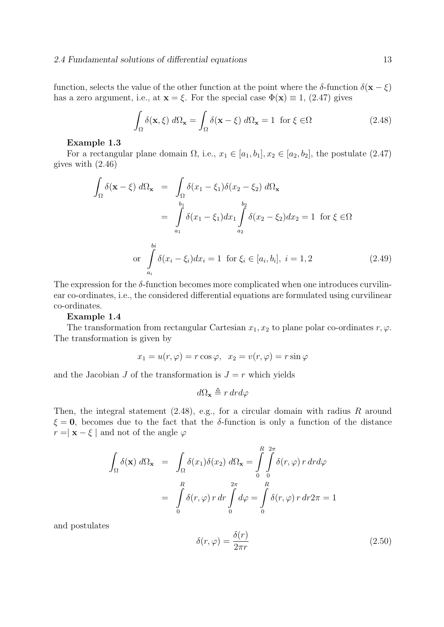function, selects the value of the other function at the point where the  $\delta$ -function  $\delta(\mathbf{x} - \xi)$ has a zero argument, i.e., at  $\mathbf{x} = \xi$ . For the special case  $\Phi(\mathbf{x}) \equiv 1$ , (2.47) gives

$$
\int_{\Omega} \delta(\mathbf{x}, \xi) d\Omega_{\mathbf{x}} = \int_{\Omega} \delta(\mathbf{x} - \xi) d\Omega_{\mathbf{x}} = 1 \text{ for } \xi \in \Omega
$$
\n(2.48)

#### Example 1.3

For a rectangular plane domain  $\Omega$ , i.e.,  $x_1 \in [a_1, b_1], x_2 \in [a_2, b_2]$ , the postulate (2.47) gives with (2.46)

$$
\int_{\Omega} \delta(\mathbf{x} - \xi) d\Omega_{\mathbf{x}} = \int_{\Omega} \delta(x_1 - \xi_1) \delta(x_2 - \xi_2) d\Omega_{\mathbf{x}}
$$
\n
$$
= \int_{a_1}^{b_1} \delta(x_1 - \xi_1) dx_1 \int_{a_2}^{b_2} \delta(x_2 - \xi_2) dx_2 = 1 \text{ for } \xi \in \Omega
$$
\nor\n
$$
\int_{a_i}^{b_i} \delta(x_i - \xi_i) dx_i = 1 \text{ for } \xi_i \in [a_i, b_i], \ i = 1, 2
$$
\n(2.49)

The expression for the  $\delta$ -function becomes more complicated when one introduces curvilinear co-ordinates, i.e., the considered differential equations are formulated using curvilinear co-ordinates.

#### Example 1.4

The transformation from rectangular Cartesian  $x_1, x_2$  to plane polar co-ordinates  $r, \varphi$ . The transformation is given by

$$
x_1 = u(r, \varphi) = r \cos \varphi, \ \ x_2 = v(r, \varphi) = r \sin \varphi
$$

and the Jacobian J of the transformation is  $J = r$  which yields

$$
d\Omega_{\mathbf{x}} \triangleq r dr d\varphi
$$

Then, the integral statement  $(2.48)$ , e.g., for a circular domain with radius R around  $\xi = 0$ , becomes due to the fact that the δ-function is only a function of the distance  $r = |\mathbf{x} - \xi|$  and not of the angle  $\varphi$ 

$$
\int_{\Omega} \delta(\mathbf{x}) d\Omega_{\mathbf{x}} = \int_{\Omega} \delta(x_1) \delta(x_2) d\Omega_{\mathbf{x}} = \int_{0}^{R} \int_{0}^{2\pi} \delta(r, \varphi) r dr d\varphi
$$

$$
= \int_{0}^{R} \delta(r, \varphi) r dr \int_{0}^{2\pi} d\varphi = \int_{0}^{R} \delta(r, \varphi) r dr 2\pi = 1
$$

and postulates

$$
\delta(r,\varphi) = \frac{\delta(r)}{2\pi r} \tag{2.50}
$$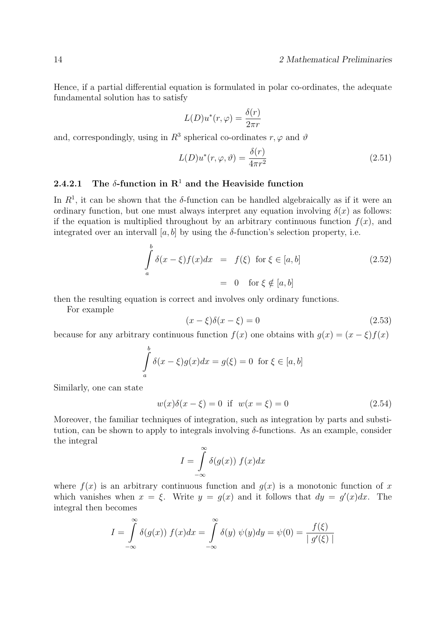Hence, if a partial differential equation is formulated in polar co-ordinates, the adequate fundamental solution has to satisfy

$$
L(D)u^*(r,\varphi) = \frac{\delta(r)}{2\pi r}
$$

and, correspondingly, using in  $R^3$  spherical co-ordinates  $r, \varphi$  and  $\vartheta$ 

$$
L(D)u^*(r, \varphi, \vartheta) = \frac{\delta(r)}{4\pi r^2}
$$
\n(2.51)

#### 2.4.2.1 The  $\delta$ -function in  $\mathbb{R}^1$  and the Heaviside function

In  $R<sup>1</sup>$ , it can be shown that the  $\delta$ -function can be handled algebraically as if it were an ordinary function, but one must always interpret any equation involving  $\delta(x)$  as follows: if the equation is multiplied throughout by an arbitrary continuous function  $f(x)$ , and integrated over an intervall [a, b] by using the  $\delta$ -function's selection property, i.e.

$$
\int_{a}^{b} \delta(x - \xi) f(x) dx = f(\xi) \text{ for } \xi \in [a, b]
$$
\n
$$
= 0 \text{ for } \xi \notin [a, b]
$$
\n(2.52)

then the resulting equation is correct and involves only ordinary functions.

For example

$$
(x - \xi)\delta(x - \xi) = 0\tag{2.53}
$$

because for any arbitrary continuous function  $f(x)$  one obtains with  $g(x) = (x - \xi)f(x)$ 

$$
\int_{a}^{b} \delta(x - \xi)g(x)dx = g(\xi) = 0 \text{ for } \xi \in [a, b]
$$

Similarly, one can state

$$
w(x)\delta(x - \xi) = 0 \text{ if } w(x = \xi) = 0 \tag{2.54}
$$

Moreover, the familiar techniques of integration, such as integration by parts and substitution, can be shown to apply to integrals involving δ-functions. As an example, consider the integral

$$
I = \int_{-\infty}^{\infty} \delta(g(x)) f(x) dx
$$

where  $f(x)$  is an arbitrary continuous function and  $g(x)$  is a monotonic function of x which vanishes when  $x = \xi$ . Write  $y = g(x)$  and it follows that  $dy = g'(x)dx$ . The integral then becomes

$$
I = \int_{-\infty}^{\infty} \delta(g(x)) f(x) dx = \int_{-\infty}^{\infty} \delta(y) \psi(y) dy = \psi(0) = \frac{f(\xi)}{|g'(\xi)|}
$$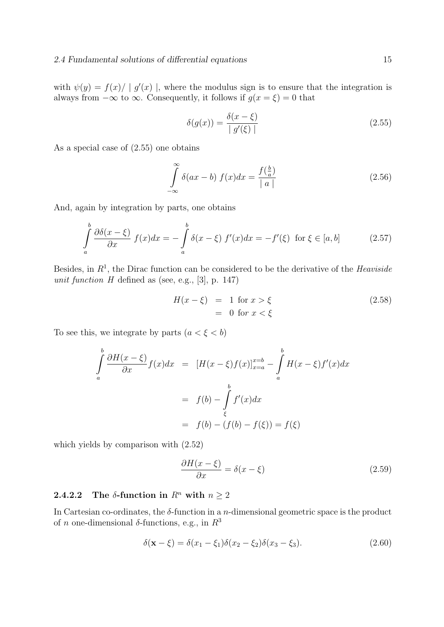with  $\psi(y) = f(x) / |g'(x)|$ , where the modulus sign is to ensure that the integration is always from  $-\infty$  to  $\infty$ . Consequently, it follows if  $g(x = \xi) = 0$  that

$$
\delta(g(x)) = \frac{\delta(x - \xi)}{|g'(\xi)|} \tag{2.55}
$$

As a special case of (2.55) one obtains

$$
\int_{-\infty}^{\infty} \delta(ax - b) f(x) dx = \frac{f(\frac{b}{a})}{|a|}
$$
\n(2.56)

And, again by integration by parts, one obtains

$$
\int_{a}^{b} \frac{\partial \delta(x - \xi)}{\partial x} f(x) dx = -\int_{a}^{b} \delta(x - \xi) f'(x) dx = -f'(\xi) \text{ for } \xi \in [a, b]
$$
 (2.57)

Besides, in  $R<sup>1</sup>$ , the Dirac function can be considered to be the derivative of the Heaviside unit function  $H$  defined as (see, e.g., [3], p. 147)

$$
H(x - \xi) = 1 \text{ for } x > \xi
$$
  
= 0 for  $x < \xi$  (2.58)

To see this, we integrate by parts  $(a < \xi < b)$ 

$$
\int_{a}^{b} \frac{\partial H(x-\xi)}{\partial x} f(x) dx = [H(x-\xi)f(x)]_{x=a}^{x=b} - \int_{a}^{b} H(x-\xi)f'(x) dx
$$

$$
= f(b) - \int_{\xi}^{b} f'(x) dx
$$

$$
= f(b) - (f(b) - f(\xi)) = f(\xi)
$$

which yields by comparison with (2.52)

$$
\frac{\partial H(x-\xi)}{\partial x} = \delta(x-\xi) \tag{2.59}
$$

### 2.4.2.2 The  $\delta$ -function in  $R^n$  with  $n \geq 2$

In Cartesian co-ordinates, the  $\delta$ -function in a *n*-dimensional geometric space is the product of *n* one-dimensional  $\delta$ -functions, e.g., in  $R^3$ 

$$
\delta(\mathbf{x} - \xi) = \delta(x_1 - \xi_1)\delta(x_2 - \xi_2)\delta(x_3 - \xi_3). \tag{2.60}
$$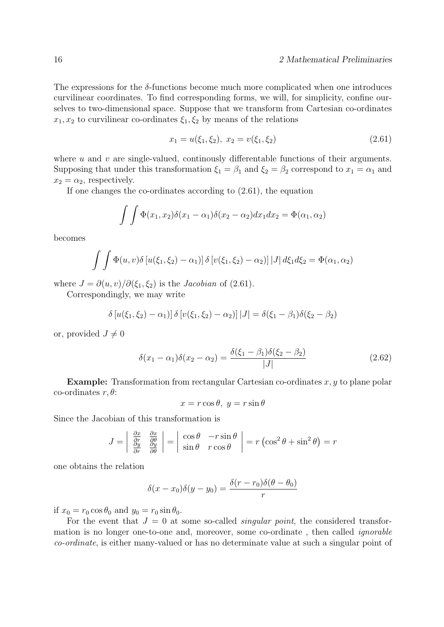The expressions for the  $\delta$ -functions become much more complicated when one introduces curvilinear coordinates. To find corresponding forms, we will, for simplicity, confine ourselves to two-dimensional space. Suppose that we transform from Cartesian co-ordinates  $x_1, x_2$  to curvilinear co-ordinates  $\xi_1, \xi_2$  by means of the relations

$$
x_1 = u(\xi_1, \xi_2), \ x_2 = v(\xi_1, \xi_2) \tag{2.61}
$$

where u and v are single-valued, continuously differentable functions of their arguments. Supposing that under this transformation  $\xi_1 = \beta_1$  and  $\xi_2 = \beta_2$  correspond to  $x_1 = \alpha_1$  and  $x_2 = \alpha_2$ , respectively.

If one changes the co-ordinates according to (2.61), the equation

$$
\int \int \Phi(x_1, x_2) \delta(x_1 - \alpha_1) \delta(x_2 - \alpha_2) dx_1 dx_2 = \Phi(\alpha_1, \alpha_2)
$$

becomes

$$
\int \int \Phi(u,v)\delta[u(\xi_1,\xi_2)-\alpha_1)] \delta[v(\xi_1,\xi_2)-\alpha_2)] |J| d\xi_1 d\xi_2 = \Phi(\alpha_1,\alpha_2)
$$

where  $J = \partial(u, v)/\partial(\xi_1, \xi_2)$  is the *Jacobian* of (2.61).

Correspondingly, we may write

$$
\delta [u(\xi_1, \xi_2) - \alpha_1)] \delta [v(\xi_1, \xi_2) - \alpha_2)] |J| = \delta(\xi_1 - \beta_1) \delta(\xi_2 - \beta_2)
$$

or, provided  $J \neq 0$ 

$$
\delta(x_1 - \alpha_1)\delta(x_2 - \alpha_2) = \frac{\delta(\xi_1 - \beta_1)\delta(\xi_2 - \beta_2)}{|J|}
$$
\n(2.62)

**Example:** Transformation from rectangular Cartesian co-ordinates  $x, y$  to plane polar co-ordinates  $r, \theta$ :

$$
x = r\cos\theta, \ y = r\sin\theta
$$

Since the Jacobian of this transformation is

$$
J = \begin{vmatrix} \frac{\partial x}{\partial r} & \frac{\partial x}{\partial \theta} \\ \frac{\partial y}{\partial r} & \frac{\partial y}{\partial \theta} \end{vmatrix} = \begin{vmatrix} \cos \theta & -r \sin \theta \\ \sin \theta & r \cos \theta \end{vmatrix} = r \left( \cos^2 \theta + \sin^2 \theta \right) = r
$$

one obtains the relation

$$
\delta(x - x_0)\delta(y - y_0) = \frac{\delta(r - r_0)\delta(\theta - \theta_0)}{r}
$$

if  $x_0 = r_0 \cos \theta_0$  and  $y_0 = r_0 \sin \theta_0$ .

For the event that  $J = 0$  at some so-called *singular point*, the considered transformation is no longer one-to-one and, moreover, some co-ordinate , then called ignorable co-ordinate, is either many-valued or has no determinate value at such a singular point of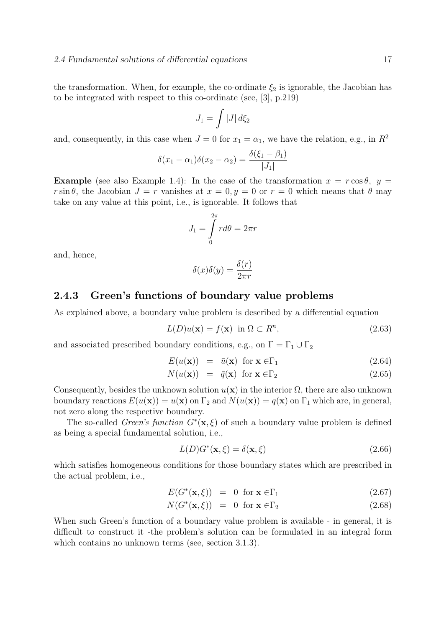the transformation. When, for example, the co-ordinate  $\xi_2$  is ignorable, the Jacobian has to be integrated with respect to this co-ordinate (see, [3], p.219)

$$
J_1=\int \left|J\right|d\xi_2
$$

and, consequently, in this case when  $J = 0$  for  $x_1 = \alpha_1$ , we have the relation, e.g., in  $R^2$ 

$$
\delta(x_1 - \alpha_1)\delta(x_2 - \alpha_2) = \frac{\delta(\xi_1 - \beta_1)}{|J_1|}
$$

**Example** (see also Example 1.4): In the case of the transformation  $x = r \cos \theta$ ,  $y =$ r sin θ, the Jacobian  $J = r$  vanishes at  $x = 0, y = 0$  or  $r = 0$  which means that θ may take on any value at this point, i.e., is ignorable. It follows that

$$
J_1 = \int\limits_0^{2\pi} r d\theta = 2\pi r
$$

and, hence,

$$
\delta(x)\delta(y) = \frac{\delta(r)}{2\pi r}
$$

#### 2.4.3 Green's functions of boundary value problems

As explained above, a boundary value problem is described by a differential equation

$$
L(D)u(\mathbf{x}) = f(\mathbf{x}) \text{ in } \Omega \subset R^n,
$$
\n(2.63)

and associated prescribed boundary conditions, e.g., on  $\Gamma = \Gamma_1 \cup \Gamma_2$ 

$$
E(u(\mathbf{x})) = \bar{u}(\mathbf{x}) \text{ for } \mathbf{x} \in \Gamma_1 \tag{2.64}
$$

$$
N(u(\mathbf{x})) = \bar{q}(\mathbf{x}) \text{ for } \mathbf{x} \in \Gamma_2 \tag{2.65}
$$

Consequently, besides the unknown solution  $u(\mathbf{x})$  in the interior  $\Omega$ , there are also unknown boundary reactions  $E(u(\mathbf{x})) = u(\mathbf{x})$  on  $\Gamma_2$  and  $N(u(\mathbf{x})) = q(\mathbf{x})$  on  $\Gamma_1$  which are, in general, not zero along the respective boundary.

The so-called *Green's function*  $G^*(\mathbf{x}, \xi)$  of such a boundary value problem is defined as being a special fundamental solution, i.e.,

$$
L(D)G^*(\mathbf{x}, \xi) = \delta(\mathbf{x}, \xi)
$$
\n(2.66)

which satisfies homogeneous conditions for those boundary states which are prescribed in the actual problem, i.e.,

$$
E(G^*(\mathbf{x}, \xi)) = 0 \text{ for } \mathbf{x} \in \Gamma_1 \tag{2.67}
$$

$$
N(G^*(\mathbf{x}, \xi)) = 0 \text{ for } \mathbf{x} \in \Gamma_2 \tag{2.68}
$$

When such Green's function of a boundary value problem is available - in general, it is difficult to construct it -the problem's solution can be formulated in an integral form which contains no unknown terms (see, section 3.1.3).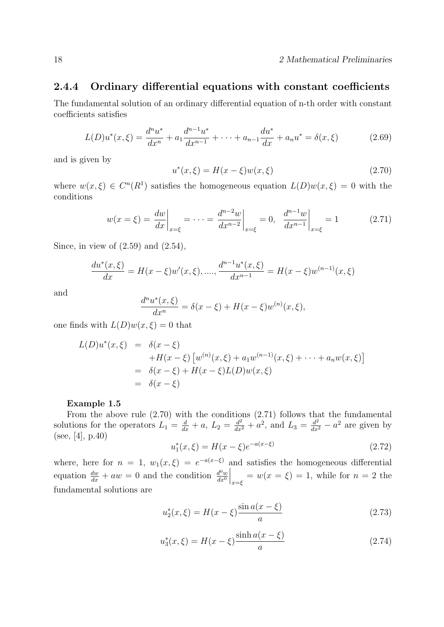#### 2.4.4 Ordinary differential equations with constant coefficients

The fundamental solution of an ordinary differential equation of n-th order with constant coefficients satisfies

$$
L(D)u^*(x,\xi) = \frac{d^n u^*}{dx^n} + a_1 \frac{d^{n-1} u^*}{dx^{n-1}} + \dots + a_{n-1} \frac{d u^*}{dx} + a_n u^* = \delta(x,\xi)
$$
 (2.69)

and is given by

$$
u^*(x,\xi) = H(x-\xi)w(x,\xi)
$$
\n(2.70)

where  $w(x,\xi) \in C^n(R^1)$  satisfies the homogeneous equation  $L(D)w(x,\xi) = 0$  with the conditions

$$
w(x=\xi) = \frac{dw}{dx}\bigg|_{x=\xi} = \dots = \frac{d^{n-2}w}{dx^{n-2}}\bigg|_{x=\xi} = 0, \quad \frac{d^{n-1}w}{dx^{n-1}}\bigg|_{x=\xi} = 1 \tag{2.71}
$$

Since, in view of  $(2.59)$  and  $(2.54)$ ,

$$
\frac{du^*(x,\xi)}{dx} = H(x-\xi)w'(x,\xi), \dots, \frac{d^{n-1}u^*(x,\xi)}{dx^{n-1}} = H(x-\xi)w^{(n-1)}(x,\xi)
$$

and

$$
\frac{d^n u^*(x,\xi)}{dx^n} = \delta(x-\xi) + H(x-\xi)w^{(n)}(x,\xi),
$$

one finds with  $L(D)w(x, \xi) = 0$  that

$$
L(D)u^*(x,\xi) = \delta(x-\xi) \n+H(x-\xi) [w^{(n)}(x,\xi) + a_1 w^{(n-1)}(x,\xi) + \cdots + a_n w(x,\xi)] \n= \delta(x-\xi) + H(x-\xi)L(D)w(x,\xi) \n= \delta(x-\xi)
$$

#### Example 1.5

From the above rule (2.70) with the conditions (2.71) follows that the fundamental solutions for the operators  $L_1 = \frac{d}{dx} + a$ ,  $L_2 = \frac{d^2}{dx^2} + a^2$ , and  $L_3 = \frac{d^2}{dx^2} - a^2$  are given by (see, [4], p.40)

$$
u_1^*(x,\xi) = H(x-\xi)e^{-a(x-\xi)}
$$
\n(2.72)

where, here for  $n = 1$ ,  $w_1(x,\xi) = e^{-a(x-\xi)}$  and satisfies the homogeneous differential equation  $\frac{dw}{dx} + aw = 0$  and the condition  $\frac{d^0w}{dx^0}$  $dx^0$  $\Big|_{x=\xi} = w(x=\xi) = 1$ , while for  $n=2$  the fundamental solutions are

$$
u_2^*(x,\xi) = H(x-\xi)\frac{\sin a(x-\xi)}{a}
$$
 (2.73)

$$
u_3^*(x,\xi) = H(x-\xi) \frac{\sinh a(x-\xi)}{a}
$$
 (2.74)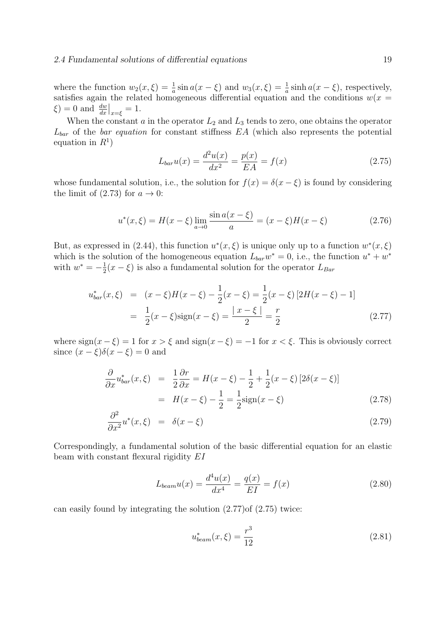where the function  $w_2(x,\xi) = \frac{1}{a} \sin a(x - \xi)$  and  $w_3(x,\xi) = \frac{1}{a} \sinh a(x - \xi)$ , respectively, satisfies again the related homogeneous differential equation and the conditions  $w(x)$  $\xi$ ) = 0 and  $\frac{dw}{dx}\big|_{x=\xi} = 1$ .

When the constant  $a$  in the operator  $L_2$  and  $L_3$  tends to zero, one obtains the operator  $L_{bar}$  of the *bar equation* for constant stiffness  $EA$  (which also represents the potential equation in  $R^1$ )

$$
L_{bar}u(x) = \frac{d^2u(x)}{dx^2} = \frac{p(x)}{EA} = f(x)
$$
\n(2.75)

whose fundamental solution, i.e., the solution for  $f(x) = \delta(x - \xi)$  is found by considering the limit of (2.73) for  $a \to 0$ :

$$
u^*(x,\xi) = H(x-\xi) \lim_{a \to 0} \frac{\sin a(x-\xi)}{a} = (x-\xi)H(x-\xi)
$$
 (2.76)

But, as expressed in (2.44), this function  $u^*(x,\xi)$  is unique only up to a function  $w^*(x,\xi)$ which is the solution of the homogeneous equation  $L_{bar}w^* = 0$ , i.e., the function  $u^* + w^*$ with  $w^* = -\frac{1}{2}$  $\frac{1}{2}(x-\xi)$  is also a fundamental solution for the operator  $L_{Bar}$ 

$$
u_{bar}^*(x,\xi) = (x-\xi)H(x-\xi) - \frac{1}{2}(x-\xi) = \frac{1}{2}(x-\xi)\left[2H(x-\xi) - 1\right]
$$

$$
= \frac{1}{2}(x-\xi)\text{sign}(x-\xi) = \frac{|x-\xi|}{2} = \frac{r}{2}
$$
(2.77)

where  $sign(x - \xi) = 1$  for  $x > \xi$  and  $sign(x - \xi) = -1$  for  $x < \xi$ . This is obviously correct since  $(x - \xi)\delta(x - \xi) = 0$  and

$$
\frac{\partial}{\partial x} u_{bar}^*(x,\xi) = \frac{1}{2} \frac{\partial r}{\partial x} = H(x-\xi) - \frac{1}{2} + \frac{1}{2} (x-\xi) [2\delta(x-\xi)]
$$

$$
= H(x-\xi) - \frac{1}{2} = \frac{1}{2} sign(x-\xi)
$$
(2.78)

$$
\frac{\partial^2}{\partial x^2} u^*(x,\xi) = \delta(x-\xi) \tag{2.79}
$$

Correspondingly, a fundamental solution of the basic differential equation for an elastic beam with constant flexural rigidity EI

$$
L_{beam}u(x) = \frac{d^4u(x)}{dx^4} = \frac{q(x)}{EI} = f(x)
$$
\n(2.80)

can easily found by integrating the solution (2.77)of (2.75) twice:

$$
u_{beam}^*(x,\xi) = \frac{r^3}{12}
$$
 (2.81)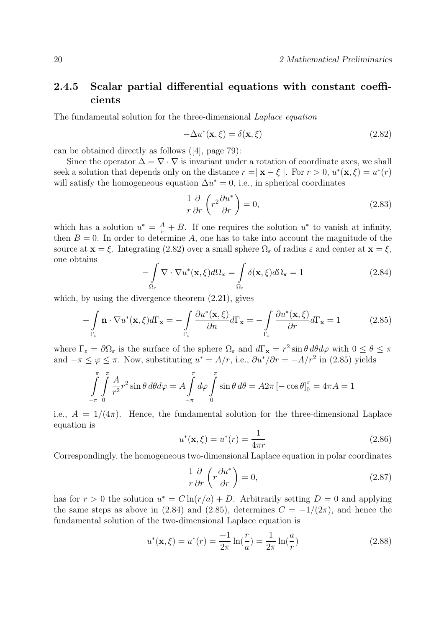## 2.4.5 Scalar partial differential equations with constant coefficients

The fundamental solution for the three-dimensional Laplace equation

$$
-\Delta u^*(\mathbf{x}, \xi) = \delta(\mathbf{x}, \xi)
$$
\n(2.82)

can be obtained directly as follows ([4], page 79):

Since the operator  $\Delta = \nabla \cdot \nabla$  is invariant under a rotation of coordinate axes, we shall seek a solution that depends only on the distance  $r = |\mathbf{x} - \xi|$ . For  $r > 0$ ,  $u^*(\mathbf{x}, \xi) = u^*(r)$ will satisfy the homogeneous equation  $\Delta u^* = 0$ , i.e., in spherical coordinates

$$
\frac{1}{r}\frac{\partial}{\partial r}\left(r^2\frac{\partial u^*}{\partial r}\right) = 0,\tag{2.83}
$$

which has a solution  $u^* = \frac{A}{r} + B$ . If one requires the solution  $u^*$  to vanish at infinity, then  $B = 0$ . In order to determine A, one has to take into account the magnitude of the source at  $\mathbf{x} = \xi$ . Integrating (2.82) over a small sphere  $\Omega_{\varepsilon}$  of radius  $\varepsilon$  and center at  $\mathbf{x} = \xi$ , one obtains

$$
-\int_{\Omega_{\varepsilon}} \nabla \cdot \nabla u^*(\mathbf{x}, \xi) d\Omega_{\mathbf{x}} = \int_{\Omega_{\varepsilon}} \delta(\mathbf{x}, \xi) d\Omega_{\mathbf{x}} = 1
$$
\n(2.84)

which, by using the divergence theorem  $(2.21)$ , gives

$$
-\int_{\Gamma_{\varepsilon}} \mathbf{n} \cdot \nabla u^*(\mathbf{x}, \xi) d\Gamma_{\mathbf{x}} = -\int_{\Gamma_{\varepsilon}} \frac{\partial u^*(\mathbf{x}, \xi)}{\partial n} d\Gamma_{\mathbf{x}} = -\int_{\Gamma_{\varepsilon}} \frac{\partial u^*(\mathbf{x}, \xi)}{\partial r} d\Gamma_{\mathbf{x}} = 1 \tag{2.85}
$$

where  $\Gamma_{\varepsilon} = \partial \Omega_{\varepsilon}$  is the surface of the sphere  $\Omega_{\varepsilon}$  and  $d\Gamma_{\mathbf{x}} = r^2 \sin \theta d\theta d\varphi$  with  $0 \le \theta \le \pi$ and  $-\pi \leq \varphi \leq \pi$ . Now, substituting  $u^* = A/r$ , i.e.,  $\partial u^*/\partial r = -A/r^2$  in (2.85) yields

$$
\int_{-\pi}^{\pi} \int_{0}^{\pi} \frac{A}{r^2} r^2 \sin \theta \, d\theta d\varphi = A \int_{-\pi}^{\pi} d\varphi \int_{0}^{\pi} \sin \theta \, d\theta = A 2\pi \left[ -\cos \theta \right]_{0}^{\pi} = 4\pi A = 1
$$

i.e.,  $A = 1/(4\pi)$ . Hence, the fundamental solution for the three-dimensional Laplace equation is

$$
u^*(\mathbf{x}, \xi) = u^*(r) = \frac{1}{4\pi r}
$$
\n(2.86)

Correspondingly, the homogeneous two-dimensional Laplace equation in polar coordinates

$$
\frac{1}{r}\frac{\partial}{\partial r}\left(r\frac{\partial u^*}{\partial r}\right) = 0,\tag{2.87}
$$

has for  $r > 0$  the solution  $u^* = C \ln(r/a) + D$ . Arbitrarily setting  $D = 0$  and applying the same steps as above in (2.84) and (2.85), determines  $C = -1/(2\pi)$ , and hence the fundamental solution of the two-dimensional Laplace equation is

$$
u^*(\mathbf{x}, \xi) = u^*(r) = \frac{-1}{2\pi} \ln(\frac{r}{a}) = \frac{1}{2\pi} \ln(\frac{a}{r})
$$
\n(2.88)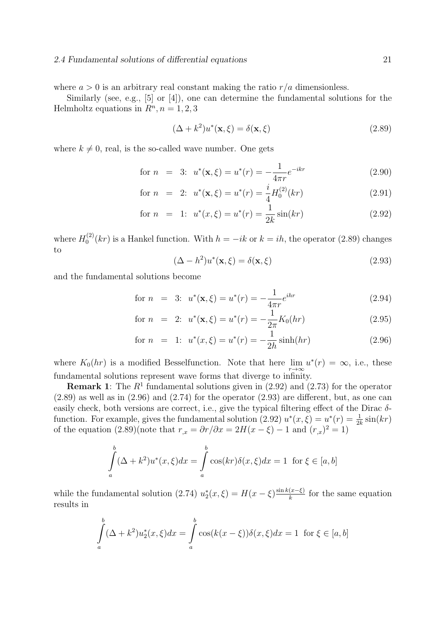#### 2.4 Fundamental solutions of differential equations 21

where  $a > 0$  is an arbitrary real constant making the ratio  $r/a$  dimensionless.

Similarly (see, e.g., [5] or [4]), one can determine the fundamental solutions for the Helmholtz equations in  $R<sup>n</sup>$ ,  $n = 1, 2, 3$ 

$$
(\Delta + k^2)u^*(\mathbf{x}, \xi) = \delta(\mathbf{x}, \xi)
$$
\n(2.89)

where  $k \neq 0$ , real, is the so-called wave number. One gets

for 
$$
n = 3
$$
:  $u^*(\mathbf{x}, \xi) = u^*(r) = -\frac{1}{4\pi r} e^{-ikr}$  (2.90)

for 
$$
n = 2
$$
:  $u^*(\mathbf{x}, \xi) = u^*(r) = \frac{i}{4} H_0^{(2)}(kr)$  (2.91)

for 
$$
n = 1
$$
:  $u^*(x, \xi) = u^*(r) = \frac{1}{2k} \sin(kr)$  (2.92)

where  $H_0^{(2)}$  $\int_0^{(2)} (kr)$  is a Hankel function. With  $h = -ik$  or  $k = ih$ , the operator (2.89) changes to

$$
(\Delta - h^2)u^*(\mathbf{x}, \xi) = \delta(\mathbf{x}, \xi)
$$
\n(2.93)

and the fundamental solutions become

for 
$$
n = 3
$$
:  $u^*(\mathbf{x}, \xi) = u^*(r) = -\frac{1}{4\pi r} e^{ihr}$  (2.94)

for 
$$
n = 2
$$
:  $u^*(\mathbf{x}, \xi) = u^*(r) = -\frac{1}{2\pi} K_0(hr)$  (2.95)

for 
$$
n = 1
$$
:  $u^*(x, \xi) = u^*(r) = -\frac{1}{2h} \sinh(hr)$  (2.96)

where  $K_0(hr)$  is a modified Bessel function. Note that here  $\lim_{r\to\infty} u^*(r) = \infty$ , i.e., these fundamental solutions represent wave forms that diverge to infinity.

**Remark 1**: The  $R<sup>1</sup>$  fundamental solutions given in (2.92) and (2.73) for the operator  $(2.89)$  as well as in  $(2.96)$  and  $(2.74)$  for the operator  $(2.93)$  are different, but, as one can easily check, both versions are correct, i.e., give the typical filtering effect of the Dirac  $\delta$ function. For example, gives the fundamental solution (2.92)  $u^*(x,\xi) = u^*(r) = \frac{1}{2k} \sin(kr)$ of the equation  $(2.89)($ note that  $r_{,x} = \partial r / \partial x = 2H(x - \xi) - 1$  and  $(r_{,x})^2 = 1$ 

$$
\int_{a}^{b} (\Delta + k^2) u^*(x, \xi) dx = \int_{a}^{b} \cos(kr) \delta(x, \xi) dx = 1 \text{ for } \xi \in [a, b]
$$

while the fundamental solution (2.74)  $u_2^*(x,\xi) = H(x-\xi) \frac{\sin k(x-\xi)}{k}$  $\frac{(x-\xi)}{k}$  for the same equation results in

$$
\int_{a}^{b} (\Delta + k^2) u_2^*(x, \xi) dx = \int_{a}^{b} \cos(k(x - \xi)) \delta(x, \xi) dx = 1 \text{ for } \xi \in [a, b]
$$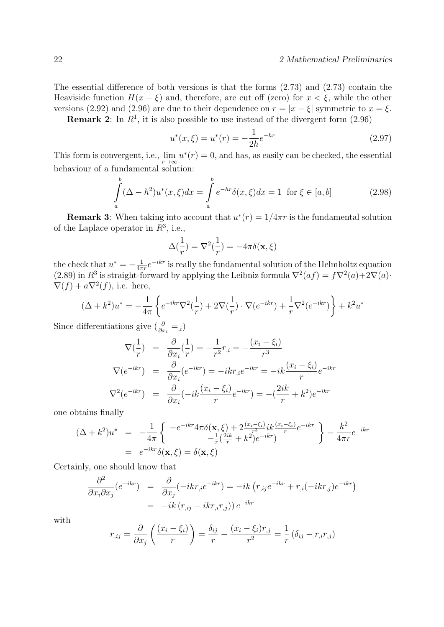The essential difference of both versions is that the forms (2.73) and (2.73) contain the Heaviside function  $H(x - \xi)$  and, therefore, are cut off (zero) for  $x < \xi$ , while the other versions (2.92) and (2.96) are due to their dependence on  $r = |x - \xi|$  symmetric to  $x = \xi$ .

**Remark 2:** In  $R^1$ , it is also possible to use instead of the divergent form  $(2.96)$ 

$$
u^*(x,\xi) = u^*(r) = -\frac{1}{2h}e^{-hr}
$$
\n(2.97)

This form is convergent, i.e.,  $\lim_{r \to \infty} u^*(r) = 0$ , and has, as easily can be checked, the essential behaviour of a fundamental solution:

$$
\int_{a}^{b} (\Delta - h^2) u^*(x, \xi) dx = \int_{a}^{b} e^{-hr} \delta(x, \xi) dx = 1 \text{ for } \xi \in [a, b]
$$
 (2.98)

**Remark 3:** When taking into account that  $u^*(r) = 1/4\pi r$  is the fundamental solution of the Laplace operator in  $R^3$ , i.e.,

$$
\Delta(\frac{1}{r}) = \nabla^2(\frac{1}{r}) = -4\pi\delta(\mathbf{x}, \xi)
$$

the check that  $u^* = -\frac{1}{4\pi}$  $\frac{1}{4\pi r}e^{-ikr}$  is really the fundamental solution of the Helmholtz equation (2.89) in  $R^3$  is straight-forward by applying the Leibniz formula  $\nabla^2(af) = f\nabla^2(a)+2\nabla(a)$ .  $\nabla(f) + a\nabla^2(f)$ , i.e. here,

$$
(\Delta + k^2)u^* = -\frac{1}{4\pi} \left\{ e^{-ikr} \nabla^2(\frac{1}{r}) + 2\nabla(\frac{1}{r}) \cdot \nabla(e^{-ikr}) + \frac{1}{r} \nabla^2(e^{-ikr}) \right\} + k^2 u^*
$$

Since differentiations give  $\left(\frac{\partial}{\partial x_i} = 0\right)$ 

$$
\nabla(\frac{1}{r}) = \frac{\partial}{\partial x_i}(\frac{1}{r}) = -\frac{1}{r^2}r_{,i} = -\frac{(x_i - \xi_i)}{r^3}
$$
  

$$
\nabla(e^{-ikr}) = \frac{\partial}{\partial x_i}(e^{-ikr}) = -ikr_{,i}e^{-ikr} = -ik\frac{(x_i - \xi_i)}{r}e^{-ikr}
$$
  

$$
\nabla^2(e^{-ikr}) = \frac{\partial}{\partial x_i}(-ik\frac{(x_i - \xi_i)}{r}e^{-ikr}) = -(\frac{2ik}{r} + k^2)e^{-ikr}
$$

one obtains finally

$$
(\Delta + k^2)u^* = -\frac{1}{4\pi} \left\{ \begin{array}{l} -e^{-ikr}4\pi\delta(\mathbf{x}, \xi) + 2\frac{(x_i - \xi_i)}{r^3}ik\frac{(x_i - \xi_i)}{r}e^{-ikr} \\ -\frac{1}{r}(\frac{2ik}{r} + k^2)e^{-ikr} \end{array} \right\} - \frac{k^2}{4\pi r}e^{-ikr}
$$
  
=  $e^{-ikr}\delta(\mathbf{x}, \xi) = \delta(\mathbf{x}, \xi)$ 

Certainly, one should know that

$$
\frac{\partial^2}{\partial x_i \partial x_j} (e^{-ikr}) = \frac{\partial}{\partial x_j} (-ikr_{,i}e^{-ikr}) = -ik (r_{,ij}e^{-ikr} + r_{,i}(-ikr_{,j})e^{-ikr})
$$

$$
= -ik (r_{,ij} - ikr_{,i}r_{,j})) e^{-ikr}
$$

with

$$
r_{,ij} = \frac{\partial}{\partial x_j} \left( \frac{(x_i - \xi_i)}{r} \right) = \frac{\delta_{ij}}{r} - \frac{(x_i - \xi_i)r_{,j}}{r^2} = \frac{1}{r} \left( \delta_{ij} - r_{,i}r_{,j} \right)
$$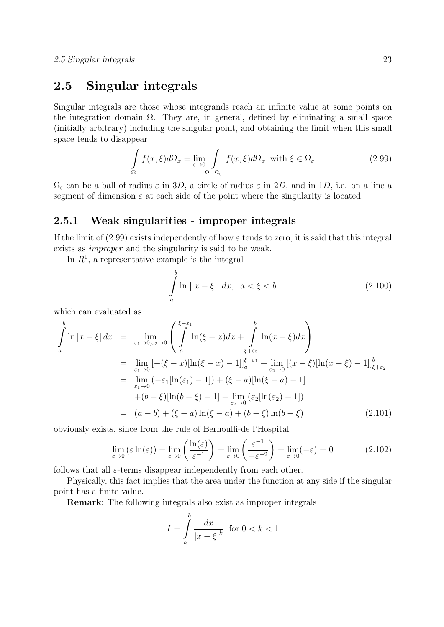## 2.5 Singular integrals

Singular integrals are those whose integrands reach an infinite value at some points on the integration domain  $\Omega$ . They are, in general, defined by eliminating a small space (initially arbitrary) including the singular point, and obtaining the limit when this small space tends to disappear

$$
\int_{\Omega} f(x,\xi)d\Omega_x = \lim_{\varepsilon \to 0} \int_{\Omega - \Omega_{\varepsilon}} f(x,\xi)d\Omega_x \text{ with } \xi \in \Omega_{\varepsilon}
$$
\n(2.99)

 $\Omega_{\varepsilon}$  can be a ball of radius  $\varepsilon$  in 3D, a circle of radius  $\varepsilon$  in 2D, and in 1D, i.e. on a line a segment of dimension  $\varepsilon$  at each side of the point where the singularity is located.

#### 2.5.1 Weak singularities - improper integrals

If the limit of (2.99) exists independently of how  $\varepsilon$  tends to zero, it is said that this integral exists as improper and the singularity is said to be weak.

In  $R<sup>1</sup>$ , a representative example is the integral

$$
\int_{a}^{b} \ln|x-\xi| dx, \quad a < \xi < b \tag{2.100}
$$

which can evaluated as

$$
\int_{a}^{b} \ln |x - \xi| dx = \lim_{\varepsilon_{1} \to 0, \varepsilon_{2} \to 0} \left( \int_{a}^{\xi - \varepsilon_{1}} \ln(\xi - x) dx + \int_{\xi + \varepsilon_{2}}^{b} \ln(x - \xi) dx \right)
$$
\n
$$
= \lim_{\varepsilon_{1} \to 0} \left[ -(\xi - x) [\ln(\xi - x) - 1] \right]_{a}^{\xi - \varepsilon_{1}} + \lim_{\varepsilon_{2} \to 0} \left[ (x - \xi) [\ln(x - \xi) - 1] \right]_{\xi + \varepsilon_{2}}^{b}
$$
\n
$$
= \lim_{\varepsilon_{1} \to 0} \left( -\varepsilon_{1} [\ln(\varepsilon_{1}) - 1] \right) + (\xi - a) [\ln(\xi - a) - 1]
$$
\n
$$
+ (b - \xi) [\ln(b - \xi) - 1] - \lim_{\varepsilon_{2} \to 0} (\varepsilon_{2} [\ln(\varepsilon_{2}) - 1])
$$
\n
$$
= (a - b) + (\xi - a) \ln(\xi - a) + (b - \xi) \ln(b - \xi) \tag{2.101}
$$

obviously exists, since from the rule of Bernoulli-de l'Hospital

$$
\lim_{\varepsilon \to 0} (\varepsilon \ln(\varepsilon)) = \lim_{\varepsilon \to 0} \left( \frac{\ln(\varepsilon)}{\varepsilon^{-1}} \right) = \lim_{\varepsilon \to 0} \left( \frac{\varepsilon^{-1}}{-\varepsilon^{-2}} \right) = \lim_{\varepsilon \to 0} (-\varepsilon) = 0 \tag{2.102}
$$

follows that all  $\varepsilon$ -terms disappear independently from each other.

Physically, this fact implies that the area under the function at any side if the singular point has a finite value.

Remark: The following integrals also exist as improper integrals

$$
I = \int_{a}^{b} \frac{dx}{|x - \xi|^k} \quad \text{for } 0 < k < 1
$$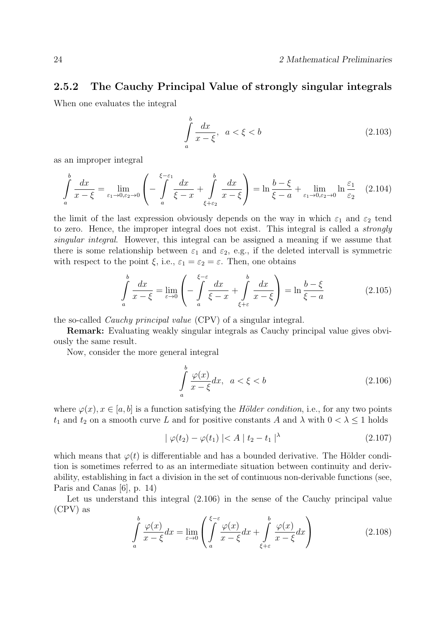### 2.5.2 The Cauchy Principal Value of strongly singular integrals

When one evaluates the integral

$$
\int_{a}^{b} \frac{dx}{x - \xi}, \quad a < \xi < b \tag{2.103}
$$

as an improper integral

$$
\int_{a}^{b} \frac{dx}{x - \xi} = \lim_{\varepsilon_1 \to 0, \varepsilon_2 \to 0} \left( -\int_{a}^{\xi - \varepsilon_1} \frac{dx}{\xi - x} + \int_{\xi + \varepsilon_2}^{b} \frac{dx}{x - \xi} \right) = \ln \frac{b - \xi}{\xi - a} + \lim_{\varepsilon_1 \to 0, \varepsilon_2 \to 0} \ln \frac{\varepsilon_1}{\varepsilon_2} \tag{2.104}
$$

the limit of the last expression obviously depends on the way in which  $\varepsilon_1$  and  $\varepsilon_2$  tend to zero. Hence, the improper integral does not exist. This integral is called a strongly singular integral. However, this integral can be assigned a meaning if we assume that there is some relationship between  $\varepsilon_1$  and  $\varepsilon_2$ , e.g., if the deleted intervall is symmetric with respect to the point  $\xi$ , i.e.,  $\varepsilon_1 = \varepsilon_2 = \varepsilon$ . Then, one obtains

$$
\int_{a}^{b} \frac{dx}{x - \xi} = \lim_{\varepsilon \to 0} \left( -\int_{a}^{\xi - \varepsilon} \frac{dx}{\xi - x} + \int_{\xi + \varepsilon}^{b} \frac{dx}{x - \xi} \right) = \ln \frac{b - \xi}{\xi - a}
$$
\n(2.105)

the so-called Cauchy principal value (CPV) of a singular integral.

Remark: Evaluating weakly singular integrals as Cauchy principal value gives obviously the same result.

Now, consider the more general integral

$$
\int_{a}^{b} \frac{\varphi(x)}{x - \xi} dx, \quad a < \xi < b \tag{2.106}
$$

where  $\varphi(x), x \in [a, b]$  is a function satisfying the *Hölder condition*, i.e., for any two points  $t_1$  and  $t_2$  on a smooth curve L and for positive constants A and  $\lambda$  with  $0 < \lambda \leq 1$  holds

$$
|\varphi(t_2) - \varphi(t_1)| < A \, | \, t_2 - t_1 \, |^{\lambda} \tag{2.107}
$$

which means that  $\varphi(t)$  is differentiable and has a bounded derivative. The Hölder condition is sometimes referred to as an intermediate situation between continuity and derivability, establishing in fact a division in the set of continuous non-derivable functions (see, Paris and Canas [6], p. 14)

Let us understand this integral  $(2.106)$  in the sense of the Cauchy principal value (CPV) as

$$
\int_{a}^{b} \frac{\varphi(x)}{x - \xi} dx = \lim_{\varepsilon \to 0} \left( \int_{a}^{\xi - \varepsilon} \frac{\varphi(x)}{x - \xi} dx + \int_{\xi + \varepsilon}^{b} \frac{\varphi(x)}{x - \xi} dx \right)
$$
(2.108)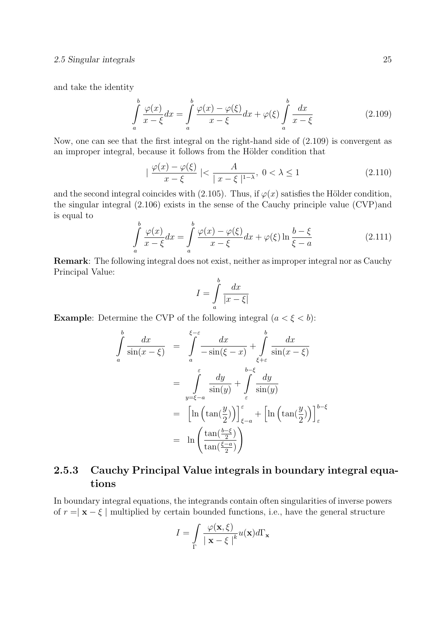#### 2.5 Singular integrals 25

and take the identity

$$
\int_{a}^{b} \frac{\varphi(x)}{x - \xi} dx = \int_{a}^{b} \frac{\varphi(x) - \varphi(\xi)}{x - \xi} dx + \varphi(\xi) \int_{a}^{b} \frac{dx}{x - \xi}
$$
\n(2.109)

Now, one can see that the first integral on the right-hand side of (2.109) is convergent as an improper integral, because it follows from the Hölder condition that

$$
|\frac{\varphi(x) - \varphi(\xi)}{x - \xi}| < \frac{A}{|x - \xi|^{1 - \lambda}}, \ 0 < \lambda \le 1 \tag{2.110}
$$

and the second integral coincides with (2.105). Thus, if  $\varphi(x)$  satisfies the Hölder condition, the singular integral (2.106) exists in the sense of the Cauchy principle value (CVP)and is equal to

$$
\int_{a}^{b} \frac{\varphi(x)}{x - \xi} dx = \int_{a}^{b} \frac{\varphi(x) - \varphi(\xi)}{x - \xi} dx + \varphi(\xi) \ln \frac{b - \xi}{\xi - a}
$$
\n(2.111)

Remark: The following integral does not exist, neither as improper integral nor as Cauchy Principal Value:

$$
I = \int_{a}^{b} \frac{dx}{|x - \xi|}
$$

**Example:** Determine the CVP of the following integral  $(a < \xi < b)$ :

$$
\int_{a}^{b} \frac{dx}{\sin(x-\xi)} = \int_{a}^{\xi-\varepsilon} \frac{dx}{-\sin(\xi-x)} + \int_{\xi+\varepsilon}^{b} \frac{dx}{\sin(x-\xi)}
$$
\n
$$
= \int_{y=\xi-a}^{\varepsilon} \frac{dy}{\sin(y)} + \int_{\varepsilon}^{b-\xi} \frac{dy}{\sin(y)}
$$
\n
$$
= \left[ \ln \left( \tan \left( \frac{y}{2} \right) \right) \right]_{\xi-a}^{\varepsilon} + \left[ \ln \left( \tan \left( \frac{y}{2} \right) \right) \right]_{\varepsilon}^{b-\xi}
$$
\n
$$
= \ln \left( \frac{\tan \left( \frac{b-\xi}{2} \right)}{\tan \left( \frac{\xi-a}{2} \right)} \right)
$$

## 2.5.3 Cauchy Principal Value integrals in boundary integral equations

In boundary integral equations, the integrands contain often singularities of inverse powers of  $r = \vert \mathbf{x} - \xi \vert$  multiplied by certain bounded functions, i.e., have the general structure

$$
I = \int_{\Gamma} \frac{\varphi(\mathbf{x}, \xi)}{|\mathbf{x} - \xi|^{k}} u(\mathbf{x}) d\Gamma_{\mathbf{x}}
$$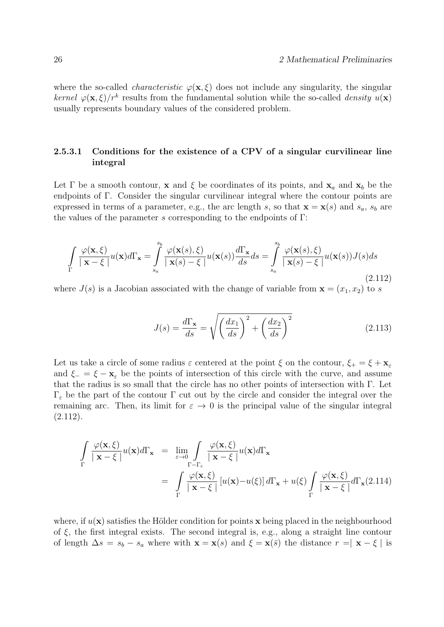where the so-called *characteristic*  $\varphi(\mathbf{x}, \xi)$  does not include any singularity, the singular kernel  $\varphi(\mathbf{x}, \xi)/r^k$  results from the fundamental solution while the so-called *density*  $u(\mathbf{x})$ usually represents boundary values of the considered problem.

#### 2.5.3.1 Conditions for the existence of a CPV of a singular curvilinear line integral

Let  $\Gamma$  be a smooth contour, **x** and  $\xi$  be coordinates of its points, and  $\mathbf{x}_a$  and  $\mathbf{x}_b$  be the endpoints of Γ. Consider the singular curvilinear integral where the contour points are expressed in terms of a parameter, e.g., the arc length s, so that  $\mathbf{x} = \mathbf{x}(s)$  and  $s_a$ ,  $s_b$  are the values of the parameter s corresponding to the endpoints of  $\Gamma$ :

$$
\int_{\Gamma} \frac{\varphi(\mathbf{x}, \xi)}{|\mathbf{x} - \xi|} u(\mathbf{x}) d\Gamma_{\mathbf{x}} = \int_{s_a}^{s_b} \frac{\varphi(\mathbf{x}(s), \xi)}{|\mathbf{x}(s) - \xi|} u(\mathbf{x}(s)) \frac{d\Gamma_{\mathbf{x}}}{ds} ds = \int_{s_a}^{s_b} \frac{\varphi(\mathbf{x}(s), \xi)}{|\mathbf{x}(s) - \xi|} u(\mathbf{x}(s)) J(s) ds
$$
\n(2.112)

where  $J(s)$  is a Jacobian associated with the change of variable from  $\mathbf{x} = (x_1, x_2)$  to s

$$
J(s) = \frac{d\Gamma_{\mathbf{x}}}{ds} = \sqrt{\left(\frac{dx_1}{ds}\right)^2 + \left(\frac{dx_2}{ds}\right)^2}
$$
(2.113)

Let us take a circle of some radius  $\varepsilon$  centered at the point  $\xi$  on the contour,  $\xi_+ = \xi + \mathbf{x}_{\varepsilon}$ and  $\xi = \xi - \mathbf{x}_{\epsilon}$  be the points of intersection of this circle with the curve, and assume that the radius is so small that the circle has no other points of intersection with Γ. Let Γ<sup>ε</sup> be the part of the contour Γ cut out by the circle and consider the integral over the remaining arc. Then, its limit for  $\varepsilon \to 0$  is the principal value of the singular integral  $(2.112).$ 

$$
\int_{\Gamma} \frac{\varphi(\mathbf{x}, \xi)}{|\mathbf{x} - \xi|} u(\mathbf{x}) d\Gamma_{\mathbf{x}} = \lim_{\varepsilon \to 0} \int_{\Gamma - \Gamma_{\varepsilon}} \frac{\varphi(\mathbf{x}, \xi)}{|\mathbf{x} - \xi|} u(\mathbf{x}) d\Gamma_{\mathbf{x}}
$$
\n
$$
= \int_{\Gamma} \frac{\varphi(\mathbf{x}, \xi)}{|\mathbf{x} - \xi|} [u(\mathbf{x}) - u(\xi)] d\Gamma_{\mathbf{x}} + u(\xi) \int_{\Gamma} \frac{\varphi(\mathbf{x}, \xi)}{|\mathbf{x} - \xi|} d\Gamma_{\mathbf{x}} (2.114)
$$

where, if  $u(\mathbf{x})$  satisfies the Hölder condition for points x being placed in the neighbourhood of  $\xi$ , the first integral exists. The second integral is, e.g., along a straight line contour of length  $\Delta s = s_b - s_a$  where with  $\mathbf{x} = \mathbf{x}(s)$  and  $\xi = \mathbf{x}(\bar{s})$  the distance  $r = |\mathbf{x} - \xi|$  is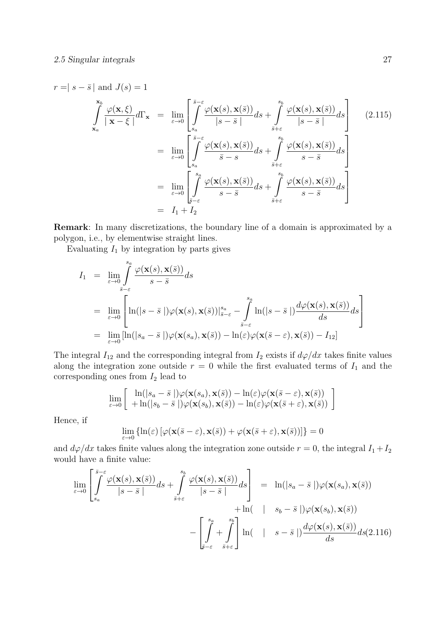$$
r = |s - \bar{s}| \text{ and } J(s) = 1
$$
\n
$$
\int_{\mathbf{x}_a}^{\mathbf{s}_b} \frac{\varphi(\mathbf{x}, \xi)}{|\mathbf{x} - \xi|} d\Gamma_{\mathbf{x}} = \lim_{\varepsilon \to 0} \left[ \int_{s_a}^{\bar{s} - \varepsilon} \frac{\varphi(\mathbf{x}(s), \mathbf{x}(\bar{s}))}{|s - \bar{s}|} ds + \int_{\bar{s} + \varepsilon}^{\bar{s}_b} \frac{\varphi(\mathbf{x}(s), \mathbf{x}(\bar{s}))}{|s - \bar{s}|} ds \right]
$$
\n
$$
= \lim_{\varepsilon \to 0} \left[ \int_{s_a}^{\bar{s} - \varepsilon} \frac{\varphi(\mathbf{x}(s), \mathbf{x}(\bar{s}))}{\bar{s} - s} ds + \int_{\bar{s} + \varepsilon}^{\bar{s}_b} \frac{\varphi(\mathbf{x}(s), \mathbf{x}(\bar{s}))}{s - \bar{s}} ds \right]
$$
\n
$$
= \lim_{\varepsilon \to 0} \left[ \int_{\bar{s} - \varepsilon}^{\bar{s}_a} \frac{\varphi(\mathbf{x}(s), \mathbf{x}(\bar{s}))}{s - \bar{s}} ds + \int_{\bar{s} + \varepsilon}^{\bar{s}_b} \frac{\varphi(\mathbf{x}(s), \mathbf{x}(\bar{s}))}{s - \bar{s}} ds \right]
$$
\n
$$
= I_1 + I_2
$$
\n(2.115)

Remark: In many discretizations, the boundary line of a domain is approximated by a polygon, i.e., by elementwise straight lines.

Evaluating  $I_1$  by integration by parts gives

$$
I_{1} = \lim_{\varepsilon \to 0} \int_{\bar{s}-\varepsilon}^{s_{a}} \frac{\varphi(\mathbf{x}(s), \mathbf{x}(\bar{s}))}{s-\bar{s}} ds
$$
  
\n
$$
= \lim_{\varepsilon \to 0} \left[ \ln(|s-\bar{s}|) \varphi(\mathbf{x}(s), \mathbf{x}(\bar{s}))|_{\bar{s}-\varepsilon}^{s_{a}} - \int_{\bar{s}-\varepsilon}^{s_{a}} \ln(|s-\bar{s}|) \frac{d\varphi(\mathbf{x}(s), \mathbf{x}(\bar{s}))}{ds} ds \right]
$$
  
\n
$$
= \lim_{\varepsilon \to 0} [\ln(|s_{a}-\bar{s}|) \varphi(\mathbf{x}(s_{a}), \mathbf{x}(\bar{s})) - \ln(\varepsilon) \varphi(\mathbf{x}(\bar{s}-\varepsilon), \mathbf{x}(\bar{s})) - I_{12}]
$$

The integral  $I_{12}$  and the corresponding integral from  $I_2$  exists if  $d\varphi/dx$  takes finite values along the integration zone outside  $r = 0$  while the first evaluated terms of  $I_1$  and the corresponding ones from  $I_2$  lead to

$$
\lim_{\varepsilon \to 0} \left[ \begin{array}{c} \ln(|s_a - \bar{s}|) \varphi(\mathbf{x}(s_a), \mathbf{x}(\bar{s})) - \ln(\varepsilon) \varphi(\mathbf{x}(\bar{s} - \varepsilon), \mathbf{x}(\bar{s})) \\ + \ln(|s_b - \bar{s}|) \varphi(\mathbf{x}(s_b), \mathbf{x}(\bar{s})) - \ln(\varepsilon) \varphi(\mathbf{x}(\bar{s} + \varepsilon), \mathbf{x}(\bar{s})) \end{array} \right]
$$

Hence, if

$$
\lim_{\varepsilon \to 0} \left\{ \ln(\varepsilon) \left[ \varphi(\mathbf{x}(\bar{s}-\varepsilon),\mathbf{x}(\bar{s})) + \varphi(\mathbf{x}(\bar{s}+\varepsilon),\mathbf{x}(\bar{s})) \right] \right\} = 0
$$

and  $d\varphi/dx$  takes finite values along the integration zone outside  $r = 0$ , the integral  $I_1 + I_2$ would have a finite value:

$$
\lim_{\varepsilon \to 0} \left[ \int_{s_a}^{\overline{s}-\varepsilon} \frac{\varphi(\mathbf{x}(s), \mathbf{x}(\overline{s}))}{|s-\overline{s}|} ds + \int_{\overline{s}+\varepsilon}^{s_b} \frac{\varphi(\mathbf{x}(s), \mathbf{x}(\overline{s}))}{|s-\overline{s}|} ds \right] = \ln(|s_a - \overline{s}|) \varphi(\mathbf{x}(s_a), \mathbf{x}(\overline{s})) \n+ \ln(|s_b - \overline{s}|) \varphi(\mathbf{x}(s_b), \mathbf{x}(\overline{s})) \n- \left[ \int_{\overline{s}-\varepsilon}^{s_a} + \int_{\overline{s}+\varepsilon}^{s_b} \right] \ln(|s_b - \overline{s}|) \frac{d\varphi(\mathbf{x}(s), \mathbf{x}(\overline{s}))}{ds} ds (2.116)
$$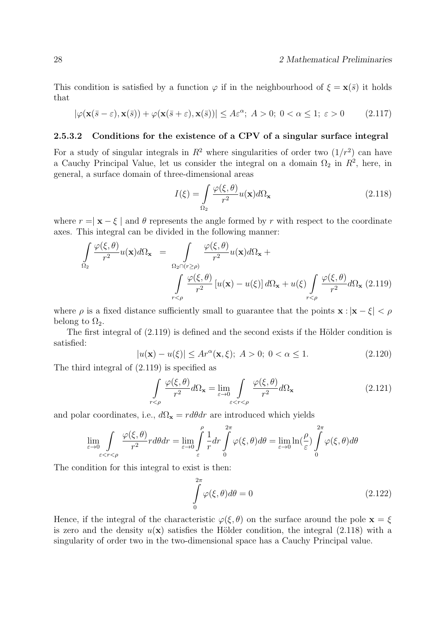This condition is satisfied by a function  $\varphi$  if in the neighbourhood of  $\xi = \mathbf{x}(\bar{s})$  it holds that

$$
|\varphi(\mathbf{x}(\bar{s}-\varepsilon),\mathbf{x}(\bar{s})) + \varphi(\mathbf{x}(\bar{s}+\varepsilon),\mathbf{x}(\bar{s}))| \le A\varepsilon^{\alpha};\ A > 0;\ 0 < \alpha \le 1;\ \varepsilon > 0 \tag{2.117}
$$

#### 2.5.3.2 Conditions for the existence of a CPV of a singular surface integral

For a study of singular integrals in  $R^2$  where singularities of order two  $(1/r^2)$  can have a Cauchy Principal Value, let us consider the integral on a domain  $\Omega_2$  in  $R^2$ , here, in general, a surface domain of three-dimensional areas

$$
I(\xi) = \int_{\Omega_2} \frac{\varphi(\xi, \theta)}{r^2} u(\mathbf{x}) d\Omega_\mathbf{x}
$$
 (2.118)

where  $r = |x - \xi|$  and  $\theta$  represents the angle formed by r with respect to the coordinate axes. This integral can be divided in the following manner:

$$
\int_{\Omega_2} \frac{\varphi(\xi,\theta)}{r^2} u(\mathbf{x}) d\Omega_{\mathbf{x}} = \int_{\Omega_2 \cap (r \ge \rho)} \frac{\varphi(\xi,\theta)}{r^2} u(\mathbf{x}) d\Omega_{\mathbf{x}} + \int_{\Gamma \le \rho} \frac{\varphi(\xi,\theta)}{r^2} [u(\mathbf{x}) - u(\xi)] d\Omega_{\mathbf{x}} + u(\xi) \int_{r < \rho} \frac{\varphi(\xi,\theta)}{r^2} d\Omega_{\mathbf{x}} (2.119)
$$

where  $\rho$  is a fixed distance sufficiently small to guarantee that the points  $\mathbf{x} : |\mathbf{x} - \xi| < \rho$ belong to  $\Omega_2$ .

The first integral of  $(2.119)$  is defined and the second exists if the Hölder condition is satisfied:

$$
|u(\mathbf{x}) - u(\xi)| \le Ar^{\alpha}(\mathbf{x}, \xi); \ A > 0; \ 0 < \alpha \le 1.
$$
 (2.120)

The third integral of (2.119) is specified as

$$
\int_{r<\rho} \frac{\varphi(\xi,\theta)}{r^2} d\Omega_{\mathbf{x}} = \lim_{\varepsilon \to 0} \int_{\varepsilon < r<\rho} \frac{\varphi(\xi,\theta)}{r^2} d\Omega_{\mathbf{x}}
$$
\n(2.121)

and polar coordinates, i.e.,  $d\Omega_{\mathbf{x}} = r d\theta dr$  are introduced which yields

$$
\lim_{\varepsilon \to 0} \int_{\varepsilon < r < \rho} \frac{\varphi(\xi, \theta)}{r^2} r d\theta dr = \lim_{\varepsilon \to 0} \int_{\varepsilon}^{\rho} \frac{1}{r} dr \int_{0}^{2\pi} \varphi(\xi, \theta) d\theta = \lim_{\varepsilon \to 0} \ln(\frac{\rho}{\varepsilon}) \int_{0}^{2\pi} \varphi(\xi, \theta) d\theta
$$

The condition for this integral to exist is then:

$$
\int_{0}^{2\pi} \varphi(\xi, \theta) d\theta = 0
$$
\n(2.122)

Hence, if the integral of the characteristic  $\varphi(\xi, \theta)$  on the surface around the pole  $\mathbf{x} = \xi$ is zero and the density  $u(\mathbf{x})$  satisfies the Hölder condition, the integral (2.118) with a singularity of order two in the two-dimensional space has a Cauchy Principal value.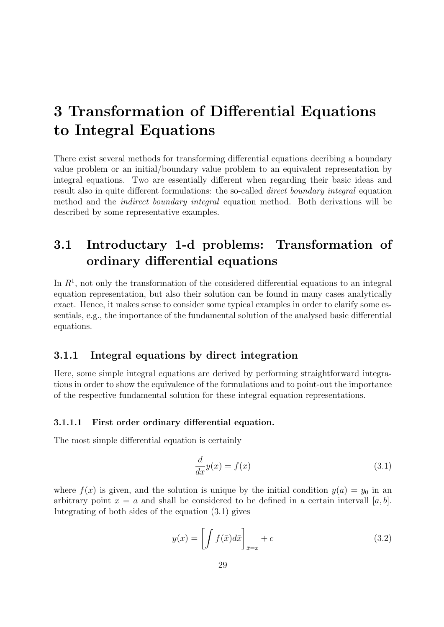## 3 Transformation of Differential Equations to Integral Equations

There exist several methods for transforming differential equations decribing a boundary value problem or an initial/boundary value problem to an equivalent representation by integral equations. Two are essentially different when regarding their basic ideas and result also in quite different formulations: the so-called direct boundary integral equation method and the indirect boundary integral equation method. Both derivations will be described by some representative examples.

## 3.1 Introductary 1-d problems: Transformation of ordinary differential equations

In  $R<sup>1</sup>$ , not only the transformation of the considered differential equations to an integral equation representation, but also their solution can be found in many cases analytically exact. Hence, it makes sense to consider some typical examples in order to clarify some essentials, e.g., the importance of the fundamental solution of the analysed basic differential equations.

#### 3.1.1 Integral equations by direct integration

Here, some simple integral equations are derived by performing straightforward integrations in order to show the equivalence of the formulations and to point-out the importance of the respective fundamental solution for these integral equation representations.

#### 3.1.1.1 First order ordinary differential equation.

The most simple differential equation is certainly

$$
\frac{d}{dx}y(x) = f(x) \tag{3.1}
$$

where  $f(x)$  is given, and the solution is unique by the initial condition  $y(a) = y_0$  in an arbitrary point  $x = a$  and shall be considered to be defined in a certain intervall [a, b]. Integrating of both sides of the equation (3.1) gives

$$
y(x) = \left[ \int f(\bar{x}) d\bar{x} \right]_{\bar{x}=x} + c \tag{3.2}
$$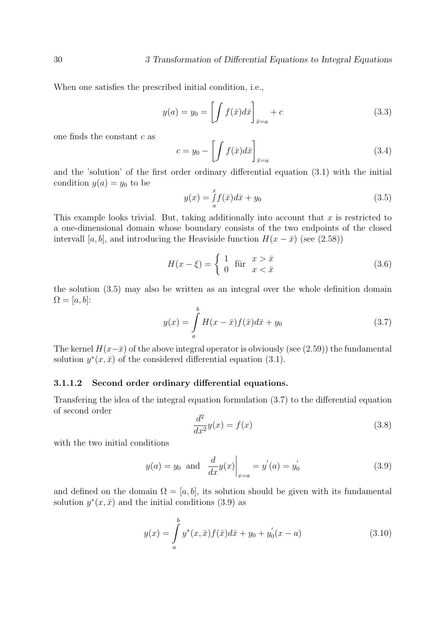When one satisfies the prescribed initial condition, i.e.,

$$
y(a) = y_0 = \left[ \int f(\bar{x}) d\bar{x} \right]_{\bar{x}=a} + c \tag{3.3}
$$

one finds the constant c as

$$
c = y_0 - \left[ \int f(\bar{x}) d\bar{x} \right]_{\bar{x}=a} \tag{3.4}
$$

and the 'solution' of the first order ordinary differential equation (3.1) with the initial condition  $y(a) = y_0$  to be

$$
y(x) = \int_{a}^{x} f(\bar{x})d\bar{x} + y_0
$$
\n(3.5)

This example looks trivial. But, taking additionally into account that  $x$  is restricted to a one-dimensional domain whose boundary consists of the two endpoints of the closed intervall [a, b], and introducing the Heaviside function  $H(x - \bar{x})$  (see (2.58))

$$
H(x - \xi) = \begin{cases} 1 & \text{für } x > \bar{x} \\ 0 & x < \bar{x} \end{cases}
$$
 (3.6)

the solution (3.5) may also be written as an integral over the whole definition domain  $\Omega = [a, b]$ :

$$
y(x) = \int_{a}^{b} H(x - \bar{x}) f(\bar{x}) d\bar{x} + y_0
$$
 (3.7)

The kernel  $H(x-\bar{x})$  of the above integral operator is obviously (see (2.59)) the fundamental solution  $y^*(x, \bar{x})$  of the considered differential equation (3.1).

#### 3.1.1.2 Second order ordinary differential equations.

Transfering the idea of the integral equation formulation (3.7) to the differential equation of second order

$$
\frac{d^2}{dx^2}y(x) = f(x) \tag{3.8}
$$

with the two initial conditions

$$
y(a) = y_0
$$
 and  $\frac{d}{dx}y(x)\Big|_{x=a} = y'(a) = y'_0$  (3.9)

and defined on the domain  $\Omega = [a, b]$ , its solution should be given with its fundamental solution  $y^*(x, \bar{x})$  and the initial conditions (3.9) as

$$
y(x) = \int_{a}^{b} y^*(x, \bar{x}) f(\bar{x}) d\bar{x} + y_0 + y'_0(x - a)
$$
 (3.10)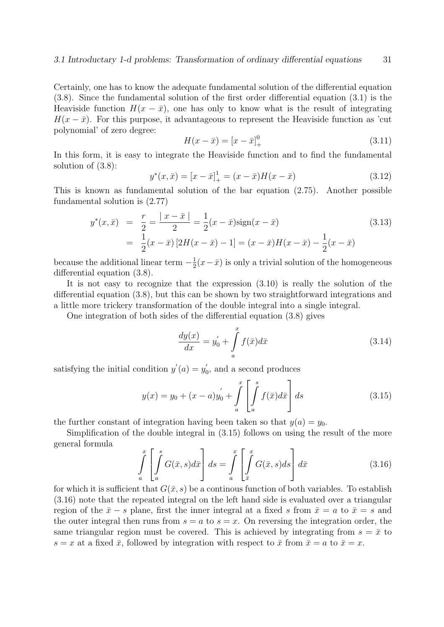Certainly, one has to know the adequate fundamental solution of the differential equation (3.8). Since the fundamental solution of the first order differential equation (3.1) is the Heaviside function  $H(x - \bar{x})$ , one has only to know what is the result of integrating  $H(x - \bar{x})$ . For this purpose, it advantageous to represent the Heaviside function as 'cut polynomial' of zero degree:

$$
H(x - \bar{x}) = [x - \bar{x}]_+^0
$$
\n(3.11)

In this form, it is easy to integrate the Heaviside function and to find the fundamental solution of (3.8):

$$
y^*(x, \bar{x}) = [x - \bar{x}]_+^1 = (x - \bar{x})H(x - \bar{x})
$$
\n(3.12)

This is known as fundamental solution of the bar equation (2.75). Another possible fundamental solution is (2.77)

$$
y^*(x, \bar{x}) = \frac{r}{2} = \frac{|x - \bar{x}|}{2} = \frac{1}{2}(x - \bar{x})\text{sign}(x - \bar{x})
$$
  
= 
$$
\frac{1}{2}(x - \bar{x})[2H(x - \bar{x}) - 1] = (x - \bar{x})H(x - \bar{x}) - \frac{1}{2}(x - \bar{x})
$$
 (3.13)

because the additional linear term  $-\frac{1}{2}$  $\frac{1}{2}(x-\bar{x})$  is only a trivial solution of the homogeneous differential equation (3.8).

It is not easy to recognize that the expression (3.10) is really the solution of the differential equation (3.8), but this can be shown by two straightforward integrations and a little more trickery transformation of the double integral into a single integral.

One integration of both sides of the differential equation (3.8) gives

$$
\frac{dy(x)}{dx} = y'_0 + \int_a^x f(\bar{x})d\bar{x}
$$
\n(3.14)

satisfying the initial condition  $y'(a) = y'_0$  $\zeta_0$ , and a second produces

$$
y(x) = y_0 + (x - a)y_0' + \int_a^x \left[ \int_a^s f(\bar{x}) d\bar{x} \right] ds
$$
 (3.15)

the further constant of integration having been taken so that  $y(a) = y_0$ .

Simplification of the double integral in (3.15) follows on using the result of the more general formula

$$
\int_{a}^{x} \left[ \int_{a}^{s} G(\bar{x}, s) d\bar{x} \right] ds = \int_{a}^{x} \left[ \int_{\bar{x}}^{x} G(\bar{x}, s) ds \right] d\bar{x}
$$
\n(3.16)

for which it is sufficient that  $G(\bar{x}, s)$  be a continous function of both variables. To establish (3.16) note that the repeated integral on the left hand side is evaluated over a triangular region of the  $\bar{x} - s$  plane, first the inner integral at a fixed s from  $\bar{x} = a$  to  $\bar{x} = s$  and the outer integral then runs from  $s = a$  to  $s = x$ . On reversing the integration order, the same triangular region must be covered. This is achieved by integrating from  $s = \bar{x}$  to  $s = x$  at a fixed  $\bar{x}$ , followed by integration with respect to  $\bar{x}$  from  $\bar{x} = a$  to  $\bar{x} = x$ .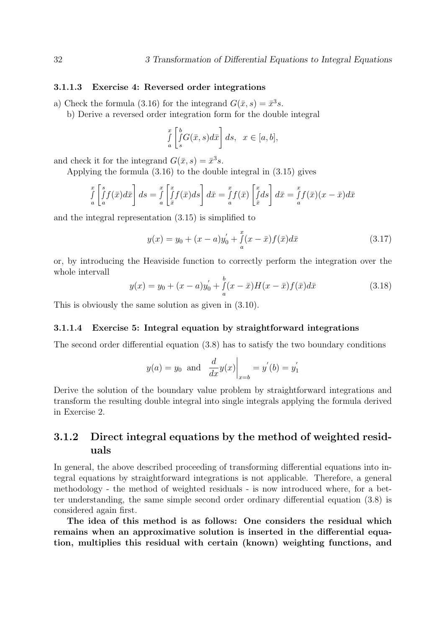#### 3.1.1.3 Exercise 4: Reversed order integrations

a) Check the formula (3.16) for the integrand  $G(\bar{x}, s) = \bar{x}^{3} s$ .

b) Derive a reversed order integration form for the double integral

$$
\int_{a}^{x} \left[ \int_{s}^{b} G(\bar{x}, s) d\bar{x} \right] ds, \quad x \in [a, b],
$$

and check it for the integrand  $G(\bar{x}, s) = \bar{x}^3 s$ .

Applying the formula (3.16) to the double integral in (3.15) gives

$$
\int_{a}^{x} \left[ \int_{a}^{s} f(\bar{x}) d\bar{x} \right] ds = \int_{a}^{x} \left[ \int_{\bar{x}}^{x} f(\bar{x}) ds \right] d\bar{x} = \int_{a}^{x} f(\bar{x}) \left[ \int_{\bar{x}}^{x} ds \right] d\bar{x} = \int_{a}^{x} f(\bar{x}) (x - \bar{x}) d\bar{x}
$$

and the integral representation (3.15) is simplified to

$$
y(x) = y_0 + (x - a)y_0' + \int_a^x (x - \bar{x}) f(\bar{x}) d\bar{x}
$$
 (3.17)

or, by introducing the Heaviside function to correctly perform the integration over the whole intervall

$$
y(x) = y_0 + (x - a)y_0' + \int_a^b (x - \bar{x})H(x - \bar{x})f(\bar{x})d\bar{x}
$$
 (3.18)

This is obviously the same solution as given in (3.10).

#### 3.1.1.4 Exercise 5: Integral equation by straightforward integrations

The second order differential equation (3.8) has to satisfy the two boundary conditions

$$
y(a) = y_0
$$
 and  $\frac{d}{dx}y(x)\Big|_{x=b} = y'(b) = y'_1$ 

Derive the solution of the boundary value problem by straightforward integrations and transform the resulting double integral into single integrals applying the formula derived in Exercise 2.

## 3.1.2 Direct integral equations by the method of weighted residuals

In general, the above described proceeding of transforming differential equations into integral equations by straightforward integrations is not applicable. Therefore, a general methodology - the method of weighted residuals - is now introduced where, for a better understanding, the same simple second order ordinary differential equation (3.8) is considered again first.

The idea of this method is as follows: One considers the residual which remains when an approximative solution is inserted in the differential equation, multiplies this residual with certain (known) weighting functions, and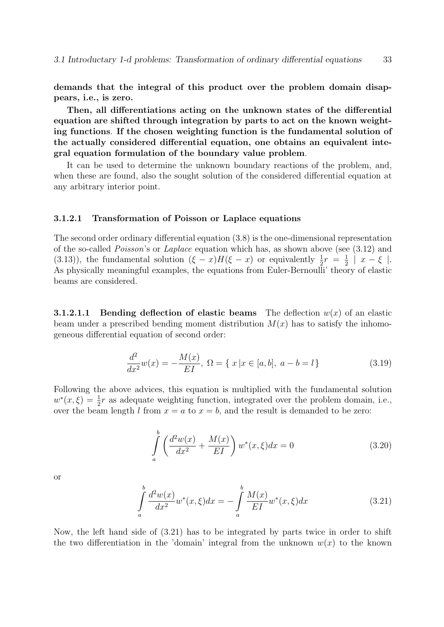demands that the integral of this product over the problem domain disappears, i.e., is zero.

Then, all differentiations acting on the unknown states of the differential equation are shifted through integration by parts to act on the known weighting functions. If the chosen weighting function is the fundamental solution of the actually considered differential equation, one obtains an equivalent integral equation formulation of the boundary value problem.

It can be used to determine the unknown boundary reactions of the problem, and, when these are found, also the sought solution of the considered differential equation at any arbitrary interior point.

#### 3.1.2.1 Transformation of Poisson or Laplace equations

The second order ordinary differential equation (3.8) is the one-dimensional representation of the so-called Poisson's or Laplace equation which has, as shown above (see (3.12) and (3.13)), the fundamental solution  $(\xi - x)H(\xi - x)$  or equivalently  $\frac{1}{2}r = \frac{1}{2}$  $\frac{1}{2}$  |  $x - \xi$  |. As physically meaningful examples, the equations from Euler-Bernoulli' theory of elastic beams are considered.

**3.1.2.1.1** Bending deflection of elastic beams The deflection  $w(x)$  of an elastic beam under a prescribed bending moment distribution  $M(x)$  has to satisfy the inhomogeneous differential equation of second order:

$$
\frac{d^2}{dx^2}w(x) = -\frac{M(x)}{EI}, \ \Omega = \{ \ x \, | x \in [a, b], \ a - b = l \}
$$
\n(3.19)

Following the above advices, this equation is multiplied with the fundamental solution  $w^*(x,\xi) = \frac{1}{2}r$  as adequate weighting function, integrated over the problem domain, i.e., over the beam length l from  $x = a$  to  $x = b$ , and the result is demanded to be zero:

$$
\int_{a}^{b} \left( \frac{d^2 w(x)}{dx^2} + \frac{M(x)}{EI} \right) w^*(x, \xi) dx = 0
$$
\n(3.20)

or

$$
\int_{a}^{b} \frac{d^{2}w(x)}{dx^{2}} w^{*}(x,\xi) dx = -\int_{a}^{b} \frac{M(x)}{EI} w^{*}(x,\xi) dx
$$
\n(3.21)

Now, the left hand side of (3.21) has to be integrated by parts twice in order to shift the two differentiation in the 'domain' integral from the unknown  $w(x)$  to the known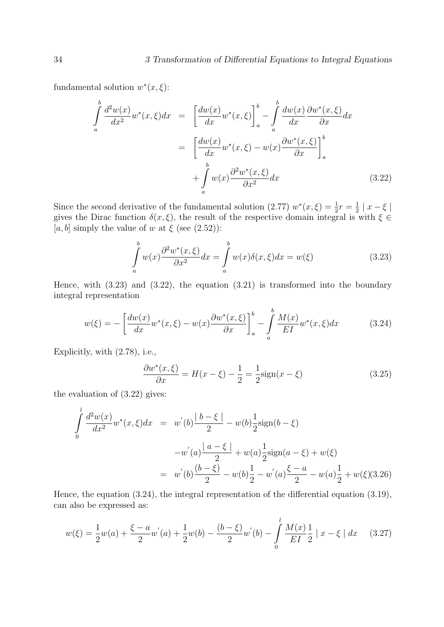fundamental solution  $w^*(x,\xi)$ :

$$
\int_{a}^{b} \frac{d^{2}w(x)}{dx^{2}} w^{*}(x,\xi) dx = \left[\frac{dw(x)}{dx} w^{*}(x,\xi)\right]_{a}^{b} - \int_{a}^{b} \frac{dw(x)}{dx} \frac{\partial w^{*}(x,\xi)}{\partial x} dx
$$

$$
= \left[\frac{dw(x)}{dx} w^{*}(x,\xi) - w(x) \frac{\partial w^{*}(x,\xi)}{\partial x}\right]_{a}^{b}
$$

$$
+ \int_{a}^{b} w(x) \frac{\partial^{2}w^{*}(x,\xi)}{\partial x^{2}} dx
$$
(3.22)

Since the second derivative of the fundamental solution (2.77)  $w^*(x,\xi) = \frac{1}{2}r = \frac{1}{2}$  $\frac{1}{2} \mid x - \xi \mid$ gives the Dirac function  $\delta(x,\xi)$ , the result of the respective domain integral is with  $\xi \in$ [a, b] simply the value of w at  $\xi$  (see (2.52)):

$$
\int_{a}^{b} w(x) \frac{\partial^2 w^*(x,\xi)}{\partial x^2} dx = \int_{a}^{b} w(x) \delta(x,\xi) dx = w(\xi)
$$
\n(3.23)

Hence, with (3.23) and (3.22), the equation (3.21) is transformed into the boundary integral representation

$$
w(\xi) = -\left[\frac{dw(x)}{dx}w^*(x,\xi) - w(x)\frac{\partial w^*(x,\xi)}{\partial x}\right]_a^b - \int_a^b \frac{M(x)}{EI}w^*(x,\xi)dx\tag{3.24}
$$

Explicitly, with (2.78), i.e.,

$$
\frac{\partial w^*(x,\xi)}{\partial x} = H(x-\xi) - \frac{1}{2} = \frac{1}{2}\text{sign}(x-\xi)
$$
 (3.25)

the evaluation of (3.22) gives:

$$
\int_{0}^{l} \frac{d^{2}w(x)}{dx^{2}} w^{*}(x,\xi) dx = w^{'}(b) \frac{|b-\xi|}{2} - w(b) \frac{1}{2} \text{sign}(b-\xi)
$$

$$
-w^{'}(a) \frac{|a-\xi|}{2} + w(a) \frac{1}{2} \text{sign}(a-\xi) + w(\xi)
$$

$$
= w^{'}(b) \frac{(b-\xi)}{2} - w(b) \frac{1}{2} - w^{'}(a) \frac{\xi-a}{2} - w(a) \frac{1}{2} + w(\xi)(3.26)
$$

Hence, the equation (3.24), the integral representation of the differential equation (3.19), can also be expressed as:

$$
w(\xi) = \frac{1}{2}w(a) + \frac{\xi - a}{2}w'(a) + \frac{1}{2}w(b) - \frac{(b - \xi)}{2}w'(b) - \int_{0}^{l} \frac{M(x)}{EI} \frac{1}{2} |x - \xi| dx \quad (3.27)
$$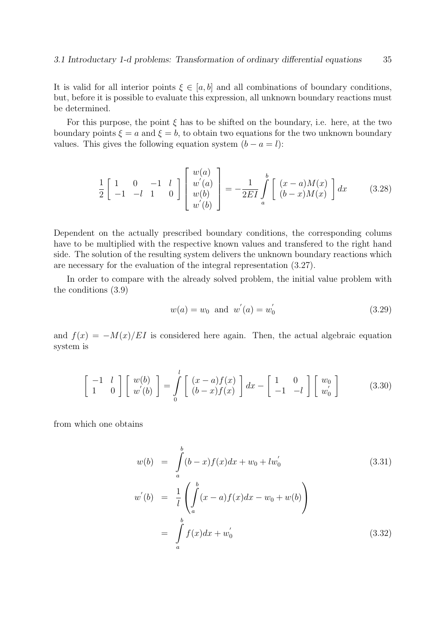It is valid for all interior points  $\xi \in [a, b]$  and all combinations of boundary conditions, but, before it is possible to evaluate this expression, all unknown boundary reactions must be determined.

For this purpose, the point  $\xi$  has to be shifted on the boundary, i.e. here, at the two boundary points  $\xi = a$  and  $\xi = b$ , to obtain two equations for the two unknown boundary values. This gives the following equation system  $(b - a = l)$ :

$$
\frac{1}{2}\begin{bmatrix} 1 & 0 & -1 & l \\ -1 & -l & 1 & 0 \end{bmatrix}\begin{bmatrix} w(a) \\ w'(a) \\ w(b) \\ w'(b) \end{bmatrix} = -\frac{1}{2EI} \int_a^b \begin{bmatrix} (x-a)M(x) \\ (b-x)M(x) \end{bmatrix} dx \tag{3.28}
$$

Dependent on the actually prescribed boundary conditions, the corresponding colums have to be multiplied with the respective known values and transfered to the right hand side. The solution of the resulting system delivers the unknown boundary reactions which are necessary for the evaluation of the integral representation (3.27).

In order to compare with the already solved problem, the initial value problem with the conditions (3.9)

$$
w(a) = w_0 \text{ and } w^{'}(a) = w_0^{'} \tag{3.29}
$$

and  $f(x) = -M(x)/EI$  is considered here again. Then, the actual algebraic equation system is

$$
\begin{bmatrix} -1 & l \\ 1 & 0 \end{bmatrix} \begin{bmatrix} w(b) \\ w'(b) \end{bmatrix} = \int_{0}^{l} \begin{bmatrix} (x-a)f(x) \\ (b-x)f(x) \end{bmatrix} dx - \begin{bmatrix} 1 & 0 \\ -1 & -l \end{bmatrix} \begin{bmatrix} w_0 \\ w'_0 \end{bmatrix}
$$
(3.30)

from which one obtains

$$
w(b) = \int_{a}^{b} (b-x)f(x)dx + w_0 + lw'_0
$$
\n
$$
w'(b) = \frac{1}{l} \left( \int_{a}^{b} (x-a)f(x)dx - w_0 + w(b) \right)
$$
\n
$$
= \int_{a}^{b} f(x)dx + w'_0
$$
\n(3.32)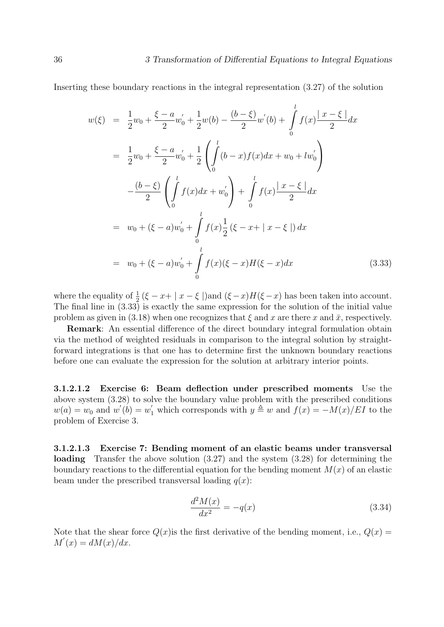Inserting these boundary reactions in the integral representation (3.27) of the solution

$$
w(\xi) = \frac{1}{2}w_0 + \frac{\xi - a}{2}w'_0 + \frac{1}{2}w(b) - \frac{(b - \xi)}{2}w'(b) + \int_0^l f(x)\frac{|x - \xi|}{2}dx
$$
  
\n
$$
= \frac{1}{2}w_0 + \frac{\xi - a}{2}w'_0 + \frac{1}{2}\left(\int_0^l (b - x)f(x)dx + w_0 + lw'_0\right)
$$
  
\n
$$
- \frac{(b - \xi)}{2}\left(\int_0^l f(x)dx + w'_0\right) + \int_0^l f(x)\frac{|x - \xi|}{2}dx
$$
  
\n
$$
= w_0 + (\xi - a)w'_0 + \int_0^l f(x)\frac{1}{2}(\xi - x + |x - \xi|)dx
$$
  
\n
$$
= w_0 + (\xi - a)w'_0 + \int_0^l f(x)(\xi - x)H(\xi - x)dx
$$
\n(3.33)

where the equality of  $\frac{1}{2}(\xi - x + |x - \xi|)$  and  $(\xi - x)H(\xi - x)$  has been taken into account. The final line in (3.33) is exactly the same expression for the solution of the initial value problem as given in (3.18) when one recognizes that  $\xi$  and x are there x and  $\bar{x}$ , respectively.

Remark: An essential difference of the direct boundary integral formulation obtain via the method of weighted residuals in comparison to the integral solution by straightforward integrations is that one has to determine first the unknown boundary reactions before one can evaluate the expression for the solution at arbitrary interior points.

3.1.2.1.2 Exercise 6: Beam deflection under prescribed moments Use the above system (3.28) to solve the boundary value problem with the prescribed conditions  $w(a) = w_0$  and  $w'(b) = w'_1$  which corresponds with  $y \triangleq w$  and  $f(x) = -M(x)/E I$  to the problem of Exercise 3.

3.1.2.1.3 Exercise 7: Bending moment of an elastic beams under transversal loading Transfer the above solution (3.27) and the system (3.28) for determining the boundary reactions to the differential equation for the bending moment  $M(x)$  of an elastic beam under the prescribed transversal loading  $q(x)$ :

$$
\frac{d^2M(x)}{dx^2} = -q(x) \tag{3.34}
$$

Note that the shear force  $Q(x)$  is the first derivative of the bending moment, i.e.,  $Q(x)$  =  $M'(x) = dM(x)/dx.$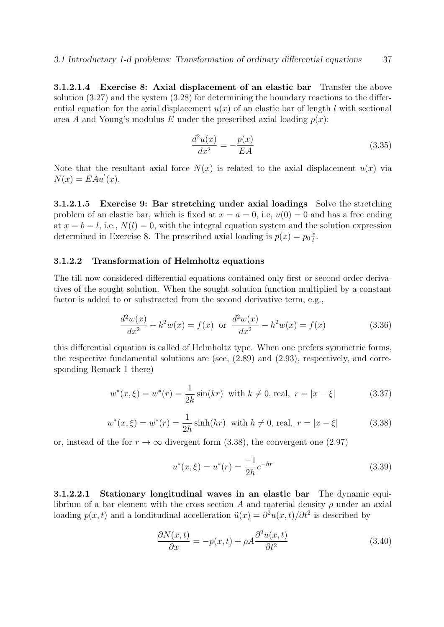3.1.2.1.4 Exercise 8: Axial displacement of an elastic bar Transfer the above solution (3.27) and the system (3.28) for determining the boundary reactions to the differential equation for the axial displacement  $u(x)$  of an elastic bar of length l with sectional area A and Young's modulus E under the prescribed axial loading  $p(x)$ :

$$
\frac{d^2u(x)}{dx^2} = -\frac{p(x)}{EA}
$$
 (3.35)

Note that the resultant axial force  $N(x)$  is related to the axial displacement  $u(x)$  via  $N(x) = E A u'(x)$ .

3.1.2.1.5 Exercise 9: Bar stretching under axial loadings Solve the stretching problem of an elastic bar, which is fixed at  $x = a = 0$ , i.e,  $u(0) = 0$  and has a free ending at  $x = b = l$ , i.e.,  $N(l) = 0$ , with the integral equation system and the solution expression determined in Exercise 8. The prescribed axial loading is  $p(x) = p_0 \frac{x}{l}$  $\frac{x}{l}$ .

### 3.1.2.2 Transformation of Helmholtz equations

The till now considered differential equations contained only first or second order derivatives of the sought solution. When the sought solution function multiplied by a constant factor is added to or substracted from the second derivative term, e.g.,

$$
\frac{d^2w(x)}{dx^2} + k^2w(x) = f(x) \text{ or } \frac{d^2w(x)}{dx^2} - h^2w(x) = f(x)
$$
 (3.36)

this differential equation is called of Helmholtz type. When one prefers symmetric forms, the respective fundamental solutions are (see, (2.89) and (2.93), respectively, and corresponding Remark 1 there)

$$
w^*(x,\xi) = w^*(r) = \frac{1}{2k}\sin(kr) \text{ with } k \neq 0 \text{, real, } r = |x - \xi| \tag{3.37}
$$

$$
w^*(x,\xi) = w^*(r) = \frac{1}{2h}\sinh(hr) \text{ with } h \neq 0 \text{, real, } r = |x - \xi| \tag{3.38}
$$

or, instead of the for  $r \to \infty$  divergent form (3.38), the convergent one (2.97)

$$
u^*(x,\xi) = u^*(r) = \frac{-1}{2h}e^{-hr}
$$
\n(3.39)

3.1.2.2.1 Stationary longitudinal waves in an elastic bar The dynamic equilibrium of a bar element with the cross section A and material density  $\rho$  under an axial loading  $p(x, t)$  and a londitudinal accelleration  $\ddot{u}(x) = \frac{\partial^2 u(x, t)}{\partial t^2}$  is described by

$$
\frac{\partial N(x,t)}{\partial x} = -p(x,t) + \rho A \frac{\partial^2 u(x,t)}{\partial t^2}
$$
\n(3.40)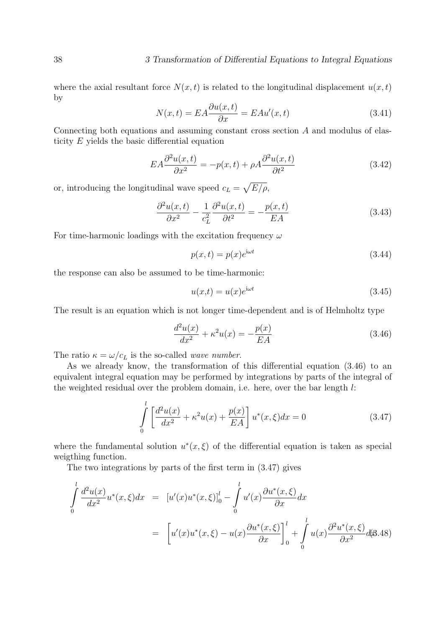where the axial resultant force  $N(x, t)$  is related to the longitudinal displacement  $u(x, t)$ by

$$
N(x,t) = EA \frac{\partial u(x,t)}{\partial x} = EA u'(x,t)
$$
\n(3.41)

Connecting both equations and assuming constant cross section A and modulus of elasticity  $E$  yields the basic differential equation

$$
EA\frac{\partial^2 u(x,t)}{\partial x^2} = -p(x,t) + \rho A \frac{\partial^2 u(x,t)}{\partial t^2}
$$
\n(3.42)

or, introducing the longitudinal wave speed  $c_L = \sqrt{E/\rho}$ ,

$$
\frac{\partial^2 u(x,t)}{\partial x^2} - \frac{1}{c_L^2} \frac{\partial^2 u(x,t)}{\partial t^2} = -\frac{p(x,t)}{EA}
$$
(3.43)

For time-harmonic loadings with the excitation frequency  $\omega$ 

$$
p(x,t) = p(x)e^{i\omega t}
$$
\n(3.44)

the response can also be assumed to be time-harmonic:

$$
u(x,t) = u(x)e^{i\omega t}
$$
\n(3.45)

The result is an equation which is not longer time-dependent and is of Helmholtz type

$$
\frac{d^2u(x)}{dx^2} + \kappa^2 u(x) = -\frac{p(x)}{EA}
$$
\n(3.46)

The ratio  $\kappa = \omega/c_L$  is the so-called *wave number*.

As we already know, the transformation of this differential equation (3.46) to an equivalent integral equation may be performed by integrations by parts of the integral of the weighted residual over the problem domain, i.e. here, over the bar length l:

$$
\int_{0}^{l} \left[ \frac{d^{2}u(x)}{dx^{2}} + \kappa^{2}u(x) + \frac{p(x)}{EA} \right] u^{*}(x,\xi) dx = 0
$$
\n(3.47)

where the fundamental solution  $u^*(x,\xi)$  of the differential equation is taken as special weigthing function.

The two integrations by parts of the first term in (3.47) gives

$$
\int_{0}^{l} \frac{d^{2}u(x)}{dx^{2}} u^{*}(x,\xi) dx = [u'(x)u^{*}(x,\xi)]_{0}^{l} - \int_{0}^{l} u'(x) \frac{\partial u^{*}(x,\xi)}{\partial x} dx
$$
\n
$$
= \left[u'(x)u^{*}(x,\xi) - u(x) \frac{\partial u^{*}(x,\xi)}{\partial x}\right]_{0}^{l} + \int_{0}^{l} u(x) \frac{\partial^{2}u^{*}(x,\xi)}{\partial x^{2}} d\theta^{2}.
$$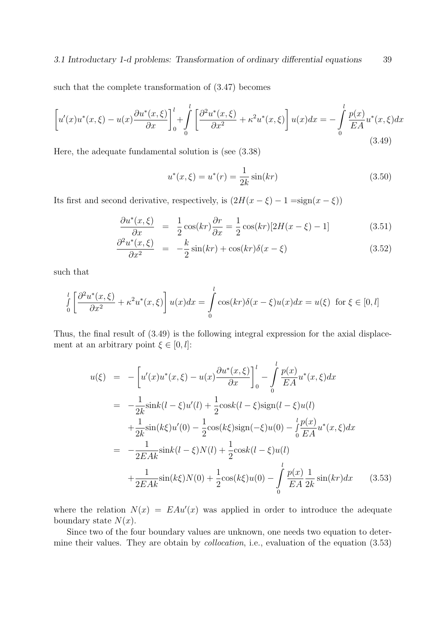### 3.1 Introductary 1-d problems: Transformation of ordinary differential equations 39

such that the complete transformation of (3.47) becomes

$$
\left[u'(x)u^*(x,\xi) - u(x)\frac{\partial u^*(x,\xi)}{\partial x}\right]_0^l + \int_0^l \left[\frac{\partial^2 u^*(x,\xi)}{\partial x^2} + \kappa^2 u^*(x,\xi)\right]u(x)dx = -\int_0^l \frac{p(x)}{EA}u^*(x,\xi)dx
$$
\n(3.49)

Here, the adequate fundamental solution is (see (3.38)

$$
u^*(x,\xi) = u^*(r) = \frac{1}{2k}\sin(kr)
$$
\n(3.50)

Its first and second derivative, respectively, is  $(2H(x - \xi) - 1) = \text{sign}(x - \xi)$ 

$$
\frac{\partial u^*(x,\xi)}{\partial x} = \frac{1}{2}\cos(kr)\frac{\partial r}{\partial x} = \frac{1}{2}\cos(kr)[2H(x-\xi)-1] \tag{3.51}
$$

$$
\frac{\partial^2 u^*(x,\xi)}{\partial x^2} = -\frac{k}{2}\sin(kr) + \cos(kr)\delta(x-\xi)
$$
\n(3.52)

such that

$$
\int_{0}^{l} \left[ \frac{\partial^2 u^*(x,\xi)}{\partial x^2} + \kappa^2 u^*(x,\xi) \right] u(x) dx = \int_{0}^{l} \cos(kr) \delta(x-\xi) u(x) dx = u(\xi) \text{ for } \xi \in [0,l]
$$

Thus, the final result of (3.49) is the following integral expression for the axial displacement at an arbitrary point  $\xi \in [0, l]$ :

$$
u(\xi) = -\left[u'(x)u^*(x,\xi) - u(x)\frac{\partial u^*(x,\xi)}{\partial x}\right]_0^l - \int_0^l \frac{p(x)}{EA}u^*(x,\xi)dx
$$
  
\n
$$
= -\frac{1}{2k}\sin k(l-\xi)u'(l) + \frac{1}{2}\cos k(l-\xi)\sin(l-\xi)u(l)
$$
  
\n
$$
+ \frac{1}{2k}\sin(k\xi)u'(0) - \frac{1}{2}\cos(k\xi)\sin(-\xi)u(0) - \int_0^l \frac{p(x)}{EA}u^*(x,\xi)dx
$$
  
\n
$$
= -\frac{1}{2EAk}\sin k(l-\xi)N(l) + \frac{1}{2}\cos k(l-\xi)u(l)
$$
  
\n
$$
+ \frac{1}{2EAk}\sin(k\xi)N(0) + \frac{1}{2}\cos(k\xi)u(0) - \int_0^l \frac{p(x)}{EA} \frac{1}{2k}\sin(kr)dx
$$
 (3.53)

where the relation  $N(x) = E A u'(x)$  was applied in order to introduce the adequate boundary state  $N(x)$ .

Since two of the four boundary values are unknown, one needs two equation to determine their values. They are obtain by collocation, i.e., evaluation of the equation (3.53)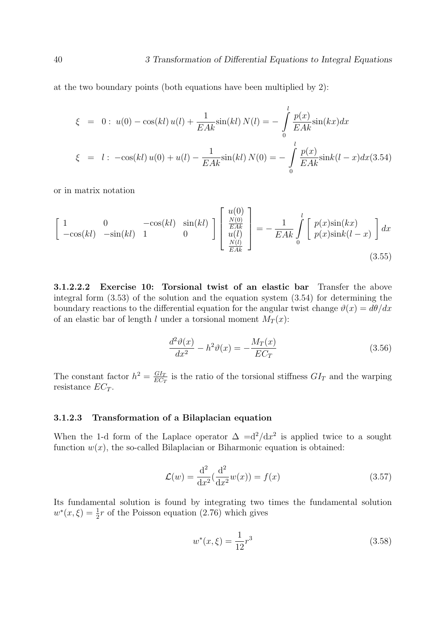at the two boundary points (both equations have been multiplied by 2):

$$
\xi = 0: u(0) - \cos(kl) u(l) + \frac{1}{EAk} \sin(kl) N(l) = -\int_{0}^{l} \frac{p(x)}{EAk} \sin(kx) dx
$$
  

$$
\xi = l: -\cos(kl) u(0) + u(l) - \frac{1}{EAk} \sin(kl) N(0) = -\int_{0}^{l} \frac{p(x)}{EAk} \sin(kl - x) dx (3.54)
$$

or in matrix notation

$$
\begin{bmatrix}\n1 & 0 & -\cos(kl) & \sin(kl) \\
-\cos(kl) & -\sin(kl) & 1 & 0\n\end{bmatrix}\n\begin{bmatrix}\nu(0) \\
\frac{N(0)}{EAk} \\
u(l) \\
\frac{N(l)}{EAk}\n\end{bmatrix} = -\frac{1}{EAk}\n\int_{0}^{l} \begin{bmatrix}\np(x)\sin(kx) \\
p(x)\sin(k(l-x)\n\end{bmatrix} dx
$$
\n(3.55)

3.1.2.2.2 Exercise 10: Torsional twist of an elastic bar Transfer the above integral form (3.53) of the solution and the equation system (3.54) for determining the boundary reactions to the differential equation for the angular twist change  $\vartheta(x) = d\theta/dx$ of an elastic bar of length l under a torsional moment  $M_T(x)$ :

$$
\frac{d^2\vartheta(x)}{dx^2} - h^2\vartheta(x) = -\frac{M_T(x)}{EC_T}
$$
\n(3.56)

The constant factor  $h^2 = \frac{GI_T}{E G}$  $rac{GI_T}{EC_T}$  is the ratio of the torsional stiffness  $GI_T$  and the warping resistance  $EC_T$ .

### 3.1.2.3 Transformation of a Bilaplacian equation

When the 1-d form of the Laplace operator  $\Delta = d^2/dx^2$  is applied twice to a sought function  $w(x)$ , the so-called Bilaplacian or Biharmonic equation is obtained:

$$
\mathcal{L}(w) = \frac{d^2}{dx^2} \left( \frac{d^2}{dx^2} w(x) \right) = f(x)
$$
\n(3.57)

Its fundamental solution is found by integrating two times the fundamental solution  $w^*(x,\xi) = \frac{1}{2}r$  of the Poisson equation (2.76) which gives

$$
w^*(x,\xi) = \frac{1}{12}r^3\tag{3.58}
$$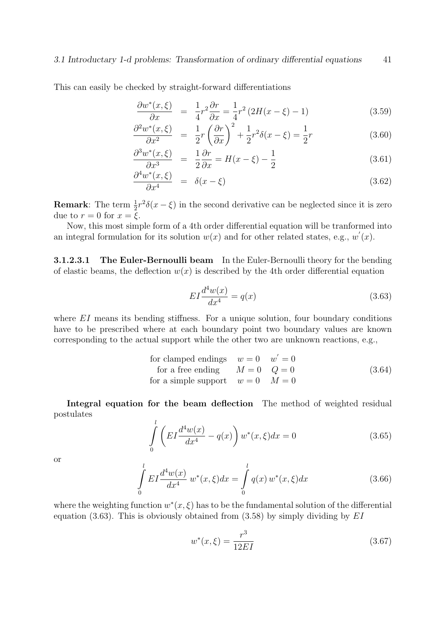This can easily be checked by straight-forward differentiations

$$
\frac{\partial w^*(x,\xi)}{\partial x} = \frac{1}{4}r^2 \frac{\partial r}{\partial x} = \frac{1}{4}r^2 \left(2H(x-\xi) - 1\right) \tag{3.59}
$$

$$
\frac{\partial^2 w^*(x,\xi)}{\partial x^2} = \frac{1}{2}r\left(\frac{\partial r}{\partial x}\right)^2 + \frac{1}{2}r^2\delta(x-\xi) = \frac{1}{2}r\tag{3.60}
$$

$$
\frac{\partial^3 w^*(x,\xi)}{\partial x^3} = \frac{1}{2} \frac{\partial r}{\partial x} = H(x-\xi) - \frac{1}{2}
$$
\n(3.61)

$$
\frac{\partial^4 w^*(x,\xi)}{\partial x^4} = \delta(x-\xi) \tag{3.62}
$$

**Remark**: The term  $\frac{1}{2}r^2\delta(x-\xi)$  in the second derivative can be neglected since it is zero due to  $r = 0$  for  $x = \xi$ .

Now, this most simple form of a 4th order differential equation will be tranformed into an integral formulation for its solution  $w(x)$  and for other related states, e.g.,  $w'(x)$ .

3.1.2.3.1 The Euler-Bernoulli beam In the Euler-Bernoulli theory for the bending of elastic beams, the deflection  $w(x)$  is described by the 4th order differential equation

$$
EI\frac{d^4w(x)}{dx^4} = q(x) \tag{3.63}
$$

where  $EI$  means its bending stiffness. For a unique solution, four boundary conditions have to be prescribed where at each boundary point two boundary values are known corresponding to the actual support while the other two are unknown reactions, e.g.,

for clamped ending 
$$
w = 0
$$
  $w' = 0$   
for a free ending  $M = 0$   $Q = 0$  (3.64)  
for a simple support  $w = 0$   $M = 0$ 

Integral equation for the beam deflection The method of weighted residual postulates

$$
\int_{0}^{l} \left( EI \frac{d^4 w(x)}{dx^4} - q(x) \right) w^*(x, \xi) dx = 0
$$
\n(3.65)

or

$$
\int_{0}^{l} EI \frac{d^4 w(x)}{dx^4} w^*(x, \xi) dx = \int_{0}^{l} q(x) w^*(x, \xi) dx
$$
\n(3.66)

where the weighting function  $w^*(x, \xi)$  has to be the fundamental solution of the differential equation (3.63). This is obviously obtained from  $(3.58)$  by simply dividing by EI

$$
w^*(x,\xi) = \frac{r^3}{12EI} \tag{3.67}
$$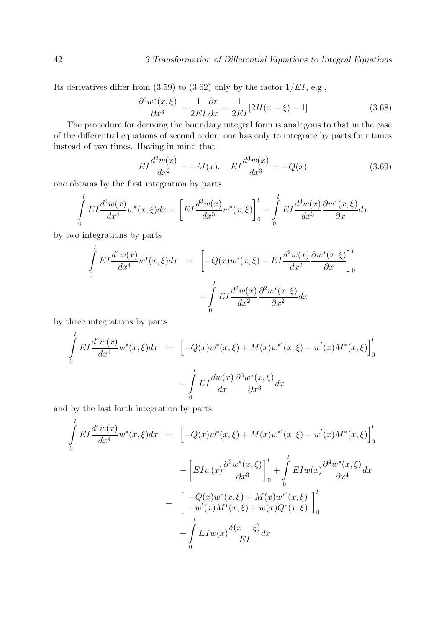Its derivatives differ from  $(3.59)$  to  $(3.62)$  only by the factor  $1/EL$ , e.g.,

$$
\frac{\partial^3 w^*(x,\xi)}{\partial x^3} = \frac{1}{2EI} \frac{\partial r}{\partial x} = \frac{1}{2EI} [2H(x-\xi) - 1] \tag{3.68}
$$

The procedure for deriving the boundary integral form is analogous to that in the case of the differential equations of second order: one has only to integrate by parts four times instead of two times. Having in mind that

$$
EI\frac{d^2w(x)}{dx^2} = -M(x), \quad EI\frac{d^3w(x)}{dx^3} = -Q(x)
$$
\n(3.69)

one obtains by the first integration by parts

$$
\int_{0}^{l} EI \frac{d^4 w(x)}{dx^4} w^*(x, \xi) dx = \left[ EI \frac{d^3 w(x)}{dx^3} w^*(x, \xi) \right]_{0}^{l} - \int_{0}^{l} EI \frac{d^3 w(x)}{dx^3} \frac{\partial w^*(x, \xi)}{\partial x} dx
$$

by two integrations by parts

l

$$
\int_{0}^{l} EI \frac{d^4 w(x)}{dx^4} w^*(x, \xi) dx = \left[ -Q(x)w^*(x, \xi) - EI \frac{d^2 w(x)}{dx^2} \frac{\partial w^*(x, \xi)}{\partial x} \right]_{0}^{l}
$$

$$
+ \int_{0}^{l} EI \frac{d^2 w(x)}{dx^2} \frac{\partial^2 w^*(x, \xi)}{\partial x^2} dx
$$

by three integrations by parts

$$
\int_{0}^{l} EI \frac{d^{4}w(x)}{dx^{4}} w^{*}(x,\xi) dx = \left[ -Q(x)w^{*}(x,\xi) + M(x)w^{*'}(x,\xi) - w^{'}(x)M^{*}(x,\xi) \right]_{0}^{l}
$$

$$
- \int_{0}^{l} EI \frac{dw(x)}{dx} \frac{\partial^{3}w^{*}(x,\xi)}{\partial x^{3}} dx
$$

and by the last forth integration by parts

$$
\int_{0}^{l} EI \frac{d^{4}w(x)}{dx^{4}} w^{*}(x,\xi) dx = \left[ -Q(x)w^{*}(x,\xi) + M(x)w^{*'}(x,\xi) - w'(x)M^{*}(x,\xi) \right]_{0}^{l}
$$

$$
- \left[ EIw(x) \frac{\partial^{3}w^{*}(x,\xi)}{\partial x^{3}} \right]_{0}^{l} + \int_{0}^{l} EIw(x) \frac{\partial^{4}w^{*}(x,\xi)}{\partial x^{4}} dx
$$

$$
= \left[ -Q(x)w^{*}(x,\xi) + M(x)w^{*'}(x,\xi) \right]_{0}^{l}
$$

$$
+ \int_{0}^{l} EIw(x) \frac{\delta(x-\xi)}{EI} dx
$$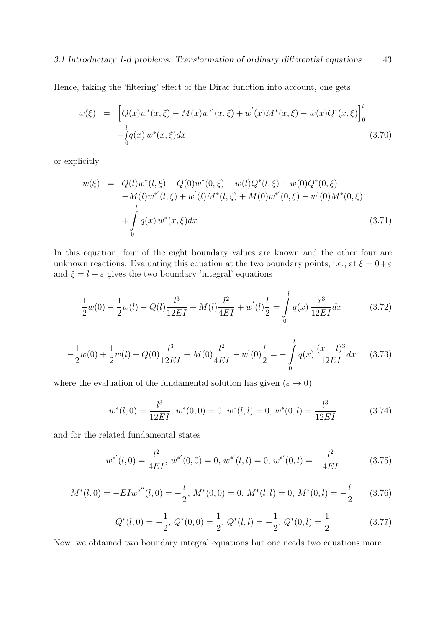Hence, taking the 'filtering' effect of the Dirac function into account, one gets

$$
w(\xi) = \left[ Q(x)w^*(x,\xi) - M(x)w^{*'}(x,\xi) + w^{'}(x)M^*(x,\xi) - w(x)Q^*(x,\xi) \right]_0^l
$$
  
 
$$
+ \int_0^l q(x) w^*(x,\xi) dx
$$
 (3.70)

or explicitly

$$
w(\xi) = Q(l)w^*(l, \xi) - Q(0)w^*(0, \xi) - w(l)Q^*(l, \xi) + w(0)Q^*(0, \xi)
$$
  
-M(l)w^\*(l, \xi) + w'(l)M^\*(l, \xi) + M(0)w^\*(0, \xi) - w'(0)M^\*(0, \xi)  
+ 
$$
\int_0^l q(x) w^*(x, \xi) dx
$$
 (3.71)

In this equation, four of the eight boundary values are known and the other four are unknown reactions. Evaluating this equation at the two boundary points, i.e., at  $\xi = 0 + \varepsilon$ and  $\xi = l - \varepsilon$  gives the two boundary 'integral' equations

$$
\frac{1}{2}w(0) - \frac{1}{2}w(l) - Q(l)\frac{l^3}{12EI} + M(l)\frac{l^2}{4EI} + w'(l)\frac{l}{2} = \int_{0}^{l} q(x) \frac{x^3}{12EI} dx
$$
 (3.72)

$$
-\frac{1}{2}w(0) + \frac{1}{2}w(l) + Q(0)\frac{l^3}{12EI} + M(0)\frac{l^2}{4EI} - w'(0)\frac{l}{2} = -\int_{0}^{l} q(x)\frac{(x-l)^3}{12EI}dx
$$
 (3.73)

where the evaluation of the fundamental solution has given  $(\varepsilon\to 0)$ 

$$
w^*(l,0) = \frac{l^3}{12EI}, w^*(0,0) = 0, w^*(l,l) = 0, w^*(0,l) = \frac{l^3}{12EI}
$$
(3.74)

and for the related fundamental states

$$
w^{*'}(l,0) = \frac{l^2}{4EI}, w^{*'}(0,0) = 0, w^{*'}(l,l) = 0, w^{*'}(0,l) = -\frac{l^2}{4EI}
$$
(3.75)

$$
M^*(l,0) = -EIw^{*''}(l,0) = -\frac{l}{2}, M^*(0,0) = 0, M^*(l,l) = 0, M^*(0,l) = -\frac{l}{2}
$$
(3.76)

$$
Q^*(l,0) = -\frac{1}{2}, \ Q^*(0,0) = \frac{1}{2}, \ Q^*(l,l) = -\frac{1}{2}, \ Q^*(0,l) = \frac{1}{2}
$$
(3.77)

Now, we obtained two boundary integral equations but one needs two equations more.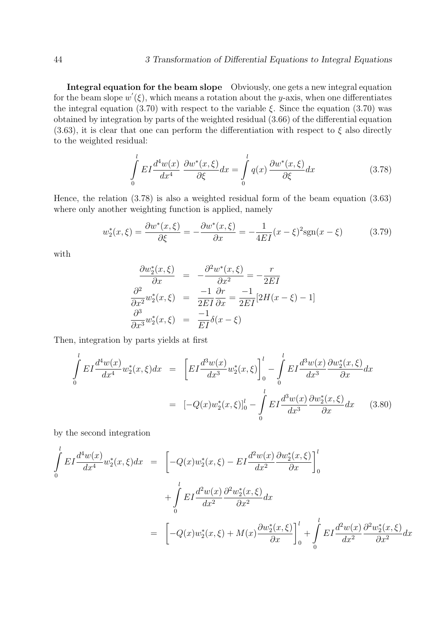Integral equation for the beam slope Obviously, one gets a new integral equation for the beam slope  $w'(\xi)$ , which means a rotation about the y-axis, when one differentiates the integral equation (3.70) with respect to the variable  $\xi$ . Since the equation (3.70) was obtained by integration by parts of the weighted residual (3.66) of the differential equation (3.63), it is clear that one can perform the differentiation with respect to  $\xi$  also directly to the weighted residual:

$$
\int_{0}^{l} EI \frac{d^4 w(x)}{dx^4} \frac{\partial w^*(x,\xi)}{\partial \xi} dx = \int_{0}^{l} q(x) \frac{\partial w^*(x,\xi)}{\partial \xi} dx
$$
\n(3.78)

Hence, the relation (3.78) is also a weighted residual form of the beam equation (3.63) where only another weighting function is applied, namely

$$
w_2^*(x,\xi) = \frac{\partial w^*(x,\xi)}{\partial \xi} = -\frac{\partial w^*(x,\xi)}{\partial x} = -\frac{1}{4EI}(x-\xi)^2 \text{sgn}(x-\xi) \tag{3.79}
$$

with

$$
\frac{\partial w_2^*(x,\xi)}{\partial x} = -\frac{\partial^2 w^*(x,\xi)}{\partial x^2} = -\frac{r}{2EI}
$$

$$
\frac{\partial^2}{\partial x^2} w_2^*(x,\xi) = \frac{-1}{2EI} \frac{\partial r}{\partial x} = \frac{-1}{2EI} [2H(x-\xi) - 1]
$$

$$
\frac{\partial^3}{\partial x^3} w_2^*(x,\xi) = \frac{-1}{EI} \delta(x-\xi)
$$

Then, integration by parts yields at first

$$
\int_{0}^{l} EI \frac{d^4 w(x)}{dx^4} w_2^*(x, \xi) dx = \left[ EI \frac{d^3 w(x)}{dx^3} w_2^*(x, \xi) \right]_{0}^{l} - \int_{0}^{l} EI \frac{d^3 w(x)}{dx^3} \frac{\partial w_2^*(x, \xi)}{\partial x} dx
$$

$$
= [-Q(x)w_2^*(x, \xi)]_{0}^{l} - \int_{0}^{l} EI \frac{d^3 w(x)}{dx^3} \frac{\partial w_2^*(x, \xi)}{\partial x} dx \qquad (3.80)
$$

by the second integration

$$
\int_{0}^{l} EI \frac{d^{4}w(x)}{dx^{4}} w_{2}^{*}(x,\xi) dx = \left[ -Q(x)w_{2}^{*}(x,\xi) - EI \frac{d^{2}w(x)}{dx^{2}} \frac{\partial w_{2}^{*}(x,\xi)}{\partial x} \right]_{0}^{l} \n+ \int_{0}^{l} EI \frac{d^{2}w(x)}{dx^{2}} \frac{\partial^{2}w_{2}^{*}(x,\xi)}{\partial x^{2}} dx \n= \left[ -Q(x)w_{2}^{*}(x,\xi) + M(x) \frac{\partial w_{2}^{*}(x,\xi)}{\partial x} \right]_{0}^{l} + \int_{0}^{l} EI \frac{d^{2}w(x)}{dx^{2}} \frac{\partial^{2}w_{2}^{*}(x,\xi)}{\partial x^{2}} dx
$$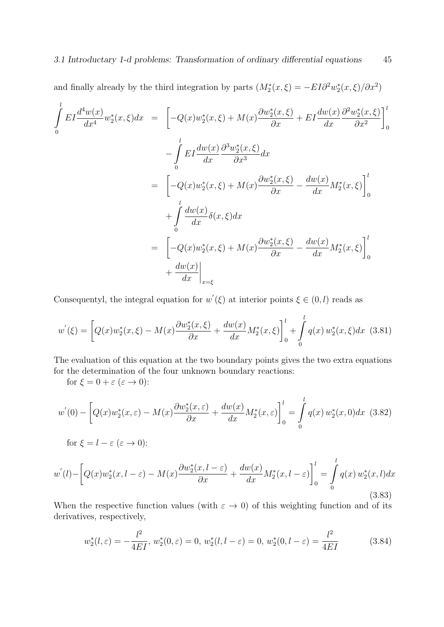and finally already by the third integration by parts  $(M_2^*(x, \xi) = -EI\partial^2 w_2^*(x, \xi)/\partial x^2)$ 

$$
\int_{0}^{l} EI \frac{d^4 w(x)}{dx^4} w_2^*(x, \xi) dx = \left[ -Q(x) w_2^*(x, \xi) + M(x) \frac{\partial w_2^*(x, \xi)}{\partial x} + EI \frac{dw(x)}{dx} \frac{\partial^2 w_2^*(x, \xi)}{\partial x^2} \right]_0^l
$$

$$
- \int_{0}^{l} EI \frac{dw(x)}{dx} \frac{\partial^3 w_2^*(x, \xi)}{\partial x^3} dx
$$

$$
= \left[ -Q(x) w_2^*(x, \xi) + M(x) \frac{\partial w_2^*(x, \xi)}{\partial x} - \frac{dw(x)}{dx} M_2^*(x, \xi) \right]_0^l
$$

$$
+ \int_{0}^{l} \frac{dw(x)}{dx} \delta(x, \xi) dx
$$

$$
= \left[ -Q(x) w_2^*(x, \xi) + M(x) \frac{\partial w_2^*(x, \xi)}{\partial x} - \frac{dw(x)}{dx} M_2^*(x, \xi) \right]_0^l
$$

$$
+ \frac{dw(x)}{dx} \Big|_{x = \xi}
$$

Consequentyl, the integral equation for  $w'(\xi)$  at interior points  $\xi \in (0, l)$  reads as

$$
w'(\xi) = \left[Q(x)w_2^*(x,\xi) - M(x)\frac{\partial w_2^*(x,\xi)}{\partial x} + \frac{dw(x)}{dx}M_2^*(x,\xi)\right]_0^l + \int_0^l q(x) w_2^*(x,\xi)dx \tag{3.81}
$$

The evaluation of this equation at the two boundary points gives the two extra equations for the determination of the four unknown boundary reactions:

for  $\xi = 0 + \varepsilon (\varepsilon \to 0)$ :

$$
w^{'}(0) - \left[Q(x)w_{2}^{*}(x,\varepsilon) - M(x)\frac{\partial w_{2}^{*}(x,\varepsilon)}{\partial x} + \frac{dw(x)}{dx}M_{2}^{*}(x,\varepsilon)\right]_{0}^{l} = \int_{0}^{l} q(x) w_{2}^{*}(x,0)dx \tag{3.82}
$$

for 
$$
\xi = l - \varepsilon (\varepsilon \to 0)
$$
:

$$
w^{'}(l) - \left[Q(x)w_{2}^{*}(x,l-\varepsilon) - M(x)\frac{\partial w_{2}^{*}(x,l-\varepsilon)}{\partial x} + \frac{dw(x)}{dx}M_{2}^{*}(x,l-\varepsilon)\right]_{0}^{l} = \int_{0}^{l} q(x) w_{2}^{*}(x,l)dx
$$
\n(3.83)

When the respective function values (with  $\varepsilon \to 0$ ) of this weighting function and of its derivatives, respectively,

$$
w_2^*(l,\varepsilon) = -\frac{l^2}{4EI}, \ w_2^*(0,\varepsilon) = 0, \ w_2^*(l,l-\varepsilon) = 0, \ w_2^*(0,l-\varepsilon) = \frac{l^2}{4EI}
$$
(3.84)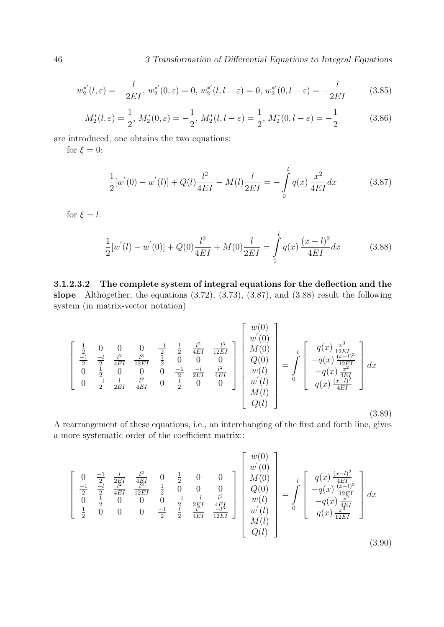$$
w_2^{*'}(l,\varepsilon) = -\frac{l}{2EI}, \, w_2^{*'}(0,\varepsilon) = 0, \, w_2^{*'}(l,l-\varepsilon) = 0, \, w_2^{*'}(0,l-\varepsilon) = -\frac{l}{2EI} \tag{3.85}
$$

$$
M_2^*(l,\varepsilon) = \frac{1}{2}, \ M_2^*(0,\varepsilon) = -\frac{1}{2}, \ M_2^*(l,l-\varepsilon) = \frac{1}{2}, \ M_2^*(0,l-\varepsilon) = -\frac{1}{2}
$$
(3.86)

are introduced, one obtains the two equations:

for  $\xi = 0$ :

$$
\frac{1}{2}[w'(0) - w'(l)] + Q(l)\frac{l^2}{4EI} - M(l)\frac{l}{2EI} = -\int_{0}^{l} q(x)\frac{x^2}{4EI}dx
$$
\n(3.87)

for  $\xi = l$ :

$$
\frac{1}{2}[w^{'}(l) - w^{'}(0)] + Q(0)\frac{l^{2}}{4EI} + M(0)\frac{l}{2EI} = \int_{0}^{l} q(x)\frac{(x-l)^{2}}{4EI}dx
$$
\n(3.88)

3.1.2.3.2 The complete system of integral equations for the deflection and the slope Althogether, the equations (3.72), (3.73), (3.87), and (3.88) result the following system (in matrix-vector notation)

$$
\begin{bmatrix}\n\frac{1}{2} & 0 & 0 & 0 & \frac{-1}{2} & \frac{l}{2} & \frac{l^2}{4EI} & \frac{-l^3}{12EI} \\
\frac{-1}{2} & \frac{-l}{2} & \frac{l^2}{4EI} & \frac{l^3}{12EI} & \frac{1}{2} & 0 & 0 & 0 \\
0 & \frac{1}{2} & 0 & 0 & 0 & \frac{-1}{2} & \frac{-l}{2EI} & \frac{l^2}{4EI} \\
0 & \frac{-1}{2} & \frac{l}{2EI} & \frac{l^2}{4EI} & 0 & \frac{1}{2} & 0 & 0\n\end{bmatrix}\n\begin{bmatrix}\nw(0) \\
w'(0) \\
M(0) \\
Q(0) \\
w(l) \\
w'(l) \\
w'(l) \\
Q(l)\n\end{bmatrix} = \int_{0}^{l} \begin{bmatrix}\nq(x) \frac{x^3}{12EI} \\
-q(x) \frac{(x-l)^3}{12EI} \\
-q(x) \frac{x^2}{4EI} \\
q(x) \frac{(x-l)^2}{4EI}\n\end{bmatrix} dx
$$
\n(3.89)

A rearrangement of these equations, i.e., an interchanging of the first and forth line, gives a more systematic order of the coefficient matrix::

$$
\begin{bmatrix}\n0 & \frac{-1}{2} & \frac{l}{2EI} & \frac{l^2}{4EI} & 0 & \frac{1}{2} & 0 & 0 \\
\frac{-1}{2} & \frac{-l}{2} & \frac{l^2}{4EI} & \frac{l^2}{12EI} & \frac{1}{2} & 0 & 0 & 0 \\
0 & \frac{1}{2} & 0 & 0 & 0 & \frac{-1}{2} & \frac{-l}{2EI} & \frac{l^2}{4EI} \\
\frac{1}{2} & 0 & 0 & 0 & \frac{-1}{2} & \frac{l}{2} & \frac{-l}{4EI} & \frac{l^2}{12EI} \\
\frac{1}{2} & 0 & 0 & 0 & \frac{-1}{2} & \frac{l}{2} & \frac{-l}{4EI} & \frac{-l^3}{12EI}\n\end{bmatrix}\n\begin{bmatrix}\nw(0) \\
w'(0) \\
Q(0) \\
w(l) \\
w'(l) \\
w'(l) \\
Q(l)\n\end{bmatrix} = \int_{0}^{l} \begin{bmatrix}\nq(x) \frac{(x-l)^2}{4EI} \\
-q(x) \frac{(x-l)^3}{12EI} \\
-q(x) \frac{x^2}{4EI} \\
q(x) \frac{x^3}{12EI}\n\end{bmatrix} dx
$$
\n(3.90)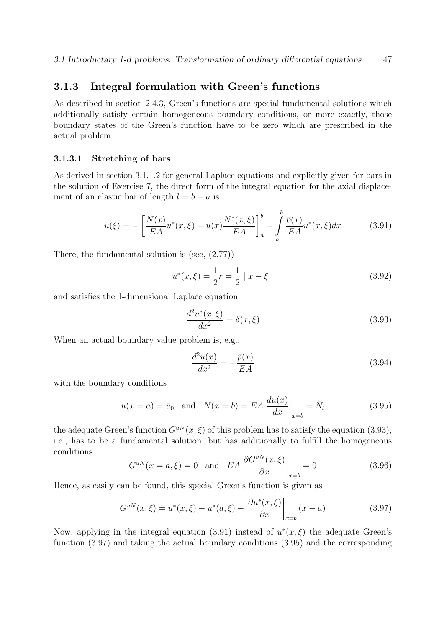# 3.1.3 Integral formulation with Green's functions

As described in section 2.4.3, Green's functions are special fundamental solutions which additionally satisfy certain homogeneous boundary conditions, or more exactly, those boundary states of the Green's function have to be zero which are prescribed in the actual problem.

### 3.1.3.1 Stretching of bars

As derived in section 3.1.1.2 for general Laplace equations and explicitly given for bars in the solution of Exercise 7, the direct form of the integral equation for the axial displacement of an elastic bar of length  $l = b - a$  is

$$
u(\xi) = -\left[\frac{N(x)}{EA}u^*(x,\xi) - u(x)\frac{N^*(x,\xi)}{EA}\right]_a^b - \int_a^b \frac{\bar{p}(x)}{EA}u^*(x,\xi)dx\tag{3.91}
$$

There, the fundamental solution is (see, (2.77))

$$
u^*(x,\xi) = \frac{1}{2}r = \frac{1}{2} |x-\xi|
$$
\n(3.92)

and satisfies the 1-dimensional Laplace equation

$$
\frac{d^2u^*(x,\xi)}{dx^2} = \delta(x,\xi) \tag{3.93}
$$

When an actual boundary value problem is, e.g.,

$$
\frac{d^2u(x)}{dx^2} = -\frac{\bar{p}(x)}{EA} \tag{3.94}
$$

with the boundary conditions

$$
u(x=a) = \bar{u}_0 \quad \text{and} \quad N(x=b) = EA \left. \frac{du(x)}{dx} \right|_{x=b} = \bar{N}_l \tag{3.95}
$$

the adequate Green's function  $G^{uN}(x,\xi)$  of this problem has to satisfy the equation (3.93), i.e., has to be a fundamental solution, but has additionally to fulfill the homogeneous conditions

$$
G^{uN}(x=a,\xi) = 0 \quad \text{and} \quad EA \left. \frac{\partial G^{uN}(x,\xi)}{\partial x} \right|_{x=b} = 0 \tag{3.96}
$$

Hence, as easily can be found, this special Green's function is given as

$$
G^{uN}(x,\xi) = u^*(x,\xi) - u^*(a,\xi) - \frac{\partial u^*(x,\xi)}{\partial x}\bigg|_{x=b} (x-a)
$$
\n(3.97)

Now, applying in the integral equation (3.91) instead of  $u^*(x,\xi)$  the adequate Green's function (3.97) and taking the actual boundary conditions (3.95) and the corresponding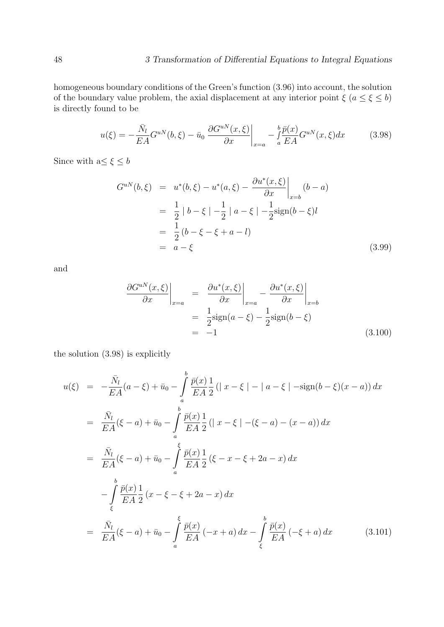homogeneous boundary conditions of the Green's function (3.96) into account, the solution of the boundary value problem, the axial displacement at any interior point  $\xi$  ( $a \le \xi \le b$ ) is directly found to be

$$
u(\xi) = -\frac{\bar{N}_l}{EA} G^{uN}(b,\xi) - \bar{u}_0 \left. \frac{\partial G^{uN}(x,\xi)}{\partial x} \right|_{x=a} - \int_a^b \frac{\bar{p}(x)}{EA} G^{uN}(x,\xi) dx \tag{3.98}
$$

Since with  $\mathbf{a} \leq \xi \leq b$ 

$$
G^{uN}(b,\xi) = u^*(b,\xi) - u^*(a,\xi) - \frac{\partial u^*(x,\xi)}{\partial x}\Big|_{x=b} (b-a)
$$
  
=  $\frac{1}{2} |b-\xi| - \frac{1}{2} |a-\xi| - \frac{1}{2} \text{sign}(b-\xi)l$   
=  $\frac{1}{2} (b-\xi-\xi+a-l)$   
=  $a-\xi$  (3.99)

and

$$
\frac{\partial G^{uN}(x,\xi)}{\partial x}\Big|_{x=a} = \frac{\partial u^*(x,\xi)}{\partial x}\Big|_{x=a} - \frac{\partial u^*(x,\xi)}{\partial x}\Big|_{x=b}
$$

$$
= \frac{1}{2}\text{sign}(a-\xi) - \frac{1}{2}\text{sign}(b-\xi)
$$

$$
= -1 \tag{3.100}
$$

the solution (3.98) is explicitly

$$
u(\xi) = -\frac{\bar{N}_l}{EA}(a - \xi) + \bar{u}_0 - \int_a^b \frac{\bar{p}(x)}{EA} \frac{1}{2} (|x - \xi| - |a - \xi| - \text{sign}(b - \xi)(x - a)) dx
$$
  
\n
$$
= \frac{\bar{N}_l}{EA}(\xi - a) + \bar{u}_0 - \int_a^b \frac{\bar{p}(x)}{EA} \frac{1}{2} (|x - \xi| - (\xi - a) - (x - a)) dx
$$
  
\n
$$
= \frac{\bar{N}_l}{EA}(\xi - a) + \bar{u}_0 - \int_a^b \frac{\bar{p}(x)}{EA} \frac{1}{2} (\xi - x - \xi + 2a - x) dx
$$
  
\n
$$
- \int_c^b \frac{\bar{p}(x)}{EA} \frac{1}{2} (x - \xi - \xi + 2a - x) dx
$$
  
\n
$$
= \frac{\bar{N}_l}{EA}(\xi - a) + \bar{u}_0 - \int_a^c \frac{\bar{p}(x)}{EA} (-x + a) dx - \int_c^b \frac{\bar{p}(x)}{EA} (-\xi + a) dx \qquad (3.101)
$$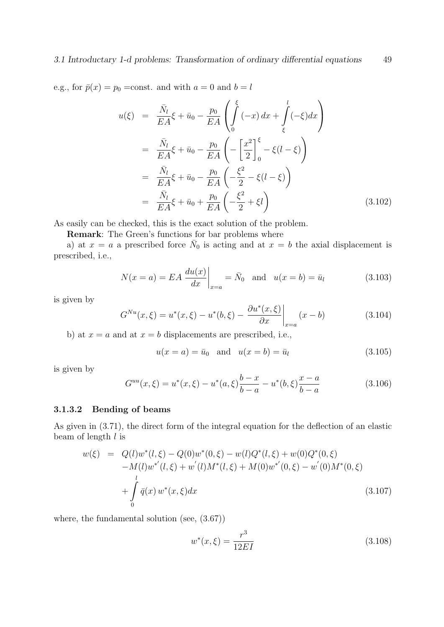e.g., for  $\bar{p}(x) = p_0 = \text{const.}$  and with  $a = 0$  and  $b = l$ 

$$
u(\xi) = \frac{\bar{N}_l}{EA}\xi + \bar{u}_0 - \frac{p_0}{EA} \left( \int_0^{\xi} (-x) dx + \int_{\xi}^l (-\xi) dx \right)
$$
  
\n
$$
= \frac{\bar{N}_l}{EA}\xi + \bar{u}_0 - \frac{p_0}{EA} \left( -\left[ \frac{x^2}{2} \right]_0^{\xi} - \xi(l - \xi) \right)
$$
  
\n
$$
= \frac{\bar{N}_l}{EA}\xi + \bar{u}_0 - \frac{p_0}{EA} \left( -\frac{\xi^2}{2} - \xi(l - \xi) \right)
$$
  
\n
$$
= \frac{\bar{N}_l}{EA}\xi + \bar{u}_0 + \frac{p_0}{EA} \left( -\frac{\xi^2}{2} + \xi l \right)
$$
(3.102)

As easily can be checked, this is the exact solution of the problem.

Remark: The Green's functions for bar problems where

a) at  $x = a$  a prescribed force  $\bar{N}_0$  is acting and at  $x = b$  the axial displacement is prescribed, i.e.,

$$
N(x=a) = EA \left. \frac{du(x)}{dx} \right|_{x=a} = \bar{N}_0 \quad \text{and} \quad u(x=b) = \bar{u}_l \tag{3.103}
$$

is given by

$$
G^{Nu}(x,\xi) = u^*(x,\xi) - u^*(b,\xi) - \frac{\partial u^*(x,\xi)}{\partial x}\bigg|_{x=a} (x-b)
$$
 (3.104)

b) at  $x = a$  and at  $x = b$  displacements are prescribed, i.e.,

$$
u(x = a) = \bar{u}_0
$$
 and  $u(x = b) = \bar{u}_l$  (3.105)

is given by

$$
G^{uu}(x,\xi) = u^*(x,\xi) - u^*(a,\xi)\frac{b-x}{b-a} - u^*(b,\xi)\frac{x-a}{b-a}
$$
(3.106)

### 3.1.3.2 Bending of beams

As given in (3.71), the direct form of the integral equation for the deflection of an elastic beam of length  $l$  is

$$
w(\xi) = Q(l)w^*(l, \xi) - Q(0)w^*(0, \xi) - w(l)Q^*(l, \xi) + w(0)Q^*(0, \xi)
$$
  
-M(l)w^\*(l, \xi) + w'(l)M^\*(l, \xi) + M(0)w^\*(0, \xi) - w'(0)M^\*(0, \xi)  
+ 
$$
\int_0^l \bar{q}(x) w^*(x, \xi) dx
$$
(3.107)

where, the fundamental solution (see, (3.67))

$$
w^*(x,\xi) = \frac{r^3}{12EI} \tag{3.108}
$$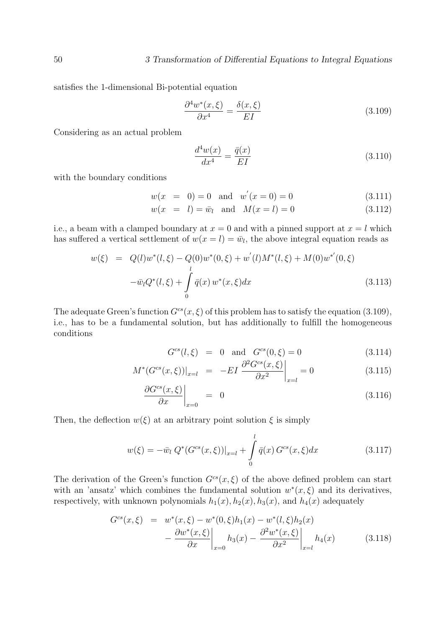satisfies the 1-dimensional Bi-potential equation

$$
\frac{\partial^4 w^*(x,\xi)}{\partial x^4} = \frac{\delta(x,\xi)}{EI}
$$
\n(3.109)

Considering as an actual problem

$$
\frac{d^4w(x)}{dx^4} = \frac{\bar{q}(x)}{EI} \tag{3.110}
$$

with the boundary conditions

$$
w(x = 0) = 0 \text{ and } w'(x = 0) = 0 \tag{3.111}
$$

$$
w(x = l) = \bar{w}_l
$$
 and  $M(x = l) = 0$  (3.112)

i.e., a beam with a clamped boundary at  $x = 0$  and with a pinned support at  $x = l$  which has suffered a vertical settlement of  $w(x = l) = \bar{w}_l$ , the above integral equation reads as

$$
w(\xi) = Q(l)w^*(l, \xi) - Q(0)w^*(0, \xi) + w'(l)M^*(l, \xi) + M(0)w^{*'}(0, \xi)
$$
  

$$
-\bar{w}_l Q^*(l, \xi) + \int_0^l \bar{q}(x) w^*(x, \xi) dx
$$
(3.113)

The adequate Green's function  $G^{cs}(x, \xi)$  of this problem has to satisfy the equation (3.109), i.e., has to be a fundamental solution, but has additionally to fulfill the homogeneous conditions

$$
G^{cs}(l,\xi) = 0 \text{ and } G^{cs}(0,\xi) = 0 \tag{3.114}
$$

$$
M^*(G^{cs}(x,\xi))|_{x=l} = -EI \left. \frac{\partial^2 G^{cs}(x,\xi)}{\partial x^2} \right|_{x=l} = 0 \tag{3.115}
$$

$$
\left. \frac{\partial G^{cs}(x,\xi)}{\partial x} \right|_{x=0} = 0 \tag{3.116}
$$

Then, the deflection  $w(\xi)$  at an arbitrary point solution  $\xi$  is simply

$$
w(\xi) = -\bar{w}_l \ Q^*(G^{cs}(x,\xi))|_{x=l} + \int_0^l \bar{q}(x) \ G^{cs}(x,\xi) dx \tag{3.117}
$$

The derivation of the Green's function  $G^{cs}(x, \xi)$  of the above defined problem can start with an 'ansatz' which combines the fundamental solution  $w^*(x, \xi)$  and its derivatives, respectively, with unknown polynomials  $h_1(x)$ ,  $h_2(x)$ ,  $h_3(x)$ , and  $h_4(x)$  adequately

$$
G^{cs}(x,\xi) = w^*(x,\xi) - w^*(0,\xi)h_1(x) - w^*(l,\xi)h_2(x)
$$
  
 
$$
- \frac{\partial w^*(x,\xi)}{\partial x}\bigg|_{x=0} h_3(x) - \frac{\partial^2 w^*(x,\xi)}{\partial x^2}\bigg|_{x=l} h_4(x) \tag{3.118}
$$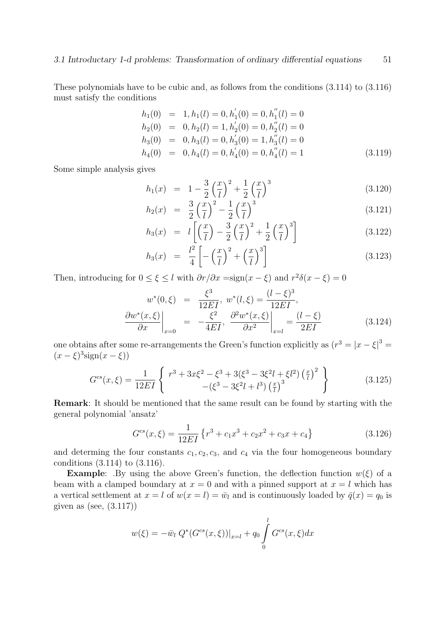These polynomials have to be cubic and, as follows from the conditions (3.114) to (3.116) must satisfy the conditions

$$
h_1(0) = 1, h_1(l) = 0, h'_1(0) = 0, h''_1(l) = 0
$$
  
\n
$$
h_2(0) = 0, h_2(l) = 1, h'_2(0) = 0, h''_2(l) = 0
$$
  
\n
$$
h_3(0) = 0, h_3(l) = 0, h'_3(0) = 1, h''_3(l) = 0
$$
  
\n
$$
h_4(0) = 0, h_4(l) = 0, h'_4(0) = 0, h''_4(l) = 1
$$
\n(3.119)

Some simple analysis gives

$$
h_1(x) = 1 - \frac{3}{2} \left(\frac{x}{l}\right)^2 + \frac{1}{2} \left(\frac{x}{l}\right)^3
$$
\n(3.120)

$$
h_2(x) = \frac{3}{2} \left(\frac{x}{l}\right)^2 - \frac{1}{2} \left(\frac{x}{l}\right)^3 \tag{3.121}
$$

$$
h_3(x) = l\left[\left(\frac{x}{l}\right) - \frac{3}{2}\left(\frac{x}{l}\right)^2 + \frac{1}{2}\left(\frac{x}{l}\right)^3\right] \tag{3.122}
$$

$$
h_3(x) = \frac{l^2}{4} \left[ -\left(\frac{x}{l}\right)^2 + \left(\frac{x}{l}\right)^3 \right] \tag{3.123}
$$

Then, introducing for  $0 \le \xi \le l$  with  $\frac{\partial r}{\partial x} = \text{sign}(x - \xi)$  and  $r^2 \delta(x - \xi) = 0$ 

$$
w^*(0,\xi) = \frac{\xi^3}{12EI}, w^*(l,\xi) = \frac{(l-\xi)^3}{12EI},
$$
  
\n
$$
\frac{\partial w^*(x,\xi)}{\partial x}\Big|_{x=0} = -\frac{\xi^2}{4EI}, \frac{\partial^2 w^*(x,\xi)}{\partial x^2}\Big|_{x=l} = \frac{(l-\xi)}{2EI}
$$
(3.124)

one obtains after some re-arrangements the Green's function explicitly as  $(r^3 = |x - \xi|^3 =$  $(x - \xi)^3$ sign $(x - \xi)$ 

$$
G^{cs}(x,\xi) = \frac{1}{12EI} \left\{ \begin{array}{c} r^3 + 3x\xi^2 - \xi^3 + 3(\xi^3 - 3\xi^2 l + \xi l^2) \left(\frac{x}{l}\right)^2 \\ -(\xi^3 - 3\xi^2 l + l^3) \left(\frac{x}{l}\right)^3 \end{array} \right\} \tag{3.125}
$$

Remark: It should be mentioned that the same result can be found by starting with the general polynomial 'ansatz'

$$
G^{cs}(x,\xi) = \frac{1}{12EI} \left\{ r^3 + c_1 x^3 + c_2 x^2 + c_3 x + c_4 \right\}
$$
 (3.126)

and determing the four constants  $c_1, c_2, c_3$ , and  $c_4$  via the four homogeneous boundary conditions (3.114) to (3.116).

**Example:** .By using the above Green's function, the deflection function  $w(\xi)$  of a beam with a clamped boundary at  $x = 0$  and with a pinned support at  $x = l$  which has a vertical settlement at  $x = l$  of  $w(x = l) = \bar{w}_l$  and is continuously loaded by  $\bar{q}(x) = q_0$  is given as (see,  $(3.117)$ )

$$
w(\xi) = -\bar{w}_l Q^*(G^{cs}(x,\xi))|_{x=l} + q_0 \int_0^l G^{cs}(x,\xi) dx
$$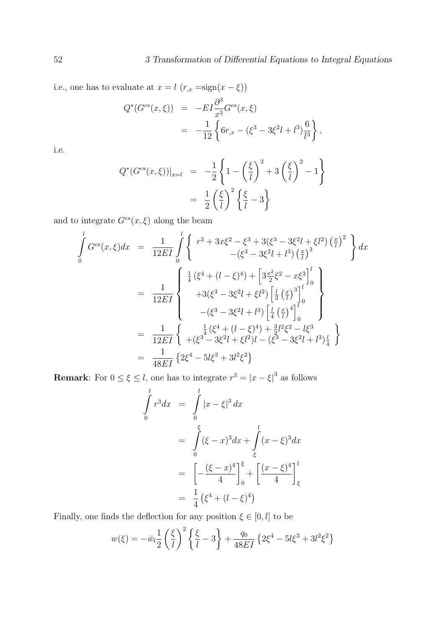i.e., one has to evaluate at  $x = l$   $(r_{,x} = sign(x - \xi))$ 

$$
Q^*(G^{cs}(x,\xi)) = -EI\frac{\partial^3}{x^3}G^{cs}(x,\xi)
$$
  
= 
$$
-\frac{1}{12}\left\{6r_{,x} - (\xi^3 - 3\xi^2l + l^3)\frac{6}{l^3}\right\},
$$

i.e.

$$
Q^*(G^{cs}(x,\xi))|_{x=l} = -\frac{1}{2}\left\{1-\left(\frac{\xi}{l}\right)^3+3\left(\frac{\xi}{l}\right)^2-1\right\}
$$

$$
=\frac{1}{2}\left(\frac{\xi}{l}\right)^2\left\{\frac{\xi}{l}-3\right\}
$$

and to integrate  $G^{cs}(x, \xi)$  along the beam

$$
\int_{0}^{l} G^{cs}(x,\xi) dx = \frac{1}{12EI} \int_{0}^{l} \left\{ \begin{array}{l} r^{3} + 3x\xi^{2} - \xi^{3} + 3(\xi^{3} - 3\xi^{2}l + \xi l^{2}) \left(\frac{x}{l}\right)^{2} \\ -(\xi^{3} - 3\xi^{2}l + l^{3}) \left(\frac{x}{l}\right)^{3} \end{array} \right\} dx
$$
\n
$$
= \frac{1}{12EI} \left\{ \begin{array}{l} \frac{1}{4} \left(\xi^{4} + (l - \xi)^{4}\right) + \left[3\frac{x^{2}}{2}\xi^{2} - x\xi^{3}\right]_{0}^{l} \\ + 3(\xi^{3} - 3\xi^{2}l + \xi l^{2}) \left[\frac{l}{3} \left(\frac{x}{l}\right)^{3}\right]_{0}^{l} \\ -(\xi^{3} - 3\xi^{2}l + l^{3}) \left[\frac{l}{4} \left(\frac{x}{l}\right)^{4}\right]_{0}^{l} \end{array} \right\}
$$
\n
$$
= \frac{1}{12EI} \left\{ \begin{array}{l} \frac{1}{4} \left(\xi^{4} + (l - \xi)^{4}\right) + \frac{3}{2}l^{2}\xi^{2} - l\xi^{3} \\ + (\xi^{3} - 3\xi^{2}l + \xi l^{2})l - (\xi^{3} - 3\xi^{2}l + l^{3})\frac{l}{4} \end{array} \right\}
$$
\n
$$
= \frac{1}{48EI} \left\{ 2\xi^{4} - 5l\xi^{3} + 3l^{2}\xi^{2} \right\}
$$

**Remark**: For  $0 \le \xi \le l$ , one has to integrate  $r^3 = |x - \xi|^3$  as follows

$$
\int_{0}^{l} r^{3} dx = \int_{0}^{l} |x - \xi|^{3} dx
$$
\n
$$
= \int_{0}^{\xi} (\xi - x)^{3} dx + \int_{\xi}^{l} (x - \xi)^{3} dx
$$
\n
$$
= \left[ -\frac{(\xi - x)^{4}}{4} \right]_{0}^{\xi} + \left[ \frac{(x - \xi)^{4}}{4} \right]_{\xi}^{l}
$$
\n
$$
= \frac{1}{4} (\xi^{4} + (l - \xi)^{4})
$$

Finally, one finds the deflection for any position  $\xi \in [0,l]$  <br>to be

$$
w(\xi) = -\bar{w}_l \frac{1}{2} \left(\frac{\xi}{l}\right)^2 \left\{\frac{\xi}{l} - 3\right\} + \frac{q_0}{48EI} \left\{2\xi^4 - 5l\xi^3 + 3l^2\xi^2\right\}
$$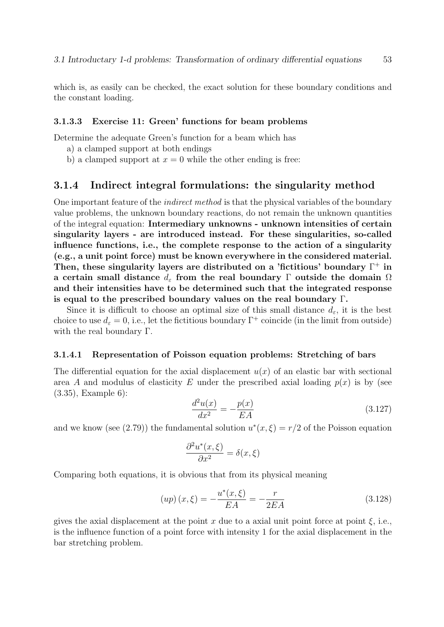which is, as easily can be checked, the exact solution for these boundary conditions and the constant loading.

### 3.1.3.3 Exercise 11: Green' functions for beam problems

Determine the adequate Green's function for a beam which has

- a) a clamped support at both endings
- b) a clamped support at  $x = 0$  while the other ending is free:

## 3.1.4 Indirect integral formulations: the singularity method

One important feature of the indirect method is that the physical variables of the boundary value problems, the unknown boundary reactions, do not remain the unknown quantities of the integral equation: Intermediary unknowns - unknown intensities of certain singularity layers - are introduced instead. For these singularities, so-called influence functions, i.e., the complete response to the action of a singularity (e.g., a unit point force) must be known everywhere in the considered material. Then, these singularity layers are distributed on a 'fictitious' boundary  $\Gamma^+$  in a certain small distance  $d_{\varepsilon}$  from the real boundary Γ outside the domain  $\Omega$ and their intensities have to be determined such that the integrated response is equal to the prescribed boundary values on the real boundary Γ.

Since it is difficult to choose an optimal size of this small distance  $d_{\varepsilon}$ , it is the best choice to use  $d_{\varepsilon} = 0$ , i.e., let the fictitious boundary  $\Gamma^+$  coincide (in the limit from outside) with the real boundary Γ.

#### 3.1.4.1 Representation of Poisson equation problems: Stretching of bars

The differential equation for the axial displacement  $u(x)$  of an elastic bar with sectional area A and modulus of elasticity E under the prescribed axial loading  $p(x)$  is by (see (3.35), Example 6):

$$
\frac{d^2u(x)}{dx^2} = -\frac{p(x)}{EA}
$$
 (3.127)

and we know (see (2.79)) the fundamental solution  $u^*(x,\xi) = r/2$  of the Poisson equation

$$
\frac{\partial^2 u^*(x,\xi)}{\partial x^2} = \delta(x,\xi)
$$

Comparing both equations, it is obvious that from its physical meaning

$$
(up)(x,\xi) = -\frac{u^*(x,\xi)}{EA} = -\frac{r}{2EA}
$$
\n(3.128)

gives the axial displacement at the point x due to a axial unit point force at point  $\xi$ , i.e., is the influence function of a point force with intensity 1 for the axial displacement in the bar stretching problem.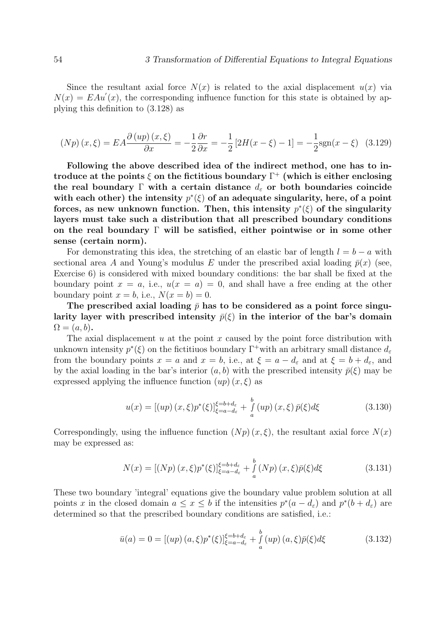Since the resultant axial force  $N(x)$  is related to the axial displacement  $u(x)$  via  $N(x) = E A u'(x)$ , the corresponding influence function for this state is obtained by applying this definition to (3.128) as

$$
(Np)(x,\xi) = EA \frac{\partial (up)(x,\xi)}{\partial x} = -\frac{1}{2} \frac{\partial r}{\partial x} = -\frac{1}{2} [2H(x-\xi) - 1] = -\frac{1}{2} \text{sgn}(x-\xi) \tag{3.129}
$$

Following the above described idea of the indirect method, one has to introduce at the points  $\xi$  on the fictitious boundary  $\Gamma^+$  (which is either enclosing the real boundary Γ with a certain distance  $d_{\varepsilon}$  or both boundaries coincide with each other) the intensity  $p^*(\xi)$  of an adequate singularity, here, of a point forces, as new unknown function. Then, this intensity  $p^*(\xi)$  of the singularity layers must take such a distribution that all prescribed boundary conditions on the real boundary  $\Gamma$  will be satisfied, either pointwise or in some other sense (certain norm).

For demonstrating this idea, the stretching of an elastic bar of length  $l = b - a$  with sectional area A and Young's modulus E under the prescribed axial loading  $\bar{p}(x)$  (see, Exercise 6) is considered with mixed boundary conditions: the bar shall be fixed at the boundary point  $x = a$ , i.e.,  $u(x = a) = 0$ , and shall have a free ending at the other boundary point  $x = b$ , i.e.,  $N(x = b) = 0$ .

The prescribed axial loading  $\bar{p}$  has to be considered as a point force singularity layer with prescribed intensity  $\bar{p}(\xi)$  in the interior of the bar's domain  $\Omega = (a, b).$ 

The axial displacement  $u$  at the point  $x$  caused by the point force distribution with unknown intensity  $p^*(\xi)$  on the fictitiuos boundary  $\Gamma^+$  with an arbitrary small distance  $d_{\varepsilon}$ from the boundary points  $x = a$  and  $x = b$ , i.e., at  $\xi = a - d_{\varepsilon}$  and at  $\xi = b + d_{\varepsilon}$ , and by the axial loading in the bar's interior  $(a, b)$  with the prescribed intensity  $\bar{p}(\xi)$  may be expressed applying the influence function  $(u p)(x, \xi)$  as

$$
u(x) = [(up)(x,\xi)p^*(\xi)]_{\xi=a-d_{\varepsilon}}^{\xi=b+d_{\varepsilon}} + \int_{a}^{b} (up)(x,\xi)\,\bar{p}(\xi)d\xi \tag{3.130}
$$

Correspondingly, using the influence function  $(Np)(x,\xi)$ , the resultant axial force  $N(x)$ may be expressed as:

$$
N(x) = [(Np)(x,\xi)p^*(\xi)]_{\xi=a-d_{\varepsilon}}^{\xi=b+d_{\varepsilon}} + \int_{a}^{b} (Np)(x,\xi)\bar{p}(\xi)d\xi
$$
 (3.131)

These two boundary 'integral' equations give the boundary value problem solution at all points x in the closed domain  $a \leq x \leq b$  if the intensities  $p^*(a - d_{\varepsilon})$  and  $p^*(b + d_{\varepsilon})$  are determined so that the prescribed boundary conditions are satisfied, i.e.:

$$
\bar{u}(a) = 0 = [(up)(a,\xi)p^*(\xi)]_{\xi=a-d_{\xi}}^{\xi=b+d_{\xi}} + \int_a^b (up)(a,\xi)\bar{p}(\xi)d\xi
$$
\n(3.132)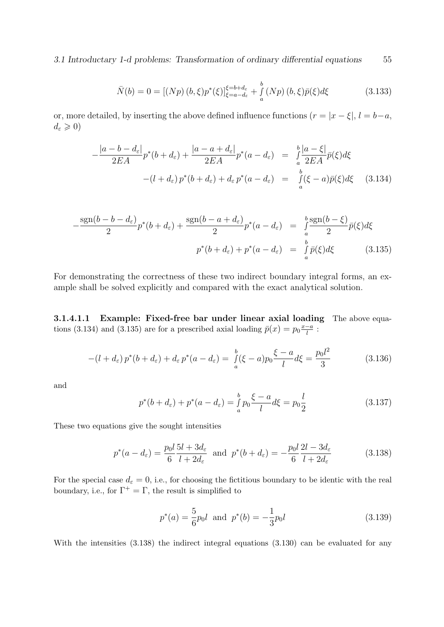3.1 Introductary 1-d problems: Transformation of ordinary differential equations 55

$$
\bar{N}(b) = 0 = [(Np) (b, \xi) p^*(\xi)]_{\xi = a - d_{\varepsilon}}^{\xi = b + d_{\varepsilon}} + \int_a^b (Np) (b, \xi) \bar{p}(\xi) d\xi
$$
\n(3.133)

or, more detailed, by inserting the above defined influence functions  $(r = |x - \xi|, l = b - a$ ,  $d_{\varepsilon} \geqslant 0$ 

$$
-\frac{|a-b-d_{\varepsilon}|}{2EA}p^*(b+d_{\varepsilon}) + \frac{|a-a+d_{\varepsilon}|}{2EA}p^*(a-d_{\varepsilon}) = \frac{\int_a^b |a-\xi|}{2EA}\bar{p}(\xi)d\xi
$$
  
 
$$
-(l+d_{\varepsilon})p^*(b+d_{\varepsilon}) + d_{\varepsilon}p^*(a-d_{\varepsilon}) = \frac{\int_a^b |(b-\xi)|}{a}p(\xi)d\xi \qquad (3.134)
$$

$$
-\frac{\operatorname{sgn}(b-b-d_{\varepsilon})}{2}p^*(b+d_{\varepsilon}) + \frac{\operatorname{sgn}(b-a+d_{\varepsilon})}{2}p^*(a-d_{\varepsilon}) = \int_a^b \frac{\operatorname{sgn}(b-\xi)}{2}\bar{p}(\xi)d\xi
$$

$$
p^*(b+d_{\varepsilon}) + p^*(a-d_{\varepsilon}) = \int_a^b \bar{p}(\xi)d\xi \qquad (3.135)
$$

For demonstrating the correctness of these two indirect boundary integral forms, an example shall be solved explicitly and compared with the exact analytical solution.

3.1.4.1.1 Example: Fixed-free bar under linear axial loading The above equations (3.134) and (3.135) are for a prescribed axial loading  $\bar{p}(x) = p_0 \frac{x-a}{l}$  $\frac{-a}{l}$  :

$$
-(l + d_{\varepsilon}) p^*(b + d_{\varepsilon}) + d_{\varepsilon} p^*(a - d_{\varepsilon}) = \int_a^b (\xi - a) p_0 \frac{\xi - a}{l} d\xi = \frac{p_0 l^2}{3}
$$
(3.136)

and

$$
p^*(b + d_{\varepsilon}) + p^*(a - d_{\varepsilon}) = \frac{b}{a} p_0 \frac{\xi - a}{l} d\xi = p_0 \frac{l}{2}
$$
 (3.137)

These two equations give the sought intensities

$$
p^*(a - d_{\varepsilon}) = \frac{p_0 l}{6} \frac{5l + 3d_{\varepsilon}}{l + 2d_{\varepsilon}} \text{ and } p^*(b + d_{\varepsilon}) = -\frac{p_0 l}{6} \frac{2l - 3d_{\varepsilon}}{l + 2d_{\varepsilon}}
$$
(3.138)

For the special case  $d_{\varepsilon} = 0$ , i.e., for choosing the fictitious boundary to be identic with the real boundary, i.e., for  $\Gamma^+ = \Gamma$ , the result is simplified to

$$
p^*(a) = \frac{5}{6}p_0l \text{ and } p^*(b) = -\frac{1}{3}p_0l \tag{3.139}
$$

With the intensities  $(3.138)$  the indirect integral equations  $(3.130)$  can be evaluated for any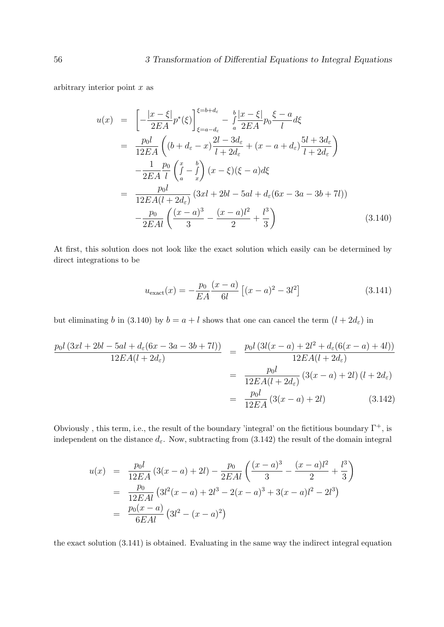arbitrary interior point  $x$  as

$$
u(x) = \left[ -\frac{|x-\xi|}{2EA} p^*(\xi) \right]_{\xi=a-d_{\varepsilon}}^{\xi=b+d_{\varepsilon}} - \frac{b}{a} \frac{|x-\xi|}{2EA} p_0 \frac{\xi-a}{l} d\xi
$$
  
\n
$$
= \frac{p_0 l}{12EA} \left( (b+d_{\varepsilon}-x) \frac{2l-3d_{\varepsilon}}{l+2d_{\varepsilon}} + (x-a+d_{\varepsilon}) \frac{5l+3d_{\varepsilon}}{l+2d_{\varepsilon}} \right)
$$
  
\n
$$
- \frac{1}{2EA} \frac{p_0}{l} \left( \int_a^x - \int_a^b \right) (x-\xi)(\xi-a) d\xi
$$
  
\n
$$
= \frac{p_0 l}{12EA(l+2d_{\varepsilon})} (3xl+2bl-5al+d_{\varepsilon}(6x-3a-3b+7l))
$$
  
\n
$$
- \frac{p_0}{2EAl} \left( \frac{(x-a)^3}{3} - \frac{(x-a)l^2}{2} + \frac{l^3}{3} \right)
$$
 (3.140)

At first, this solution does not look like the exact solution which easily can be determined by direct integrations to be

$$
u_{\text{exact}}(x) = -\frac{p_0}{EA} \frac{(x-a)}{6l} \left[ (x-a)^2 - 3l^2 \right] \tag{3.141}
$$

but eliminating b in (3.140) by  $b = a + l$  shows that one can cancel the term  $(l + 2d_{\varepsilon})$  in

$$
\frac{p_0 l \left(3xl + 2bl - 5al + d_{\varepsilon}(6x - 3a - 3b + 7l)\right)}{12EA(l + 2d_{\varepsilon})} = \frac{p_0 l \left(3l(x - a) + 2l^2 + d_{\varepsilon}(6(x - a) + 4l)\right)}{12EA(l + 2d_{\varepsilon})}
$$

$$
= \frac{p_0 l}{12EA(l + 2d_{\varepsilon})} \left(3(x - a) + 2l\right) (l + 2d_{\varepsilon})
$$

$$
= \frac{p_0 l}{12EA} \left(3(x - a) + 2l\right) \qquad (3.142)
$$

Obviously, this term, i.e., the result of the boundary 'integral' on the fictitious boundary  $\Gamma^+$ , is independent on the distance  $d_{\varepsilon}$ . Now, subtracting from (3.142) the result of the domain integral

$$
u(x) = \frac{p_0 l}{12EA} (3(x-a) + 2l) - \frac{p_0}{2EAl} \left( \frac{(x-a)^3}{3} - \frac{(x-a)l^2}{2} + \frac{l^3}{3} \right)
$$
  
= 
$$
\frac{p_0}{12EAl} (3l^2(x-a) + 2l^3 - 2(x-a)^3 + 3(x-a)l^2 - 2l^3)
$$
  
= 
$$
\frac{p_0(x-a)}{6EAl} (3l^2 - (x-a)^2)
$$

the exact solution (3.141) is obtained. Evaluating in the same way the indirect integral equation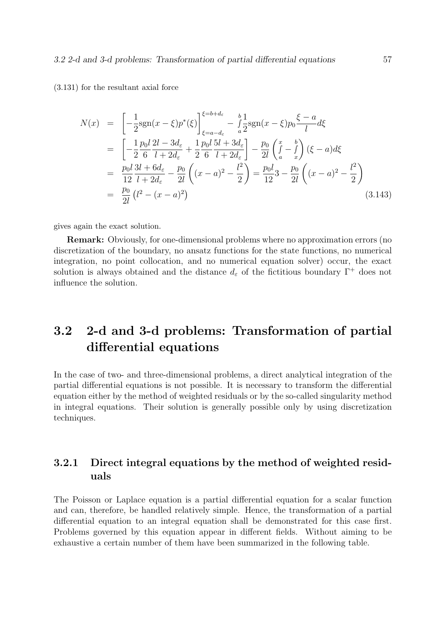(3.131) for the resultant axial force

$$
N(x) = \left[ -\frac{1}{2} \text{sgn}(x - \xi) p^*(\xi) \right]_{\xi = a - d_{\varepsilon}}^{\xi = b + d_{\varepsilon}} - \int_{a}^{b} \frac{1}{2} \text{sgn}(x - \xi) p_0 \frac{\xi - a}{l} d\xi
$$
  
\n
$$
= \left[ -\frac{1}{2} \frac{p_0 l}{6} \frac{2l - 3d_{\varepsilon}}{l + 2d_{\varepsilon}} + \frac{1}{2} \frac{p_0 l}{6} \frac{5l + 3d_{\varepsilon}}{l + 2d_{\varepsilon}} \right] - \frac{p_0}{2l} \left( \int_{a}^{x} - \int_{x}^{b} \right) (\xi - a) d\xi
$$
  
\n
$$
= \frac{p_0 l}{12} \frac{3l + 6d_{\varepsilon}}{l + 2d_{\varepsilon}} - \frac{p_0}{2l} \left( (x - a)^2 - \frac{l^2}{2} \right) = \frac{p_0 l}{12} 3 - \frac{p_0}{2l} \left( (x - a)^2 - \frac{l^2}{2} \right)
$$
  
\n
$$
= \frac{p_0}{2l} \left( l^2 - (x - a)^2 \right) \tag{3.143}
$$

gives again the exact solution.

Remark: Obviously, for one-dimensional problems where no approximation errors (no discretization of the boundary, no ansatz functions for the state functions, no numerical integration, no point collocation, and no numerical equation solver) occur, the exact solution is always obtained and the distance  $d_{\varepsilon}$  of the fictitious boundary  $\Gamma^+$  does not influence the solution.

# 3.2 2-d and 3-d problems: Transformation of partial differential equations

In the case of two- and three-dimensional problems, a direct analytical integration of the partial differential equations is not possible. It is necessary to transform the differential equation either by the method of weighted residuals or by the so-called singularity method in integral equations. Their solution is generally possible only by using discretization techniques.

# 3.2.1 Direct integral equations by the method of weighted residuals

The Poisson or Laplace equation is a partial differential equation for a scalar function and can, therefore, be handled relatively simple. Hence, the transformation of a partial differential equation to an integral equation shall be demonstrated for this case first. Problems governed by this equation appear in different fields. Without aiming to be exhaustive a certain number of them have been summarized in the following table.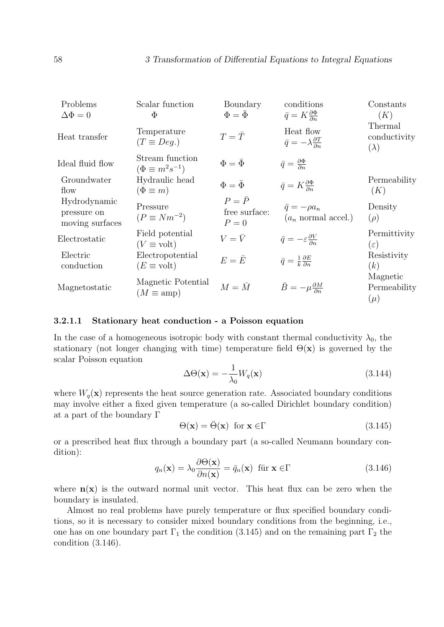| Problems<br>$\Delta \Phi = 0$                  | Scalar function<br>Φ                          | Boundary<br>$\Phi = \bar{\Phi}$         | conditions<br>$\bar{q} = K \frac{\partial \Phi}{\partial n}$    | Constants<br>(K)                       |
|------------------------------------------------|-----------------------------------------------|-----------------------------------------|-----------------------------------------------------------------|----------------------------------------|
| Heat transfer                                  | Temperature<br>$(T \equiv Deq.)$              | $T=\bar{T}$                             | Heat flow<br>$\bar{q} = -\lambda \frac{\partial T}{\partial n}$ | Thermal<br>conductivity<br>$(\lambda)$ |
| Ideal fluid flow                               | Stream function<br>$(\Phi \equiv m^2 s^{-1})$ | $\Phi = \bar{\Phi}$                     | $\bar{q} = \frac{\partial \Phi}{\partial n}$                    |                                        |
| Groundwater<br>flow                            | Hydraulic head<br>$(\Phi \equiv m)$           | $\Phi = \bar{\Phi}$                     | $\bar{q} = K \frac{\partial \Phi}{\partial n}$                  | Permeability<br>(K)                    |
| Hydrodynamic<br>pressure on<br>moving surfaces | Pressure<br>$(P \equiv Nm^{-2})$              | $P = \bar{P}$<br>free surface:<br>$P=0$ | $\bar{q} = -\rho a_n$<br>$(a_n \text{ normal accel.})$          | Density<br>$(\rho)$                    |
| Electrostatic                                  | Field potential<br>$(V \equiv \text{volt})$   | $V=\bar{V}$                             | $\bar{q} = -\varepsilon \frac{\partial V}{\partial n}$          | Permittivity<br>$(\varepsilon)$        |
| Electric<br>conduction                         | Electropotential<br>$(E \equiv \text{volt})$  | $E = \bar{E}$                           | $\bar{q} = \frac{1}{k} \frac{\partial E}{\partial n}$           | Resistivity<br>(k)                     |
| Magnetostatic                                  | Magnetic Potential<br>$(M \equiv \text{amp})$ | $M = \overline{M}$                      | $\bar{B}=-\mu\frac{\partial M}{\partial n}$                     | Magnetic<br>Permeability<br>$(\mu)$    |

### 3.2.1.1 Stationary heat conduction - a Poisson equation

In the case of a homogeneous isotropic body with constant thermal conductivity  $\lambda_0$ , the stationary (not longer changing with time) temperature field  $\Theta(\mathbf{x})$  is governed by the scalar Poisson equation

$$
\Delta\Theta(\mathbf{x}) = -\frac{1}{\lambda_0} W_q(\mathbf{x})
$$
\n(3.144)

where  $W_q(\mathbf{x})$  represents the heat source generation rate. Associated boundary conditions may involve either a fixed given temperature (a so-called Dirichlet boundary condition) at a part of the boundary Γ

$$
\Theta(\mathbf{x}) = \bar{\Theta}(\mathbf{x}) \quad \text{for } \mathbf{x} \in \Gamma \tag{3.145}
$$

or a prescribed heat flux through a boundary part (a so-called Neumann boundary condition):

$$
q_n(\mathbf{x}) = \lambda_0 \frac{\partial \Theta(\mathbf{x})}{\partial n(\mathbf{x})} = \bar{q}_n(\mathbf{x}) \quad \text{für } \mathbf{x} \in \Gamma \tag{3.146}
$$

where  $n(x)$  is the outward normal unit vector. This heat flux can be zero when the boundary is insulated.

Almost no real problems have purely temperature or flux specified boundary conditions, so it is necessary to consider mixed boundary conditions from the beginning, i.e., one has on one boundary part  $\Gamma_1$  the condition (3.145) and on the remaining part  $\Gamma_2$  the condition (3.146).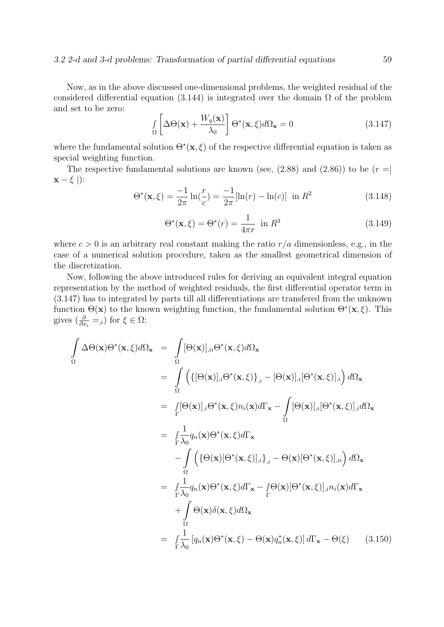Now, as in the above discussed one-dimensional problems, the weighted residual of the considered differential equation (3.144) is integrated over the domain  $\Omega$  of the problem and set to be zero:

$$
\int_{\Omega} \left[ \Delta \Theta(\mathbf{x}) + \frac{W_q(\mathbf{x})}{\lambda_0} \right] \Theta^*(\mathbf{x}, \xi) d\Omega_{\mathbf{x}} = 0 \tag{3.147}
$$

where the fundamental solution  $\Theta^*(\mathbf{x}, \xi)$  of the respective differential equation is taken as special weighting function.

The respective fundamental solutions are known (see,  $(2.88)$ ) and  $(2.86)$ ) to be  $(r =$  $\mathbf{x} - \xi$  |):

$$
\Theta^*(\mathbf{x}, \xi) = \frac{-1}{2\pi} \ln(\frac{r}{c}) = \frac{-1}{2\pi} [\ln(r) - \ln(c)] \text{ in } R^2 \tag{3.148}
$$

$$
\Theta^*(\mathbf{x}, \xi) = \Theta^*(r) = \frac{1}{4\pi r} \text{ in } R^3 \tag{3.149}
$$

where  $c > 0$  is an arbitrary real constant making the ratio  $r/a$  dimensionless, e.g., in the case of a numerical solution procedure, taken as the smallest geometrical dimension of the discretization.

Now, following the above introduced rules for deriving an equivalent integral equation representation by the method of weighted residuals, the first differential operator term in (3.147) has to integrated by parts till all differentiations are transfered from the unknown function  $\Theta(\mathbf{x})$  to the known weighting function, the fundamental solution  $\Theta^*(\mathbf{x}, \xi)$ . This gives  $\left(\frac{\partial}{\partial x_i} = 0\right)$  for  $\xi \in \Omega$ :

$$
\int_{\Omega} \Delta\Theta(\mathbf{x})\Theta^*(\mathbf{x},\xi)d\Omega_{\mathbf{x}} = \int_{\Omega} [\Theta(\mathbf{x})]_{,ii}\Theta^*(\mathbf{x},\xi)d\Omega_{\mathbf{x}} \n= \int_{\Omega} \left( \{ [\Theta(\mathbf{x})]_{,i}\Theta^*(\mathbf{x},\xi) \}_{,i} - [\Theta(\mathbf{x})]_{,i} [\Theta^*(\mathbf{x},\xi)]_{,i} \right) d\Omega_{\mathbf{x}} \n= \int_{\Gamma} [\Theta(\mathbf{x})]_{,i}\Theta^*(\mathbf{x},\xi)n_i(\mathbf{x})d\Gamma_{\mathbf{x}} - \int_{\Omega} [\Theta(\mathbf{x})]_{,i} [\Theta^*(\mathbf{x},\xi)]_{,i} d\Omega_{\mathbf{x}} \n= \int_{\Gamma} \frac{1}{\lambda_0} q_n(\mathbf{x})\Theta^*(\mathbf{x},\xi)d\Gamma_{\mathbf{x}} \n- \int_{\Omega} \left( \{\Theta(\mathbf{x})[\Theta^*(\mathbf{x},\xi)]_{,i} \}_{,i} - \Theta(\mathbf{x})[\Theta^*(\mathbf{x},\xi)]_{,ii} \right) d\Omega_{\mathbf{x}} \n= \int_{\Gamma} \frac{1}{\lambda_0} q_n(\mathbf{x})\Theta^*(\mathbf{x},\xi)d\Gamma_{\mathbf{x}} - \int_{\Gamma} \Theta(\mathbf{x})[\Theta^*(\mathbf{x},\xi)]_{,i} n_i(\mathbf{x})d\Gamma_{\mathbf{x}} \n+ \int_{\Omega} \Theta(\mathbf{x})\delta(\mathbf{x},\xi)d\Omega_{\mathbf{x}} \n= \int_{\Gamma} \frac{1}{\lambda_0} [q_n(\mathbf{x})\Theta^*(\mathbf{x},\xi) - \Theta(\mathbf{x})q_n^*(\mathbf{x},\xi)] d\Gamma_{\mathbf{x}} - \Theta(\xi)
$$
\n(3.150)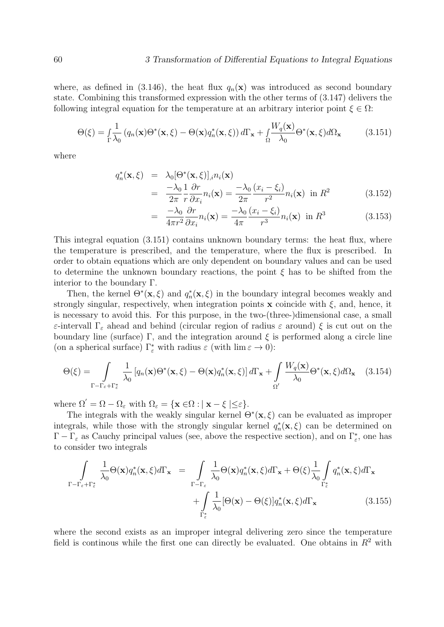where, as defined in (3.146), the heat flux  $q_n(\mathbf{x})$  was introduced as second boundary state. Combining this transformed expression with the other terms of (3.147) delivers the following integral equation for the temperature at an arbitrary interior point  $\xi \in \Omega$ :

$$
\Theta(\xi) = \int_{\Gamma} \frac{1}{\lambda_0} \left( q_n(\mathbf{x}) \Theta^*(\mathbf{x}, \xi) - \Theta(\mathbf{x}) q_n^*(\mathbf{x}, \xi) \right) d\Gamma_{\mathbf{x}} + \int_{\Omega} \frac{W_q(\mathbf{x})}{\lambda_0} \Theta^*(\mathbf{x}, \xi) d\Omega_{\mathbf{x}} \tag{3.151}
$$

where

$$
q_n^*(\mathbf{x}, \xi) = \lambda_0 [\Theta^*(\mathbf{x}, \xi)]_i n_i(\mathbf{x})
$$
  
= 
$$
\frac{-\lambda_0}{2\pi} \frac{1}{r} \frac{\partial r}{\partial x_i} n_i(\mathbf{x}) = \frac{-\lambda_0}{2\pi} \frac{(x_i - \xi_i)}{r^2} n_i(\mathbf{x}) \text{ in } R^2
$$
 (3.152)

$$
= \frac{-\lambda_0}{4\pi r^2} \frac{\partial r}{\partial x_i} n_i(\mathbf{x}) = \frac{-\lambda_0}{4\pi} \frac{(x_i - \xi_i)}{r^3} n_i(\mathbf{x}) \text{ in } R^3 \tag{3.153}
$$

This integral equation (3.151) contains unknown boundary terms: the heat flux, where the temperature is prescribed, and the temperature, where the flux is prescribed. In order to obtain equations which are only dependent on boundary values and can be used to determine the unknown boundary reactions, the point  $\xi$  has to be shifted from the interior to the boundary Γ.

Then, the kernel  $\Theta^*(\mathbf{x}, \xi)$  and  $q_n^*(\mathbf{x}, \xi)$  in the boundary integral becomes weakly and strongly singular, respectively, when integration points  $x$  coincide with  $\xi$ , and, hence, it is necessary to avoid this. For this purpose, in the two-(three-)dimensional case, a small ε-intervall Γ<sup>ε</sup> ahead and behind (circular region of radius ε around) ξ is cut out on the boundary line (surface) Γ, and the integration around  $\xi$  is performed along a circle line (on a spherical surface)  $\Gamma_{\varepsilon}^{*}$  with radius  $\varepsilon$  (with  $\lim \varepsilon \to 0$ ):

$$
\Theta(\xi) = \int_{\Gamma - \Gamma_{\varepsilon} + \Gamma_{\varepsilon}^*} \frac{1}{\lambda_0} \left[ q_n(\mathbf{x}) \Theta^*(\mathbf{x}, \xi) - \Theta(\mathbf{x}) q_n^*(\mathbf{x}, \xi) \right] d\Gamma_{\mathbf{x}} + \int_{\Omega'} \frac{W_q(\mathbf{x})}{\lambda_0} \Theta^*(\mathbf{x}, \xi) d\Omega_{\mathbf{x}} \quad (3.154)
$$

where  $\Omega' = \Omega - \Omega_{\varepsilon}$  with  $\Omega_{\varepsilon} = {\mathbf{x} \in \Omega : |\mathbf{x} - \xi| \leq \varepsilon}.$ 

The integrals with the weakly singular kernel  $\Theta^*(\mathbf{x}, \xi)$  can be evaluated as improper integrals, while those with the strongly singular kernel  $q_n^*(\mathbf{x}, \xi)$  can be determined on  $\Gamma-\Gamma_{\varepsilon}$  as Cauchy principal values (see, above the respective section), and on  $\Gamma_{\varepsilon}^{*}$ , one has to consider two integrals

$$
\int_{\Gamma-\Gamma_{\varepsilon}+\Gamma_{\varepsilon}^{*}}\frac{1}{\lambda_{0}}\Theta(\mathbf{x})q_{n}^{*}(\mathbf{x},\xi)d\Gamma_{\mathbf{x}} = \int_{\Gamma-\Gamma_{\varepsilon}}\frac{1}{\lambda_{0}}\Theta(\mathbf{x})q_{n}^{*}(\mathbf{x},\xi)d\Gamma_{\mathbf{x}} + \Theta(\xi)\frac{1}{\lambda_{0}}\int_{\Gamma_{\varepsilon}^{*}}q_{n}^{*}(\mathbf{x},\xi)d\Gamma_{\mathbf{x}} + \int_{\Gamma_{\varepsilon}^{*}}\frac{1}{\lambda_{0}}[\Theta(\mathbf{x})-\Theta(\xi)]q_{n}^{*}(\mathbf{x},\xi)d\Gamma_{\mathbf{x}}
$$
\n(3.155)

where the second exists as an improper integral delivering zero since the temperature field is continous while the first one can directly be evaluated. One obtains in  $R<sup>2</sup>$  with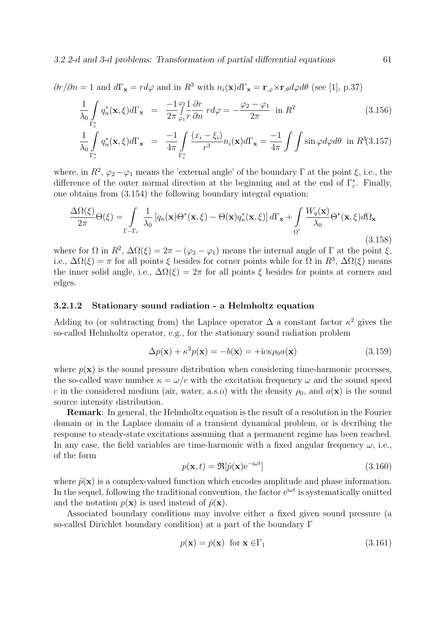$$
\partial r/\partial n = 1
$$
 and  $d\Gamma_x = r d\varphi$  and in  $R^3$  with  $n_i(x)d\Gamma_x = \mathbf{r}_{,\varphi} \times \mathbf{r}_{,\theta} d\varphi d\theta$  (see [1], p.37)

$$
\frac{1}{\lambda_0} \int\limits_{\Gamma_{\varepsilon}^*} q_n^*(\mathbf{x}, \xi) d\Gamma_{\mathbf{x}} = \frac{-1}{2\pi} \int\limits_{\varphi_1}^{\varphi_2} \frac{1}{r} \frac{\partial r}{\partial n} r d\varphi = -\frac{\varphi_2 - \varphi_1}{2\pi} \text{ in } R^2 \tag{3.156}
$$

$$
\frac{1}{\lambda_0} \int\limits_{\Gamma_{\varepsilon}^*} q_n^*(\mathbf{x}, \xi) d\Gamma_{\mathbf{x}} = \frac{-1}{4\pi} \int\limits_{\Gamma_{\varepsilon}^*} \frac{(x_i - \xi_i)}{r^3} n_i(\mathbf{x}) d\Gamma_{\mathbf{x}} = \frac{-1}{4\pi} \int\int \sin \varphi d\varphi d\theta \text{ in } R^3(3.157)
$$

where, in  $R^2$ ,  $\varphi_2 - \varphi_1$  means the 'external angle' of the boundary  $\Gamma$  at the point  $\xi$ , i.e., the difference of the outer normal direction at the beginning and at the end of  $\Gamma_{\varepsilon}^*$ . Finally, one obtains from (3.154) the following boundary integral equation:

$$
\frac{\Delta\Omega(\xi)}{2\pi}\Theta(\xi) = \int_{\Gamma-\Gamma_{\varepsilon}} \frac{1}{\lambda_0} \left[ q_n(\mathbf{x})\Theta^*(\mathbf{x},\xi) - \Theta(\mathbf{x}) q_n^*(\mathbf{x},\xi) \right] d\Gamma_{\mathbf{x}} + \int_{\Omega'} \frac{W_q(\mathbf{x})}{\lambda_0} \Theta^*(\mathbf{x},\xi) d\Omega_{\mathbf{x}} \tag{3.158}
$$

where for  $\Omega$  in  $R^2$ ,  $\Delta\Omega(\xi) = 2\pi - (\varphi_2 - \varphi_1)$  means the internal angle of  $\Gamma$  at the point  $\xi$ , i.e.,  $\Delta\Omega(\xi) = \pi$  for all points  $\xi$  besides for corner points while for  $\Omega$  in  $R^3$ ,  $\Delta\Omega(\xi)$  means the inner solid angle, i.e.,  $\Delta\Omega(\xi) = 2\pi$  for all points  $\xi$  besides for points at corners and edges.

### 3.2.1.2 Stationary sound radiation - a Helmholtz equation

Adding to (or subtracting from) the Laplace operator  $\Delta$  a constant factor  $\kappa^2$  gives the so-called Helmholtz operator, e.g., for the stationary sound radiation problem

$$
\Delta p(\mathbf{x}) + \kappa^2 p(\mathbf{x}) = -b(\mathbf{x}) = +\mathrm{i}c\kappa \rho_0 a(\mathbf{x}) \tag{3.159}
$$

where  $p(\mathbf{x})$  is the sound pressure distribution when considering time-harmonic processes, the so-called wave number  $\kappa = \omega/c$  with the excitation frequency  $\omega$  and the sound speed c in the considered medium (air, water, a.s.o) with the density  $\rho_0$ , and  $a(\mathbf{x})$  is the sound source intensity distribution.

Remark: In general, the Helmholtz equation is the result of a resolution in the Fourier domain or in the Laplace domain of a transient dynamical problem, or is decribing the response to steady-state excitations assuming that a permanent regime has been reached. In any case, the field variables are time-harmonic with a fixed angular frequency  $\omega$ , i.e., of the form

$$
p(\mathbf{x},t) = \Re[\hat{p}(\mathbf{x})e^{-i\omega t}]
$$
\n(3.160)

where  $\hat{p}(\mathbf{x})$  is a complex-valued function which encodes amplitude and phase information. In the sequel, following the traditional convention, the factor  $e^{i\omega t}$  is systematically omitted and the notation  $p(\mathbf{x})$  is used instead of  $\hat{p}(\mathbf{x})$ .

Associated boundary conditions may involve either a fixed given sound pressure (a so-called Dirichlet boundary condition) at a part of the boundary Γ

$$
p(\mathbf{x}) = \bar{p}(\mathbf{x}) \text{ for } \mathbf{x} \in \Gamma_1 \tag{3.161}
$$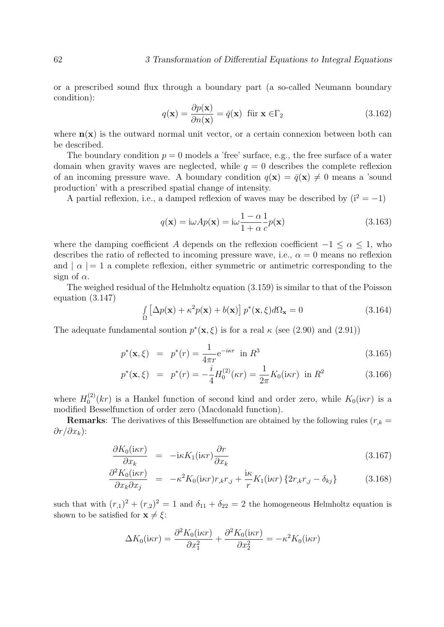or a prescribed sound flux through a boundary part (a so-called Neumann boundary condition):

$$
q(\mathbf{x}) = \frac{\partial p(\mathbf{x})}{\partial n(\mathbf{x})} = \bar{q}(\mathbf{x}) \quad \text{für } \mathbf{x} \in \Gamma_2 \tag{3.162}
$$

where  $n(x)$  is the outward normal unit vector, or a certain connexion between both can be described.

The boundary condition  $p = 0$  models a 'free' surface, e.g., the free surface of a water domain when gravity waves are neglected, while  $q = 0$  describes the complete reflexion of an incoming pressure wave. A boundary condition  $q(\mathbf{x}) = \bar{q}(\mathbf{x}) \neq 0$  means a 'sound production' with a prescribed spatial change of intensity.

A partial reflexion, i.e., a damped reflexion of waves may be described by  $(i^2 = -1)$ 

$$
q(\mathbf{x}) = i\omega A p(\mathbf{x}) = i\omega \frac{1-\alpha}{1+\alpha} \frac{1}{c} p(\mathbf{x})
$$
\n(3.163)

where the damping coefficient A depends on the reflexion coefficient  $-1 \leq \alpha \leq 1$ , who describes the ratio of reflected to incoming pressure wave, i.e.,  $\alpha = 0$  means no reflexion and  $| \alpha | = 1$  a complete reflexion, either symmetric or antimetric corresponding to the sign of  $\alpha$ .

The weighed residual of the Helmholtz equation (3.159) is similar to that of the Poisson equation (3.147)

$$
\int_{\Omega} \left[ \Delta p(\mathbf{x}) + \kappa^2 p(\mathbf{x}) + b(\mathbf{x}) \right] p^*(\mathbf{x}, \xi) d\Omega_{\mathbf{x}} = 0 \tag{3.164}
$$

The adequate fundamental soution  $p^*(\mathbf{x}, \xi)$  is for a real  $\kappa$  (see (2.90) and (2.91))

$$
p^*(\mathbf{x}, \xi) = p^*(r) = \frac{1}{4\pi r} e^{-i\kappa r} \text{ in } R^3
$$
 (3.165)

$$
p^*(\mathbf{x}, \xi) = p^*(r) = -\frac{i}{4} H_0^{(2)}(\kappa r) = \frac{1}{2\pi} K_0(i\kappa r) \text{ in } R^2
$$
 (3.166)

where  $H_0^{(2)}$  $\int_0^{(2)} (kr)$  is a Hankel function of second kind and order zero, while  $K_0(i\kappa r)$  is a modified Besselfunction of order zero (Macdonald function).

**Remarks:** The derivatives of this Besselfunction are obtained by the following rules ( $r_k =$  $\partial r/\partial x_k$ ):

$$
\frac{\partial K_0(i\kappa r)}{\partial x_k} = -i\kappa K_1(i\kappa r) \frac{\partial r}{\partial x_k} \tag{3.167}
$$

$$
\frac{\partial^2 K_0(i\kappa r)}{\partial x_k \partial x_j} = -\kappa^2 K_0(i\kappa r) r_{,k} r_{,j} + \frac{i\kappa}{r} K_1(i\kappa r) \left\{ 2r_{,k} r_{,j} - \delta_{kj} \right\} \tag{3.168}
$$

such that with  $(r_{,1})^2 + (r_{,2})^2 = 1$  and  $\delta_{11} + \delta_{22} = 2$  the homogeneous Helmholtz equation is shown to be satisfied for  $\mathbf{x} \neq \xi$ :

$$
\Delta K_0(i\kappa r) = \frac{\partial^2 K_0(i\kappa r)}{\partial x_1^2} + \frac{\partial^2 K_0(i\kappa r)}{\partial x_2^2} = -\kappa^2 K_0(i\kappa r)
$$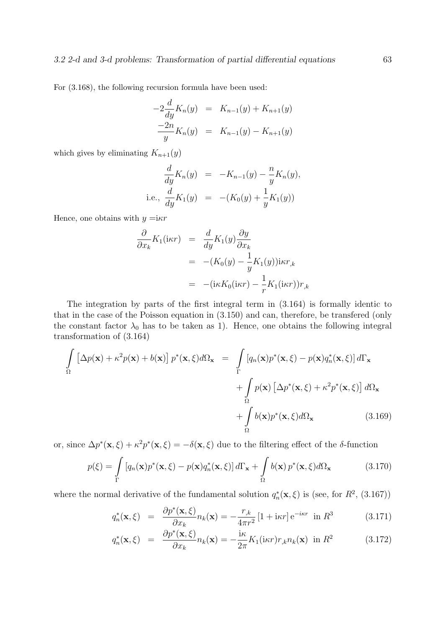For (3.168), the following recursion formula have been used:

$$
-2\frac{d}{dy}K_n(y) = K_{n-1}(y) + K_{n+1}(y)
$$
  

$$
\frac{-2n}{y}K_n(y) = K_{n-1}(y) - K_{n+1}(y)
$$

which gives by eliminating  $K_{n+1}(y)$ 

$$
\frac{d}{dy}K_n(y) = -K_{n-1}(y) - \frac{n}{y}K_n(y),
$$
  
i.e., 
$$
\frac{d}{dy}K_1(y) = -(K_0(y) + \frac{1}{y}K_1(y))
$$

Hence, one obtains with  $y = i \kappa r$ 

$$
\frac{\partial}{\partial x_k} K_1(i\kappa r) = \frac{d}{dy} K_1(y) \frac{\partial y}{\partial x_k}
$$
  
= -(K\_0(y) - \frac{1}{y} K\_1(y)) i\kappa r\_{,k}  
= -(i\kappa K\_0(i\kappa r) - \frac{1}{r} K\_1(i\kappa r)) r\_{,k}

The integration by parts of the first integral term in (3.164) is formally identic to that in the case of the Poisson equation in (3.150) and can, therefore, be transfered (only the constant factor  $\lambda_0$  has to be taken as 1). Hence, one obtains the following integral transformation of (3.164)

$$
\int_{\Omega} \left[ \Delta p(\mathbf{x}) + \kappa^2 p(\mathbf{x}) + b(\mathbf{x}) \right] p^*(\mathbf{x}, \xi) d\Omega_{\mathbf{x}} = \int_{\Gamma} \left[ q_n(\mathbf{x}) p^*(\mathbf{x}, \xi) - p(\mathbf{x}) q_n^*(\mathbf{x}, \xi) \right] d\Gamma_{\mathbf{x}} \n+ \int_{\Omega} p(\mathbf{x}) \left[ \Delta p^*(\mathbf{x}, \xi) + \kappa^2 p^*(\mathbf{x}, \xi) \right] d\Omega_{\mathbf{x}} \n+ \int_{\Omega} b(\mathbf{x}) p^*(\mathbf{x}, \xi) d\Omega_{\mathbf{x}} \qquad (3.169)
$$

or, since  $\Delta p^*(\mathbf{x}, \xi) + \kappa^2 p^*(\mathbf{x}, \xi) = -\delta(\mathbf{x}, \xi)$  due to the filtering effect of the δ-function

$$
p(\xi) = \int_{\Gamma} \left[ q_n(\mathbf{x}) p^*(\mathbf{x}, \xi) - p(\mathbf{x}) q_n^*(\mathbf{x}, \xi) \right] d\Gamma_{\mathbf{x}} + \int_{\Omega} b(\mathbf{x}) p^*(\mathbf{x}, \xi) d\Omega_{\mathbf{x}} \tag{3.170}
$$

where the normal derivative of the fundamental solution  $q_n^*(\mathbf{x}, \xi)$  is (see, for  $R^2$ , (3.167))

$$
q_n^*(\mathbf{x}, \xi) = \frac{\partial p^*(\mathbf{x}, \xi)}{\partial x_k} n_k(\mathbf{x}) = -\frac{r_{,k}}{4\pi r^2} \left[1 + i\kappa r\right] e^{-i\kappa r} \text{ in } R^3 \tag{3.171}
$$

$$
q_n^*(\mathbf{x}, \xi) = \frac{\partial p^*(\mathbf{x}, \xi)}{\partial x_k} n_k(\mathbf{x}) = -\frac{\mathrm{i}\kappa}{2\pi} K_1(\mathrm{i}\kappa r) r_{,k} n_k(\mathbf{x}) \text{ in } R^2 \tag{3.172}
$$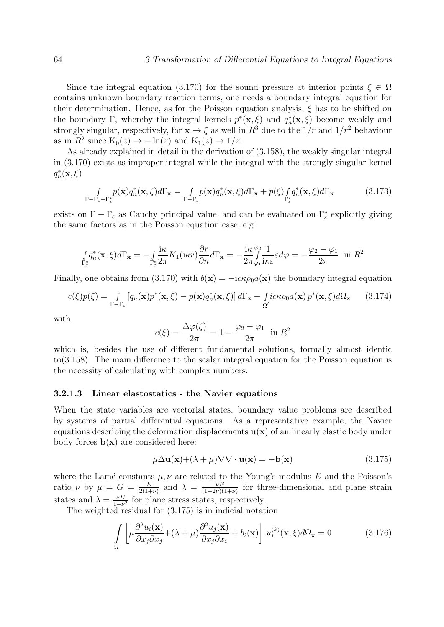Since the integral equation (3.170) for the sound pressure at interior points  $\xi \in \Omega$ contains unknown boundary reaction terms, one needs a boundary integral equation for their determination. Hence, as for the Poisson equation analysis,  $\xi$  has to be shifted on the boundary Γ, whereby the integral kernels  $p^*(\mathbf{x}, \xi)$  and  $q_n^*(\mathbf{x}, \xi)$  become weakly and strongly singular, respectively, for  $\mathbf{x} \to \xi$  as well in  $R^3$  due to the  $1/r$  and  $1/r^2$  behaviour as in  $R^2$  since  $K_0(z) \to -\ln(z)$  and  $K_1(z) \to 1/z$ .

As already explained in detail in the derivation of (3.158), the weakly singular integral in (3.170) exists as improper integral while the integral with the strongly singular kernel  $q_n^*(\mathbf{x}, \xi)$ 

$$
\int_{\Gamma-\Gamma_{\varepsilon}+\Gamma_{\varepsilon}^*} p(\mathbf{x}) q_n^*(\mathbf{x}, \xi) d\Gamma_{\mathbf{x}} = \int_{\Gamma-\Gamma_{\varepsilon}} p(\mathbf{x}) q_n^*(\mathbf{x}, \xi) d\Gamma_{\mathbf{x}} + p(\xi) \int_{\Gamma_{\varepsilon}^*} q_n^*(\mathbf{x}, \xi) d\Gamma_{\mathbf{x}} \tag{3.173}
$$

exists on  $\Gamma - \Gamma_{\varepsilon}$  as Cauchy principal value, and can be evaluated on  $\Gamma_{\varepsilon}^*$  explicitly giving the same factors as in the Poisson equation case, e.g.:

$$
\int_{\Gamma_{\varepsilon}^{*}} q_{n}^{*}(\mathbf{x}, \xi) d\Gamma_{\mathbf{x}} = -\int_{\Gamma_{\varepsilon}^{*}} \frac{i\kappa}{2\pi} K_{1}(i\kappa r) \frac{\partial r}{\partial n} d\Gamma_{\mathbf{x}} = -\frac{i\kappa}{2\pi} \int_{\varphi_{1}}^{\varphi_{2}} \frac{1}{i\kappa \varepsilon} \varepsilon d\varphi = -\frac{\varphi_{2} - \varphi_{1}}{2\pi} \text{ in } R^{2}
$$

Finally, one obtains from (3.170) with  $b(\mathbf{x}) = -i c \kappa \rho_0 a(\mathbf{x})$  the boundary integral equation

$$
c(\xi)p(\xi) = \int_{\Gamma-\Gamma_{\varepsilon}} [q_n(\mathbf{x})p^*(\mathbf{x}, \xi) - p(\mathbf{x})q_n^*(\mathbf{x}, \xi)] d\Gamma_{\mathbf{x}} - \int \underset{\Omega'}{i c \kappa \rho_0 a(\mathbf{x})} p^*(\mathbf{x}, \xi) d\Omega_{\mathbf{x}} \qquad (3.174)
$$

with

$$
c(\xi) = \frac{\Delta \varphi(\xi)}{2\pi} = 1 - \frac{\varphi_2 - \varphi_1}{2\pi} \text{ in } R^2
$$

which is, besides the use of different fundamental solutions, formally almost identic to(3.158). The main difference to the scalar integral equation for the Poisson equation is the necessity of calculating with complex numbers.

### 3.2.1.3 Linear elastostatics - the Navier equations

When the state variables are vectorial states, boundary value problems are described by systems of partial differential equations. As a representative example, the Navier equations describing the deformation displacements  $\mathbf{u}(\mathbf{x})$  of an linearly elastic body under body forces  $\mathbf{b}(\mathbf{x})$  are considered here:

$$
\mu \Delta \mathbf{u}(\mathbf{x}) + (\lambda + \mu) \nabla \nabla \cdot \mathbf{u}(\mathbf{x}) = -\mathbf{b}(\mathbf{x})
$$
\n(3.175)

where the Lamé constants  $\mu, \nu$  are related to the Young's modulus E and the Poisson's ratio  $\nu$  by  $\mu = G = \frac{E}{2(1+\nu)}$  $\frac{E}{2(1+\nu)}$  and  $\lambda = \frac{\nu E}{(1-2\nu)(1-\nu)}$  $\frac{\nu E}{(1-2\nu)(1+\nu)}$  for three-dimensional and plane strain states and  $\lambda = \frac{\nu E}{1 - \nu}$  $\frac{\nu E}{1-\nu^2}$  for plane stress states, respectively.

The weighted residual for (3.175) is in indicial notation

$$
\int_{\Omega} \left[ \mu \frac{\partial^2 u_i(\mathbf{x})}{\partial x_j \partial x_j} + (\lambda + \mu) \frac{\partial^2 u_j(\mathbf{x})}{\partial x_j \partial x_i} + b_i(\mathbf{x}) \right] u_i^{(k)}(\mathbf{x}, \xi) d\Omega_{\mathbf{x}} = 0 \tag{3.176}
$$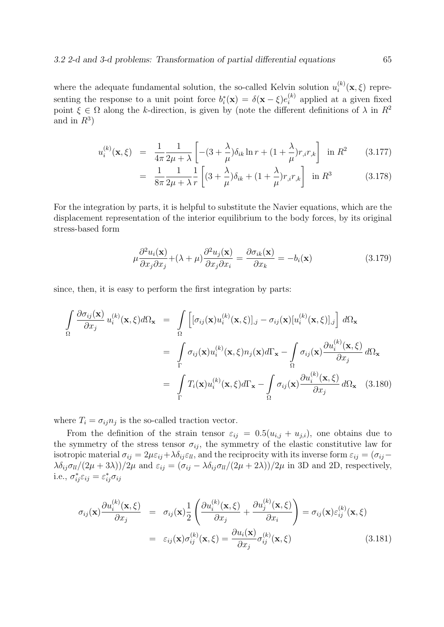where the adequate fundamental solution, the so-called Kelvin solution  $u_i^{(k)}$  $i^{(\kappa)}(\mathbf{x},\xi)$  representing the response to a unit point force  $b_i^*(\mathbf{x}) = \delta(\mathbf{x} - \xi)e_i^{(k)}$  $i^{(k)}$  applied at a given fixed point  $\xi \in \Omega$  along the k-direction, is given by (note the different definitions of  $\lambda$  in  $R^2$ and in  $R^3$ )

$$
u_i^{(k)}(\mathbf{x}, \xi) = \frac{1}{4\pi} \frac{1}{2\mu + \lambda} \left[ -(3 + \frac{\lambda}{\mu}) \delta_{ik} \ln r + (1 + \frac{\lambda}{\mu}) r_{,i} r_{,k} \right] \text{ in } R^2 \qquad (3.177)
$$

$$
= \frac{1}{8\pi} \frac{1}{2\mu + \lambda} \frac{1}{r} \left[ (3 + \frac{\lambda}{\mu}) \delta_{ik} + (1 + \frac{\lambda}{\mu}) r_{,i} r_{,k} \right] \text{ in } R^3 \tag{3.178}
$$

For the integration by parts, it is helpful to substitute the Navier equations, which are the displacement representation of the interior equilibrium to the body forces, by its original stress-based form

$$
\mu \frac{\partial^2 u_i(\mathbf{x})}{\partial x_j \partial x_j} + (\lambda + \mu) \frac{\partial^2 u_j(\mathbf{x})}{\partial x_j \partial x_i} = \frac{\partial \sigma_{ik}(\mathbf{x})}{\partial x_k} = -b_i(\mathbf{x})
$$
\n(3.179)

since, then, it is easy to perform the first integration by parts:

$$
\int_{\Omega} \frac{\partial \sigma_{ij}(\mathbf{x})}{\partial x_j} u_i^{(k)}(\mathbf{x}, \xi) d\Omega_{\mathbf{x}} = \int_{\Omega} \left[ [\sigma_{ij}(\mathbf{x}) u_i^{(k)}(\mathbf{x}, \xi)]_{,j} - \sigma_{ij}(\mathbf{x}) [u_i^{(k)}(\mathbf{x}, \xi)]_{,j} \right] d\Omega_{\mathbf{x}}
$$
\n
$$
= \int_{\Gamma} \sigma_{ij}(\mathbf{x}) u_i^{(k)}(\mathbf{x}, \xi) n_j(\mathbf{x}) d\Gamma_{\mathbf{x}} - \int_{\Omega} \sigma_{ij}(\mathbf{x}) \frac{\partial u_i^{(k)}(\mathbf{x}, \xi)}{\partial x_j} d\Omega_{\mathbf{x}}
$$
\n
$$
= \int_{\Gamma} T_i(\mathbf{x}) u_i^{(k)}(\mathbf{x}, \xi) d\Gamma_{\mathbf{x}} - \int_{\Omega} \sigma_{ij}(\mathbf{x}) \frac{\partial u_i^{(k)}(\mathbf{x}, \xi)}{\partial x_j} d\Omega_{\mathbf{x}} \quad (3.180)
$$

where  $T_i = \sigma_{ij} n_j$  is the so-called traction vector.

From the definition of the strain tensor  $\varepsilon_{ij} = 0.5(u_{i,j} + u_{j,i})$ , one obtains due to the symmetry of the stress tensor  $\sigma_{ij}$ , the symmetry of the elastic constitutive law for isotropic material  $\sigma_{ij} = 2\mu\varepsilon_{ij} + \lambda \delta_{ij}\varepsilon_{ll}$ , and the reciprocity with its inverse form  $\varepsilon_{ij} = (\sigma_{ij} - \sigma_{il})$  $\lambda \delta_{ij} \sigma_{ll}/(2\mu + 3\lambda)/2\mu$  and  $\varepsilon_{ij} = (\sigma_{ij} - \lambda \delta_{ij} \sigma_{ll}/(2\mu + 2\lambda))/2\mu$  in 3D and 2D, respectively, i.e.,  $\sigma_{ij}^* \varepsilon_{ij} = \varepsilon_{ij}^* \sigma_{ij}$ 

$$
\sigma_{ij}(\mathbf{x}) \frac{\partial u_i^{(k)}(\mathbf{x}, \xi)}{\partial x_j} = \sigma_{ij}(\mathbf{x}) \frac{1}{2} \left( \frac{\partial u_i^{(k)}(\mathbf{x}, \xi)}{\partial x_j} + \frac{\partial u_j^{(k)}(\mathbf{x}, \xi)}{\partial x_i} \right) = \sigma_{ij}(\mathbf{x}) \varepsilon_{ij}^{(k)}(\mathbf{x}, \xi)
$$

$$
= \varepsilon_{ij}(\mathbf{x}) \sigma_{ij}^{(k)}(\mathbf{x}, \xi) = \frac{\partial u_i(\mathbf{x})}{\partial x_j} \sigma_{ij}^{(k)}(\mathbf{x}, \xi)
$$
(3.181)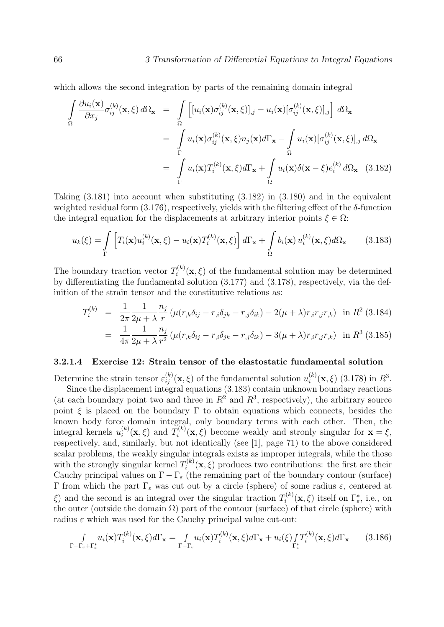which allows the second integration by parts of the remaining domain integral

$$
\int_{\Omega} \frac{\partial u_i(\mathbf{x})}{\partial x_j} \sigma_{ij}^{(k)}(\mathbf{x}, \xi) d\Omega_{\mathbf{x}} = \int_{\Omega} \left[ [u_i(\mathbf{x}) \sigma_{ij}^{(k)}(\mathbf{x}, \xi)]_{,j} - u_i(\mathbf{x}) [\sigma_{ij}^{(k)}(\mathbf{x}, \xi)]_{,j} \right] d\Omega_{\mathbf{x}}
$$
\n
$$
= \int_{\Gamma} u_i(\mathbf{x}) \sigma_{ij}^{(k)}(\mathbf{x}, \xi) n_j(\mathbf{x}) d\Gamma_{\mathbf{x}} - \int_{\Omega} u_i(\mathbf{x}) [\sigma_{ij}^{(k)}(\mathbf{x}, \xi)]_{,j} d\Omega_{\mathbf{x}}
$$
\n
$$
= \int_{\Gamma} u_i(\mathbf{x}) T_i^{(k)}(\mathbf{x}, \xi) d\Gamma_{\mathbf{x}} + \int_{\Omega} u_i(\mathbf{x}) \delta(\mathbf{x} - \xi) e_i^{(k)} d\Omega_{\mathbf{x}} \quad (3.182)
$$

Taking (3.181) into account when substituting (3.182) in (3.180) and in the equivalent weighted residual form  $(3.176)$ , respectively, yields with the filtering effect of the  $\delta$ -function the integral equation for the displacements at arbitrary interior points  $\xi \in \Omega$ :

$$
u_k(\xi) = \int\limits_{\Gamma} \left[ T_i(\mathbf{x}) u_i^{(k)}(\mathbf{x}, \xi) - u_i(\mathbf{x}) T_i^{(k)}(\mathbf{x}, \xi) \right] d\Gamma_{\mathbf{x}} + \int\limits_{\Omega} b_i(\mathbf{x}) u_i^{(k)}(\mathbf{x}, \xi) d\Omega_{\mathbf{x}} \tag{3.183}
$$

The boundary traction vector  $T_i^{(k)}$  $i^{(k)}(\mathbf{x}, \xi)$  of the fundamental solution may be determined by differentiating the fundamental solution (3.177) and (3.178), respectively, via the definition of the strain tensor and the constitutive relations as:

$$
T_i^{(k)} = \frac{1}{2\pi} \frac{1}{2\mu + \lambda} \frac{n_j}{r} \left( \mu(r_{,k}\delta_{ij} - r_{,i}\delta_{jk} - r_{,j}\delta_{ik}) - 2(\mu + \lambda)r_{,i}r_{,j}r_{,k} \right) \text{ in } R^2 \text{ (3.184)}
$$

$$
= \frac{1}{4\pi} \frac{1}{2\mu + \lambda} \frac{n_j}{r^2} \left( \mu(r_{,k}\delta_{ij} - r_{,i}\delta_{jk} - r_{,j}\delta_{ik}) - 3(\mu + \lambda)r_{,i}r_{,j}r_{,k} \right) \text{ in } R^3 \text{ (3.185)}
$$

### 3.2.1.4 Exercise 12: Strain tensor of the elastostatic fundamental solution

Determine the strain tensor  $\varepsilon_{ij}^{(k)}(\mathbf{x}, \xi)$  of the fundamental solution  $u_i^{(k)}$  $i_i^{(k)}(\mathbf{x}, \xi)$  (3.178) in  $R^3$ .

Since the displacement integral equations (3.183) contain unknown boundary reactions (at each boundary point two and three in  $R^2$  and  $R^3$ , respectively), the arbitrary source point  $\xi$  is placed on the boundary  $\Gamma$  to obtain equations which connects, besides the known body force domain integral, only boundary terms with each other. Then, the integral kernels  $u_i^{(k)}$  $i^{(k)}(\mathbf{x},\xi)$  and  $T_i^{(k)}$  $\mathbf{x}^{(k)}(\mathbf{x},\xi)$  become weakly and stronly singular for  $\mathbf{x} = \xi$ , respectively, and, similarly, but not identically (see [1], page 71) to the above considered scalar problems, the weakly singular integrals exists as improper integrals, while the those with the strongly singular kernel  $T_i^{(k)}$  $i^{(k)}(\mathbf{x}, \xi)$  produces two contributions: the first are their Cauchy principal values on  $\Gamma - \Gamma_{\varepsilon}$  (the remaining part of the boundary contour (surface) Γ from which the part  $\Gamma_{\varepsilon}$  was cut out by a circle (sphere) of some radius  $\varepsilon$ , centered at  $\xi$ ) and the second is an integral over the singular traction  $T_i^{(k)}$  $\Gamma_i^{(k)}(\mathbf{x},\xi)$  itself on  $\Gamma_{\varepsilon}^*$ , i.e., on the outer (outside the domain  $\Omega$ ) part of the contour (surface) of that circle (sphere) with radius  $\varepsilon$  which was used for the Cauchy principal value cut-out:

$$
\int_{\Gamma-\Gamma_{\varepsilon}+\Gamma_{\varepsilon}^*} u_i(\mathbf{x}) T_i^{(k)}(\mathbf{x},\xi) d\Gamma_{\mathbf{x}} = \int_{\Gamma-\Gamma_{\varepsilon}} u_i(\mathbf{x}) T_i^{(k)}(\mathbf{x},\xi) d\Gamma_{\mathbf{x}} + u_i(\xi) \int_{\Gamma_{\varepsilon}^*} T_i^{(k)}(\mathbf{x},\xi) d\Gamma_{\mathbf{x}} \tag{3.186}
$$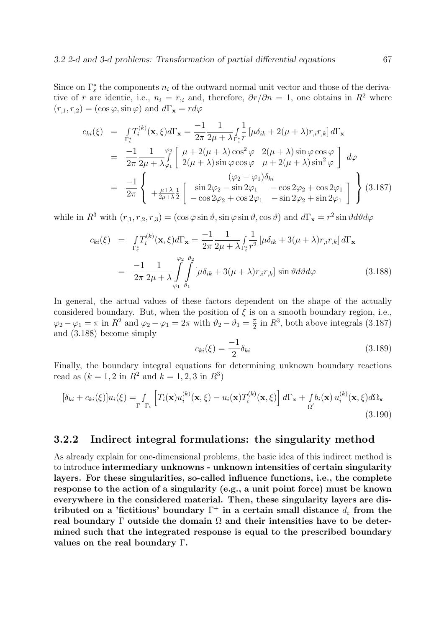Since on  $\Gamma_{\varepsilon}^*$  the components  $n_i$  of the outward normal unit vector and those of the derivative of r are identic, i.e.,  $n_i = r_{i}$  and, therefore,  $\partial r / \partial n = 1$ , one obtains in R<sup>2</sup> where  $(r_{.1}, r_{.2}) = (\cos \varphi, \sin \varphi)$  and  $d\Gamma_{\mathbf{x}} = r d\varphi$ 

$$
c_{ki}(\xi) = \int_{\Gamma_{\varepsilon}^{*}} T_{i}^{(k)}(\mathbf{x}, \xi) d\Gamma_{\mathbf{x}} = \frac{-1}{2\pi} \frac{1}{2\mu + \lambda} \int_{\Gamma_{\varepsilon}^{*}}^{1} [\mu \delta_{ik} + 2(\mu + \lambda) r_{,i} r_{,k}] d\Gamma_{\mathbf{x}}
$$
  
\n
$$
= \frac{-1}{2\pi} \frac{1}{2\mu + \lambda} \int_{\varphi_{1}}^{\varphi_{2}} \left[ \mu + 2(\mu + \lambda) \cos^{2} \varphi \quad 2(\mu + \lambda) \sin \varphi \cos \varphi \right] d\varphi
$$
  
\n
$$
= \frac{-1}{2\pi} \left\{ \begin{array}{c} (\varphi_{2} - \varphi_{1}) \delta_{ki} \\ + \frac{\mu + \lambda}{2\mu + \lambda} \frac{1}{2} \left[ \sin 2\varphi_{2} - \sin 2\varphi_{1} \quad -\cos 2\varphi_{2} + \cos 2\varphi_{1} \\ -\cos 2\varphi_{2} + \cos 2\varphi_{1} \quad -\sin 2\varphi_{2} + \sin 2\varphi_{1} \end{array} \right] \right\} (3.187)
$$

while in  $R^3$  with  $(r_{,1}, r_{,2}, r_{,3}) = (\cos \varphi \sin \vartheta, \sin \varphi \sin \vartheta, \cos \vartheta)$  and  $d\Gamma_x = r^2 \sin \vartheta d\vartheta d\varphi$ 

$$
c_{ki}(\xi) = \int_{\Gamma_{\varepsilon}^{*}} T_{i}^{(k)}(\mathbf{x}, \xi) d\Gamma_{\mathbf{x}} = \frac{-1}{2\pi} \frac{1}{2\mu + \lambda} \int_{\Gamma_{\varepsilon}^{*}} \frac{1}{r^{2}} \left[ \mu \delta_{ik} + 3(\mu + \lambda) r_{,i} r_{,k} \right] d\Gamma_{\mathbf{x}}
$$
  

$$
= \frac{-1}{2\pi} \frac{1}{2\mu + \lambda} \int_{\varphi_{1}}^{\varphi_{2}} \int_{\vartheta_{1}}^{\vartheta_{2}} \left[ \mu \delta_{ik} + 3(\mu + \lambda) r_{,i} r_{,k} \right] \sin \vartheta d\vartheta d\varphi
$$
(3.188)

In general, the actual values of these factors dependent on the shape of the actually considered boundary. But, when the position of  $\xi$  is on a smooth boundary region, i.e.,  $\varphi_2 - \varphi_1 = \pi$  in  $R^2$  and  $\varphi_2 - \varphi_1 = 2\pi$  with  $\vartheta_2 - \vartheta_1 = \frac{\pi}{2}$  $\frac{\pi}{2}$  in  $R^3$ , both above integrals (3.187) and (3.188) become simply

$$
c_{ki}(\xi) = \frac{-1}{2} \delta_{ki} \tag{3.189}
$$

Finally, the boundary integral equations for determining unknown boundary reactions read as  $(k = 1, 2 \text{ in } R^2 \text{ and } k = 1, 2, 3 \text{ in } R^3)$ 

$$
[\delta_{ki} + c_{ki}(\xi)]u_i(\xi) = \int_{\Gamma - \Gamma_{\varepsilon}} \left[ T_i(\mathbf{x})u_i^{(k)}(\mathbf{x}, \xi) - u_i(\mathbf{x})T_i^{(k)}(\mathbf{x}, \xi) \right] d\Gamma_{\mathbf{x}} + \int_{\Omega'} b_i(\mathbf{x}) u_i^{(k)}(\mathbf{x}, \xi) d\Omega_{\mathbf{x}} \tag{3.190}
$$

# 3.2.2 Indirect integral formulations: the singularity method

As already explain for one-dimensional problems, the basic idea of this indirect method is to introduce intermediary unknowns - unknown intensities of certain singularity layers. For these singularities, so-called influence functions, i.e., the complete response to the action of a singularity (e.g., a unit point force) must be known everywhere in the considered material. Then, these singularity layers are distributed on a 'fictitious' boundary  $\Gamma^+$  in a certain small distance  $d_{\varepsilon}$  from the real boundary  $\Gamma$  outside the domain  $\Omega$  and their intensities have to be determined such that the integrated response is equal to the prescribed boundary values on the real boundary Γ.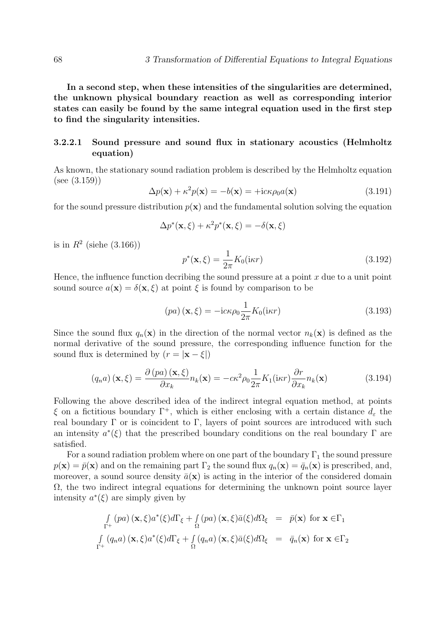In a second step, when these intensities of the singularities are determined, the unknown physical boundary reaction as well as corresponding interior states can easily be found by the same integral equation used in the first step to find the singularity intensities.

# 3.2.2.1 Sound pressure and sound flux in stationary acoustics (Helmholtz equation)

As known, the stationary sound radiation problem is described by the Helmholtz equation (see (3.159))

$$
\Delta p(\mathbf{x}) + \kappa^2 p(\mathbf{x}) = -b(\mathbf{x}) = +\mathrm{i}c\kappa \rho_0 a(\mathbf{x})
$$
\n(3.191)

for the sound pressure distribution  $p(x)$  and the fundamental solution solving the equation

$$
\Delta p^*(\mathbf{x}, \xi) + \kappa^2 p^*(\mathbf{x}, \xi) = -\delta(\mathbf{x}, \xi)
$$

is in  $R^2$  (siehe  $(3.166)$ )

$$
p^*(\mathbf{x}, \xi) = \frac{1}{2\pi} K_0(i\kappa r) \tag{3.192}
$$

Hence, the influence function decribing the sound pressure at a point  $x$  due to a unit point sound source  $a(\mathbf{x}) = \delta(\mathbf{x}, \xi)$  at point  $\xi$  is found by comparison to be

$$
(pa) (\mathbf{x}, \xi) = -\mathrm{i}c\kappa \rho_0 \frac{1}{2\pi} K_0(\mathrm{i}\kappa r) \tag{3.193}
$$

Since the sound flux  $q_n(\mathbf{x})$  in the direction of the normal vector  $n_k(\mathbf{x})$  is defined as the normal derivative of the sound pressure, the corresponding influence function for the sound flux is determined by  $(r = |\mathbf{x} - \xi|)$ 

$$
(q_n a) (\mathbf{x}, \xi) = \frac{\partial (pa) (\mathbf{x}, \xi)}{\partial x_k} n_k(\mathbf{x}) = -c\kappa^2 \rho_0 \frac{1}{2\pi} K_1(i\kappa r) \frac{\partial r}{\partial x_k} n_k(\mathbf{x})
$$
(3.194)

Following the above described idea of the indirect integral equation method, at points ξ on a fictitious boundary Γ<sup>+</sup>, which is either enclosing with a certain distance  $d<sub>ε</sub>$  the real boundary  $\Gamma$  or is coincident to  $\Gamma$ , layers of point sources are introduced with such an intensity  $a^*(\xi)$  that the prescribed boundary conditions on the real boundary  $\Gamma$  are satisfied.

For a sound radiation problem where on one part of the boundary  $\Gamma_1$  the sound pressure  $p(\mathbf{x}) = \bar{p}(\mathbf{x})$  and on the remaining part  $\Gamma_2$  the sound flux  $q_n(\mathbf{x}) = \bar{q}_n(\mathbf{x})$  is prescribed, and, moreover, a sound source density  $\bar{a}(\mathbf{x})$  is acting in the interior of the considered domain  $\Omega$ , the two indirect integral equations for determining the unknown point source layer intensity  $a^*(\xi)$  are simply given by

$$
\int_{\Gamma^{+}} (pa) (\mathbf{x}, \xi) a^{*}(\xi) d\Gamma_{\xi} + \int_{\Omega} (pa) (\mathbf{x}, \xi) \bar{a}(\xi) d\Omega_{\xi} = \bar{p}(\mathbf{x}) \text{ for } \mathbf{x} \in \Gamma_{1}
$$
\n
$$
\int_{\Gamma^{+}} (q_{n}a) (\mathbf{x}, \xi) a^{*}(\xi) d\Gamma_{\xi} + \int_{\Omega} (q_{n}a) (\mathbf{x}, \xi) \bar{a}(\xi) d\Omega_{\xi} = \bar{q}_{n}(\mathbf{x}) \text{ for } \mathbf{x} \in \Gamma_{2}
$$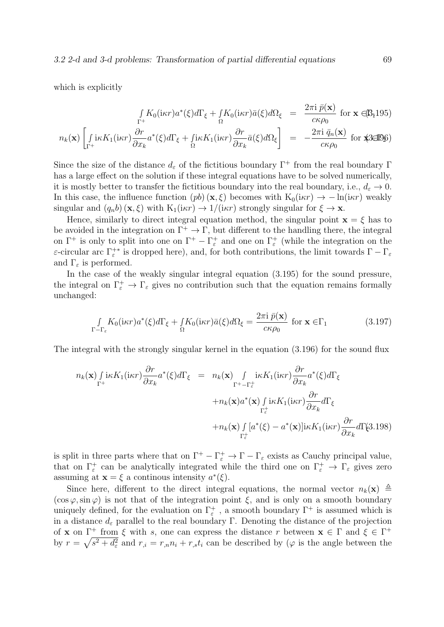which is explicitly

$$
\int_{\Gamma^+} K_0(i\kappa r) a^*(\xi) d\Gamma_{\xi} + \int_{\Omega} K_0(i\kappa r) \bar{a}(\xi) d\Omega_{\xi} = \frac{2\pi i \bar{p}(\mathbf{x})}{c\kappa \rho_0} \text{ for } \mathbf{x} \in \mathbb{B}_1 \tag{B195}
$$

$$
n_k(\mathbf{x}) \left[ \int_{\Gamma^+} \mathrm{i} \kappa K_1(\mathrm{i} \kappa r) \frac{\partial r}{\partial x_k} a^*(\xi) d\Gamma_{\xi} + \int_{\Omega} \mathrm{i} \kappa K_1(\mathrm{i} \kappa r) \frac{\partial r}{\partial x_k} \bar{a}(\xi) d\Omega_{\xi} \right] = -\frac{2\pi \mathrm{i} \bar{q}_n(\mathbf{x})}{c \kappa \rho_0} \text{ for } \text{X} \text{EDS}
$$

Since the size of the distance  $d_{\varepsilon}$  of the fictitious boundary  $\Gamma^+$  from the real boundary  $\Gamma$ has a large effect on the solution if these integral equations have to be solved numerically, it is mostly better to transfer the fictitious boundary into the real boundary, i.e.,  $d_{\varepsilon} \to 0$ . In this case, the influence function  $(pb)(\mathbf{x}, \xi)$  becomes with  $K_0(i\kappa r) \to -\ln(i\kappa r)$  weakly singular and  $(q_n b)$  (**x**,  $\xi$ ) with  $K_1(i\kappa r) \rightarrow 1/(i\kappa r)$  strongly singular for  $\xi \rightarrow \mathbf{x}$ .

Hence, similarly to direct integral equation method, the singular point  $\mathbf{x} = \xi$  has to be avoided in the integration on  $\Gamma^+ \to \Gamma$ , but different to the handling there, the integral on  $\Gamma^+$  is only to split into one on  $\Gamma^+ - \Gamma^+_\varepsilon$  and one on  $\Gamma^+_\varepsilon$  (while the integration on the ε-circular arc  $\Gamma_{\varepsilon}^{+*}$  is dropped here), and, for both contributions, the limit towards  $\Gamma-\Gamma_{\varepsilon}$ and  $\Gamma_{\varepsilon}$  is performed.

In the case of the weakly singular integral equation (3.195) for the sound pressure, the integral on  $\Gamma_{\varepsilon}^+ \to \Gamma_{\varepsilon}$  gives no contribution such that the equation remains formally unchanged:

$$
\int_{\Gamma-\Gamma_{\varepsilon}} K_0(i\kappa r) a^*(\xi) d\Gamma_{\xi} + \int_{\Omega} K_0(i\kappa r) \bar{a}(\xi) d\Omega_{\xi} = \frac{2\pi i \bar{p}(\mathbf{x})}{c\kappa \rho_0} \text{ for } \mathbf{x} \in \Gamma_1
$$
\n(3.197)

The integral with the strongly singular kernel in the equation (3.196) for the sound flux

$$
n_{k}(\mathbf{x}) \int_{\Gamma^{+}} i\kappa K_{1}(i\kappa r) \frac{\partial r}{\partial x_{k}} a^{*}(\xi) d\Gamma_{\xi} = n_{k}(\mathbf{x}) \int_{\Gamma^{+}-\Gamma_{\varepsilon}^{+}} i\kappa K_{1}(i\kappa r) \frac{\partial r}{\partial x_{k}} a^{*}(\xi) d\Gamma_{\xi}
$$
  
+
$$
n_{k}(\mathbf{x}) a^{*}(\mathbf{x}) \int_{\Gamma_{\varepsilon}^{+}} i\kappa K_{1}(i\kappa r) \frac{\partial r}{\partial x_{k}} d\Gamma_{\xi}
$$
  
+
$$
n_{k}(\mathbf{x}) \int_{\Gamma_{\varepsilon}^{+}} [a^{*}(\xi) - a^{*}(\mathbf{x})] i\kappa K_{1}(i\kappa r) \frac{\partial r}{\partial x_{k}} d\Gamma_{\xi}
$$
3.198)

is split in three parts where that on  $\Gamma^+ - \Gamma^+_{\varepsilon} \to \Gamma - \Gamma_{\varepsilon}$  exists as Cauchy principal value, that on  $\Gamma_{\varepsilon}^+$  can be analytically integrated while the third one on  $\Gamma_{\varepsilon}^+ \to \Gamma_{\varepsilon}$  gives zero assuming at  $\mathbf{x} = \xi$  a continous intensity  $a^*(\xi)$ .

Since here, different to the direct integral equations, the normal vector  $n_k(\mathbf{x}) \triangleq$  $(\cos \varphi, \sin \varphi)$  is not that of the integration point  $\xi$ , and is only on a smooth boundary uniquely defined, for the evaluation on  $\Gamma_{\varepsilon}^{+}$ , a smooth boundary  $\Gamma^{+}$  is assumed which is in a distance  $d_{\varepsilon}$  parallel to the real boundary Γ. Denoting the distance of the projection of **x** on  $\Gamma^+$  from  $\xi$  with s, one can express the distance r between  $\mathbf{x} \in \Gamma$  and  $\xi \in \Gamma^+$ by  $r = \sqrt{s^2 + d_{\varepsilon}^2}$  and  $r_{i} = r_{i}n_{i} + r_{i}t_{i}$  can be described by ( $\varphi$  is the angle between the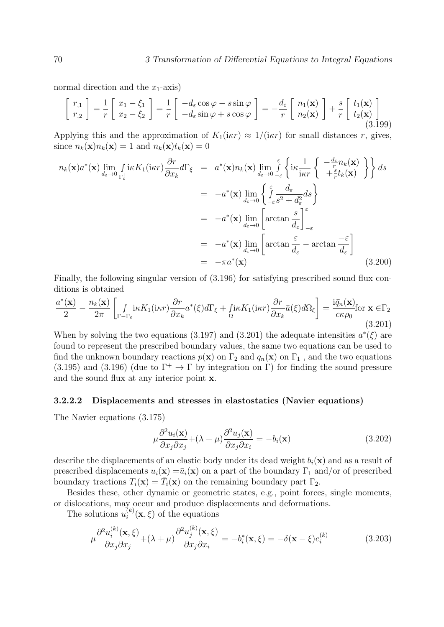normal direction and the  $x_1$ -axis)

$$
\begin{bmatrix} r_{,1} \\ r_{,2} \end{bmatrix} = \frac{1}{r} \begin{bmatrix} x_1 - \xi_1 \\ x_2 - \xi_2 \end{bmatrix} = \frac{1}{r} \begin{bmatrix} -d_{\varepsilon} \cos \varphi - s \sin \varphi \\ -d_{\varepsilon} \sin \varphi + s \cos \varphi \end{bmatrix} = -\frac{d_{\varepsilon}}{r} \begin{bmatrix} n_1(\mathbf{x}) \\ n_2(\mathbf{x}) \end{bmatrix} + \frac{s}{r} \begin{bmatrix} t_1(\mathbf{x}) \\ t_2(\mathbf{x}) \end{bmatrix}
$$
(3.199)

Applying this and the approximation of  $K_1(i\kappa r) \approx 1/(i\kappa r)$  for small distances r, gives, since  $n_k(\mathbf{x})n_k(\mathbf{x}) = 1$  and  $n_k(\mathbf{x})t_k(\mathbf{x}) = 0$ 

$$
n_k(\mathbf{x})a^*(\mathbf{x}) \lim_{d_{\varepsilon} \to 0} \int_{\Gamma_{\varepsilon}^+} i\kappa K_1(i\kappa r) \frac{\partial r}{\partial x_k} d\Gamma_{\xi} = a^*(\mathbf{x})n_k(\mathbf{x}) \lim_{d_{\varepsilon} \to 0} \int_{-\varepsilon}^{\varepsilon} \left\{ i\kappa \frac{1}{i\kappa r} \left\{ \frac{-\frac{d_{\varepsilon}}{r} n_k(\mathbf{x})}{+\frac{s}{r} t_k(\mathbf{x})} \right\} \right\} ds
$$
  
\n
$$
= -a^*(\mathbf{x}) \lim_{d_{\varepsilon} \to 0} \left\{ \int_{-\varepsilon}^{\varepsilon} \frac{d_{\varepsilon}}{s^2 + d_{\varepsilon}^2} ds \right\}
$$
  
\n
$$
= -a^*(\mathbf{x}) \lim_{d_{\varepsilon} \to 0} \left[ \arctan \frac{s}{d_{\varepsilon}} \right]_{-\varepsilon}^{\varepsilon}
$$
  
\n
$$
= -a^*(\mathbf{x}) \lim_{d_{\varepsilon} \to 0} \left[ \arctan \frac{\varepsilon}{d_{\varepsilon}} - \arctan \frac{-\varepsilon}{d_{\varepsilon}} \right]
$$
  
\n
$$
= -\pi a^*(\mathbf{x}) \qquad (3.200)
$$

Finally, the following singular version of (3.196) for satisfying prescribed sound flux conditions is obtained

$$
\frac{a^*(\mathbf{x})}{2} - \frac{n_k(\mathbf{x})}{2\pi} \left[ \int_{\Gamma - \Gamma_{\varepsilon}} i\kappa K_1(i\kappa r) \frac{\partial r}{\partial x_k} a^*(\xi) d\Gamma_{\xi} + \int_{\Omega} i\kappa K_1(i\kappa r) \frac{\partial r}{\partial x_k} \bar{a}(\xi) d\Omega_{\xi} \right] = \frac{i\bar{q}_n(\mathbf{x})}{c\kappa \rho_0} \text{for } \mathbf{x} \in \Gamma_2
$$
\n(3.201)

When by solving the two equations (3.197) and (3.201) the adequate intensities  $a^*(\xi)$  are found to represent the prescribed boundary values, the same two equations can be used to find the unknown boundary reactions  $p(\mathbf{x})$  on  $\Gamma_2$  and  $q_n(\mathbf{x})$  on  $\Gamma_1$ , and the two equations (3.195) and (3.196) (due to  $\Gamma^+ \to \Gamma$  by integration on  $\Gamma$ ) for finding the sound pressure and the sound flux at any interior point x.

#### 3.2.2.2 Displacements and stresses in elastostatics (Navier equations)

The Navier equations (3.175)

$$
\mu \frac{\partial^2 u_i(\mathbf{x})}{\partial x_j \partial x_j} + (\lambda + \mu) \frac{\partial^2 u_j(\mathbf{x})}{\partial x_j \partial x_i} = -b_i(\mathbf{x})
$$
\n(3.202)

describe the displacements of an elastic body under its dead weight  $b_i(\mathbf{x})$  and as a result of prescribed displacements  $u_i(\mathbf{x}) = \bar{u}_i(\mathbf{x})$  on a part of the boundary  $\Gamma_1$  and/or of prescribed boundary tractions  $T_i(\mathbf{x}) = \overline{T}_i(\mathbf{x})$  on the remaining boundary part  $\Gamma_2$ .

Besides these, other dynamic or geometric states, e.g., point forces, single moments, or dislocations, may occur and produce displacements and deformations.

The solutions  $u_i^{(k)}$  $i^{(k)}(x,\xi)$  of the equations

$$
\mu \frac{\partial^2 u_i^{(k)}(\mathbf{x}, \xi)}{\partial x_j \partial x_j} + (\lambda + \mu) \frac{\partial^2 u_j^{(k)}(\mathbf{x}, \xi)}{\partial x_j \partial x_i} = -b_i^*(\mathbf{x}, \xi) = -\delta(\mathbf{x} - \xi) e_i^{(k)} \tag{3.203}
$$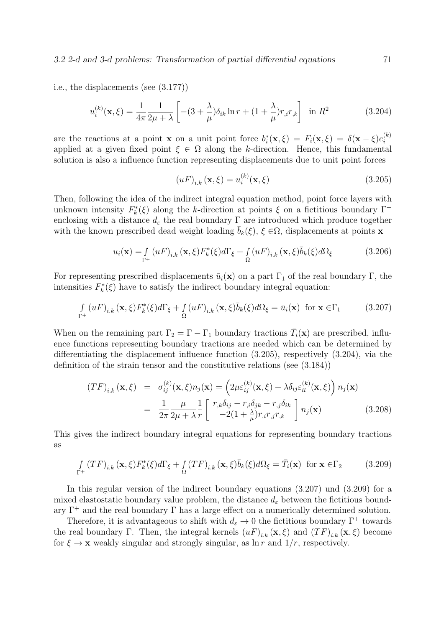i.e., the displacements (see (3.177))

$$
u_i^{(k)}(\mathbf{x}, \xi) = \frac{1}{4\pi} \frac{1}{2\mu + \lambda} \left[ -(3 + \frac{\lambda}{\mu}) \delta_{ik} \ln r + (1 + \frac{\lambda}{\mu}) r_{,i} r_{,k} \right] \text{ in } R^2 \tag{3.204}
$$

are the reactions at a point **x** on a unit point force  $b_i^*(\mathbf{x}, \xi) = F_i(\mathbf{x}, \xi) = \delta(\mathbf{x} - \xi)e_i^{(k)}$ i applied at a given fixed point  $\xi \in \Omega$  along the k-direction. Hence, this fundamental solution is also a influence function representing displacements due to unit point forces

$$
(uF)_{i,k}(\mathbf{x},\xi) = u_i^{(k)}(\mathbf{x},\xi)
$$
\n(3.205)

Then, following the idea of the indirect integral equation method, point force layers with unknown intensity  $F_k^*(\xi)$  along the k-direction at points  $\xi$  on a fictitious boundary  $\Gamma^+$ enclosing with a distance  $d_{\varepsilon}$  the real boundary  $\Gamma$  are introduced which produce together with the known prescribed dead weight loading  $b_k(\xi)$ ,  $\xi \in \Omega$ , displacements at points x

$$
u_i(\mathbf{x}) = \int_{\Gamma^+} (uF)_{i,k} (\mathbf{x}, \xi) F_k^*(\xi) d\Gamma_\xi + \int_{\Omega} (uF)_{i,k} (\mathbf{x}, \xi) \bar{b}_k(\xi) d\Omega_\xi
$$
(3.206)

For representing prescribed displacements  $\bar{u}_i(\mathbf{x})$  on a part  $\Gamma_1$  of the real boundary  $\Gamma$ , the intensities  $F_k^*(\xi)$  have to satisfy the indirect boundary integral equation:

$$
\int_{\Gamma^{+}} (uF)_{i,k} (\mathbf{x}, \xi) F_{k}^{*}(\xi) d\Gamma_{\xi} + \int_{\Omega} (uF)_{i,k} (\mathbf{x}, \xi) \overline{b}_{k}(\xi) d\Omega_{\xi} = \overline{u}_{i}(\mathbf{x}) \text{ for } \mathbf{x} \in \Gamma_{1}
$$
\n(3.207)

When on the remaining part  $\Gamma_2 = \Gamma - \Gamma_1$  boundary tractions  $\bar{T}_i(\mathbf{x})$  are prescribed, influence functions representing boundary tractions are needed which can be determined by differentiating the displacement influence function (3.205), respectively (3.204), via the definition of the strain tensor and the constitutive relations (see (3.184))

$$
(TF)_{i,k}(\mathbf{x},\xi) = \sigma_{ij}^{(k)}(\mathbf{x},\xi)n_j(\mathbf{x}) = \left(2\mu\varepsilon_{ij}^{(k)}(\mathbf{x},\xi) + \lambda\delta_{ij}\varepsilon_{ll}^{(k)}(\mathbf{x},\xi)\right)n_j(\mathbf{x})
$$

$$
= \frac{1}{2\pi}\frac{\mu}{2\mu+\lambda}\frac{1}{r}\left[\begin{array}{c}r_{,k}\delta_{ij}-r_{,i}\delta_{jk}-r_{,j}\delta_{ik}\\-2(1+\frac{\lambda}{\mu})r_{,i}r_{,j}r_{,k}\end{array}\right]n_j(\mathbf{x}) \tag{3.208}
$$

This gives the indirect boundary integral equations for representing boundary tractions as

$$
\int_{\Gamma^{+}} (TF)_{i,k} (\mathbf{x}, \xi) F_{k}^{*}(\xi) d\Gamma_{\xi} + \int_{\Omega} (TF)_{i,k} (\mathbf{x}, \xi) \bar{b}_{k}(\xi) d\Omega_{\xi} = \bar{T}_{i}(\mathbf{x}) \text{ for } \mathbf{x} \in \Gamma_{2}
$$
\n(3.209)

In this regular version of the indirect boundary equations (3.207) und (3.209) for a mixed elastostatic boundary value problem, the distance  $d_{\varepsilon}$  between the fictitious boundary  $\Gamma^+$  and the real boundary  $\Gamma$  has a large effect on a numerically determined solution.

Therefore, it is advantageous to shift with  $d_{\varepsilon} \to 0$  the fictitious boundary  $\Gamma^+$  towards the real boundary Γ. Then, the integral kernels  $(uF)_{i,k}(\mathbf{x},\xi)$  and  $(TF)_{i,k}(\mathbf{x},\xi)$  become for  $\xi \to \mathbf{x}$  weakly singular and strongly singular, as  $\ln r$  and  $1/r$ , respectively.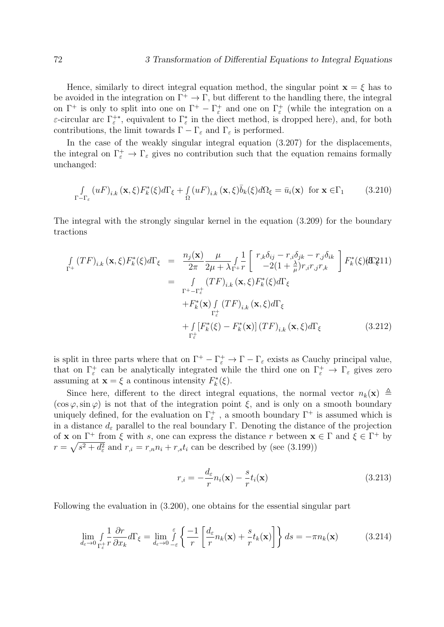Hence, similarly to direct integral equation method, the singular point  $\mathbf{x} = \xi$  has to be avoided in the integration on  $\Gamma^+ \to \Gamma$ , but different to the handling there, the integral on  $\Gamma^+$  is only to split into one on  $\Gamma^+ - \Gamma^+_{\varepsilon}$  and one on  $\Gamma^+_{\varepsilon}$  (while the integration on a  $\varepsilon$ -circular arc  $\Gamma_{\varepsilon}^{**}$ , equivalent to  $\Gamma_{\varepsilon}^*$  in the diect method, is dropped here), and, for both contributions, the limit towards  $\Gamma - \Gamma_{\varepsilon}$  and  $\Gamma_{\varepsilon}$  is performed.

In the case of the weakly singular integral equation (3.207) for the displacements, the integral on  $\Gamma_{\varepsilon}^+ \to \Gamma_{\varepsilon}$  gives no contribution such that the equation remains formally unchanged:

$$
\int_{\Gamma-\Gamma_{\varepsilon}} \left( uF \right)_{i,k} (\mathbf{x}, \xi) F_k^*(\xi) d\Gamma_{\xi} + \int_{\Omega} \left( uF \right)_{i,k} (\mathbf{x}, \xi) \overline{b}_k(\xi) d\Omega_{\xi} = \overline{u}_i(\mathbf{x}) \text{ for } \mathbf{x} \in \Gamma_1 \tag{3.210}
$$

The integral with the strongly singular kernel in the equation (3.209) for the boundary tractions

$$
\int_{\Gamma^{+}} (TF)_{i,k} (\mathbf{x}, \xi) F_{k}^{*}(\xi) d\Gamma_{\xi} = \frac{n_{j}(\mathbf{x})}{2\pi} \frac{\mu}{2\mu + \lambda_{\Gamma^{+}} r} \int_{\Gamma} \frac{1}{r} \begin{bmatrix} r_{,k} \delta_{ij} - r_{,i} \delta_{jk} - r_{,j} \delta_{ik} \\ -2(1 + \frac{\lambda}{\mu}) r_{,i} r_{,j} r_{,k} \end{bmatrix} F_{k}^{*}(\xi) d\Gamma_{\xi}
$$
\n
$$
= \int_{\Gamma^{+} - \Gamma_{\varepsilon}^{+}} (TF)_{i,k} (\mathbf{x}, \xi) F_{k}^{*}(\xi) d\Gamma_{\xi}
$$
\n
$$
+ F_{k}^{*}(\mathbf{x}) \int_{\Gamma_{\varepsilon}^{+}} (TF)_{i,k} (\mathbf{x}, \xi) d\Gamma_{\xi}
$$
\n
$$
+ \int_{\Gamma_{\varepsilon}^{+}} [F_{k}^{*}(\xi) - F_{k}^{*}(\mathbf{x})] (TF)_{i,k} (\mathbf{x}, \xi) d\Gamma_{\xi}
$$
\n(3.212)

is split in three parts where that on  $\Gamma^+ - \Gamma^+_{\varepsilon} \to \Gamma - \Gamma_{\varepsilon}$  exists as Cauchy principal value, that on  $\Gamma_{\varepsilon}^+$  can be analytically integrated while the third one on  $\Gamma_{\varepsilon}^+ \to \Gamma_{\varepsilon}$  gives zero assuming at  $\mathbf{x} = \xi$  a continuous intensity  $F_k^*(\xi)$ .

Since here, different to the direct integral equations, the normal vector  $n_k(\mathbf{x}) \triangleq$  $(\cos \varphi, \sin \varphi)$  is not that of the integration point  $\xi$ , and is only on a smooth boundary uniquely defined, for the evaluation on  $\Gamma_{\varepsilon}^{+}$ , a smooth boundary  $\Gamma^{+}$  is assumed which is in a distance  $d_{\varepsilon}$  parallel to the real boundary Γ. Denoting the distance of the projection of **x** on  $\Gamma^+$  from  $\xi$  with s, one can express the distance r between  $\mathbf{x} \in \Gamma$  and  $\xi \in \Gamma^+$  by  $r = \sqrt{s^2 + d_{\varepsilon}^2}$  and  $r_{i} = r_{i}n_{i} + r_{i}t_{i}$  can be described by (see (3.199))

$$
r_{,i} = -\frac{d_{\varepsilon}}{r} n_i(\mathbf{x}) - \frac{s}{r} t_i(\mathbf{x})
$$
\n(3.213)

Following the evaluation in (3.200), one obtains for the essential singular part

$$
\lim_{d_{\varepsilon}\to 0} \int_{\Gamma_{\varepsilon}^{+}} \frac{\partial r}{\partial x_{k}} d\Gamma_{\varepsilon} = \lim_{d_{\varepsilon}\to 0} \int_{-\varepsilon}^{\varepsilon} \left\{ \frac{-1}{r} \left[ \frac{d_{\varepsilon}}{r} n_{k}(\mathbf{x}) + \frac{s}{r} t_{k}(\mathbf{x}) \right] \right\} ds = -\pi n_{k}(\mathbf{x}) \tag{3.214}
$$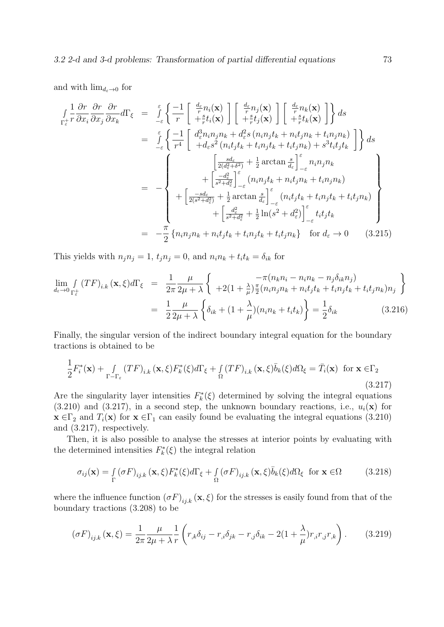and with  $\lim_{d_{\varepsilon}\to 0}$  for

$$
\int_{\Gamma_{\varepsilon}^{+}} \frac{1}{r} \frac{\partial r}{\partial x_{i}} \frac{\partial r}{\partial x_{j}} d\Gamma_{\xi} = \int_{-\varepsilon}^{\varepsilon} \left\{ \frac{-1}{r} \left[ \frac{d_{\varepsilon}}{r} n_{i}(\mathbf{x}) \right] \left[ \frac{d_{\varepsilon}}{r} n_{j}(\mathbf{x}) \right] \left[ \frac{d_{\varepsilon}}{r} n_{k}(\mathbf{x}) \right] \right\} ds
$$
\n
$$
= \int_{-\varepsilon}^{\varepsilon} \left\{ \frac{-1}{r^{4}} \left[ \frac{d_{\varepsilon}^{3} n_{i} n_{j} n_{k} + d_{\varepsilon}^{2} s (n_{i} n_{j} t_{k} + n_{i} t_{j} n_{k} + t_{i} n_{j} n_{k})}{+ d_{\varepsilon} s^{2} (n_{i} t_{j} t_{k} + t_{i} n_{j} t_{k} + t_{i} t_{j} n_{k}) + s^{3} t_{i} t_{j} t_{k}} \right] \right\} ds
$$
\n
$$
= - \left\{ \left( \frac{\frac{d_{\varepsilon}}{2 d_{\varepsilon}^{2} + \delta^{2}}}{\frac{1}{2 (d_{\varepsilon}^{2} + \delta^{2})} + \frac{1}{2} \arctan \frac{s}{d_{\varepsilon}} \right\}_{-\varepsilon}^{\varepsilon} n_{i} n_{j} n_{k} + \left[ \frac{-d_{\varepsilon}^{2}}{s^{2} + d_{\varepsilon}^{2}} \right]_{-\varepsilon}^{\varepsilon} (n_{i} n_{j} t_{k} + n_{i} t_{j} n_{k} + t_{i} n_{j} n_{k}) + \left[ \frac{-d_{\varepsilon}^{2}}{s^{2} + d_{\varepsilon}^{2}} + \frac{1}{2} \arctan \frac{s}{d_{\varepsilon}} \right]_{-\varepsilon}^{\varepsilon} (n_{i} t_{j} t_{k} + t_{i} n_{j} t_{k} + t_{i} t_{j} n_{k}) + \left[ \frac{d_{\varepsilon}^{2}}{s^{2} + d_{\varepsilon}^{2}} + \frac{1}{2} \ln(s^{2} + d_{\varepsilon}^{2}) \right]_{-\varepsilon}^{\varepsilon} t_{i} t
$$

This yields with  $n_j n_j = 1$ ,  $t_j n_j = 0$ , and  $n_i n_k + t_i t_k = \delta_{ik}$  for

$$
\lim_{d_{\varepsilon}\to 0} \int_{\Gamma_{\varepsilon}^{+}} (TF)_{i,k} (\mathbf{x}, \xi) d\Gamma_{\xi} = \frac{1}{2\pi} \frac{\mu}{2\mu + \lambda} \left\{ \begin{array}{c} -\pi(n_k n_i - n_i n_k - n_j \delta_{ik} n_j) \\ +2(1 + \frac{\lambda}{\mu}) \frac{\pi}{2} (n_i n_j n_k + n_i t_j t_k + t_i n_j t_k + t_i t_j n_k) n_j \end{array} \right\}
$$
\n
$$
= \frac{1}{2} \frac{\mu}{2\mu + \lambda} \left\{ \delta_{ik} + (1 + \frac{\lambda}{\mu}) (n_i n_k + t_i t_k) \right\} = \frac{1}{2} \delta_{ik} \tag{3.216}
$$

Finally, the singular version of the indirect boundary integral equation for the boundary tractions is obtained to be

$$
\frac{1}{2}F_i^*(\mathbf{x}) + \int_{\Gamma - \Gamma_{\varepsilon}} (TF)_{i,k} (\mathbf{x}, \xi) F_k^*(\xi) d\Gamma_{\xi} + \int_{\Omega} (TF)_{i,k} (\mathbf{x}, \xi) \bar{b}_k(\xi) d\Omega_{\xi} = \bar{T}_i(\mathbf{x}) \text{ for } \mathbf{x} \in \Gamma_2
$$
\n(3.217)

Are the singularity layer intensities  $F_k^*(\xi)$  determined by solving the integral equations  $(3.210)$  and  $(3.217)$ , in a second step, the unknown boundary reactions, i.e.,  $u_i(\mathbf{x})$  for  $\mathbf{x} \in \Gamma_2$  and  $T_i(\mathbf{x})$  for  $\mathbf{x} \in \Gamma_1$  can easily found be evaluating the integral equations (3.210) and (3.217), respectively.

Then, it is also possible to analyse the stresses at interior points by evaluating with the determined intensities  $F_k^*(\xi)$  the integral relation

$$
\sigma_{ij}(\mathbf{x}) = \int_{\Gamma} (\sigma F)_{ij,k} (\mathbf{x}, \xi) F_k^*(\xi) d\Gamma_{\xi} + \int_{\Omega} (\sigma F)_{ij,k} (\mathbf{x}, \xi) \bar{b}_k(\xi) d\Omega_{\xi} \text{ for } \mathbf{x} \in \Omega \tag{3.218}
$$

where the influence function  $(\sigma F)_{ij,k}(\mathbf{x}, \xi)$  for the stresses is easily found from that of the boundary tractions (3.208) to be

$$
\left(\sigma F\right)_{ij,k}(\mathbf{x},\xi) = \frac{1}{2\pi} \frac{\mu}{2\mu + \lambda} \frac{1}{r} \left( r_{,k} \delta_{ij} - r_{,i} \delta_{jk} - r_{,j} \delta_{ik} - 2\left(1 + \frac{\lambda}{\mu}\right) r_{,i} r_{,j} r_{,k} \right). \tag{3.219}
$$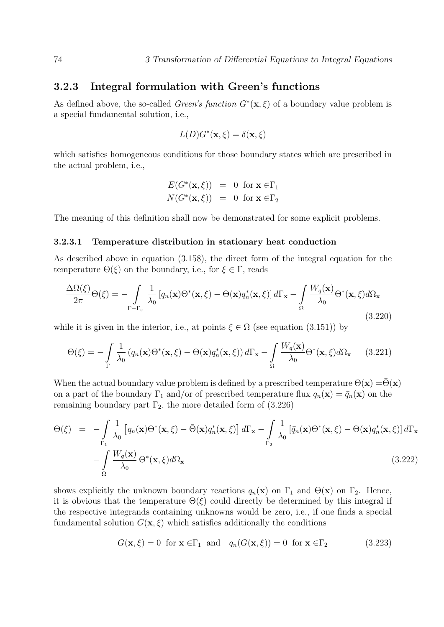## 3.2.3 Integral formulation with Green's functions

As defined above, the so-called *Green's function*  $G^*(\mathbf{x}, \xi)$  of a boundary value problem is a special fundamental solution, i.e.,

$$
L(D)G^*(\mathbf{x}, \xi) = \delta(\mathbf{x}, \xi)
$$

which satisfies homogeneous conditions for those boundary states which are prescribed in the actual problem, i.e.,

$$
E(G^*(\mathbf{x}, \xi)) = 0 \text{ for } \mathbf{x} \in \Gamma_1
$$
  

$$
N(G^*(\mathbf{x}, \xi)) = 0 \text{ for } \mathbf{x} \in \Gamma_2
$$

The meaning of this definition shall now be demonstrated for some explicit problems.

#### 3.2.3.1 Temperature distribution in stationary heat conduction

As described above in equation (3.158), the direct form of the integral equation for the temperature  $\Theta(\xi)$  on the boundary, i.e., for  $\xi \in \Gamma$ , reads

$$
\frac{\Delta\Omega(\xi)}{2\pi}\Theta(\xi) = -\int_{\Gamma-\Gamma_{\varepsilon}} \frac{1}{\lambda_0} \left[ q_n(\mathbf{x})\Theta^*(\mathbf{x},\xi) - \Theta(\mathbf{x}) q_n^*(\mathbf{x},\xi) \right] d\Gamma_{\mathbf{x}} - \int_{\Omega} \frac{W_q(\mathbf{x})}{\lambda_0} \Theta^*(\mathbf{x},\xi) d\Omega_{\mathbf{x}}
$$
\n(3.220)

while it is given in the interior, i.e., at points  $\xi \in \Omega$  (see equation (3.151)) by

$$
\Theta(\xi) = -\int_{\Gamma} \frac{1}{\lambda_0} \left( q_n(\mathbf{x}) \Theta^*(\mathbf{x}, \xi) - \Theta(\mathbf{x}) q_n^*(\mathbf{x}, \xi) \right) d\Gamma_{\mathbf{x}} - \int_{\Omega} \frac{W_q(\mathbf{x})}{\lambda_0} \Theta^*(\mathbf{x}, \xi) d\Omega_{\mathbf{x}} \tag{3.221}
$$

When the actual boundary value problem is defined by a prescribed temperature  $\Theta(\mathbf{x}) = \Theta(\mathbf{x})$ on a part of the boundary  $\Gamma_1$  and/or of prescribed temperature flux  $q_n(\mathbf{x}) = \bar{q}_n(\mathbf{x})$  on the remaining boundary part  $\Gamma_2$ , the more detailed form of (3.226)

$$
\Theta(\xi) = -\int_{\Gamma_1} \frac{1}{\lambda_0} \left[ q_n(\mathbf{x}) \Theta^*(\mathbf{x}, \xi) - \bar{\Theta}(\mathbf{x}) q_n^*(\mathbf{x}, \xi) \right] d\Gamma_{\mathbf{x}} - \int_{\Gamma_2} \frac{1}{\lambda_0} \left[ \bar{q}_n(\mathbf{x}) \Theta^*(\mathbf{x}, \xi) - \Theta(\mathbf{x}) q_n^*(\mathbf{x}, \xi) \right] d\Gamma_{\mathbf{x}} \n- \int_{\Omega} \frac{W_q(\mathbf{x})}{\lambda_0} \Theta^*(\mathbf{x}, \xi) d\Omega_{\mathbf{x}} \tag{3.222}
$$

shows explicitly the unknown boundary reactions  $q_n(\mathbf{x})$  on  $\Gamma_1$  and  $\Theta(\mathbf{x})$  on  $\Gamma_2$ . Hence, it is obvious that the temperature  $\Theta(\xi)$  could directly be determined by this integral if the respective integrands containing unknowns would be zero, i.e., if one finds a special fundamental solution  $G(\mathbf{x}, \xi)$  which satisfies additionally the conditions

$$
G(\mathbf{x}, \xi) = 0 \text{ for } \mathbf{x} \in \Gamma_1 \text{ and } q_n(G(\mathbf{x}, \xi)) = 0 \text{ for } \mathbf{x} \in \Gamma_2 \tag{3.223}
$$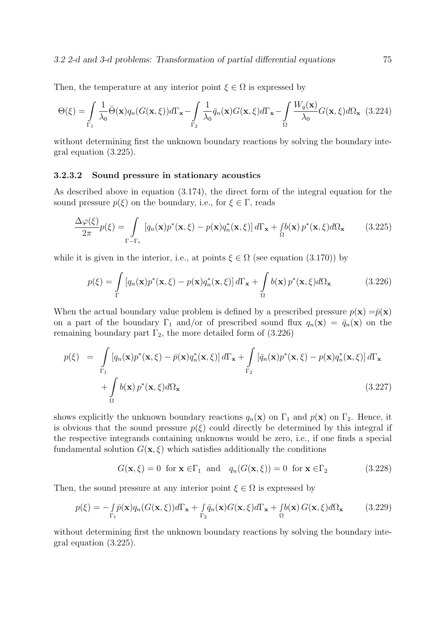#### 3.2 2-d and 3-d problems: Transformation of partial differential equations 75

Then, the temperature at any interior point  $\xi \in \Omega$  is expressed by

$$
\Theta(\xi) = \int_{\Gamma_1} \frac{1}{\lambda_0} \bar{\Theta}(\mathbf{x}) q_n(G(\mathbf{x}, \xi)) d\Gamma_{\mathbf{x}} - \int_{\Gamma_2} \frac{1}{\lambda_0} \bar{q}_n(\mathbf{x}) G(\mathbf{x}, \xi) d\Gamma_{\mathbf{x}} - \int_{\Omega} \frac{W_q(\mathbf{x})}{\lambda_0} G(\mathbf{x}, \xi) d\Omega_{\mathbf{x}} \tag{3.224}
$$

without determining first the unknown boundary reactions by solving the boundary integral equation (3.225).

#### 3.2.3.2 Sound pressure in stationary acoustics

As described above in equation (3.174), the direct form of the integral equation for the sound pressure  $p(\xi)$  on the boundary, i.e., for  $\xi \in \Gamma$ , reads

$$
\frac{\Delta \varphi(\xi)}{2\pi} p(\xi) = \int_{\Gamma - \Gamma_{\varepsilon}} \left[ q_n(\mathbf{x}) p^*(\mathbf{x}, \xi) - p(\mathbf{x}) q_n^*(\mathbf{x}, \xi) \right] d\Gamma_{\mathbf{x}} + \int_{\Omega} b(\mathbf{x}) p^*(\mathbf{x}, \xi) d\Omega_{\mathbf{x}} \tag{3.225}
$$

while it is given in the interior, i.e., at points  $\xi \in \Omega$  (see equation (3.170)) by

$$
p(\xi) = \int_{\Gamma} \left[ q_n(\mathbf{x}) p^*(\mathbf{x}, \xi) - p(\mathbf{x}) q_n^*(\mathbf{x}, \xi) \right] d\Gamma_{\mathbf{x}} + \int_{\Omega} b(\mathbf{x}) p^*(\mathbf{x}, \xi) d\Omega_{\mathbf{x}} \tag{3.226}
$$

When the actual boundary value problem is defined by a prescribed pressure  $p(\mathbf{x}) = \bar{p}(\mathbf{x})$ on a part of the boundary  $\Gamma_1$  and/or of prescribed sound flux  $q_n(\mathbf{x}) = \bar{q}_n(\mathbf{x})$  on the remaining boundary part  $\Gamma_2$ , the more detailed form of  $(3.226)$ 

$$
p(\xi) = \int_{\Gamma_1} \left[ q_n(\mathbf{x}) p^*(\mathbf{x}, \xi) - \bar{p}(\mathbf{x}) q_n^*(\mathbf{x}, \xi) \right] d\Gamma_{\mathbf{x}} + \int_{\Gamma_2} \left[ \bar{q}_n(\mathbf{x}) p^*(\mathbf{x}, \xi) - p(\mathbf{x}) q_n^*(\mathbf{x}, \xi) \right] d\Gamma_{\mathbf{x}} + \int_{\Omega} b(\mathbf{x}) p^*(\mathbf{x}, \xi) d\Omega_{\mathbf{x}} \qquad (3.227)
$$

shows explicitly the unknown boundary reactions  $q_n(\mathbf{x})$  on  $\Gamma_1$  and  $p(\mathbf{x})$  on  $\Gamma_2$ . Hence, it is obvious that the sound pressure  $p(\xi)$  could directly be determined by this integral if the respective integrands containing unknowns would be zero, i.e., if one finds a special fundamental solution  $G(\mathbf{x}, \xi)$  which satisfies additionally the conditions

$$
G(\mathbf{x}, \xi) = 0 \text{ for } \mathbf{x} \in \Gamma_1 \text{ and } q_n(G(\mathbf{x}, \xi)) = 0 \text{ for } \mathbf{x} \in \Gamma_2 \tag{3.228}
$$

Then, the sound pressure at any interior point  $\xi \in \Omega$  is expressed by

$$
p(\xi) = -\int_{\Gamma_1} \bar{p}(\mathbf{x}) q_n(G(\mathbf{x}, \xi)) d\Gamma_{\mathbf{x}} + \int_{\Gamma_2} \bar{q}_n(\mathbf{x}) G(\mathbf{x}, \xi) d\Gamma_{\mathbf{x}} + \int_{\Omega} b(\mathbf{x}) G(\mathbf{x}, \xi) d\Omega_{\mathbf{x}} \tag{3.229}
$$

without determining first the unknown boundary reactions by solving the boundary integral equation (3.225).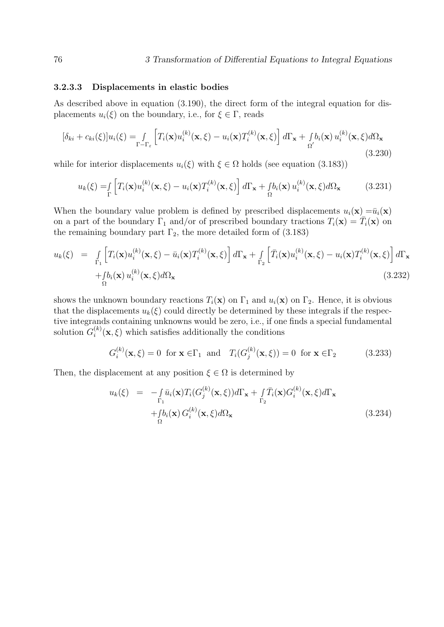#### 3.2.3.3 Displacements in elastic bodies

As described above in equation (3.190), the direct form of the integral equation for displacements  $u_i(\xi)$  on the boundary, i.e., for  $\xi \in \Gamma$ , reads

$$
[\delta_{ki} + c_{ki}(\xi)]u_i(\xi) = \int_{\Gamma - \Gamma_{\varepsilon}} \left[ T_i(\mathbf{x})u_i^{(k)}(\mathbf{x}, \xi) - u_i(\mathbf{x})T_i^{(k)}(\mathbf{x}, \xi) \right] d\Gamma_{\mathbf{x}} + \int_{\Omega'} b_i(\mathbf{x}) u_i^{(k)}(\mathbf{x}, \xi) d\Omega_{\mathbf{x}} \tag{3.230}
$$

while for interior displacements  $u_i(\xi)$  with  $\xi \in \Omega$  holds (see equation (3.183))

$$
u_k(\xi) = \int_{\Gamma} \left[ T_i(\mathbf{x}) u_i^{(k)}(\mathbf{x}, \xi) - u_i(\mathbf{x}) T_i^{(k)}(\mathbf{x}, \xi) \right] d\Gamma_{\mathbf{x}} + \int_{\Omega} b_i(\mathbf{x}) u_i^{(k)}(\mathbf{x}, \xi) d\Omega_{\mathbf{x}} \tag{3.231}
$$

When the boundary value problem is defined by prescribed displacements  $u_i(\mathbf{x}) = \bar{u}_i(\mathbf{x})$ on a part of the boundary  $\Gamma_1$  and/or of prescribed boundary tractions  $T_i(\mathbf{x}) = \overline{T}_i(\mathbf{x})$  on the remaining boundary part  $\Gamma_2$ , the more detailed form of (3.183)

$$
u_{k}(\xi) = \int_{\Gamma_{1}} \left[ T_{i}(\mathbf{x}) u_{i}^{(k)}(\mathbf{x}, \xi) - \bar{u}_{i}(\mathbf{x}) T_{i}^{(k)}(\mathbf{x}, \xi) \right] d\Gamma_{\mathbf{x}} + \int_{\Gamma_{2}} \left[ \bar{T}_{i}(\mathbf{x}) u_{i}^{(k)}(\mathbf{x}, \xi) - u_{i}(\mathbf{x}) T_{i}^{(k)}(\mathbf{x}, \xi) \right] d\Gamma_{\mathbf{x}} + \int_{\Omega} b_{i}(\mathbf{x}) u_{i}^{(k)}(\mathbf{x}, \xi) d\Omega_{\mathbf{x}}
$$
\n(3.232)

shows the unknown boundary reactions  $T_i(\mathbf{x})$  on  $\Gamma_1$  and  $u_i(\mathbf{x})$  on  $\Gamma_2$ . Hence, it is obvious that the displacements  $u_k(\xi)$  could directly be determined by these integrals if the respective integrands containing unknowns would be zero, i.e., if one finds a special fundamental solution  $G_i^{(k)}$  $\binom{k}{i}(\mathbf{x},\xi)$  which satisfies additionally the conditions

$$
G_i^{(k)}(\mathbf{x}, \xi) = 0 \text{ for } \mathbf{x} \in \Gamma_1 \text{ and } T_i(G_j^{(k)}(\mathbf{x}, \xi)) = 0 \text{ for } \mathbf{x} \in \Gamma_2 \tag{3.233}
$$

Then, the displacement at any position  $\xi \in \Omega$  is determined by

$$
u_k(\xi) = -\int_{\Gamma_1} \bar{u}_i(\mathbf{x}) T_i(G_j^{(k)}(\mathbf{x}, \xi)) d\Gamma_{\mathbf{x}} + \int_{\Gamma_2} \bar{T}_i(\mathbf{x}) G_i^{(k)}(\mathbf{x}, \xi) d\Gamma_{\mathbf{x}} + \int_{\Omega} b_i(\mathbf{x}) G_i^{(k)}(\mathbf{x}, \xi) d\Omega_{\mathbf{x}} \qquad (3.234)
$$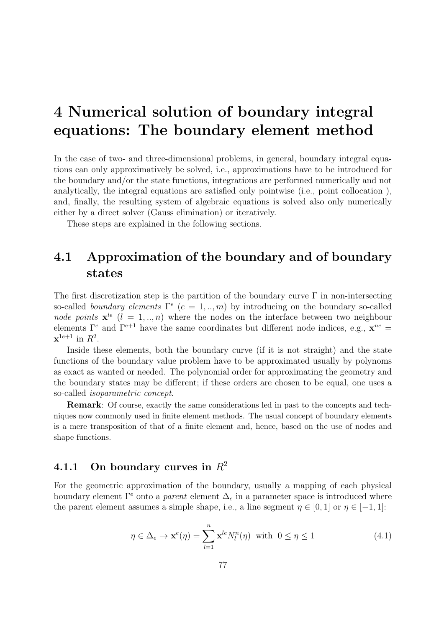# 4 Numerical solution of boundary integral equations: The boundary element method

In the case of two- and three-dimensional problems, in general, boundary integral equations can only approximatively be solved, i.e., approximations have to be introduced for the boundary and/or the state functions, integrations are performed numerically and not analytically, the integral equations are satisfied only pointwise (i.e., point collocation ), and, finally, the resulting system of algebraic equations is solved also only numerically either by a direct solver (Gauss elimination) or iteratively.

These steps are explained in the following sections.

# 4.1 Approximation of the boundary and of boundary states

The first discretization step is the partition of the boundary curve  $\Gamma$  in non-intersecting so-called boundary elements  $\Gamma^e$  ( $e = 1, ..., m$ ) by introducing on the boundary so-called node points  $\mathbf{x}^{le}$  ( $l = 1, ..., n$ ) where the nodes on the interface between two neighbour elements  $\Gamma^e$  and  $\Gamma^{e+1}$  have the same coordinates but different node indices, e.g.,  $\mathbf{x}^{ne}$  $\mathbf{x}^{1e+1}$  in  $R^2$ .

Inside these elements, both the boundary curve (if it is not straight) and the state functions of the boundary value problem have to be approximated usually by polynoms as exact as wanted or needed. The polynomial order for approximating the geometry and the boundary states may be different; if these orders are chosen to be equal, one uses a so-called isoparametric concept.

Remark: Of course, exactly the same considerations led in past to the concepts and techniques now commonly used in finite element methods. The usual concept of boundary elements is a mere transposition of that of a finite element and, hence, based on the use of nodes and shape functions.

## 4.1.1 On boundary curves in  $R^2$

For the geometric approximation of the boundary, usually a mapping of each physical boundary element  $\Gamma^e$  onto a *parent* element  $\Delta_e$  in a parameter space is introduced where the parent element assumes a simple shape, i.e., a line segment  $\eta \in [0,1]$  or  $\eta \in [-1,1]$ :

$$
\eta \in \Delta_e \to \mathbf{x}^e(\eta) = \sum_{l=1}^n \mathbf{x}^{le} N_l^n(\eta) \text{ with } 0 \le \eta \le 1
$$
\n(4.1)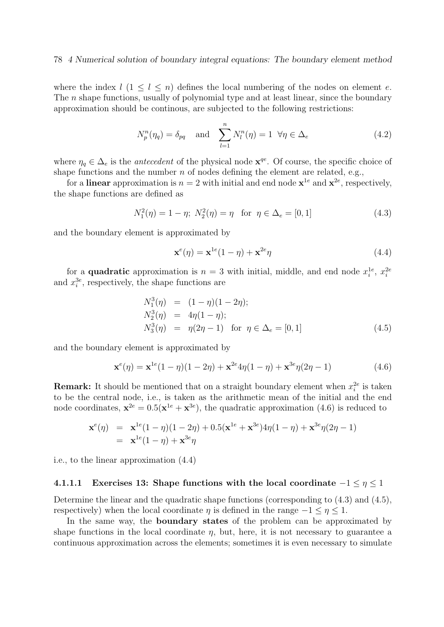#### 78 4 Numerical solution of boundary integral equations: The boundary element method

where the index  $l$  (1  $\leq l \leq n$ ) defines the local numbering of the nodes on element e. The *n* shape functions, usually of polynomial type and at least linear, since the boundary approximation should be continous, are subjected to the following restrictions:

$$
N_p^n(\eta_q) = \delta_{pq} \quad \text{and} \quad \sum_{l=1}^n N_l^n(\eta) = 1 \ \forall \eta \in \Delta_e \tag{4.2}
$$

where  $\eta_q \in \Delta_e$  is the *antecedent* of the physical node  $\mathbf{x}^{qe}$ . Of course, the specific choice of shape functions and the number  $n$  of nodes defining the element are related, e.g.,

for a **linear** approximation is  $n = 2$  with initial and end node  $\mathbf{x}^{1e}$  and  $\mathbf{x}^{2e}$ , respectively, the shape functions are defined as

$$
N_1^2(\eta) = 1 - \eta; \ N_2^2(\eta) = \eta \quad \text{for} \ \eta \in \Delta_e = [0, 1] \tag{4.3}
$$

and the boundary element is approximated by

$$
\mathbf{x}^{e}(\eta) = \mathbf{x}^{1e}(1-\eta) + \mathbf{x}^{2e}\eta
$$
\n(4.4)

for a **quadratic** approximation is  $n = 3$  with initial, middle, and end node  $x_i^{1e}$ ,  $x_i^{2e}$ and  $x_i^{3e}$ , respectively, the shape functions are

$$
N_1^3(\eta) = (1 - \eta)(1 - 2\eta);
$$
  
\n
$$
N_2^3(\eta) = 4\eta(1 - \eta);
$$
  
\n
$$
N_3^3(\eta) = \eta(2\eta - 1) \text{ for } \eta \in \Delta_e = [0, 1]
$$
  
\n(4.5)

and the boundary element is approximated by

$$
\mathbf{x}^{e}(\eta) = \mathbf{x}^{1e}(1-\eta)(1-2\eta) + \mathbf{x}^{2e}4\eta(1-\eta) + \mathbf{x}^{3e}\eta(2\eta-1)
$$
(4.6)

**Remark:** It should be mentioned that on a straight boundary element when  $x_i^{2e}$  is taken to be the central node, i.e., is taken as the arithmetic mean of the initial and the end node coordinates,  $\mathbf{x}^{2e} = 0.5(\mathbf{x}^{1e} + \mathbf{x}^{3e})$ , the quadratic approximation (4.6) is reduced to

$$
\mathbf{x}^e(\eta) = \mathbf{x}^{1e}(1-\eta)(1-2\eta) + 0.5(\mathbf{x}^{1e} + \mathbf{x}^{3e})4\eta(1-\eta) + \mathbf{x}^{3e}\eta(2\eta - 1)
$$
  
=  $\mathbf{x}^{1e}(1-\eta) + \mathbf{x}^{3e}\eta$ 

i.e., to the linear approximation (4.4)

### 4.1.1.1 Exercises 13: Shape functions with the local coordinate  $-1 \leq \eta \leq 1$

Determine the linear and the quadratic shape functions (corresponding to (4.3) and (4.5), respectively) when the local coordinate  $\eta$  is defined in the range  $-1 \leq \eta \leq 1$ .

In the same way, the boundary states of the problem can be approximated by shape functions in the local coordinate  $\eta$ , but, here, it is not necessary to guarantee a continuous approximation across the elements; sometimes it is even necessary to simulate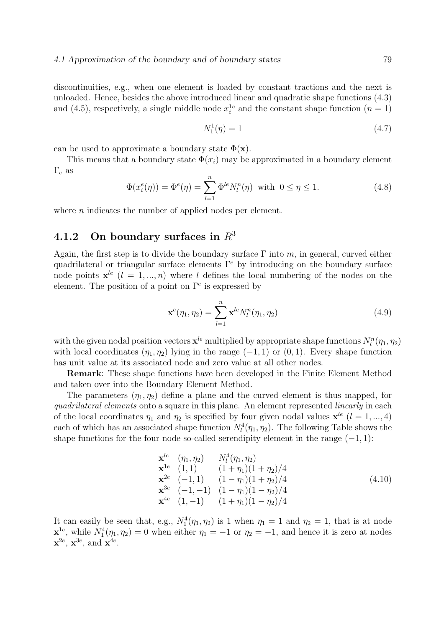discontinuities, e.g., when one element is loaded by constant tractions and the next is unloaded. Hence, besides the above introduced linear and quadratic shape functions (4.3) and (4.5), respectively, a single middle node  $x_i^{1e}$  and the constant shape function  $(n = 1)$ 

$$
N_1^1(\eta) = 1 \tag{4.7}
$$

can be used to approximate a boundary state  $\Phi(\mathbf{x})$ .

This means that a boundary state  $\Phi(x_i)$  may be approximated in a boundary element  $\Gamma_e$  as

$$
\Phi(x_i^e(\eta)) = \Phi^e(\eta) = \sum_{l=1}^n \Phi^{le} N_l^n(\eta) \text{ with } 0 \le \eta \le 1.
$$
\n(4.8)

where  $n$  indicates the number of applied nodes per element.

## 4.1.2 On boundary surfaces in  $R<sup>3</sup>$

Again, the first step is to divide the boundary surface  $\Gamma$  into m, in general, curved either quadrilateral or triangular surface elements  $\Gamma^e$  by introducing on the boundary surface node points  $\mathbf{x}^{le}$  ( $l = 1, ..., n$ ) where l defines the local numbering of the nodes on the element. The position of a point on  $\Gamma^e$  is expressed by

$$
\mathbf{x}^{e}(\eta_1, \eta_2) = \sum_{l=1}^{n} \mathbf{x}^{le} N_l^n(\eta_1, \eta_2)
$$
\n(4.9)

with the given nodal position vectors  $\mathbf{x}^{le}$  multiplied by appropriate shape functions  $N_l^n(\eta_1, \eta_2)$ with local coordinates  $(\eta_1, \eta_2)$  lying in the range  $(-1, 1)$  or  $(0, 1)$ . Every shape function has unit value at its associated node and zero value at all other nodes.

Remark: These shape functions have been developed in the Finite Element Method and taken over into the Boundary Element Method.

The parameters  $(\eta_1, \eta_2)$  define a plane and the curved element is thus mapped, for quadrilateral elements onto a square in this plane. An element represented linearly in each of the local coordinates  $\eta_1$  and  $\eta_2$  is specified by four given nodal values  $\mathbf{x}^{le}$  ( $l = 1, ..., 4$ ) each of which has an associated shape function  $N_l^4(\eta_1, \eta_2)$ . The following Table shows the shape functions for the four node so-called serendipity element in the range  $(-1, 1)$ :

$$
\mathbf{x}^{le} \quad (\eta_1, \eta_2) \qquad N_l^4(\eta_1, \eta_2) \n\mathbf{x}^{1e} \quad (1, 1) \qquad (1 + \eta_1)(1 + \eta_2)/4 \n\mathbf{x}^{2e} \quad (-1, 1) \qquad (1 - \eta_1)(1 + \eta_2)/4 \n\mathbf{x}^{3e} \quad (-1, -1) \quad (1 - \eta_1)(1 - \eta_2)/4 \n\mathbf{x}^{4e} \quad (1, -1) \qquad (1 + \eta_1)(1 - \eta_2)/4
$$
\n(4.10)

It can easily be seen that, e.g.,  $N_1^4(\eta_1, \eta_2)$  is 1 when  $\eta_1 = 1$  and  $\eta_2 = 1$ , that is at node  $\mathbf{x}^{1e}$ , while  $N_1^4(\eta_1, \eta_2) = 0$  when either  $\eta_1 = -1$  or  $\eta_2 = -1$ , and hence it is zero at nodes  $\mathbf{x}^{2e}$ ,  $\mathbf{x}^{3e}$ , and  $\mathbf{x}^{4e}$ .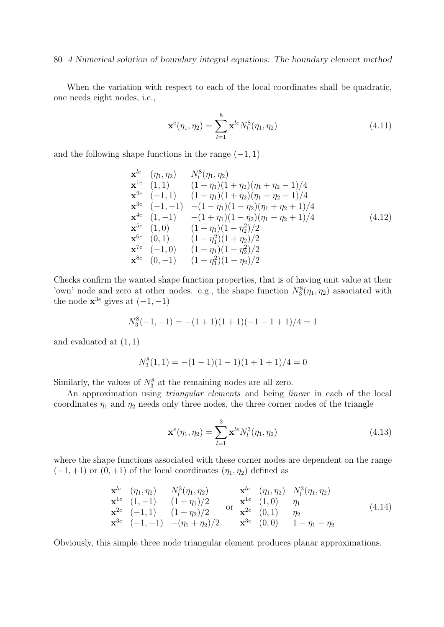#### 80 4 Numerical solution of boundary integral equations: The boundary element method

When the variation with respect to each of the local coordinates shall be quadratic, one needs eight nodes, i.e.,

$$
\mathbf{x}^{e}(\eta_1, \eta_2) = \sum_{l=1}^{8} \mathbf{x}^{le} N_l^8(\eta_1, \eta_2)
$$
 (4.11)

and the following shape functions in the range  $(-1, 1)$ 

$$
\mathbf{x}^{le} \quad (\eta_1, \eta_2) \qquad N_l^8(\eta_1, \eta_2) \n\mathbf{x}^{1e} \quad (1,1) \qquad (1+\eta_1)(1+\eta_2)(\eta_1+\eta_2-1)/4 \n\mathbf{x}^{2e} \quad (-1,1) \qquad (1-\eta_1)(1+\eta_2)(\eta_1-\eta_2-1)/4 \n\mathbf{x}^{3e} \quad (-1,-1) \qquad -(1-\eta_1)(1-\eta_2)(\eta_1+\eta_2+1)/4 \n\mathbf{x}^{4e} \quad (1,-1) \qquad -(1+\eta_1)(1-\eta_2)(\eta_1-\eta_2+1)/4 \n\mathbf{x}^{5e} \quad (1,0) \qquad (1+\eta_1)(1-\eta_2^2)/2 \n\mathbf{x}^{6e} \quad (0,1) \qquad (1-\eta_1^2)(1+\eta_2)/2 \n\mathbf{x}^{7e} \qquad (-1,0) \qquad (1-\eta_1)(1-\eta_2^2)/2 \n\mathbf{x}^{8e} \quad (0,-1) \qquad (1-\eta_1^2)(1-\eta_2)/2
$$

Checks confirm the wanted shape function properties, that is of having unit value at their 'own' node and zero at other nodes. e.g., the shape function  $N_3^8(\eta_1, \eta_2)$  associated with the node  $\mathbf{x}^{3e}$  gives at  $(-1, -1)$ 

$$
N_3^8(-1,-1) = -(1+1)(1+1)(-1-1+1)/4 = 1
$$

and evaluated at  $(1, 1)$ 

$$
N_3^8(1,1) = -(1-1)(1-1)(1+1+1)/4 = 0
$$

Similarly, the values of  $N_3^8$  at the remaining nodes are all zero.

An approximation using triangular elements and being linear in each of the local coordinates  $\eta_1$  and  $\eta_2$  needs only three nodes, the three corner nodes of the triangle

$$
\mathbf{x}^{e}(\eta_1, \eta_2) = \sum_{l=1}^{3} \mathbf{x}^{le} N_l^3(\eta_1, \eta_2)
$$
 (4.13)

where the shape functions associated with these corner nodes are dependent on the range  $(-1, +1)$  or  $(0, +1)$  of the local coordinates  $(\eta_1, \eta_2)$  defined as

$$
\mathbf{x}^{le} \quad (\eta_1, \eta_2) \quad N_l^3(\eta_1, \eta_2) \quad \mathbf{x}^{le} \quad (\eta_1, \eta_2) \quad N_l^3(\eta_1, \eta_2) \n\mathbf{x}^{1e} \quad (1, -1) \quad (1 + \eta_1)/2 \quad \text{or} \quad \mathbf{x}^{1e} \quad (1, 0) \quad \eta_1 \n\mathbf{x}^{2e} \quad (-1, 1) \quad (1 + \eta_2)/2 \quad \text{or} \quad \mathbf{x}^{2e} \quad (0, 1) \quad \eta_2 \n\mathbf{x}^{3e} \quad (-1, -1) \quad -(\eta_1 + \eta_2)/2 \quad \mathbf{x}^{3e} \quad (0, 0) \quad 1 - \eta_1 - \eta_2
$$
\n(4.14)

Obviously, this simple three node triangular element produces planar approximations.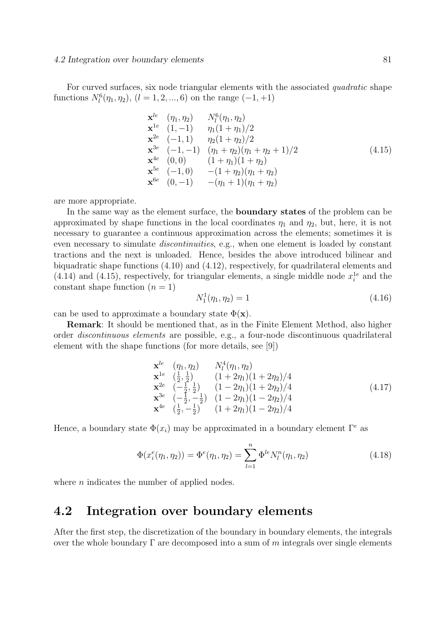For curved surfaces, six node triangular elements with the associated *quadratic* shape functions  $N_l^6(\eta_1, \eta_2)$ ,  $(l = 1, 2, ..., 6)$  on the range  $(-1, +1)$ 

$$
\mathbf{x}^{le} \quad (\eta_1, \eta_2) \qquad N_l^6(\eta_1, \eta_2) \n\mathbf{x}^{1e} \quad (1, -1) \qquad \eta_1(1 + \eta_1)/2 \n\mathbf{x}^{2e} \quad (-1, 1) \qquad \eta_2(1 + \eta_2)/2 \n\mathbf{x}^{3e} \quad (-1, -1) \qquad (\eta_1 + \eta_2)(\eta_1 + \eta_2 + 1)/2 \n\mathbf{x}^{4e} \quad (0, 0) \qquad (1 + \eta_1)(1 + \eta_2) \n\mathbf{x}^{5e} \quad (-1, 0) \qquad -(1 + \eta_2)(\eta_1 + \eta_2) \n\mathbf{x}^{6e} \quad (0, -1) \qquad -(\eta_1 + 1)(\eta_1 + \eta_2)
$$
\n(4.15)

are more appropriate.

In the same way as the element surface, the boundary states of the problem can be approximated by shape functions in the local coordinates  $\eta_1$  and  $\eta_2$ , but, here, it is not necessary to guarantee a continuous approximation across the elements; sometimes it is even necessary to simulate *discontinuities*, e.g., when one element is loaded by constant tractions and the next is unloaded. Hence, besides the above introduced bilinear and biquadratic shape functions (4.10) and (4.12), respectively, for quadrilateral elements and  $(4.14)$  and  $(4.15)$ , respectively, for triangular elements, a single middle node  $x_i^{1e}$  and the constant shape function  $(n = 1)$ 

$$
N_1^1(\eta_1, \eta_2) = 1 \tag{4.16}
$$

can be used to approximate a boundary state  $\Phi(\mathbf{x})$ .

Remark: It should be mentioned that, as in the Finite Element Method, also higher order discontinuous elements are possible, e.g., a four-node discontinuous quadrilateral element with the shape functions (for more details, see [9])

$$
\mathbf{x}^{le} \quad (\eta_1, \eta_2) \qquad N_l^4(\eta_1, \eta_2) \n\mathbf{x}^{1e} \quad (\frac{1}{2}, \frac{1}{2}) \qquad (1+2\eta_1)(1+2\eta_2)/4 \n\mathbf{x}^{2e} \quad (-\frac{1}{2}, \frac{1}{2}) \qquad (1-2\eta_1)(1+2\eta_2)/4 \n\mathbf{x}^{3e} \quad (-\frac{1}{2}, -\frac{1}{2}) \quad (1-2\eta_1)(1-2\eta_2)/4 \n\mathbf{x}^{4e} \quad (\frac{1}{2}, -\frac{1}{2}) \quad (1+2\eta_1)(1-2\eta_2)/4
$$
\n(4.17)

Hence, a boundary state  $\Phi(x_i)$  may be approximated in a boundary element  $\Gamma^e$  as

$$
\Phi(x_i^e(\eta_1, \eta_2)) = \Phi^e(\eta_1, \eta_2) = \sum_{l=1}^n \Phi^{le} N_l^n(\eta_1, \eta_2)
$$
\n(4.18)

where  $n$  indicates the number of applied nodes.

# 4.2 Integration over boundary elements

After the first step, the discretization of the boundary in boundary elements, the integrals over the whole boundary  $\Gamma$  are decomposed into a sum of m integrals over single elements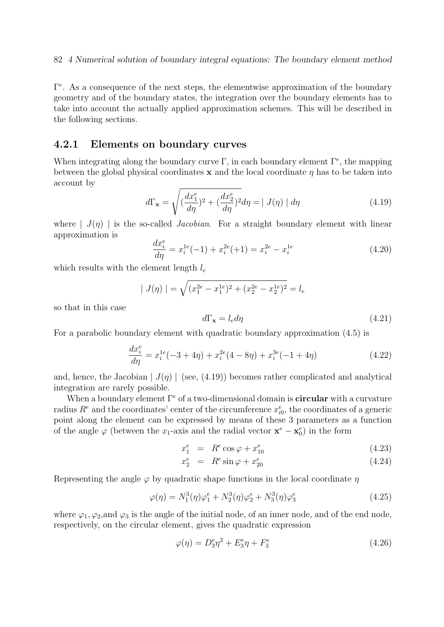$\Gamma^e$ . As a consequence of the next steps, the elementwise approximation of the boundary geometry and of the boundary states, the integration over the boundary elements has to take into account the actually applied approximation schemes. This will be described in the following sections.

## 4.2.1 Elements on boundary curves

When integrating along the boundary curve  $\Gamma$ , in each boundary element  $\Gamma^e$ , the mapping between the global physical coordinates  $x$  and the local coordinate  $\eta$  has to be taken into account by

$$
d\Gamma_{\mathbf{x}} = \sqrt{\left(\frac{dx_1^e}{d\eta}\right)^2 + \left(\frac{dx_2^e}{d\eta}\right)^2} d\eta = | J(\eta) | d\eta \qquad (4.19)
$$

where  $| J(\eta) |$  is the so-called *Jacobian*. For a straight boundary element with linear approximation is

$$
\frac{dx_i^e}{d\eta} = x_i^{1e}(-1) + x_i^{2e}(+1) = x_i^{2e} - x_i^{1e}
$$
\n(4.20)

which results with the element length  $l_e$ 

$$
| J(\eta) | = \sqrt{(x_1^{2e} - x_1^{1e})^2 + (x_2^{2e} - x_2^{1e})^2} = l_e
$$

so that in this case

$$
d\Gamma_{\mathbf{x}} = l_e d\eta \tag{4.21}
$$

For a parabolic boundary element with quadratic boundary approximation (4.5) is

$$
\frac{dx_i^e}{d\eta} = x_i^{1e}(-3 + 4\eta) + x_i^{2e}(4 - 8\eta) + x_i^{3e}(-1 + 4\eta)
$$
\n(4.22)

and, hence, the Jacobian  $| J(\eta) |$  (see, (4.19)) becomes rather complicated and analytical integration are rarely possible.

When a boundary element  $\Gamma^e$  of a two-dimensional domain is **circular** with a curvature radius  $R^e$  and the coordinates' center of the circumference  $x_{i0}^e$ , the coordinates of a generic point along the element can be expressed by means of these 3 parameters as a function of the angle  $\varphi$  (between the x<sub>1</sub>-axis and the radial vector  $\mathbf{x}^e - \mathbf{x}_0^e$ ) in the form

$$
x_1^e = R^e \cos \varphi + x_{10}^e \tag{4.23}
$$

$$
x_2^e = R^e \sin \varphi + x_{20}^e \tag{4.24}
$$

Representing the angle  $\varphi$  by quadratic shape functions in the local coordinate  $\eta$ 

$$
\varphi(\eta) = N_1^3(\eta)\varphi_1^e + N_2^3(\eta)\varphi_2^e + N_3^3(\eta)\varphi_3^e \tag{4.25}
$$

where  $\varphi_1, \varphi_2$ , and  $\varphi_3$  is the angle of the initial node, of an inner node, and of the end node, respectively, on the circular element, gives the quadratic expression

$$
\varphi(\eta) = D_3^e \eta^2 + E_3^e \eta + F_3^e \tag{4.26}
$$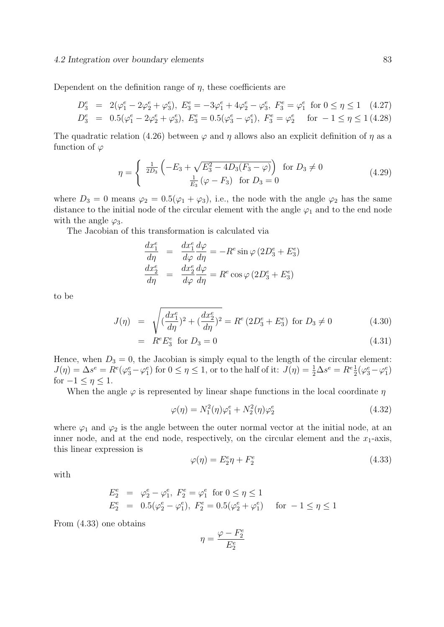#### 4.2 Integration over boundary elements 83

Dependent on the definition range of  $\eta$ , these coefficients are

$$
D_3^e = 2(\varphi_1^e - 2\varphi_2^e + \varphi_3^e), E_3^e = -3\varphi_1^e + 4\varphi_2^e - \varphi_3^e, F_3^e = \varphi_1^e \text{ for } 0 \le \eta \le 1 \quad (4.27)
$$
  
\n
$$
D_3^e = 0.5(\varphi_1^e - 2\varphi_2^e + \varphi_3^e), E_3^e = 0.5(\varphi_3^e - \varphi_1^e), F_3^e = \varphi_2^e \text{ for } -1 \le \eta \le 1 \quad (4.28)
$$

The quadratic relation (4.26) between  $\varphi$  and  $\eta$  allows also an explicit definition of  $\eta$  as a function of  $\varphi$ 

$$
\eta = \begin{cases} \frac{1}{2D_3} \left( -E_3 + \sqrt{E_3^2 - 4D_3(F_3 - \varphi)} \right) & \text{for } D_3 \neq 0\\ \frac{1}{E_3} \left( \varphi - F_3 \right) & \text{for } D_3 = 0 \end{cases}
$$
(4.29)

where  $D_3 = 0$  means  $\varphi_2 = 0.5(\varphi_1 + \varphi_3)$ , i.e., the node with the angle  $\varphi_2$  has the same distance to the initial node of the circular element with the angle  $\varphi_1$  and to the end node with the angle  $\varphi_3$ .

The Jacobian of this transformation is calculated via

$$
\frac{dx_1^e}{d\eta} = \frac{dx_1^e}{d\varphi} \frac{d\varphi}{d\eta} = -R^e \sin\varphi (2D_3^e + E_3^e)
$$
  

$$
\frac{dx_2^e}{d\eta} = \frac{dx_2^e}{d\varphi} \frac{d\varphi}{d\eta} = R^e \cos\varphi (2D_3^e + E_3^e)
$$

to be

$$
J(\eta) = \sqrt{\left(\frac{dx_1^e}{d\eta}\right)^2 + \left(\frac{dx_2^e}{d\eta}\right)^2} = R^e \left(2D_3^e + E_3^e\right) \text{ for } D_3 \neq 0 \tag{4.30}
$$

$$
= R^e E_3^e \text{ for } D_3 = 0 \tag{4.31}
$$

Hence, when  $D_3 = 0$ , the Jacobian is simply equal to the length of the circular element:  $J(\eta) = \Delta s^e = R^e(\varphi_3^e - \varphi_1^e)$  for  $0 \le \eta \le 1$ , or to the half of it:  $J(\eta) = \frac{1}{2}\Delta s^e = R^e \frac{1}{2}(\varphi_3^e - \varphi_1^e)$ for  $-1 \leq \eta \leq 1$ .

When the angle  $\varphi$  is represented by linear shape functions in the local coordinate  $\eta$ 

$$
\varphi(\eta) = N_1^2(\eta)\varphi_1^e + N_2^2(\eta)\varphi_2^e \tag{4.32}
$$

where  $\varphi_1$  and  $\varphi_2$  is the angle between the outer normal vector at the initial node, at an inner node, and at the end node, respectively, on the circular element and the  $x_1$ -axis, this linear expression is

$$
\varphi(\eta) = E_2^e \eta + F_2^e \tag{4.33}
$$

with

$$
E_2^e = \varphi_2^e - \varphi_1^e, \ F_2^e = \varphi_1^e \text{ for } 0 \le \eta \le 1
$$
  

$$
E_2^e = 0.5(\varphi_2^e - \varphi_1^e), \ F_2^e = 0.5(\varphi_2^e + \varphi_1^e) \text{ for } -1 \le \eta \le 1
$$

From (4.33) one obtains

$$
\eta = \frac{\varphi - F_2^e}{E_2^e}
$$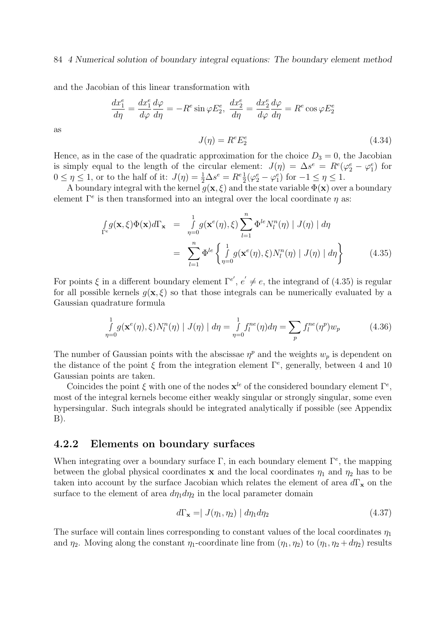#### 84 4 Numerical solution of boundary integral equations: The boundary element method

and the Jacobian of this linear transformation with

$$
\frac{dx_1^e}{d\eta} = \frac{dx_1^e}{d\varphi}\frac{d\varphi}{d\eta} = -R^e \sin\varphi E_2^e, \ \frac{dx_2^e}{d\eta} = \frac{dx_2^e}{d\varphi}\frac{d\varphi}{d\eta} = R^e \cos\varphi E_2^e
$$

$$
J(\eta) = R^e E_2^e \tag{4.34}
$$

as

Hence, as in the case of the quadratic approximation for the choice  $D_3 = 0$ , the Jacobian is simply equal to the length of the circular element:  $J(\eta) = \Delta s^e = R^e(\varphi_2^e - \varphi_1^e)$  for  $0 \leq \eta \leq 1$ , or to the half of it:  $J(\eta) = \frac{1}{2} \Delta s^e = R^e \frac{1}{2} (\varphi_2^e - \varphi_1^e)$  for  $-1 \leq \eta \leq 1$ .

A boundary integral with the kernel  $g(x, \xi)$  and the state variable  $\Phi(x)$  over a boundary element  $\Gamma^e$  is then transformed into an integral over the local coordinate  $\eta$  as:

$$
\int_{\Gamma^e} g(\mathbf{x}, \xi) \Phi(\mathbf{x}) d\Gamma_{\mathbf{x}} = \int_{\eta=0}^1 g(\mathbf{x}^e(\eta), \xi) \sum_{l=1}^n \Phi^{le} N_l^n(\eta) | J(\eta) | d\eta
$$
\n
$$
= \sum_{l=1}^n \Phi^{le} \left\{ \int_{\eta=0}^1 g(\mathbf{x}^e(\eta), \xi) N_l^n(\eta) | J(\eta) | d\eta \right\} \tag{4.35}
$$

For points  $\xi$  in a different boundary element  $\Gamma^{e'}$ ,  $e' \neq e$ , the integrand of (4.35) is regular for all possible kernels  $g(x, \xi)$  so that those integrals can be numerically evaluated by a Gaussian quadrature formula

$$
\int_{\eta=0}^{1} g(\mathbf{x}^{e}(\eta), \xi) N_{l}^{n}(\eta) | J(\eta) | d\eta = \int_{\eta=0}^{1} f_{l}^{ne}(\eta) d\eta = \sum_{p} f_{l}^{ne}(\eta^{p}) w_{p}
$$
(4.36)

The number of Gaussian points with the abscissae  $\eta^p$  and the weights  $w_p$  is dependent on the distance of the point  $\xi$  from the integration element  $\Gamma^e$ , generally, between 4 and 10 Gaussian points are taken.

Coincides the point  $\xi$  with one of the nodes  $\mathbf{x}^{le}$  of the considered boundary element  $\Gamma^e$ , most of the integral kernels become either weakly singular or strongly singular, some even hypersingular. Such integrals should be integrated analytically if possible (see Appendix  $B$ ).

## 4.2.2 Elements on boundary surfaces

When integrating over a boundary surface  $\Gamma$ , in each boundary element  $\Gamma^e$ , the mapping between the global physical coordinates x and the local coordinates  $\eta_1$  and  $\eta_2$  has to be taken into account by the surface Jacobian which relates the element of area  $d\Gamma_{\mathbf{x}}$  on the surface to the element of area  $d\eta_1 d\eta_2$  in the local parameter domain

$$
d\Gamma_{\mathbf{x}} = | J(\eta_1, \eta_2) | d\eta_1 d\eta_2 \qquad (4.37)
$$

The surface will contain lines corresponding to constant values of the local coordinates  $\eta_1$ and  $\eta_2$ . Moving along the constant  $\eta_1$ -coordinate line from  $(\eta_1, \eta_2)$  to  $(\eta_1, \eta_2 + d\eta_2)$  results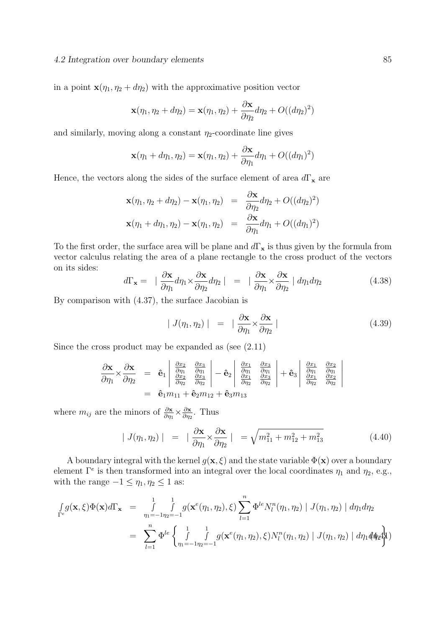#### 4.2 Integration over boundary elements 85

in a point  $\mathbf{x}(\eta_1, \eta_2 + d\eta_2)$  with the approximative position vector

$$
\mathbf{x}(\eta_1, \eta_2 + d\eta_2) = \mathbf{x}(\eta_1, \eta_2) + \frac{\partial \mathbf{x}}{\partial \eta_2} d\eta_2 + O((d\eta_2)^2)
$$

and similarly, moving along a constant  $\eta_2$ -coordinate line gives

$$
\mathbf{x}(\eta_1 + d\eta_1, \eta_2) = \mathbf{x}(\eta_1, \eta_2) + \frac{\partial \mathbf{x}}{\partial \eta_1} d\eta_1 + O((d\eta_1)^2)
$$

Hence, the vectors along the sides of the surface element of area  $d\Gamma_x$  are

$$
\mathbf{x}(\eta_1, \eta_2 + d\eta_2) - \mathbf{x}(\eta_1, \eta_2) = \frac{\partial \mathbf{x}}{\partial \eta_2} d\eta_2 + O((d\eta_2)^2)
$$
  

$$
\mathbf{x}(\eta_1 + d\eta_1, \eta_2) - \mathbf{x}(\eta_1, \eta_2) = \frac{\partial \mathbf{x}}{\partial \eta_1} d\eta_1 + O((d\eta_1)^2)
$$

To the first order, the surface area will be plane and  $d\Gamma_{\mathbf{x}}$  is thus given by the formula from vector calculus relating the area of a plane rectangle to the cross product of the vectors on its sides:

$$
d\Gamma_{\mathbf{x}} = \left| \frac{\partial \mathbf{x}}{\partial \eta_1} d\eta_1 \times \frac{\partial \mathbf{x}}{\partial \eta_2} d\eta_2 \right| = \left| \frac{\partial \mathbf{x}}{\partial \eta_1} \times \frac{\partial \mathbf{x}}{\partial \eta_2} \right| d\eta_1 d\eta_2 \tag{4.38}
$$

By comparison with (4.37), the surface Jacobian is

$$
| J(\eta_1, \eta_2) | = | \frac{\partial \mathbf{x}}{\partial \eta_1} \times \frac{\partial \mathbf{x}}{\partial \eta_2} |
$$
 (4.39)

Since the cross product may be expanded as (see (2.11)

$$
\frac{\partial \mathbf{x}}{\partial \eta_1} \times \frac{\partial \mathbf{x}}{\partial \eta_2} = \hat{\mathbf{e}}_1 \begin{vmatrix} \frac{\partial x_2}{\partial \eta_1} & \frac{\partial x_3}{\partial \eta_1} \\ \frac{\partial x_2}{\partial \eta_2} & \frac{\partial x_3}{\partial \eta_2} \end{vmatrix} - \hat{\mathbf{e}}_2 \begin{vmatrix} \frac{\partial x_1}{\partial \eta_1} & \frac{\partial x_3}{\partial \eta_1} \\ \frac{\partial x_1}{\partial \eta_2} & \frac{\partial x_2}{\partial \eta_2} \end{vmatrix} + \hat{\mathbf{e}}_3 \begin{vmatrix} \frac{\partial x_1}{\partial \eta_1} & \frac{\partial x_2}{\partial \eta_1} \\ \frac{\partial x_1}{\partial \eta_2} & \frac{\partial x_2}{\partial \eta_2} \end{vmatrix}
$$
  
=  $\hat{\mathbf{e}}_1 m_{11} + \hat{\mathbf{e}}_2 m_{12} + \hat{\mathbf{e}}_3 m_{13}$ 

where  $m_{ij}$  are the minors of  $\frac{\partial \mathbf{x}}{\partial \eta_1} \times \frac{\partial \mathbf{x}}{\partial \eta_2}$  $\frac{\partial \mathbf{x}}{\partial \eta_2}$ . Thus

$$
|J(\eta_1, \eta_2)| = |\frac{\partial \mathbf{x}}{\partial \eta_1} \times \frac{\partial \mathbf{x}}{\partial \eta_2}| = \sqrt{m_{11}^2 + m_{12}^2 + m_{13}^2}
$$
(4.40)

A boundary integral with the kernel  $g(\mathbf{x}, \xi)$  and the state variable  $\Phi(\mathbf{x})$  over a boundary element  $\Gamma^e$  is then transformed into an integral over the local coordinates  $\eta_1$  and  $\eta_2$ , e.g., with the range  $-1 \leq \eta_1, \eta_2 \leq 1$  as:

$$
\int_{\Gamma^{e}} g(\mathbf{x}, \xi) \Phi(\mathbf{x}) d\Gamma_{\mathbf{x}} = \int_{\eta_{1}=-1}^{1} \int_{\eta_{2}=-1}^{1} g(\mathbf{x}^{e}(\eta_{1}, \eta_{2}), \xi) \sum_{l=1}^{n} \Phi^{le} N_{l}^{n}(\eta_{1}, \eta_{2}) | J(\eta_{1}, \eta_{2}) | d\eta_{1} d\eta_{2}
$$
\n
$$
= \sum_{l=1}^{n} \Phi^{le} \left\{ \int_{\eta_{1}=-1}^{1} \int_{\eta_{2}=-1}^{1} g(\mathbf{x}^{e}(\eta_{1}, \eta_{2}), \xi) N_{l}^{n}(\eta_{1}, \eta_{2}) | J(\eta_{1}, \eta_{2}) | d\eta_{1} d\eta_{2} d\eta_{2} d\eta_{2} d\eta_{2} d\eta_{2} d\eta_{2} d\eta_{2} d\eta_{2} d\eta_{2} d\eta_{2} d\eta_{2} d\eta_{2} d\eta_{2} d\eta_{2} d\eta_{2} d\eta_{2} d\eta_{2} d\eta_{2} d\eta_{2} d\eta_{2} d\eta_{2} d\eta_{2} d\eta_{2} d\eta_{2} d\eta_{2} d\eta_{2} d\eta_{2} d\eta_{2} d\eta_{2} d\eta_{2} d\eta_{2} d\eta_{2} d\eta_{2} d\eta_{2} d\eta_{2} d\eta_{2} d\eta_{2} d\eta_{2} d\eta_{2} d\eta_{2} d\eta_{2} d\eta_{2} d\eta_{2} d\eta_{2} d\eta_{2} d\eta_{2} d\eta_{2} d\eta_{2} d\eta_{2} d\eta_{2} d\eta_{2} d\eta_{2} d\eta_{2} d\eta_{2} d\eta_{2} d\eta_{2} d\eta_{2} d\eta_{2} d\eta_{2} d\eta_{2} d\eta_{2} d\eta_{2} d\eta_{2} d\eta_{2} d\eta_{2} d\eta_{2} d\eta_{2} d\eta_{2} d\eta_{2} d\eta_{2} d\eta_{2} d\eta_{2} d\eta_{2} d\eta_{2} d\eta_{2} d\eta_{2} d\eta_{2} d\eta_{2} d\eta_{2} d\eta_{2} d\eta_{2} d\eta_{2} d\eta_{2} d\eta_{2}
$$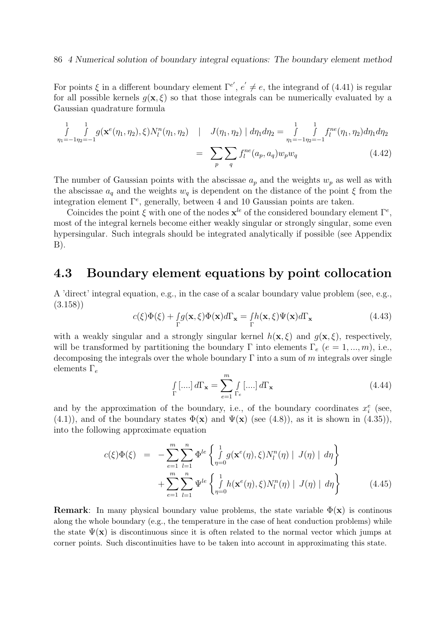For points  $\xi$  in a different boundary element  $\Gamma^{e'}$ ,  $e' \neq e$ , the integrand of (4.41) is regular for all possible kernels  $q(\mathbf{x}, \xi)$  so that those integrals can be numerically evaluated by a Gaussian quadrature formula

$$
\int_{\eta_1=-1\eta_2=-1}^{1} \int_{\eta_2=-1}^{1} g(\mathbf{x}^e(\eta_1, \eta_2), \xi) N_l^n(\eta_1, \eta_2) \quad | \quad J(\eta_1, \eta_2) | d\eta_1 d\eta_2 = \int_{\eta_1=-1\eta_2=-1}^{1} \int_{\eta_1}^{1} f_l^{ne}(\eta_1, \eta_2) d\eta_1 d\eta_2
$$
\n
$$
= \sum_p \sum_q f_l^{ne}(a_p, a_q) w_p w_q \tag{4.42}
$$

The number of Gaussian points with the abscissae  $a_p$  and the weights  $w_p$  as well as with the abscissae  $a_q$  and the weights  $w_q$  is dependent on the distance of the point  $\xi$  from the integration element  $\Gamma^e$ , generally, between 4 and 10 Gaussian points are taken.

Coincides the point  $\xi$  with one of the nodes  $\mathbf{x}^{le}$  of the considered boundary element  $\Gamma^e$ , most of the integral kernels become either weakly singular or strongly singular, some even hypersingular. Such integrals should be integrated analytically if possible (see Appendix  $B$ ).

## 4.3 Boundary element equations by point collocation

A 'direct' integral equation, e.g., in the case of a scalar boundary value problem (see, e.g., (3.158))

$$
c(\xi)\Phi(\xi) + \int_{\Gamma} g(\mathbf{x}, \xi)\Phi(\mathbf{x})d\Gamma_{\mathbf{x}} = \int_{\Gamma} h(\mathbf{x}, \xi)\Psi(\mathbf{x})d\Gamma_{\mathbf{x}}
$$
(4.43)

with a weakly singular and a strongly singular kernel  $h(\mathbf{x}, \xi)$  and  $g(\mathbf{x}, \xi)$ , respectively, will be transformed by partitioning the boundary Γ into elements  $\Gamma_e$  ( $e = 1, ..., m$ ), i.e., decomposing the integrals over the whole boundary  $\Gamma$  into a sum of m integrals over single elements  $\Gamma_e$ 

$$
\int_{\Gamma} [\dots] d\Gamma_{\mathbf{x}} = \sum_{e=1}^{m} \int_{\Gamma_e} [\dots] d\Gamma_{\mathbf{x}} \tag{4.44}
$$

and by the approximation of the boundary, i.e., of the boundary coordinates  $x_i^e$  (see, (4.1)), and of the boundary states  $\Phi(\mathbf{x})$  and  $\Psi(\mathbf{x})$  (see (4.8)), as it is shown in (4.35)), into the following approximate equation

$$
c(\xi)\Phi(\xi) = -\sum_{e=1}^{m} \sum_{l=1}^{n} \Phi^{le} \left\{ \int_{\eta=0}^{1} g(\mathbf{x}^{e}(\eta), \xi) N_{l}^{n}(\eta) | J(\eta) | d\eta \right\} + \sum_{e=1}^{m} \sum_{l=1}^{n} \Psi^{le} \left\{ \int_{\eta=0}^{1} h(\mathbf{x}^{e}(\eta), \xi) N_{l}^{n}(\eta) | J(\eta) | d\eta \right\}
$$
(4.45)

**Remark:** In many physical boundary value problems, the state variable  $\Phi(\mathbf{x})$  is continous along the whole boundary (e.g., the temperature in the case of heat conduction problems) while the state  $\Psi(\mathbf{x})$  is discontinuous since it is often related to the normal vector which jumps at corner points. Such discontinuities have to be taken into account in approximating this state.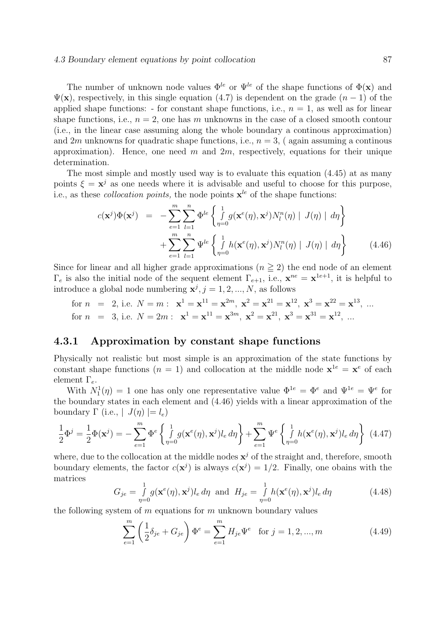#### 4.3 Boundary element equations by point collocation 87

The number of unknown node values  $\Phi^{le}$  or  $\Psi^{le}$  of the shape functions of  $\Phi(\mathbf{x})$  and  $\Psi(\mathbf{x})$ , respectively, in this single equation (4.7) is dependent on the grade  $(n-1)$  of the applied shape functions: - for constant shape functions, i.e.,  $n = 1$ , as well as for linear shape functions, i.e.,  $n = 2$ , one has m unknowns in the case of a closed smooth contour (i.e., in the linear case assuming along the whole boundary a continous approximation) and 2m unknowns for quadratic shape functions, i.e.,  $n = 3$ , (again assuming a continous approximation). Hence, one need m and  $2m$ , respectively, equations for their unique determination.

The most simple and mostly used way is to evaluate this equation (4.45) at as many points  $\xi = \mathbf{x}^j$  as one needs where it is advisable and useful to choose for this purpose, i.e., as these *collocation points*, the node points  $x^{le}$  of the shape functions:

$$
c(\mathbf{x}^{j})\Phi(\mathbf{x}^{j}) = -\sum_{e=1}^{m} \sum_{l=1}^{n} \Phi^{le} \left\{ \int_{\eta=0}^{1} g(\mathbf{x}^{e}(\eta), \mathbf{x}^{j}) N_{l}^{n}(\eta) | J(\eta) | d\eta \right\} + \sum_{e=1}^{m} \sum_{l=1}^{n} \Psi^{le} \left\{ \int_{\eta=0}^{1} h(\mathbf{x}^{e}(\eta), \mathbf{x}^{j}) N_{l}^{n}(\eta) | J(\eta) | d\eta \right\}
$$
(4.46)

Since for linear and all higher grade approximations  $(n \geq 2)$  the end node of an element  $\Gamma_e$  is also the initial node of the sequent element  $\Gamma_{e+1}$ , i.e.,  $\mathbf{x}^{ne} = \mathbf{x}^{1e+1}$ , it is helpful to introduce a global node numbering  $x^j$ ,  $j = 1, 2, ..., N$ , as follows

for 
$$
n = 2
$$
, i.e.  $N = m$ :  $\mathbf{x}^1 = \mathbf{x}^{11} = \mathbf{x}^{2m}$ ,  $\mathbf{x}^2 = \mathbf{x}^{21} = \mathbf{x}^{12}$ ,  $\mathbf{x}^3 = \mathbf{x}^{22} = \mathbf{x}^{13}$ , ...  
for  $n = 3$ , i.e.  $N = 2m$ :  $\mathbf{x}^1 = \mathbf{x}^{11} = \mathbf{x}^{3m}$ ,  $\mathbf{x}^2 = \mathbf{x}^{21}$ ,  $\mathbf{x}^3 = \mathbf{x}^{31} = \mathbf{x}^{12}$ , ...

## 4.3.1 Approximation by constant shape functions

Physically not realistic but most simple is an approximation of the state functions by constant shape functions  $(n = 1)$  and collocation at the middle node  $\mathbf{x}^{1e} = \mathbf{x}^e$  of each element  $\Gamma_e$ .

With  $N_1^1(\eta) = 1$  one has only one representative value  $\Phi^{1e} = \Phi^e$  and  $\Psi^{1e} = \Psi^e$  for the boundary states in each element and (4.46) yields with a linear approximation of the boundary  $\Gamma$  (i.e.,  $|J(\eta)| = l_e$ )

$$
\frac{1}{2}\Phi^j = \frac{1}{2}\Phi(\mathbf{x}^j) = -\sum_{e=1}^m \Phi^e \left\{ \int_{\eta=0}^1 g(\mathbf{x}^e(\eta), \mathbf{x}^j) l_e d\eta \right\} + \sum_{e=1}^m \Psi^e \left\{ \int_{\eta=0}^1 h(\mathbf{x}^e(\eta), \mathbf{x}^j) l_e d\eta \right\} (4.47)
$$

where, due to the collocation at the middle nodes  $x^j$  of the straight and, therefore, smooth boundary elements, the factor  $c(\mathbf{x}^j)$  is always  $c(\mathbf{x}^j) = 1/2$ . Finally, one obains with the matrices

$$
G_{je} = \int_{\eta=0}^{1} g(\mathbf{x}^e(\eta), \mathbf{x}^j) l_e d\eta \text{ and } H_{je} = \int_{\eta=0}^{1} h(\mathbf{x}^e(\eta), \mathbf{x}^j) l_e d\eta
$$
 (4.48)

the following system of  $m$  equations for  $m$  unknown boundary values

$$
\sum_{e=1}^{m} \left(\frac{1}{2}\delta_{je} + G_{je}\right) \Phi^e = \sum_{e=1}^{m} H_{je} \Psi^e \quad \text{for } j = 1, 2, ..., m
$$
 (4.49)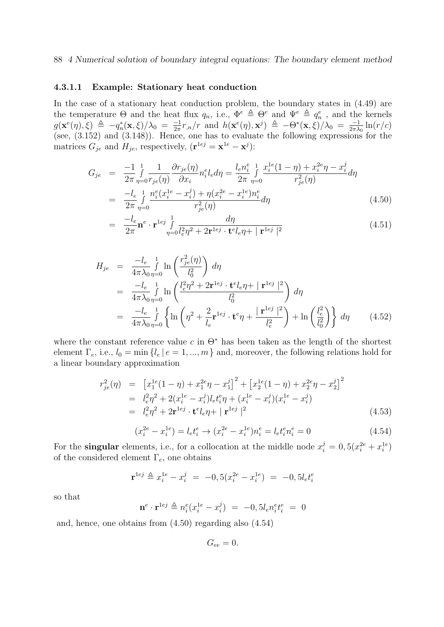#### 88 4 Numerical solution of boundary integral equations: The boundary element method

#### 4.3.1.1 Example: Stationary heat conduction

In the case of a stationary heat conduction problem, the boundary states in (4.49) are the temperature  $\Theta$  and the heat flux  $q_n$ , i.e.,  $\Phi^e \triangleq \Theta^e$  and  $\Psi^e \triangleq q_n^e$ , and the kernels  $g(\mathbf{x}^e(\eta), \xi) \triangleq -q_n^*(\mathbf{x}, \xi)/\lambda_0 = \frac{-1}{2\pi}$  $\frac{-1}{2\pi}r_{,n}/r$  and  $h(\mathbf{x}^e(\eta), \mathbf{x}^j) \triangleq -\Theta^*(\mathbf{x}, \xi)/\lambda_0 = \frac{-1}{2\pi\lambda}$  $\frac{-1}{2\pi\lambda_0}\ln(r/c)$ (see, (3.152) and (3.148)). Hence, one has to evaluate the following expressions for the matrices  $G_{je}$  and  $H_{je}$ , respectively,  $(\mathbf{r}^{1ej} = \mathbf{x}^{1e} - \mathbf{x}^{j})$ :

$$
G_{je} = \frac{-1}{2\pi} \int_{\eta=0}^{1} \frac{1}{r_{je}(\eta)} \frac{\partial r_{je}(\eta)}{\partial x_i} n_i^e l_e d\eta = \frac{l_e n_i^e}{2\pi} \int_{\eta=0}^{1} \frac{x_i^{1e}(1-\eta) + x_i^{2e}\eta - x_i^j}{r_{je}^2(\eta)} d\eta
$$
  

$$
= \frac{-l_e}{2\pi} \int_{\eta=0}^{1} \frac{n_i^e(x_i^{1e} - x_i^j) + \eta(x_i^{2e} - x_i^{1e})n_i^e}{r_{je}^2(\eta)} d\eta
$$
(4.50)

$$
= \frac{-l_e}{2\pi} \mathbf{n}^e \cdot \mathbf{r}^{1ej} \int\limits_{\eta=0}^1 \frac{d\eta}{l_e^2 \eta^2 + 2\mathbf{r}^{1ej} \cdot \mathbf{t}^e l_e \eta + |\mathbf{r}^{1ej}|^2}
$$
(4.51)

$$
H_{je} = \frac{-l_e}{4\pi\lambda_0} \int_{\eta=0}^{1} \ln\left(\frac{r_{je}^2(\eta)}{l_0^2}\right) d\eta
$$
  
\n
$$
= \frac{-l_e}{4\pi\lambda_0} \int_{\eta=0}^{1} \ln\left(\frac{l_e^2 \eta^2 + 2\mathbf{r}^{1ej} \cdot \mathbf{t}^e l_e \eta + |\mathbf{r}^{1ej}|^2}{l_0^2}\right) d\eta
$$
  
\n
$$
= \frac{-l_e}{4\pi\lambda_0} \int_{\eta=0}^{1} \left\{\ln\left(\eta^2 + \frac{2}{l_e} \mathbf{r}^{1ej} \cdot \mathbf{t}^e \eta + \frac{|\mathbf{r}^{1ej}|^2}{l_e^2}\right) + \ln\left(\frac{l_e^2}{l_0^2}\right)\right\} d\eta
$$
(4.52)

where the constant reference value c in  $\Theta^*$  has been taken as the length of the shortest element  $\Gamma_e$ , i.e.,  $l_0 = \min\{l_e | e = 1, ..., m\}$  and, moreover, the following relations hold for a linear boundary approximation

$$
r_{je}^{2}(\eta) = \left[x_{1}^{1e}(1-\eta) + x_{1}^{2e}\eta - x_{1}^{j}\right]^{2} + \left[x_{2}^{1e}(1-\eta) + x_{2}^{2e}\eta - x_{2}^{j}\right]^{2}
$$
  
\n
$$
= l_{e}^{2}\eta^{2} + 2(x_{i}^{1e} - x_{i}^{j})l_{e}t_{i}^{e}\eta + (x_{i}^{1e} - x_{i}^{j})(x_{i}^{1e} - x_{i}^{j})
$$
  
\n
$$
= l_{e}^{2}\eta^{2} + 2\mathbf{r}^{1e}t \cdot \mathbf{t}^{e}l_{e}\eta + |\mathbf{r}^{1e}t|^{2}
$$
\n(4.53)

$$
(x_i^{2e} - x_i^{1e}) = l_e t_i^e \rightarrow (x_i^{2e} - x_i^{1e}) n_i^e = l_e t_i^e n_i^e = 0
$$
\n(4.54)

For the **singular** elements, i.e., for a collocation at the middle node  $x_i^j = 0, 5(x_i^{2e} + x_i^{1e})$ of the considered element  $\Gamma_e$ , one obtains

$$
\mathbf{r}^{1ej} \triangleq x_i^{1e} - x_i^j \ = \ -0, 5(x_i^{2e} - x_i^{1e}) \ = \ -0, 5l_e t_i^e
$$

so that

$$
\mathbf{n}^e \cdot \mathbf{r}^{1ej} \triangleq n_i^e(x_i^{1e} - x_i^j) = -0, 5l_e n_i^e t_i^e = 0
$$

and, hence, one obtains from (4.50) regarding also (4.54)

$$
G_{ee}=0.
$$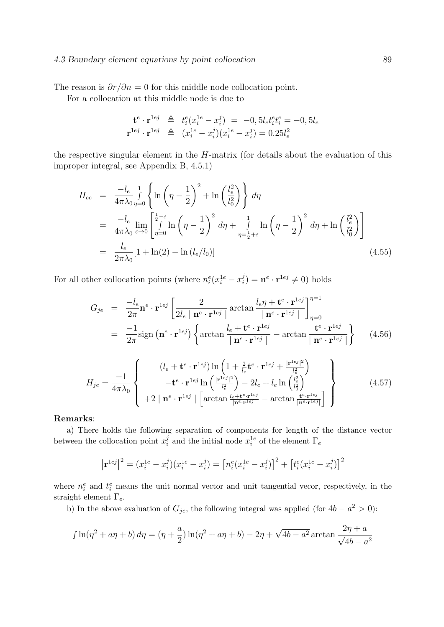#### 4.3 Boundary element equations by point collocation 89

The reason is  $\partial r / \partial n = 0$  for this middle node collocation point.

For a collocation at this middle node is due to

$$
\mathbf{t}^{e} \cdot \mathbf{r}^{1ej} \triangleq t_i^{e}(x_i^{1e} - x_i^{j}) = -0, 5l_e t_i^{e} t_i^{e} = -0, 5l_e
$$
  

$$
\mathbf{r}^{1ej} \cdot \mathbf{r}^{1ej} \triangleq (x_i^{1e} - x_i^{j})(x_i^{1e} - x_i^{j}) = 0.25l_e^2
$$

the respective singular element in the H-matrix (for details about the evaluation of this improper integral, see Appendix B, 4.5.1)

$$
H_{ee} = \frac{-l_e}{4\pi\lambda_0} \int_{\eta=0}^{1} \left\{ \ln\left(\eta - \frac{1}{2}\right)^2 + \ln\left(\frac{l_e^2}{l_0^2}\right) \right\} d\eta
$$
  
\n
$$
= \frac{-l_e}{4\pi\lambda_0} \lim_{\varepsilon \to 0} \left[ \int_{\eta=0}^{\frac{1}{2}-\varepsilon} \ln\left(\eta - \frac{1}{2}\right)^2 d\eta + \int_{\eta=\frac{1}{2}+\varepsilon}^1 \ln\left(\eta - \frac{1}{2}\right)^2 d\eta + \ln\left(\frac{l_e^2}{l_0^2}\right) \right]
$$
  
\n
$$
= \frac{l_e}{2\pi\lambda_0} [1 + \ln(2) - \ln(l_e/l_0)] \tag{4.55}
$$

For all other collocation points (where  $n_i^e(x_i^{1e} - x_i^j)$  $j_i^j$ ) =  $\mathbf{n}^e \cdot \mathbf{r}^{1ej} \neq 0$ ) holds

$$
G_{je} = \frac{-l_e}{2\pi} \mathbf{n}^e \cdot \mathbf{r}^{1ej} \left[ \frac{2}{2l_e \mid \mathbf{n}^e \cdot \mathbf{r}^{1ej}} \arctan \frac{l_e \eta + \mathbf{t}^e \cdot \mathbf{r}^{1ej}}{\mid \mathbf{n}^e \cdot \mathbf{r}^{1ej}} \right]_{\eta=0}^{\eta=1}
$$
  
= 
$$
\frac{-1}{2\pi} sign \left( \mathbf{n}^e \cdot \mathbf{r}^{1ej} \right) \left\{ arctan \frac{l_e + \mathbf{t}^e \cdot \mathbf{r}^{1ej}}{\mid \mathbf{n}^e \cdot \mathbf{r}^{1ej}} - arctan \frac{\mathbf{t}^e \cdot \mathbf{r}^{1ej}}{\mid \mathbf{n}^e \cdot \mathbf{r}^{1ej}} \right\} \qquad (4.56)
$$

$$
H_{je} = \frac{-1}{4\pi\lambda_0} \left\{ \begin{array}{c} (l_e + \mathbf{t}^e \cdot \mathbf{r}^{1ej}) \ln\left(1 + \frac{2}{l_e} \mathbf{t}^e \cdot \mathbf{r}^{1ej} + \frac{|\mathbf{r}^{1ej}|^2}{l_e^2}\right) \\ -\mathbf{t}^e \cdot \mathbf{r}^{1ej} \ln\left(\frac{|\mathbf{r}^{1ej}|^2}{l_e^2}\right) - 2l_e + l_e \ln\left(\frac{l_e^2}{l_0^2}\right) \\ + 2 \mid \mathbf{n}^e \cdot \mathbf{r}^{1ej} \mid \left[\arctan\frac{l_e + \mathbf{t}^e \cdot \mathbf{r}^{1ej}}{|\mathbf{n}^e \cdot \mathbf{r}^{1ej}|} - \arctan\frac{\mathbf{t}^e \cdot \mathbf{r}^{1ej}}{|\mathbf{n}^e \cdot \mathbf{r}^{1ej}|}\right] \end{array} \right\}
$$
(4.57)

#### Remarks:

a) There holds the following separation of components for length of the distance vector between the collocation point  $x_i^j$  $i$  and the initial node  $x_i^{1e}$  of the element  $\Gamma_e$ 

$$
\left|\mathbf{r}^{1ej}\right|^2 = (x_i^{1e} - x_i^j)(x_i^{1e} - x_i^j) = \left[n_i^e(x_i^{1e} - x_i^j)\right]^2 + \left[t_i^e(x_i^{1e} - x_i^j)\right]^2
$$

where  $n_i^e$  and  $t_i^e$  means the unit normal vector and unit tangential vecor, respectively, in the straight element  $\Gamma_e$ .

b) In the above evaluation of  $G_{je}$ , the following integral was applied (for  $4b - a^2 > 0$ ):

$$
\int \ln(\eta^2 + a\eta + b) d\eta = (\eta + \frac{a}{2})\ln(\eta^2 + a\eta + b) - 2\eta + \sqrt{4b - a^2}\arctan\frac{2\eta + a}{\sqrt{4b - a^2}}
$$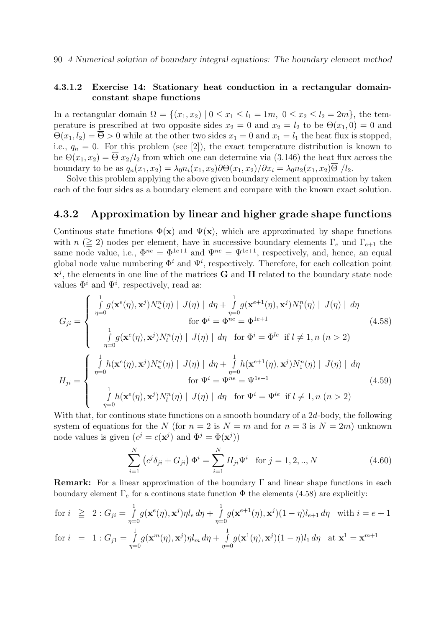90 4 Numerical solution of boundary integral equations: The boundary element method

## 4.3.1.2 Exercise 14: Stationary heat conduction in a rectangular domainconstant shape functions

In a rectangular domain  $\Omega = \{(x_1, x_2) \mid 0 \le x_1 \le l_1 = 1m, 0 \le x_2 \le l_2 = 2m\}$ , the temperature is prescribed at two opposite sides  $x_2 = 0$  and  $x_2 = l_2$  to be  $\Theta(x_1, 0) = 0$  and  $\Theta(x_1, l_2) = \overline{\Theta} > 0$  while at the other two sides  $x_1 = 0$  and  $x_1 = l_1$  the heat flux is stopped, i.e.,  $q_n = 0$ . For this problem (see [2]), the exact temperature distribution is known to be  $\Theta(x_1, x_2) = \overline{\Theta} x_2/l_2$  from which one can determine via (3.146) the heat flux across the boundary to be as  $q_n(x_1, x_2) = \lambda_0 n_i(x_1, x_2) \partial \Theta(x_1, x_2) / \partial x_i = \lambda_0 n_2(x_1, x_2) \overline{\Theta} / l_2$ .

Solve this problem applying the above given boundary element approximation by taken each of the four sides as a boundary element and compare with the known exact solution.

## 4.3.2 Approximation by linear and higher grade shape functions

Continous state functions  $\Phi(\mathbf{x})$  and  $\Psi(\mathbf{x})$ , which are approximated by shape functions with  $n \geq 2$ ) nodes per element, have in successive boundary elements  $\Gamma_e$  und  $\Gamma_{e+1}$  the same node value, i.e.,  $\Phi^{ne} = \Phi^{1e+1}$  and  $\Psi^{ne} = \Psi^{1e+1}$ , respectively, and, hence, an equal global node value numbering  $\Phi^i$  and  $\Psi^i$ , respectively. Therefore, for each collcation point  $\mathbf{x}^{j}$ , the elements in one line of the matrices **G** and **H** related to the boundary state node values  $\Phi^i$  and  $\Psi^i$ , respectively, read as:

$$
G_{ji} = \begin{cases} \frac{1}{\eta=0} g(\mathbf{x}^e(\eta), \mathbf{x}^j) N_n^n(\eta) | J(\eta) | d\eta + \frac{1}{\eta=0} g(\mathbf{x}^{e+1}(\eta), \mathbf{x}^j) N_1^n(\eta) | J(\eta) | d\eta \\ \text{for } \Phi^i = \Phi^{ne} = \Phi^{1e+1} \\ \frac{1}{\eta=0} g(\mathbf{x}^e(\eta), \mathbf{x}^j) N_l^n(\eta) | J(\eta) | d\eta \text{ for } \Phi^i = \Phi^{le} \text{ if } l \neq 1, n (n > 2) \end{cases} (4.58)
$$
  
\n
$$
H_{ji} = \begin{cases} \frac{1}{\eta=0} h(\mathbf{x}^e(\eta), \mathbf{x}^j) N_n^n(\eta) | J(\eta) | d\eta + \frac{1}{\eta=0} h(\mathbf{x}^{e+1}(\eta), \mathbf{x}^j) N_1^n(\eta) | J(\eta) | d\eta \\ \frac{1}{\eta=0} f(\mathbf{x}^e(\eta), \mathbf{x}^j) N_l^n(\eta) | J(\eta) | d\eta \text{ for } \Psi^i = \Psi^{1e+1} \\ \frac{1}{\eta=0} h(\mathbf{x}^e(\eta), \mathbf{x}^j) N_l^n(\eta) | J(\eta) | d\eta \text{ for } \Psi^i = \Psi^{le} \text{ if } l \neq 1, n (n > 2) \end{cases} (4.59)
$$

With that, for continous state functions on a smooth boundary of a 2d-body, the following system of equations for the N (for  $n = 2$  is  $N = m$  and for  $n = 3$  is  $N = 2m$ ) unknown node values is given  $(c^j = c(\mathbf{x}^j)$  and  $\Phi^j = \Phi(\mathbf{x}^j)$ 

$$
\sum_{i=1}^{N} (c^{j} \delta_{ji} + G_{ji}) \Phi^{i} = \sum_{i=1}^{N} H_{ji} \Psi^{i} \text{ for } j = 1, 2, ..., N
$$
 (4.60)

**Remark:** For a linear approximation of the boundary  $\Gamma$  and linear shape functions in each boundary element  $\Gamma_e$  for a continous state function  $\Phi$  the elements (4.58) are explicitly:

for 
$$
i \geq 2
$$
:  $G_{ji} = \int_{\eta=0}^{1} g(\mathbf{x}^e(\eta), \mathbf{x}^j) \eta l_e d\eta + \int_{\eta=0}^{1} g(\mathbf{x}^{e+1}(\eta), \mathbf{x}^j)(1-\eta) l_{e+1} d\eta$  with  $i = e+1$   
for  $i = 1$ :  $G_{j1} = \int_{\eta=0}^{1} g(\mathbf{x}^m(\eta), \mathbf{x}^j) \eta l_m d\eta + \int_{\eta=0}^{1} g(\mathbf{x}^1(\eta), \mathbf{x}^j)(1-\eta) l_1 d\eta$  at  $\mathbf{x}^1 = \mathbf{x}^{m+1}$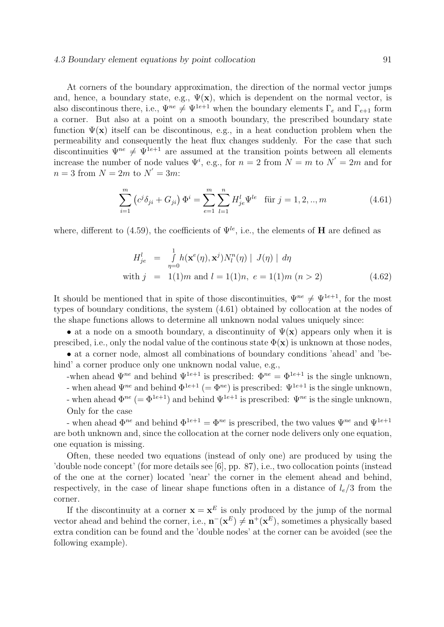#### 4.3 Boundary element equations by point collocation 91

At corners of the boundary approximation, the direction of the normal vector jumps and, hence, a boundary state, e.g.,  $\Psi(\mathbf{x})$ , which is dependent on the normal vector, is also discontinous there, i.e.,  $\Psi^{ne} \neq \Psi^{1e+1}$  when the boundary elements  $\Gamma_e$  and  $\Gamma_{e+1}$  form a corner. But also at a point on a smooth boundary, the prescribed boundary state function  $\Psi(\mathbf{x})$  itself can be discontinous, e.g., in a heat conduction problem when the permeability and consequently the heat flux changes suddenly. For the case that such discontinuities  $\Psi^{ne} \neq \Psi^{1e+1}$  are assumed at the transition points between all elements increase the number of node values  $\Psi^i$ , e.g., for  $n=2$  from  $N=m$  to  $N'=2m$  and for  $n=3$  from  $N=2m$  to  $N'=3m$ :

$$
\sum_{i=1}^{m} (c^j \delta_{ji} + G_{ji}) \Phi^i = \sum_{e=1}^{m} \sum_{l=1}^{n} H_{je}^l \Psi^{le} \text{ für } j = 1, 2, ..., m
$$
 (4.61)

where, different to (4.59), the coefficients of  $\Psi^{le}$ , i.e., the elements of **H** are defined as

$$
H_{je}^{l} = \int_{\eta=0}^{1} h(\mathbf{x}^{e}(\eta), \mathbf{x}^{j}) N_{l}^{n}(\eta) | J(\eta) | d\eta
$$
  
with  $j = 1(1)m$  and  $l = 1(1)n$ ,  $e = 1(1)m$   $(n > 2)$  (4.62)

It should be mentioned that in spite of those discontinuities,  $\Psi^{ne} \neq \Psi^{1e+1}$ , for the most types of boundary conditions, the system (4.61) obtained by collocation at the nodes of the shape functions allows to determine all unknown nodal values uniquely since:

• at a node on a smooth boundary, a discontinuity of  $\Psi(\mathbf{x})$  appears only when it is prescibed, i.e., only the nodal value of the continous state  $\Phi(\mathbf{x})$  is unknown at those nodes,

• at a corner node, almost all combinations of boundary conditions 'ahead' and 'behind' a corner produce only one unknown nodal value, e.g.,

-when ahead  $\Psi^{ne}$  and behind  $\Psi^{1e+1}$  is prescribed:  $\Phi^{ne} = \Phi^{1e+1}$  is the single unknown,

- when ahead  $\Psi^{ne}$  and behind  $\Phi^{1e+1}$  (=  $\Phi^{ne}$ ) is prescribed:  $\Psi^{1e+1}$  is the single unknown,
- when ahead  $\Phi^{ne}$  (=  $\Phi^{1e+1}$ ) and behind  $\Psi^{1e+1}$  is prescribed:  $\Psi^{ne}$  is the single unknown, Only for the case

- when ahead  $\Phi^{ne}$  and behind  $\Phi^{1e+1} = \Phi^{ne}$  is prescribed, the two values  $\Psi^{ne}$  and  $\Psi^{1e+1}$ are both unknown and, since the collocation at the corner node delivers only one equation, one equation is missing.

Often, these needed two equations (instead of only one) are produced by using the 'double node concept' (for more details see [6], pp. 87), i.e., two collocation points (instead of the one at the corner) located 'near' the corner in the element ahead and behind, respectively, in the case of linear shape functions often in a distance of  $l_e/3$  from the corner.

If the discontinuity at a corner  $\mathbf{x} = \mathbf{x}^E$  is only produced by the jump of the normal vector ahead and behind the corner, i.e.,  $\mathbf{n}^-(\mathbf{x}^E) \neq \mathbf{n}^+(\mathbf{x}^E)$ , sometimes a physically based extra condition can be found and the 'double nodes' at the corner can be avoided (see the following example).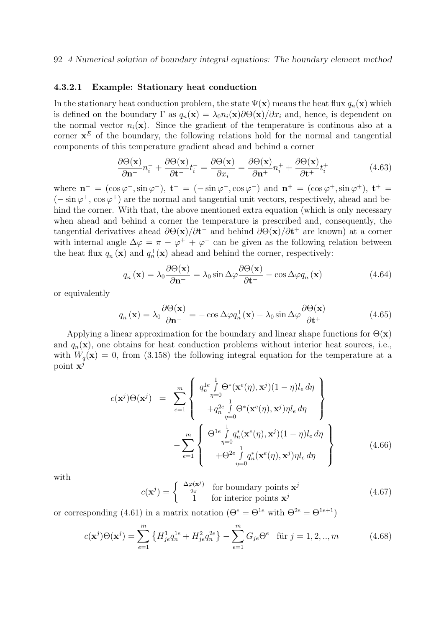#### 4.3.2.1 Example: Stationary heat conduction

In the stationary heat conduction problem, the state  $\Psi(\mathbf{x})$  means the heat flux  $q_n(\mathbf{x})$  which is defined on the boundary  $\Gamma$  as  $q_n(\mathbf{x}) = \lambda_0 n_i(\mathbf{x}) \partial \Theta(\mathbf{x}) / \partial x_i$  and, hence, is dependent on the normal vector  $n_i(\mathbf{x})$ . Since the gradient of the temperature is continous also at a corner  $\mathbf{x}^E$  of the boundary, the following relations hold for the normal and tangential components of this temperature gradient ahead and behind a corner

$$
\frac{\partial \Theta(\mathbf{x})}{\partial \mathbf{n}^-} n_i^- + \frac{\partial \Theta(\mathbf{x})}{\partial \mathbf{t}^-} t_i^- = \frac{\partial \Theta(\mathbf{x})}{\partial x_i} = \frac{\partial \Theta(\mathbf{x})}{\partial \mathbf{n}^+} n_i^+ + \frac{\partial \Theta(\mathbf{x})}{\partial \mathbf{t}^+} t_i^+ \tag{4.63}
$$

where  $\mathbf{n}^- = (\cos \varphi^-, \sin \varphi^-), \mathbf{t}^- = (-\sin \varphi^-, \cos \varphi^-)$  and  $\mathbf{n}^+ = (\cos \varphi^+, \sin \varphi^+), \mathbf{t}^+ =$  $(-\sin \varphi^+, \cos \varphi^+)$  are the normal and tangential unit vectors, respectively, ahead and behind the corner. With that, the above mentioned extra equation (which is only necessary when ahead and behind a corner the temperature is prescribed and, consequently, the tangential derivatives ahead  $\partial \Theta(\mathbf{x})/\partial \mathbf{t}^-$  and behind  $\partial \Theta(\mathbf{x})/\partial \mathbf{t}^+$  are known) at a corner with internal angle  $\Delta \varphi = \pi - \varphi^+ + \varphi^-$  can be given as the following relation between the heat flux  $q_n^-(\mathbf{x})$  and  $q_n^+(\mathbf{x})$  ahead and behind the corner, respectively:

$$
q_n^+(\mathbf{x}) = \lambda_0 \frac{\partial \Theta(\mathbf{x})}{\partial \mathbf{n}^+} = \lambda_0 \sin \Delta \varphi \frac{\partial \Theta(\mathbf{x})}{\partial \mathbf{t}^-} - \cos \Delta \varphi q_n^-(\mathbf{x}) \tag{4.64}
$$

or equivalently

$$
q_n^-(\mathbf{x}) = \lambda_0 \frac{\partial \Theta(\mathbf{x})}{\partial \mathbf{n}^-} = -\cos \Delta \varphi q_n^+(\mathbf{x}) - \lambda_0 \sin \Delta \varphi \frac{\partial \Theta(\mathbf{x})}{\partial \mathbf{t}^+}
$$
(4.65)

Applying a linear approximation for the boundary and linear shape functions for  $\Theta(\mathbf{x})$ and  $q_n(\mathbf{x})$ , one obtains for heat conduction problems without interior heat sources, i.e., with  $W_q(\mathbf{x}) = 0$ , from (3.158) the following integral equation for the temperature at a point  $\mathbf{x}^j$ 

$$
c(\mathbf{x}^{j})\Theta(\mathbf{x}^{j}) = \sum_{e=1}^{m} \left\{\n\begin{array}{l}\nq_{n}^{1e} \int_{\eta=0}^{1} \Theta^{*}(\mathbf{x}^{e}(\eta), \mathbf{x}^{j})(1-\eta)l_{e} d\eta \\
+q_{n}^{2e} \int_{\eta=0}^{1} \Theta^{*}(\mathbf{x}^{e}(\eta), \mathbf{x}^{j})\eta l_{e} d\eta \\
+q_{n}^{2e} \int_{\eta=0}^{1} \Theta^{*}(\mathbf{x}^{e}(\eta), \mathbf{x}^{j})(1-\eta)l_{e} d\eta \\
- \sum_{e=1}^{m} \left\{\n\begin{array}{l}\n\Theta^{1e} \int_{\eta=0}^{1} q_{n}^{*}(\mathbf{x}^{e}(\eta), \mathbf{x}^{j})(1-\eta)l_{e} d\eta \\
+\Theta^{2e} \int_{\eta=0}^{1} q_{n}^{*}(\mathbf{x}^{e}(\eta), \mathbf{x}^{j})\eta l_{e} d\eta\n\end{array}\n\right\}\n\tag{4.66}
$$

with

$$
c(\mathbf{x}^j) = \begin{cases} \frac{\Delta \varphi(\mathbf{x}^j)}{2\pi} & \text{for boundary points } \mathbf{x}^j\\ 1 & \text{for interior points } \mathbf{x}^j \end{cases}
$$
(4.67)

or corresponding (4.61) in a matrix notation ( $\Theta^e = \Theta^{1e}$  with  $\Theta^{2e} = \Theta^{1e+1}$ )

$$
c(\mathbf{x}^j)\Theta(\mathbf{x}^j) = \sum_{e=1}^m \left\{ H_{je}^1 q_n^{1e} + H_{je}^2 q_n^{2e} \right\} - \sum_{e=1}^m G_{je} \Theta^e \quad \text{für } j = 1, 2, ..., m \tag{4.68}
$$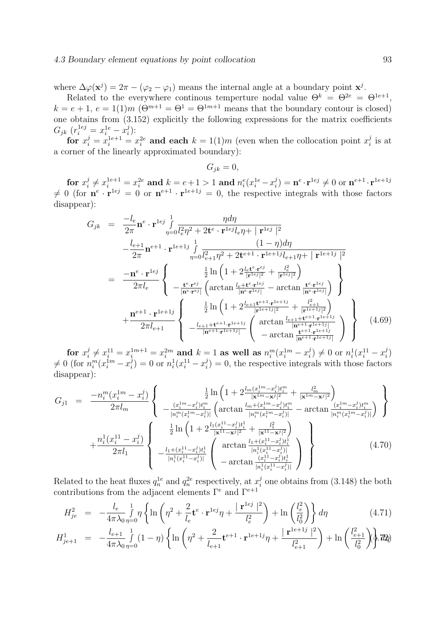where  $\Delta\varphi(\mathbf{x}^j) = 2\pi - (\varphi_2 - \varphi_1)$  means the internal angle at a boundary point  $\mathbf{x}^j$ .

Related to the everywhere continous temperture nodal value  $\Theta^k = \Theta^{2e} = \Theta^{1e+1}$ ,  $k = e + 1, e = 1(1)m$   $(\Theta^{m+1} = \Theta^1 = \Theta^{1m+1}$  means that the boundary contour is closed) one obtains from (3.152) explicitly the following expressions for the matrix coefficients  $G_{jk} (r_i^{1ej} = x_i^{1e} - x_i^{j})$  $\frac{j}{i}$ ):

for  $x_i^j = x_i^{1e+1} = x_i^{2e}$  and each  $k = 1(1)m$  (even when the collocation point  $x_i^j$  $\frac{j}{i}$  is at a corner of the linearly approximated boundary):

$$
G_{jk} = 0,
$$

for  $x_i^j$  $x_i^j\neq x_i^{1e+1}=x_i^{2e} \textbf{ and } k=e+1>1 \textbf{ and } n_i^e(x_i^{1e}-x_i^{je})$  $\mathbf{u}_i^j$ ) =  $\mathbf{n}^e\!\cdot\!\mathbf{r}^{1ej} \neq 0$  or  $\mathbf{n}^{e+1}\!\cdot\!\mathbf{r}^{1e+1j}$  $\neq 0$  (for  $\mathbf{n}^e \cdot \mathbf{r}^{1ej} = 0$  or  $\mathbf{n}^{e+1} \cdot \mathbf{r}^{1e+1j} = 0$ , the respective integrals with those factors disappear):

$$
G_{jk} = \frac{-l_e}{2\pi} \mathbf{n}^e \cdot \mathbf{r}^{1ej} \int_{\eta=0}^1 \frac{\eta d\eta}{l_e^2 \eta^2 + 2\mathbf{t}^e \cdot \mathbf{r}^{1ej} l_e \eta + |\mathbf{r}^{1ej}|^2} - \frac{l_{e+1}}{2\pi} \mathbf{n}^{e+1} \cdot \mathbf{r}^{1e+1j} \int_{\eta=0}^1 \frac{(1-\eta)d\eta}{l_{e+1}^2 \eta^2 + 2\mathbf{t}^{e+1} \cdot \mathbf{r}^{1e+1j} l_{e+1} \eta + |\mathbf{r}^{1e+1j}|^2} = \frac{-\mathbf{n}^e \cdot \mathbf{r}^{1ej}}{2\pi l_e} \begin{cases} \frac{\frac{1}{2} \ln \left(1 + 2 \frac{l_e \mathbf{t}^e \cdot \mathbf{r}^{ej}}{|\mathbf{r}^{1ej}|^2} + \frac{l_e^2}{|\mathbf{r}^{1ej}|^2}\right)}{-|\mathbf{n}^e \cdot \mathbf{r}^{ej}|} \left(\arctan \frac{l_e + \mathbf{t}^e \cdot \mathbf{r}^{1ej}}{|\mathbf{n}^e \cdot \mathbf{r}^{1ej}|} - \arctan \frac{\mathbf{t}^e \cdot \mathbf{r}^{1ej}}{|\mathbf{n}^e \cdot \mathbf{r}^{1ej}|}\right)} + \frac{\mathbf{n}^{e+1} \cdot \mathbf{r}^{1e+1j}}{2\pi l_{e+1}} \begin{cases} \frac{\frac{1}{2} \ln \left(1 + 2 \frac{l_e + \mathbf{t}^{e+1} \cdot \mathbf{r}^{1e+1j}}{|\mathbf{r}^{1e+1j}|^2} + \frac{l_{e+1}^2}{|\mathbf{r}^{1e+1j}|^2}\right)}{-|\mathbf{n}^{e+1} \cdot \mathbf{r}^{1e+1j}|} \left(\arctan \frac{l_{e+1} + \mathbf{t}^{e+1} \cdot \mathbf{r}^{1e+1j}}{|\mathbf{n}^{e+1} \cdot \mathbf{r}^{1e+1j}|}\right)} - \arctan \frac{\mathbf{t}^{e+1} \cdot \mathbf{r}^{1e+1j}}{|\mathbf{n}^{e+1} \cdot \mathbf{r}^{1e+1j}|} \end
$$

for  $x_i^j$  $x_i^j \neq x_i^{11} = x_i^{1m+1} = x_i^{2m}$  and  $k = 1$  as well as  $n_i^m (x_i^{1m} - x_i^{j})$  $\binom{j}{i} \neq 0$  or  $n_i^1(x_i^{11} - x_i^j)$  $\binom{j}{i}$  $\neq 0$  (for  $n_i^m(x_i^{1m}-x_i^j)$  $\sum_{i=1}^{j}$ ) = 0 or  $n_i^1(x_i^{11} - x_i^{j})$  $i_j^j$  = 0, the respective integrals with those factors disappear):

$$
G_{j1} = \frac{-n_i^m(x_i^{1m} - x_i^j)}{2\pi l_m} \left\{ \frac{\frac{1}{2}\ln\left(1 + 2\frac{l_m(x_i^{1m} - x_i^j)t_i^m}{|\mathbf{x}^{1m} - \mathbf{x}^j|^2} + \frac{l_m^2}{|\mathbf{x}^{1m} - \mathbf{x}^j|^2}\right)}{-\frac{(x_i^{1m} - x_i^j)t_i^m}{|n_i^m(x_i^{1m} - x_i^j)|} \left(\arctan\frac{l_m + (x_i^{1m} - x_i^j)t_i^m}{|n_i^m(x_i^{1m} - x_i^j)|} - \arctan\frac{(x_i^{1m} - x_i^j)t_i^m}{|n_i^m(x_i^{1m} - x_i^j)|}\right)}\right\}}{\frac{\frac{1}{2}\ln\left(1 + 2\frac{l_1(x_i^{11} - x_i^j)t_i^1}{|\mathbf{x}^{11} - \mathbf{x}^j|^2} + \frac{l_1^2}{|\mathbf{x}^{11} - \mathbf{x}^j|^2}\right)}{2\pi l_1} - \frac{l_1 + (x_i^{11} - x_i^j)t_i^1}{|n_i^1(x_i^{11} - x_i^j)|} \left(\arctan\frac{l_1 + (x_i^{11} - x_i^j)t_i^1}{|n_i^1(x_i^{11} - x_i^j)|}\right)}{-\arctan\frac{(x_i^{11} - x_i^j)t_i^1}{|n_i^1(x_i^{11} - x_i^j)|}}\right\}}
$$
(4.70)

Related to the heat fluxes  $q_n^{1e}$  and  $q_n^{2e}$  respectively, at  $x_i^j$  $i_i$  one obtains from  $(3.148)$  the both contributions from the adjacent elements  $\Gamma^e$  and  $\Gamma^{e+1}$ 

$$
H_{je}^2 = -\frac{l_e}{4\pi\lambda_0}\frac{1}{\eta=0}\eta \left\{\ln\left(\eta^2 + \frac{2}{l_e}\mathbf{t}^e \cdot \mathbf{r}^{1ej}\eta + \frac{|\mathbf{r}^{1ej}|^2}{l_e^2}\right) + \ln\left(\frac{l_e^2}{l_0^2}\right)\right\}d\eta\tag{4.71}
$$

$$
H_{j e+1}^{1} = -\frac{l_{e+1}}{4\pi\lambda_{0}} \int_{\eta=0}^{1} (1-\eta) \left\{ \ln \left( \eta^{2} + \frac{2}{l_{e+1}} \mathbf{t}^{e+1} \cdot \mathbf{r}^{1e+1j} \eta + \frac{|\mathbf{r}^{1e+1j}|^{2}}{l_{e+1}^{2}} \right) + \ln \left( \frac{l_{e+1}^{2}}{l_{0}^{2}} \right) \right\} d\eta
$$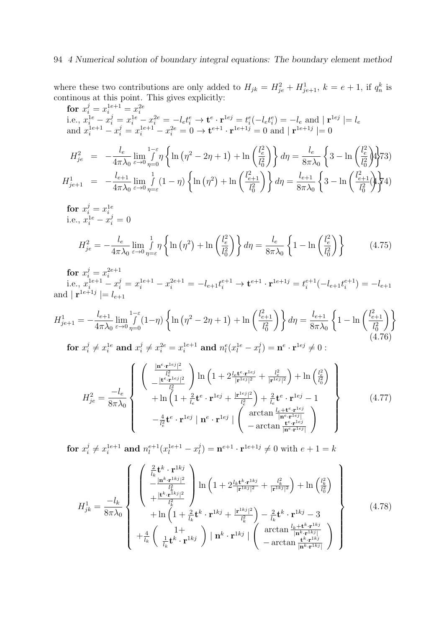## 94 4 Numerical solution of boundary integral equations: The boundary element method

where these two contributions are only added to  $H_{jk} = H_{je}^2 + H_{je+1}^1$ ,  $k = e + 1$ , if  $q_n^k$  is continous at this point. This gives explicitly:

**for** 
$$
x_i^j = x_i^{1e+1} = x_i^{2e}
$$
  
\ni.e.,  $x_i^{1e} - x_i^j = x_i^{1e} - x_i^{2e} = -l_e t_i^e \rightarrow \mathbf{t}^e \cdot \mathbf{r}^{1ej} = t_i^e (-l_e t_i^e) = -l_e$  and  $|\mathbf{r}^{1ej}| = l_e$   
\nand  $x_i^{1e+1} - x_i^j = x_i^{1e+1} - x_i^{2e} = 0 \rightarrow \mathbf{t}^{e+1} \cdot \mathbf{r}^{1e+1j} = 0$  and  $|\mathbf{r}^{1e+1j}| = 0$ 

$$
H_{je}^{2} = -\frac{l_{e}}{4\pi\lambda_{0}} \lim_{\varepsilon \to 0} \int_{\eta=0}^{1-\varepsilon} \eta \left\{ \ln\left(\eta^{2} - 2\eta + 1\right) + \ln\left(\frac{l_{e}^{2}}{l_{0}^{2}}\right) \right\} d\eta = \frac{l_{e}}{8\pi\lambda_{0}} \left\{ 3 - \ln\left(\frac{l_{e}^{2}}{l_{0}^{2}}\right) \right\} \frac{1}{l_{0}^{2}} \eta^{2}
$$
\n
$$
H_{je+1}^{1} = -\frac{l_{e+1}}{4\pi\lambda_{0}} \lim_{\varepsilon \to 0} \int_{\eta=\varepsilon}^{1} (1-\eta) \left\{ \ln\left(\eta^{2}\right) + \ln\left(\frac{l_{e+1}^{2}}{l_{0}^{2}}\right) \right\} d\eta = \frac{l_{e+1}}{8\pi\lambda_{0}} \left\{ 3 - \ln\left(\frac{l_{e+1}^{2}}{l_{0}^{2}}\right) \right\} \frac{1}{l_{0}^{2}} \eta^{2}
$$

$$
\begin{aligned}\n\text{for } x_i^j &= x_i^{1e} \\
\text{i.e., } x_i^{1e} - x_i^j &= 0\n\end{aligned}
$$
\n
$$
H_{je}^2 = -\frac{l_e}{4\pi\lambda_0} \lim_{\varepsilon \to 0} \int_{\eta = \varepsilon}^1 \eta \left\{ \ln\left(\eta^2\right) + \ln\left(\frac{l_e^2}{l_0^2}\right) \right\} d\eta = \frac{l_e}{8\pi\lambda_0} \left\{ 1 - \ln\left(\frac{l_e^2}{l_0^2}\right) \right\} \tag{4.75}
$$

for  $x_i^j = x_i^{2e+1}$ i i.e.,  $x_i^{1e+1} - x_i^j = x_i^{1e+1} - x_i^{2e+1} = -l_{e+1}t_i^{e+1} \rightarrow \mathbf{t}^{e+1} \cdot \mathbf{r}^{1e+1j} = t_i^{e+1}$  $e^{e+1}(-l_{e+1}t_i^{e+1})$  $i^{e+1}) = -l_{e+1}$ and  $|\mathbf{r}^{1e+1j}| = l_{e+1}$ 

$$
H_{j e+1}^{1} = -\frac{l_{e+1}}{4\pi\lambda_{0}} \lim_{\varepsilon \to 0} \int_{\eta=0}^{1-\varepsilon} (1-\eta) \left\{ \ln\left(\eta^{2} - 2\eta + 1\right) + \ln\left(\frac{l_{e+1}^{2}}{l_{0}^{2}}\right) \right\} d\eta = \frac{l_{e+1}}{8\pi\lambda_{0}} \left\{ 1 - \ln\left(\frac{l_{e+1}^{2}}{l_{0}^{2}}\right) \right\}
$$
  
for  $x_{i}^{j} \neq x_{i}^{1e}$  and  $x_{i}^{j} \neq x_{i}^{2e} = x_{i}^{1e+1}$  and  $n_{l}^{e}(x_{l}^{1e} - x_{l}^{j}) = \mathbf{n}^{e} \cdot \mathbf{r}^{1e^{j}} \neq 0$ :  
(4.76)

$$
H_{je}^{2} = \frac{-l_{e}}{8\pi\lambda_{0}} \left\{ \begin{array}{c} \left(\frac{|\mathbf{n}^{e}\cdot\mathbf{r}^{1ej}|^{2}}{l_{e}^{2}}\right) \ln\left(1+2\frac{l_{e}\mathbf{t}^{e}\cdot\mathbf{r}^{1ej}}{|\mathbf{r}^{1ej}|^{2}} + \frac{l_{e}^{2}}{|\mathbf{r}^{1ej}|^{2}}\right) + \ln\left(\frac{l_{e}^{2}}{l_{0}^{2}}\right) \\ + \ln\left(1+\frac{2}{l_{e}}\mathbf{t}^{e}\cdot\mathbf{r}^{1ej} + \frac{|\mathbf{r}^{1ej}|^{2}}{l_{e}^{2}}\right) + \frac{2}{l_{e}}\mathbf{t}^{e}\cdot\mathbf{r}^{1ej} - 1 \\ -\frac{4}{l_{e}^{2}}\mathbf{t}^{e}\cdot\mathbf{r}^{1ej} \mid \mathbf{n}^{e}\cdot\mathbf{r}^{1ej} \mid \left(\begin{array}{c}\arctan\frac{l_{e} + \mathbf{t}^{e}\cdot\mathbf{r}^{1ej}}{\mathbf{n}^{e}\cdot\mathbf{r}^{1ej}}\\-\arctan\frac{\mathbf{t}^{e}\cdot\mathbf{r}^{1ej}}{\mathbf{n}^{e}\cdot\mathbf{r}^{1ej}}\end{array}\right\} \end{array} \right\}
$$
(4.77)

for  $x_i^j$  $i \neq x_i^{1e+1}$  and  $n_l^{e+1}$  $\binom{e+1}{l}(x_l^{1e+1} - x_l^j)$  $l_l^j$ ) =  $\mathbf{n}^{e+1} \cdot \mathbf{r}^{1e+1j} \neq 0$  with  $e+1=k$ 

$$
H_{jk}^{1} = \frac{-l_{k}}{8\pi\lambda_{0}} \left\{ \begin{array}{l} \left( \frac{\frac{2}{l_{k}} \mathbf{t}^{k} \cdot \mathbf{r}^{1kj}}{l_{k}^{2}} \right) \ln\left(1 + 2\frac{l_{k} \mathbf{t}^{k} \cdot \mathbf{r}^{1kj}}{|\mathbf{r}^{1kj}|^{2}} + \frac{l_{k}^{2}}{|\mathbf{r}^{1kj}|^{2}} \right) + \ln\left(\frac{l_{k}^{2}}{l_{0}^{2}}\right) \\ + \frac{|\mathbf{t}^{k} \cdot \mathbf{r}^{1kj}|^{2}}{l_{k}^{2}} \right) \left. + \ln\left(1 + \frac{2}{l_{k}} \mathbf{t}^{k} \cdot \mathbf{r}^{1kj} + \frac{|\mathbf{r}^{1kj}|^{2}}{l_{k}^{2}}\right) - \frac{2}{l_{k}} \mathbf{t}^{k} \cdot \mathbf{r}^{1kj} - 3 \right\} \\ + \frac{4}{l_{k}} \left( \frac{1 +}{\frac{1}{l_{k}} \mathbf{t}^{k} \cdot \mathbf{r}^{1kj}} \right) \left. \mid \mathbf{n}^{k} \cdot \mathbf{r}^{1kj} \mid \left( \begin{array}{c} \arctan\frac{l_{k} + \mathbf{t}^{k} \cdot \mathbf{r}^{1kj}}{|\mathbf{n}^{k} \cdot \mathbf{r}^{1kj}|} \\ -\arctan\frac{\mathbf{t}^{k} \cdot \mathbf{r}^{1kj}}{|\mathbf{n}^{k} \cdot \mathbf{r}^{1kj}|} \end{array} \right) \right\}
$$
(4.78)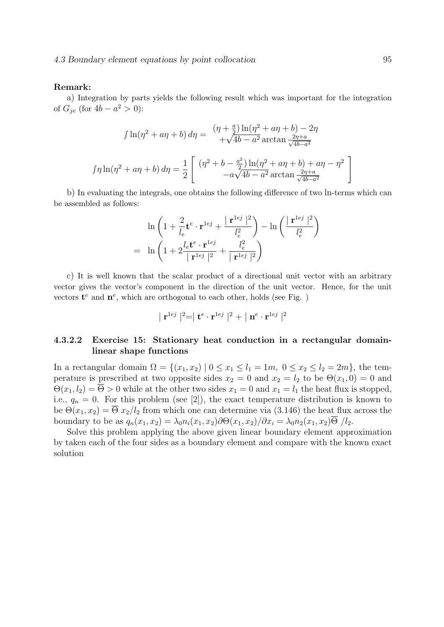#### Remark:

a) Integration by parts yields the following result which was important for the integration of  $G_{je}$  (for  $4b - a^2 > 0$ ):

$$
\int \ln(\eta^2 + a\eta + b) d\eta = \frac{(\eta + \frac{a}{2})\ln(\eta^2 + a\eta + b) - 2\eta}{+\sqrt{4b - a^2}\arctan\frac{2\eta + a}{\sqrt{4b - a^2}}}
$$

$$
\int \eta \ln(\eta^2 + a\eta + b) d\eta = \frac{1}{2} \left[ \frac{(\eta^2 + b - \frac{a^2}{2})\ln(\eta^2 + a\eta + b) + a\eta - \eta^2}{-a\sqrt{4b - a^2}\arctan\frac{2\eta + a}{\sqrt{4b - a^2}}} \right]
$$

b) In evaluating the integrals, one obtains the following difference of two ln-terms which can be assembled as follows:

$$
\ln\left(1+\frac{2}{l_e}\mathbf{t}^e\cdot\mathbf{r}^{1ej}+\frac{|\mathbf{r}^{1ej}|^2}{l_e^2}\right)-\ln\left(\frac{|\mathbf{r}^{1ej}|^2}{l_e^2}\right)
$$

$$
=\ln\left(1+2\frac{l_e\mathbf{t}^e\cdot\mathbf{r}^{1ej}}{|\mathbf{r}^{1ej}|^2}+\frac{l_e^2}{|\mathbf{r}^{1ej}|^2}\right)
$$

c) It is well known that the scalar product of a directional unit vector with an arbitrary vector gives the vector's component in the direction of the unit vector. Hence, for the unit vectors  $\mathbf{t}^e$  and  $\mathbf{n}^e$ , which are orthogonal to each other, holds (see Fig. )

$$
\mid \mathbf{r}^{1ej} \mid ^2 = \mid \mathbf{t}^e \cdot \mathbf{r}^{1ej} \mid ^2 + \mid \mathbf{n}^e \cdot \mathbf{r}^{1ej} \mid ^2
$$

## 4.3.2.2 Exercise 15: Stationary heat conduction in a rectangular domainlinear shape functions

In a rectangular domain  $\Omega = \{(x_1, x_2) \mid 0 \le x_1 \le l_1 = 1m, 0 \le x_2 \le l_2 = 2m\}$ , the temperature is prescribed at two opposite sides  $x_2 = 0$  and  $x_2 = l_2$  to be  $\Theta(x_1, 0) = 0$  and  $\Theta(x_1, l_2) = \overline{\Theta} > 0$  while at the other two sides  $x_1 = 0$  and  $x_1 = l_1$  the heat flux is stopped, i.e.,  $q_n = 0$ . For this problem (see [2]), the exact temperature distribution is known to be  $\Theta(x_1, x_2) = \overline{\Theta} x_2/l_2$  from which one can determine via (3.146) the heat flux across the boundary to be as  $q_n(x_1, x_2) = \lambda_0 n_i(x_1, x_2) \partial \Theta(x_1, x_2) / \partial x_i = \lambda_0 n_2(x_1, x_2) \overline{\Theta} / l_2$ .

Solve this problem applying the above given linear boundary element approximation by taken each of the four sides as a boundary element and compare with the known exact solution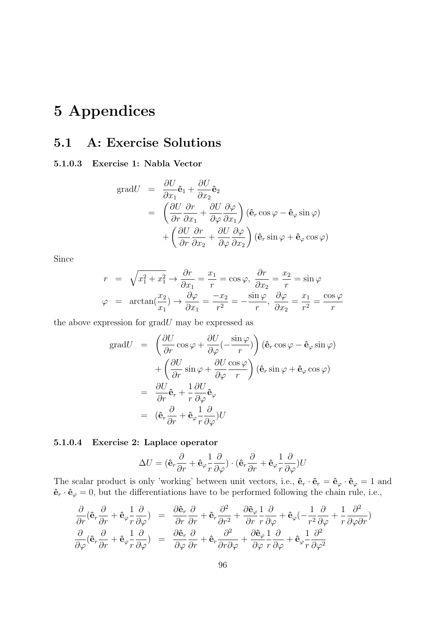# 5 Appendices

# 5.1 A: Exercise Solutions

## 5.1.0.3 Exercise 1: Nabla Vector

grad
$$
U
$$
 =  $\frac{\partial U}{\partial x_1} \hat{\mathbf{e}}_1 + \frac{\partial U}{\partial x_2} \hat{\mathbf{e}}_2$   
\n=  $\left(\frac{\partial U}{\partial r} \frac{\partial r}{\partial x_1} + \frac{\partial U}{\partial \varphi} \frac{\partial \varphi}{\partial x_1}\right) (\hat{\mathbf{e}}_r \cos \varphi - \hat{\mathbf{e}}_\varphi \sin \varphi)$   
\n+  $\left(\frac{\partial U}{\partial r} \frac{\partial r}{\partial x_2} + \frac{\partial U}{\partial \varphi} \frac{\partial \varphi}{\partial x_2}\right) (\hat{\mathbf{e}}_r \sin \varphi + \hat{\mathbf{e}}_\varphi \cos \varphi)$ 

Since

$$
r = \sqrt{x_1^2 + x_1^2} \rightarrow \frac{\partial r}{\partial x_1} = \frac{x_1}{r} = \cos \varphi, \frac{\partial r}{\partial x_2} = \frac{x_2}{r} = \sin \varphi
$$
  

$$
\varphi = \arctan(\frac{x_2}{x_1}) \rightarrow \frac{\partial \varphi}{\partial x_1} = \frac{-x_2}{r^2} = -\frac{\sin \varphi}{r}, \frac{\partial \varphi}{\partial x_2} = \frac{x_1}{r^2} = \frac{\cos \varphi}{r}
$$

the above expression for  $gradU$  may be expressed as

grad
$$
U = \left(\frac{\partial U}{\partial r}\cos\varphi + \frac{\partial U}{\partial \varphi}(-\frac{\sin\varphi}{r})\right)(\hat{\mathbf{e}}_r\cos\varphi - \hat{\mathbf{e}}_\varphi\sin\varphi)
$$
  
 
$$
+ \left(\frac{\partial U}{\partial r}\sin\varphi + \frac{\partial U}{\partial \varphi}\frac{\cos\varphi}{r}\right)(\hat{\mathbf{e}}_r\sin\varphi + \hat{\mathbf{e}}_\varphi\cos\varphi)
$$
  
\n
$$
= \frac{\partial U}{\partial r}\hat{\mathbf{e}}_r + \frac{1}{r}\frac{\partial U}{\partial \varphi}\hat{\mathbf{e}}_\varphi
$$
  
\n
$$
= (\hat{\mathbf{e}}_r\frac{\partial}{\partial r} + \hat{\mathbf{e}}_\varphi\frac{1}{r}\frac{\partial}{\partial \varphi})U
$$

## 5.1.0.4 Exercise 2: Laplace operator

$$
\Delta U = (\hat{\mathbf{e}}_r \frac{\partial}{\partial r} + \hat{\mathbf{e}}_\varphi \frac{1}{r} \frac{\partial}{\partial \varphi}) \cdot (\hat{\mathbf{e}}_r \frac{\partial}{\partial r} + \hat{\mathbf{e}}_\varphi \frac{1}{r} \frac{\partial}{\partial \varphi}) U
$$

The scalar product is only 'working' between unit vectors, i.e.,  $\hat{\mathbf{e}}_r \cdot \hat{\mathbf{e}}_r = \hat{\mathbf{e}}_\varphi \cdot \hat{\mathbf{e}}_\varphi = 1$  and  $\hat{\mathbf{e}}_r \cdot \hat{\mathbf{e}}_\varphi = 0$ , but the differentiations have to be performed following the chain rule, i.e.,

$$
\frac{\partial}{\partial r} (\hat{\mathbf{e}}_r \frac{\partial}{\partial r} + \hat{\mathbf{e}}_\varphi \frac{1}{r} \frac{\partial}{\partial \varphi}) = \frac{\partial \hat{\mathbf{e}}_r}{\partial r} \frac{\partial}{\partial r} + \hat{\mathbf{e}}_r \frac{\partial^2}{\partial r^2} + \frac{\partial \hat{\mathbf{e}}_\varphi}{\partial r} \frac{1}{r} \frac{\partial}{\partial \varphi} + \hat{\mathbf{e}}_\varphi \left( -\frac{1}{r^2} \frac{\partial}{\partial \varphi} + \frac{1}{r} \frac{\partial^2}{\partial \varphi \partial r} \right)
$$
  

$$
\frac{\partial}{\partial \varphi} (\hat{\mathbf{e}}_r \frac{\partial}{\partial r} + \hat{\mathbf{e}}_\varphi \frac{1}{r} \frac{\partial}{\partial \varphi}) = \frac{\partial \hat{\mathbf{e}}_r}{\partial \varphi} \frac{\partial}{\partial r} + \hat{\mathbf{e}}_r \frac{\partial^2}{\partial r \partial \varphi} + \frac{\partial \hat{\mathbf{e}}_\varphi}{\partial r} \frac{1}{r} \frac{\partial}{\partial \varphi} + \hat{\mathbf{e}}_\varphi \frac{1}{r} \frac{\partial^2}{\partial \varphi^2}
$$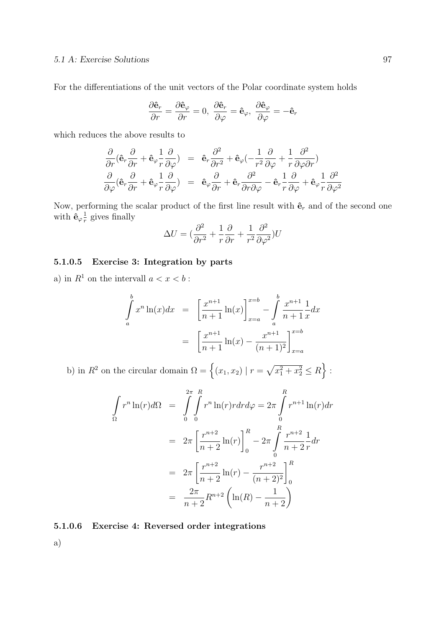For the differentiations of the unit vectors of the Polar coordinate system holds

$$
\frac{\partial \hat{\mathbf{e}}_r}{\partial r} = \frac{\partial \hat{\mathbf{e}}_\varphi}{\partial r} = 0, \ \frac{\partial \hat{\mathbf{e}}_r}{\partial \varphi} = \hat{\mathbf{e}}_\varphi, \ \frac{\partial \hat{\mathbf{e}}_\varphi}{\partial \varphi} = -\hat{\mathbf{e}}_r
$$

which reduces the above results to

$$
\frac{\partial}{\partial r} (\hat{\mathbf{e}}_r \frac{\partial}{\partial r} + \hat{\mathbf{e}}_\varphi \frac{1}{r} \frac{\partial}{\partial \varphi}) = \hat{\mathbf{e}}_r \frac{\partial^2}{\partial r^2} + \hat{\mathbf{e}}_\varphi \left( -\frac{1}{r^2} \frac{\partial}{\partial \varphi} + \frac{1}{r} \frac{\partial^2}{\partial \varphi \partial r} \right) \n\frac{\partial}{\partial \varphi} (\hat{\mathbf{e}}_r \frac{\partial}{\partial r} + \hat{\mathbf{e}}_\varphi \frac{1}{r} \frac{\partial}{\partial \varphi}) = \hat{\mathbf{e}}_\varphi \frac{\partial}{\partial r} + \hat{\mathbf{e}}_r \frac{\partial^2}{\partial r \partial \varphi} - \hat{\mathbf{e}}_r \frac{1}{r} \frac{\partial}{\partial \varphi} + \hat{\mathbf{e}}_\varphi \frac{1}{r} \frac{\partial^2}{\partial \varphi^2}
$$

Now, performing the scalar product of the first line result with  $\hat{\mathbf{e}}_r$  and of the second one with  $\hat{\mathbf{e}}_{\varphi} \frac{1}{r}$  $\frac{1}{r}$  gives finally

$$
\Delta U = \left(\frac{\partial^2}{\partial r^2} + \frac{1}{r}\frac{\partial}{\partial r} + \frac{1}{r^2}\frac{\partial^2}{\partial \varphi^2}\right)U
$$

## 5.1.0.5 Exercise 3: Integration by parts

a) in  $R^1$  on the intervall  $a < x < b$ :

$$
\int_{a}^{b} x^{n} \ln(x) dx = \left[ \frac{x^{n+1}}{n+1} \ln(x) \right]_{x=a}^{x=b} - \int_{a}^{b} \frac{x^{n+1}}{n+1} \frac{1}{x} dx
$$

$$
= \left[ \frac{x^{n+1}}{n+1} \ln(x) - \frac{x^{n+1}}{(n+1)^{2}} \right]_{x=a}^{x=b}
$$

b) in  $R^2$  on the circular domain  $\Omega = \{(x_1, x_2) | r = \sqrt{x_1^2 + x_2^2} \le R\}$ :

$$
\int_{\Omega} r^{n} \ln(r) d\Omega = \int_{0}^{2\pi} \int_{0}^{R} r^{n} \ln(r) r dr d\varphi = 2\pi \int_{0}^{R} r^{n+1} \ln(r) dr
$$

$$
= 2\pi \left[ \frac{r^{n+2}}{n+2} \ln(r) \right]_{0}^{R} - 2\pi \int_{0}^{R} \frac{r^{n+2}}{n+2} \frac{1}{r} dr
$$

$$
= 2\pi \left[ \frac{r^{n+2}}{n+2} \ln(r) - \frac{r^{n+2}}{(n+2)^{2}} \right]_{0}^{R}
$$

$$
= \frac{2\pi}{n+2} R^{n+2} \left( \ln(R) - \frac{1}{n+2} \right)
$$

5.1.0.6 Exercise 4: Reversed order integrations

a)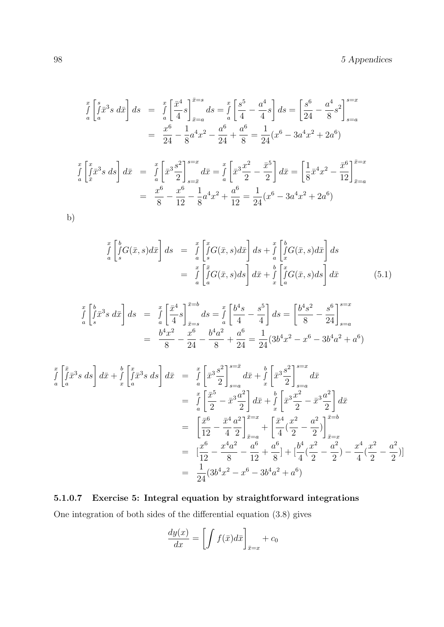$$
\int_{a}^{x} \left[ \int_{a}^{s} \bar{x}^{3} s \, d\bar{x} \right] ds = \int_{a}^{x} \left[ \frac{\bar{x}^{4}}{4} s \right]_{\bar{x}=a}^{\bar{x}=s} ds = \int_{a}^{x} \left[ \frac{s^{5}}{4} - \frac{a^{4}}{4} s \right] ds = \left[ \frac{s^{6}}{24} - \frac{a^{4}}{8} s^{2} \right]_{s=a}^{s=x}
$$
\n
$$
= \frac{x^{6}}{24} - \frac{1}{8} a^{4} x^{2} - \frac{a^{6}}{24} + \frac{a^{6}}{8} = \frac{1}{24} (x^{6} - 3a^{4} x^{2} + 2a^{6})
$$

$$
\int_{a}^{x} \left[ \int_{\bar{x}}^{x} \bar{x}^{3} s \, ds \right] d\bar{x} = \int_{a}^{x} \left[ \bar{x}^{3} \frac{s^{2}}{2} \right]_{s = \bar{x}}^{s = x} d\bar{x} = \int_{a}^{x} \left[ \bar{x}^{3} \frac{x^{2}}{2} - \frac{\bar{x}^{5}}{2} \right] d\bar{x} = \left[ \frac{1}{8} \bar{x}^{4} x^{2} - \frac{\bar{x}^{6}}{12} \right]_{\bar{x} = a}^{x = x}
$$
\n
$$
= \frac{x^{6}}{8} - \frac{x^{6}}{12} - \frac{1}{8} a^{4} x^{2} + \frac{a^{6}}{12} = \frac{1}{24} (x^{6} - 3a^{4} x^{2} + 2a^{6})
$$

b)

$$
\int_{a}^{x} \left[ \int_{s}^{b} G(\bar{x}, s) d\bar{x} \right] ds = \int_{a}^{x} \left[ \int_{s}^{x} G(\bar{x}, s) d\bar{x} \right] ds + \int_{a}^{x} \left[ \int_{x}^{b} G(\bar{x}, s) d\bar{x} \right] ds
$$
\n
$$
= \int_{a}^{x} \left[ \int_{a}^{\bar{x}} G(\bar{x}, s) ds \right] d\bar{x} + \int_{x}^{b} \left[ \int_{a}^{x} G(\bar{x}, s) ds \right] d\bar{x}
$$
\n(5.1)

$$
\int_{a}^{x} \left[ \int_{s}^{\overline{b}} \overline{x}^{3} s \, d\overline{x} \right] ds = \int_{a}^{x} \left[ \frac{\overline{x}^{4}}{4} s \right]_{\overline{x} = s}^{\overline{x} = b} ds = \int_{a}^{x} \left[ \frac{b^{4} s}{4} - \frac{s^{5}}{4} \right] ds = \left[ \frac{b^{4} s^{2}}{8} - \frac{s^{6}}{24} \right]_{s=a}^{s=x}
$$
\n
$$
= \frac{b^{4} x^{2}}{8} - \frac{x^{6}}{24} - \frac{b^{4} a^{2}}{8} + \frac{a^{6}}{24} = \frac{1}{24} (3b^{4} x^{2} - x^{6} - 3b^{4} a^{2} + a^{6})
$$

$$
\int_{a}^{x} \left[ \int_{a}^{\bar{x}} \bar{x}^{3} s \, ds \right] d\bar{x} + \int_{x}^{b} \left[ \int_{a}^{x} \bar{x}^{3} s \, ds \right] d\bar{x} = \int_{a}^{x} \left[ \bar{x}^{3} \frac{s^{2}}{2} \right]_{s=a}^{s=\bar{x}} d\bar{x} + \int_{x}^{b} \left[ \bar{x}^{3} \frac{s^{2}}{2} \right]_{s=a}^{s=\bar{x}} d\bar{x}
$$
\n
$$
= \int_{a}^{x} \left[ \frac{\bar{x}^{5}}{2} - \bar{x}^{3} \frac{a^{2}}{2} \right] d\bar{x} + \int_{x}^{b} \left[ \bar{x}^{3} \frac{x^{2}}{2} - \bar{x}^{3} \frac{a^{2}}{2} \right] d\bar{x}
$$
\n
$$
= \left[ \frac{\bar{x}^{6}}{12} - \frac{\bar{x}^{4}}{4} \frac{a^{2}}{2} \right]_{\bar{x}=a}^{\bar{x}=\bar{x}} + \left[ \frac{\bar{x}^{4}}{4} (\frac{x^{2}}{2} - \frac{a^{2}}{2}) \right]_{\bar{x}=x}^{\bar{x}=\bar{x}}
$$
\n
$$
= \left[ \frac{x^{6}}{12} - \frac{x^{4}a^{2}}{8} - \frac{a^{6}}{12} + \frac{a^{6}}{8} \right] + \left[ \frac{b^{4}}{4} (\frac{x^{2}}{2} - \frac{a^{2}}{2}) - \frac{x^{4}}{4} (\frac{x^{2}}{2} - \frac{a^{2}}{2}) \right]
$$
\n
$$
= \frac{1}{24} (3b^{4}x^{2} - x^{6} - 3b^{4}a^{2} + a^{6})
$$

# 5.1.0.7 Exercise 5: Integral equation by straightforward integrations

One integration of both sides of the differential equation (3.8) gives

$$
\frac{dy(x)}{dx} = \left[ \int f(\bar{x}) d\bar{x} \right]_{\bar{x}=x} + c_0
$$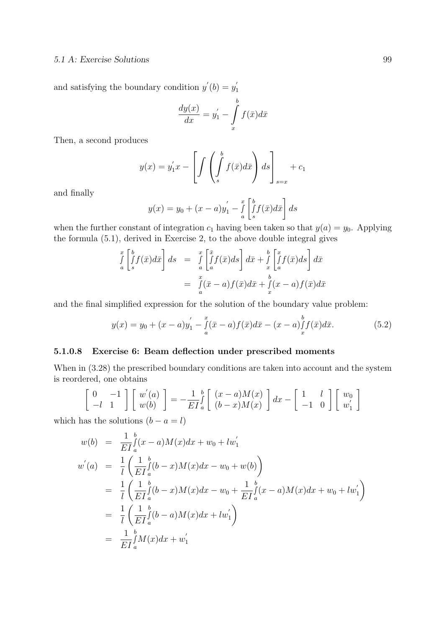and satisfying the boundary condition  $y'(b) = y'_1$ 1

$$
\frac{dy(x)}{dx} = y_1' - \int\limits_x^b f(\bar{x})d\bar{x}
$$

Then, a second produces

$$
y(x) = y_1'x - \left[ \int \left( \int_s^b f(\bar{x})d\bar{x} \right) ds \right]_{s=x} + c_1
$$

and finally

$$
y(x) = y_0 + (x - a)y_1' - \int_a^x \left[ \int_s^b f(\bar{x}) d\bar{x} \right] ds
$$

when the further constant of integration  $c_1$  having been taken so that  $y(a) = y_0$ . Applying the formula (5.1), derived in Exercise 2, to the above double integral gives

$$
\int_{a}^{x} \left[ \int_{s}^{b} f(\bar{x}) d\bar{x} \right] ds = \int_{a}^{x} \left[ \int_{a}^{\bar{x}} f(\bar{x}) ds \right] d\bar{x} + \int_{x}^{b} \left[ \int_{a}^{x} f(\bar{x}) ds \right] d\bar{x}
$$
\n
$$
= \int_{a}^{x} (\bar{x} - a) f(\bar{x}) d\bar{x} + \int_{x}^{b} (x - a) f(\bar{x}) d\bar{x}
$$

and the final simplified expression for the solution of the boundary value problem:

$$
y(x) = y_0 + (x - a)y_1' - \int_a^x (\bar{x} - a)f(\bar{x})d\bar{x} - (x - a)f(\bar{x})d\bar{x}.
$$
 (5.2)

## 5.1.0.8 Exercise 6: Beam deflection under prescribed moments

When in  $(3.28)$  the prescribed boundary conditions are taken into account and the system is reordered, one obtains

$$
\begin{bmatrix} 0 & -1 \\ -l & 1 \end{bmatrix} \begin{bmatrix} w'(a) \\ w(b) \end{bmatrix} = -\frac{1}{EI} \int_a^b \begin{bmatrix} (x-a)M(x) \\ (b-x)M(x) \end{bmatrix} dx - \begin{bmatrix} 1 & l \\ -1 & 0 \end{bmatrix} \begin{bmatrix} w_0 \\ w'_1 \end{bmatrix}
$$

which has the solutions  $(b - a = l)$ 

$$
w(b) = \frac{1}{EI} \int_a^b (x - a)M(x)dx + w_0 + lw'_1
$$
  
\n
$$
w'(a) = \frac{1}{l} \left( \frac{1}{EI} \int_a^b (b - x)M(x)dx - w_0 + w(b) \right)
$$
  
\n
$$
= \frac{1}{l} \left( \frac{1}{EI} \int_a^b (b - x)M(x)dx - w_0 + \frac{1}{EI} \int_a^b (x - a)M(x)dx + w_0 + lw'_1 \right)
$$
  
\n
$$
= \frac{1}{l} \left( \frac{1}{EI} \int_a^b (b - a)M(x)dx + lw'_1 \right)
$$
  
\n
$$
= \frac{1}{EI} \int_a^b M(x)dx + w'_1
$$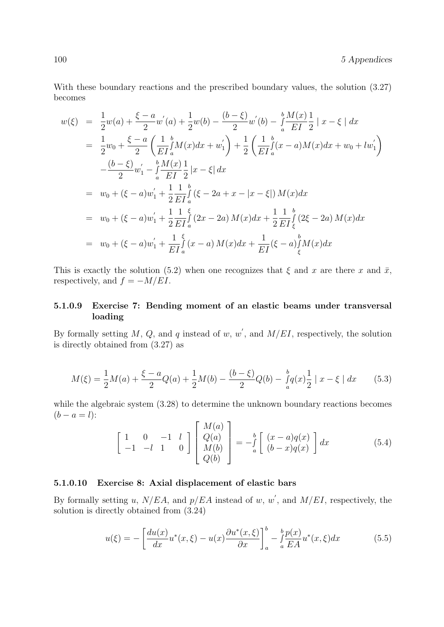100 5 Appendices

With these boundary reactions and the prescribed boundary values, the solution (3.27) becomes

$$
w(\xi) = \frac{1}{2}w(a) + \frac{\xi - a}{2}w'(a) + \frac{1}{2}w(b) - \frac{(b - \xi)}{2}w'(b) - \frac{b}{a}\frac{M(x)}{EI}\frac{1}{2}|x - \xi| dx
$$
  
\n
$$
= \frac{1}{2}w_0 + \frac{\xi - a}{2}\left(\frac{1}{EI}\frac{b}{a}M(x)dx + w'_1\right) + \frac{1}{2}\left(\frac{1}{EI}\frac{b}{a}(x - a)M(x)dx + w_0 + lw'_1\right)
$$
  
\n
$$
- \frac{(b - \xi)}{2}w'_1 - \frac{b}{a}\frac{M(x)}{EI}\frac{1}{2}|x - \xi| dx
$$
  
\n
$$
= w_0 + (\xi - a)w'_1 + \frac{1}{2}\frac{1}{EI}\frac{b}{a}(\xi - 2a + x - |x - \xi|)M(x)dx
$$
  
\n
$$
= w_0 + (\xi - a)w'_1 + \frac{1}{2}\frac{1}{EI}\frac{\xi}{a}(2x - 2a)M(x)dx + \frac{1}{2}\frac{1}{EI}\frac{b}{\xi}(2\xi - 2a)M(x)dx
$$
  
\n
$$
= w_0 + (\xi - a)w'_1 + \frac{1}{EI}\frac{\xi}{a}(x - a)M(x)dx + \frac{1}{EI}(\xi - a)\frac{b}{\xi}M(x)dx
$$

This is exactly the solution (5.2) when one recognizes that  $\xi$  and x are there x and  $\bar{x}$ , respectively, and  $f = -M/EI$ .

## 5.1.0.9 Exercise 7: Bending moment of an elastic beams under transversal loading

By formally setting M, Q, and q instead of w, w', and  $M/EI$ , respectively, the solution is directly obtained from (3.27) as

$$
M(\xi) = \frac{1}{2}M(a) + \frac{\xi - a}{2}Q(a) + \frac{1}{2}M(b) - \frac{(b - \xi)}{2}Q(b) - \frac{b}{a}q(x)\frac{1}{2} |x - \xi| dx
$$
 (5.3)

while the algebraic system (3.28) to determine the unknown boundary reactions becomes  $(b - a = l)$ :  $\overline{1}$ 

$$
\begin{bmatrix} 1 & 0 & -1 & l \\ -1 & -l & 1 & 0 \end{bmatrix} \begin{bmatrix} M(a) \\ Q(a) \\ M(b) \\ Q(b) \end{bmatrix} = -\frac{b}{a} \begin{bmatrix} (x-a)q(x) \\ (b-x)q(x) \end{bmatrix} dx \tag{5.4}
$$

## 5.1.0.10 Exercise 8: Axial displacement of elastic bars

By formally setting u,  $N/EA$ , and  $p/EA$  instead of w, w', and  $M/EI$ , respectively, the solution is directly obtained from (3.24)

$$
u(\xi) = -\left[\frac{du(x)}{dx}u^*(x,\xi) - u(x)\frac{\partial u^*(x,\xi)}{\partial x}\right]_a^b - \int_a^b \frac{p(x)}{EA}u^*(x,\xi)dx\tag{5.5}
$$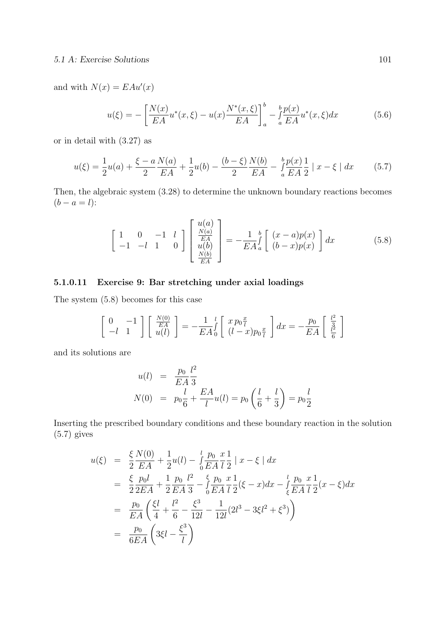#### 5.1 A: Exercise Solutions 101

and with  $N(x) = E A u'(x)$ 

$$
u(\xi) = -\left[\frac{N(x)}{EA}u^*(x,\xi) - u(x)\frac{N^*(x,\xi)}{EA}\right]_a^b - \int_a^b \frac{p(x)}{EA}u^*(x,\xi)dx\tag{5.6}
$$

or in detail with (3.27) as

$$
u(\xi) = \frac{1}{2}u(a) + \frac{\xi - a}{2}\frac{N(a)}{EA} + \frac{1}{2}u(b) - \frac{(b - \xi)}{2}\frac{N(b)}{EA} - \frac{b}{a}\frac{p(x)}{EA}\frac{1}{2} |x - \xi| dx
$$
 (5.7)

Then, the algebraic system (3.28) to determine the unknown boundary reactions becomes  $(b - a = l)$ :

$$
\begin{bmatrix} 1 & 0 & -1 & l \ -1 & -l & 1 & 0 \end{bmatrix} \begin{bmatrix} u(a) \\ \frac{N(a)}{EA} \\ u(b) \\ \frac{N(b)}{EA} \end{bmatrix} = -\frac{1}{EA} \int_{a}^{b} \begin{bmatrix} (x-a)p(x) \\ (b-x)p(x) \end{bmatrix} dx
$$
 (5.8)

## 5.1.0.11 Exercise 9: Bar stretching under axial loadings

The system (5.8) becomes for this case

$$
\begin{bmatrix} 0 & -1 \\ -l & 1 \end{bmatrix} \begin{bmatrix} \frac{N(0)}{EA} \\ u(l) \end{bmatrix} = -\frac{1}{EA} \begin{bmatrix} l \\ 0 \end{bmatrix} \begin{bmatrix} x p_0 \frac{x}{l} \\ (l-x) p_0 \frac{x}{l} \end{bmatrix} dx = -\frac{p_0}{EA} \begin{bmatrix} \frac{l^2}{3} \\ \frac{l^2}{6} \end{bmatrix}
$$

and its solutions are

$$
u(l) = \frac{p_0}{EA} \frac{l^2}{3}
$$
  
\n
$$
N(0) = p_0 \frac{l}{6} + \frac{EA}{l} u(l) = p_0 \left(\frac{l}{6} + \frac{l}{3}\right) = p_0 \frac{l}{2}
$$

Inserting the prescribed boundary conditions and these boundary reaction in the solution (5.7) gives

$$
u(\xi) = \frac{\xi}{2} \frac{N(0)}{EA} + \frac{1}{2} u(l) - \int_{0}^{l} \frac{p_0}{EA} \frac{x}{l} \frac{1}{2} |x - \xi| dx
$$
  
\n
$$
= \frac{\xi}{2} \frac{p_0 l}{2EA} + \frac{1}{2} \frac{p_0}{EA} \frac{l^2}{3} - \int_{0}^{\xi} \frac{p_0}{EA} \frac{x}{l} \frac{1}{2} (\xi - x) dx - \int_{\xi}^{l} \frac{p_0}{EA} \frac{x}{l} \frac{1}{2} (x - \xi) dx
$$
  
\n
$$
= \frac{p_0}{EA} \left( \frac{\xi l}{4} + \frac{l^2}{6} - \frac{\xi^3}{12l} - \frac{1}{12l} (2l^3 - 3\xi l^2 + \xi^3) \right)
$$
  
\n
$$
= \frac{p_0}{6EA} \left( 3\xi l - \frac{\xi^3}{l} \right)
$$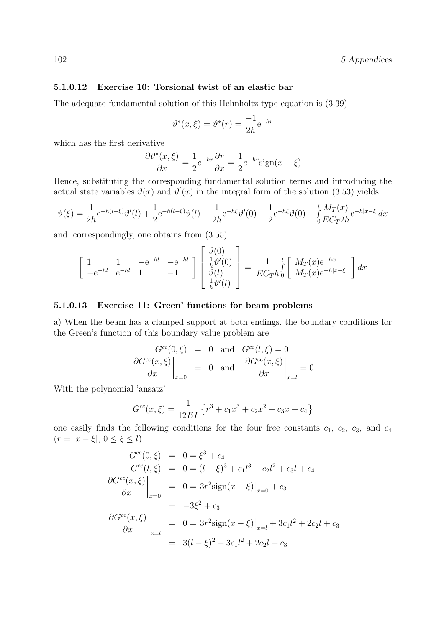## 5.1.0.12 Exercise 10: Torsional twist of an elastic bar

The adequate fundamental solution of this Helmholtz type equation is (3.39)

$$
\vartheta^*(x,\xi) = \vartheta^*(r) = \frac{-1}{2h}e^{-hr}
$$

which has the first derivative

$$
\frac{\partial \vartheta^*(x,\xi)}{\partial x} = \frac{1}{2}e^{-hr}\frac{\partial r}{\partial x} = \frac{1}{2}e^{-hr}\text{sign}(x-\xi)
$$

Hence, substituting the corresponding fundamental solution terms and introducing the actual state variables  $\vartheta(x)$  and  $\vartheta'(x)$  in the integral form of the solution (3.53) yields

$$
\vartheta(\xi) = \frac{1}{2h} e^{-h(l-\xi)} \vartheta'(l) + \frac{1}{2} e^{-h(l-\xi)} \vartheta(l) - \frac{1}{2h} e^{-h\xi} \vartheta'(0) + \frac{1}{2} e^{-h\xi} \vartheta(0) + \frac{l}{0} \frac{M_T(x)}{EC_T 2h} e^{-h|x-\xi|} dx
$$

and, correspondingly, one obtains from (3.55)

$$
\begin{bmatrix} 1 & 1 & -e^{-hl} & -e^{-hl} \ e^{-hl} & 1 & -1 \end{bmatrix} \begin{bmatrix} \vartheta(0) \\ \frac{1}{h}\vartheta'(0) \\ \vartheta(l) \\ \frac{1}{h}\vartheta'(l) \end{bmatrix} = \frac{1}{EC_{Th}} \int_{0}^{l} \begin{bmatrix} M_{T}(x)e^{-hx} \\ M_{T}(x)e^{-h|x-\xi|} \end{bmatrix} dx
$$

### 5.1.0.13 Exercise 11: Green' functions for beam problems

a) When the beam has a clamped support at both endings, the boundary conditions for the Green's function of this boundary value problem are

$$
\frac{G^{cc}(0,\xi)}{\partial x}\Big|_{x=0} = 0 \text{ and } G^{cc}(l,\xi) = 0
$$

$$
\frac{\partial G^{cc}(x,\xi)}{\partial x}\Big|_{x=0} = 0 \text{ and } \frac{\partial G^{cc}(x,\xi)}{\partial x}\Big|_{x=l} = 0
$$

With the polynomial 'ansatz'

$$
G^{cc}(x,\xi) = \frac{1}{12EI} \left\{ r^3 + c_1 x^3 + c_2 x^2 + c_3 x + c_4 \right\}
$$

one easily finds the following conditions for the four free constants  $c_1$ ,  $c_2$ ,  $c_3$ , and  $c_4$  $(r = |x - \xi|, 0 \leq \xi \leq l)$ 

$$
G^{cc}(0,\xi) = 0 = \xi^3 + c_4
$$
  
\n
$$
G^{cc}(l,\xi) = 0 = (l - \xi)^3 + c_1l^3 + c_2l^2 + c_3l + c_4
$$
  
\n
$$
\frac{\partial G^{cc}(x,\xi)}{\partial x}\Big|_{x=0} = 0 = 3r^2 \text{sign}(x - \xi)\Big|_{x=0} + c_3
$$
  
\n
$$
= -3\xi^2 + c_3
$$
  
\n
$$
\frac{\partial G^{cc}(x,\xi)}{\partial x}\Big|_{x=l} = 0 = 3r^2 \text{sign}(x - \xi)\Big|_{x=l} + 3c_1l^2 + 2c_2l + c_3
$$
  
\n
$$
= 3(l - \xi)^2 + 3c_1l^2 + 2c_2l + c_3
$$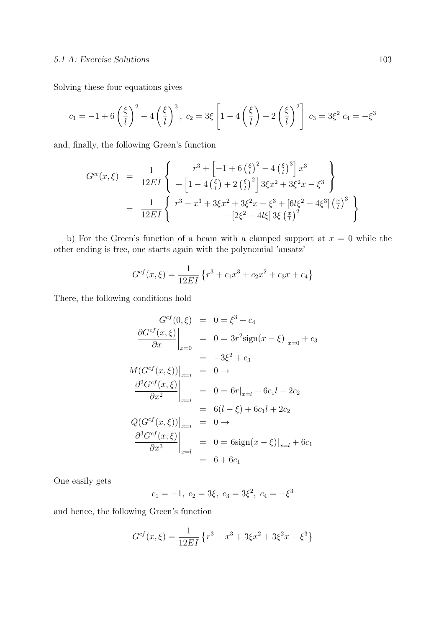## 5.1 A: Exercise Solutions 103

Solving these four equations gives

$$
c_1 = -1 + 6\left(\frac{\xi}{l}\right)^2 - 4\left(\frac{\xi}{l}\right)^3
$$
,  $c_2 = 3\xi \left[1 - 4\left(\frac{\xi}{l}\right) + 2\left(\frac{\xi}{l}\right)^2\right]$ ,  $c_3 = 3\xi^2$ ,  $c_4 = -\xi^3$ 

and, finally, the following Green's function

$$
G^{cc}(x,\xi) = \frac{1}{12EI} \left\{ \begin{array}{r} r^3 + \left[ -1 + 6\left(\frac{\xi}{l}\right)^2 - 4\left(\frac{\xi}{l}\right)^3 \right] x^3 \\ + \left[ 1 - 4\left(\frac{\xi}{l}\right) + 2\left(\frac{\xi}{l}\right)^2 \right] 3\xi x^2 + 3\xi^2 x - \xi^3 \end{array} \right\}
$$
  
= 
$$
\frac{1}{12EI} \left\{ \begin{array}{r} r^3 - x^3 + 3\xi x^2 + 3\xi^2 x - \xi^3 + \left[ 6l\xi^2 - 4\xi^3 \right] \left(\frac{x}{l}\right)^3 \\ + \left[ 2\xi^2 - 4l\xi \right] 3\xi \left(\frac{x}{l}\right)^2 \end{array} \right\}
$$

b) For the Green's function of a beam with a clamped support at  $x = 0$  while the other ending is free, one starts again with the polynomial 'ansatz'

$$
G^{cf}(x,\xi) = \frac{1}{12EI} \left\{ r^3 + c_1 x^3 + c_2 x^2 + c_3 x + c_4 \right\}
$$

There, the following conditions hold

$$
G^{cf}(0, \xi) = 0 = \xi^3 + c_4
$$
  
\n
$$
\frac{\partial G^{cf}(x, \xi)}{\partial x}\Big|_{x=0} = 0 = 3r^2 \text{sign}(x - \xi)\Big|_{x=0} + c_3
$$
  
\n
$$
M(G^{cf}(x, \xi))\Big|_{x=l} = 0 \rightarrow
$$
  
\n
$$
\frac{\partial^2 G^{cf}(x, \xi)}{\partial x^2}\Big|_{x=l} = 0 = 6r|_{x=l} + 6c_1l + 2c_2
$$
  
\n
$$
Q(G^{cf}(x, \xi))\Big|_{x=l} = 0 \rightarrow
$$
  
\n
$$
\frac{\partial^3 G^{cf}(x, \xi)}{\partial x^3}\Big|_{x=l} = 0 = 6 \text{sign}(x - \xi)\Big|_{x=l} + 6c_1
$$
  
\n
$$
= 6 + 6c_1
$$

One easily gets

$$
c_1 = -1, c_2 = 3\xi, c_3 = 3\xi^2, c_4 = -\xi^3
$$

and hence, the following Green's function

$$
G^{cf}(x,\xi) = \frac{1}{12EI} \left\{ r^3 - x^3 + 3\xi x^2 + 3\xi^2 x - \xi^3 \right\}
$$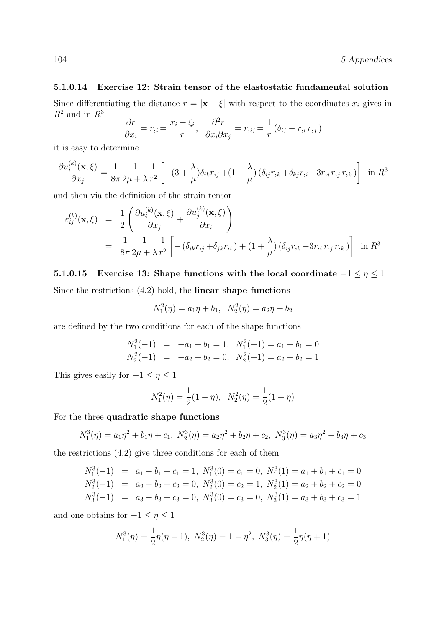## 5.1.0.14 Exercise 12: Strain tensor of the elastostatic fundamental solution

Since differentiating the distance  $r = |\mathbf{x} - \xi|$  with respect to the coordinates  $x_i$  gives in  $\mathbb{R}^2$  and in  $\mathbb{R}^3$ 

$$
\frac{\partial r}{\partial x_i} = r_{,i} = \frac{x_i - \xi_i}{r}, \quad \frac{\partial^2 r}{\partial x_i \partial x_j} = r_{,ij} = \frac{1}{r} (\delta_{ij} - r_{,i} r_{,j})
$$

it is easy to determine

$$
\frac{\partial u_i^{(k)}(\mathbf{x}, \xi)}{\partial x_j} = \frac{1}{8\pi} \frac{1}{2\mu + \lambda} \frac{1}{r^2} \left[ -(3 + \frac{\lambda}{\mu}) \delta_{ik} r_{,j} + (1 + \frac{\lambda}{\mu}) (\delta_{ij} r_{,k} + \delta_{kj} r_{,i} - 3r_{,i} r_{,j} r_{,k}) \right] \text{ in } R^3
$$

and then via the definition of the strain tensor

$$
\varepsilon_{ij}^{(k)}(\mathbf{x},\xi) = \frac{1}{2} \left( \frac{\partial u_i^{(k)}(\mathbf{x},\xi)}{\partial x_j} + \frac{\partial u_j^{(k)}(\mathbf{x},\xi)}{\partial x_i} \right)
$$
  
=  $\frac{1}{8\pi} \frac{1}{2\mu + \lambda} \frac{1}{r^2} \left[ -(\delta_{ik}r_{,j} + \delta_{jk}r_{,i}) + (1 + \frac{\lambda}{\mu}) (\delta_{ij}r_{,k} - 3r_{,i}r_{,j}r_{,k}) \right]$  in  $R^3$ 

5.1.0.15 Exercise 13: Shape functions with the local coordinate  $-1 \leq \eta \leq 1$ Since the restrictions (4.2) hold, the linear shape functions

$$
N_1^2(\eta) = a_1 \eta + b_1, \ \ N_2^2(\eta) = a_2 \eta + b_2
$$

are defined by the two conditions for each of the shape functions

$$
N_1^2(-1) = -a_1 + b_1 = 1, N_1^2(+1) = a_1 + b_1 = 0
$$
  

$$
N_2^2(-1) = -a_2 + b_2 = 0, N_2^2(+1) = a_2 + b_2 = 1
$$

This gives easily for  $-1\leq \eta \leq 1$ 

$$
N_1^2(\eta) = \frac{1}{2}(1 - \eta), \ N_2^2(\eta) = \frac{1}{2}(1 + \eta)
$$

For the three quadratic shape functions

$$
N_1^3(\eta) = a_1 \eta^2 + b_1 \eta + c_1, \ N_2^3(\eta) = a_2 \eta^2 + b_2 \eta + c_2, \ N_3^3(\eta) = a_3 \eta^2 + b_3 \eta + c_3
$$

the restrictions (4.2) give three conditions for each of them

$$
N_1^3(-1) = a_1 - b_1 + c_1 = 1, N_1^3(0) = c_1 = 0, N_1^3(1) = a_1 + b_1 + c_1 = 0
$$
  
\n
$$
N_2^3(-1) = a_2 - b_2 + c_2 = 0, N_2^3(0) = c_2 = 1, N_2^3(1) = a_2 + b_2 + c_2 = 0
$$
  
\n
$$
N_3^3(-1) = a_3 - b_3 + c_3 = 0, N_3^3(0) = c_3 = 0, N_3^3(1) = a_3 + b_3 + c_3 = 1
$$

and one obtains for  $-1\leq \eta \leq 1$ 

$$
N_1^3(\eta) = \frac{1}{2}\eta(\eta - 1), \ N_2^3(\eta) = 1 - \eta^2, \ N_3^3(\eta) = \frac{1}{2}\eta(\eta + 1)
$$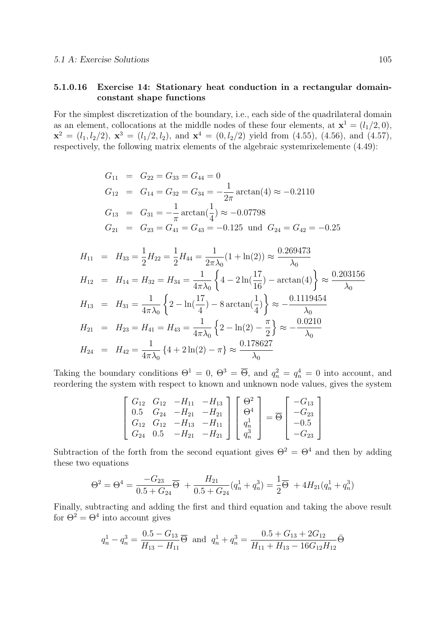## 5.1.0.16 Exercise 14: Stationary heat conduction in a rectangular domainconstant shape functions

For the simplest discretization of the boundary, i.e., each side of the quadrilateral domain as an element, collocations at the middle nodes of these four elements, at  $\mathbf{x}^1 = (l_1/2, 0)$ ,  $\mathbf{x}^2 = (l_1, l_2/2), \mathbf{x}^3 = (l_1/2, l_2), \text{ and } \mathbf{x}^4 = (0, l_2/2) \text{ yield from (4.55), (4.56), and (4.57),}$ respectively, the following matrix elements of the algebraic systemrixelemente (4.49):

$$
G_{11} = G_{22} = G_{33} = G_{44} = 0
$$
  
\n
$$
G_{12} = G_{14} = G_{32} = G_{34} = -\frac{1}{2\pi} \arctan(4) \approx -0.2110
$$
  
\n
$$
G_{13} = G_{31} = -\frac{1}{\pi} \arctan(\frac{1}{4}) \approx -0.07798
$$
  
\n
$$
G_{21} = G_{23} = G_{41} = G_{43} = -0.125 \text{ und } G_{24} = G_{42} = -0.25
$$

$$
H_{11} = H_{33} = \frac{1}{2}H_{22} = \frac{1}{2}H_{44} = \frac{1}{2\pi\lambda_0}(1 + \ln(2)) \approx \frac{0.269473}{\lambda_0}
$$
  
\n
$$
H_{12} = H_{14} = H_{32} = H_{34} = \frac{1}{4\pi\lambda_0} \left\{ 4 - 2\ln(\frac{17}{16}) - \arctan(4) \right\} \approx \frac{0.203156}{\lambda_0}
$$
  
\n
$$
H_{13} = H_{31} = \frac{1}{4\pi\lambda_0} \left\{ 2 - \ln(\frac{17}{4}) - 8\arctan(\frac{1}{4}) \right\} \approx -\frac{0.1119454}{\lambda_0}
$$
  
\n
$$
H_{21} = H_{23} = H_{41} = H_{43} = \frac{1}{4\pi\lambda_0} \left\{ 2 - \ln(2) - \frac{\pi}{2} \right\} \approx -\frac{0.0210}{\lambda_0}
$$
  
\n
$$
H_{24} = H_{42} = \frac{1}{4\pi\lambda_0} \left\{ 4 + 2\ln(2) - \pi \right\} \approx \frac{0.178627}{\lambda_0}
$$

Taking the boundary conditions  $\Theta^1 = 0$ ,  $\Theta^3 = \overline{\Theta}$ , and  $q_n^2 = q_n^4 = 0$  into account, and reordering the system with respect to known and unknown node values, gives the system

$$
\begin{bmatrix}\nG_{12} & G_{12} & -H_{11} & -H_{13} \\
0.5 & G_{24} & -H_{21} & -H_{21} \\
G_{12} & G_{12} & -H_{13} & -H_{11} \\
G_{24} & 0.5 & -H_{21} & -H_{21}\n\end{bmatrix}\n\begin{bmatrix}\n\Theta^2 \\
\Theta^4 \\
q_n^1 \\
q_n^3\n\end{bmatrix} = \overline{\Theta}\n\begin{bmatrix}\n-G_{13} \\
-G_{23} \\
-0.5 \\
-G_{23}\n\end{bmatrix}
$$

Subtraction of the forth from the second equationt gives  $\Theta^2 = \Theta^4$  and then by adding these two equations

$$
\Theta^2 = \Theta^4 = \frac{-G_{23}}{0.5 + G_{24}} \overline{\Theta} + \frac{H_{21}}{0.5 + G_{24}} (q_n^1 + q_n^3) = \frac{1}{2} \overline{\Theta} + 4H_{21}(q_n^1 + q_n^3)
$$

Finally, subtracting and adding the first and third equation and taking the above result for  $\Theta^2 = \Theta^4$  into account gives

$$
q_n^1 - q_n^3 = \frac{0.5 - G_{13}}{H_{13} - H_{11}} \overline{\Theta}
$$
 and  $q_n^1 + q_n^3 = \frac{0.5 + G_{13} + 2G_{12}}{H_{11} + H_{13} - 16G_{12}H_{12}} \overline{\Theta}$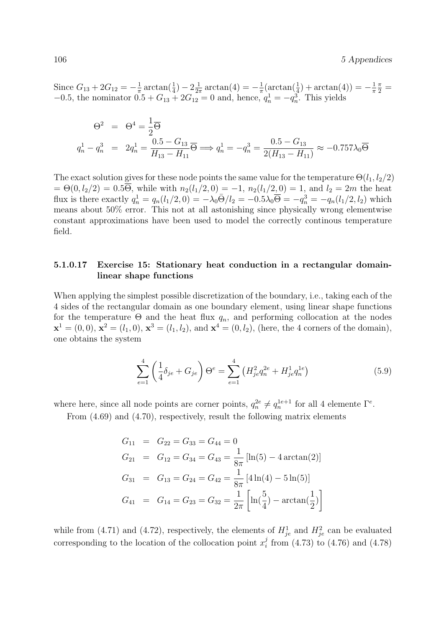Since  $G_{13} + 2G_{12} = -\frac{1}{\pi}$  $\frac{1}{\pi} \arctan(\frac{1}{4}) - 2\frac{1}{2\pi}$  $\frac{1}{2\pi} \arctan(4) = -\frac{1}{\pi}$  $\frac{1}{\pi}(\arctan(\frac{1}{4}) + \arctan(4)) = -\frac{1}{\pi}$ π  $\frac{\pi}{2}$  = −0.5, the nominator  $0.5 + G_{13} + 2G_{12} = 0$  and, hence,  $q_n^1 = -q_n^3$ . This yields

$$
\Theta^2 = \Theta^4 = \frac{1}{2}\overline{\Theta}
$$
  
\n
$$
q_n^1 - q_n^3 = 2q_n^1 = \frac{0.5 - G_{13}}{H_{13} - H_{11}}\overline{\Theta} \Longrightarrow q_n^1 = -q_n^3 = \frac{0.5 - G_{13}}{2(H_{13} - H_{11})} \approx -0.757\lambda_0\overline{\Theta}
$$

The exact solution gives for these node points the same value for the temperature  $\Theta(l_1, l_2/2)$  $= \Theta(0, l_2/2) = 0.5\overline{\Theta}$ , while with  $n_2(l_1/2, 0) = -1$ ,  $n_2(l_1/2, 0) = 1$ , and  $l_2 = 2m$  the heat flux is there exactly  $q_n^1 = q_n(l_1/2, 0) = -\lambda_0 \bar{\Theta}/l_2 = -0.5\lambda_0 \bar{\Theta} = -q_n^3 = -q_n(l_1/2, l_2)$  which means about 50% error. This not at all astonishing since physically wrong elementwise constant approximations have been used to model the correctly continous temperature field.

#### 5.1.0.17 Exercise 15: Stationary heat conduction in a rectangular domainlinear shape functions

When applying the simplest possible discretization of the boundary, i.e., taking each of the 4 sides of the rectangular domain as one boundary element, using linear shape functions for the temperature  $\Theta$  and the heat flux  $q_n$ , and performing collocation at the nodes  $\mathbf{x}^1 = (0,0), \, \mathbf{x}^2 = (l_1,0), \, \mathbf{x}^3 = (l_1, l_2), \text{ and } \mathbf{x}^4 = (0, l_2), \text{ (here, the 4 corners of the domain)},$ one obtains the system

$$
\sum_{e=1}^{4} \left(\frac{1}{4}\delta_{je} + G_{je}\right)\Theta^e = \sum_{e=1}^{4} \left(H_{je}^2 q_n^{2e} + H_{je}^1 q_n^{1e}\right)
$$
(5.9)

where here, since all node points are corner points,  $q_n^{2e} \neq q_n^{1e+1}$  for all 4 elemente  $\Gamma^e$ .

From (4.69) and (4.70), respectively, result the following matrix elements

$$
G_{11} = G_{22} = G_{33} = G_{44} = 0
$$
  
\n
$$
G_{21} = G_{12} = G_{34} = G_{43} = \frac{1}{8\pi} [\ln(5) - 4 \arctan(2)]
$$
  
\n
$$
G_{31} = G_{13} = G_{24} = G_{42} = \frac{1}{8\pi} [4 \ln(4) - 5 \ln(5)]
$$
  
\n
$$
G_{41} = G_{14} = G_{23} = G_{32} = \frac{1}{2\pi} \left[ \ln(\frac{5}{4}) - \arctan(\frac{1}{2}) \right]
$$

while from (4.71) and (4.72), respectively, the elements of  $H_{je}^1$  and  $H_{je}^2$  can be evaluated corresponding to the location of the collocation point  $x_i^j$  $i<sub>i</sub>$  from (4.73) to (4.76) and (4.78)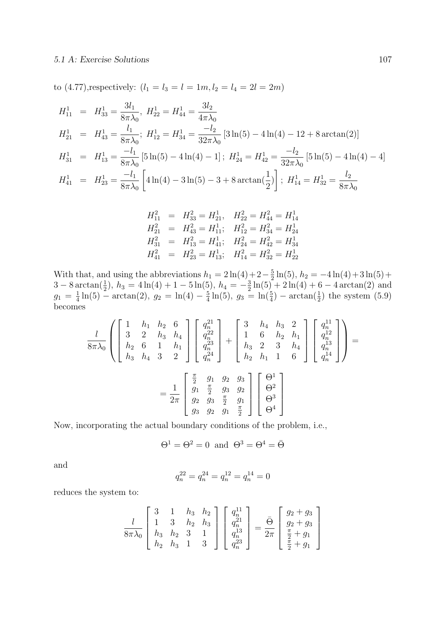to (4.77), respectively:  $(l_1 = l_3 = l = 1m, l_2 = l_4 = 2l = 2m)$ 

$$
H_{11}^1 = H_{33}^1 = \frac{3l_1}{8\pi\lambda_0}, H_{22}^1 = H_{44}^1 = \frac{3l_2}{4\pi\lambda_0}
$$
  
\n
$$
H_{21}^1 = H_{43}^1 = \frac{l_1}{8\pi\lambda_0}; H_{12}^1 = H_{34}^1 = \frac{-l_2}{32\pi\lambda_0} [3\ln(5) - 4\ln(4) - 12 + 8\arctan(2)]
$$
  
\n
$$
H_{31}^1 = H_{13}^1 = \frac{-l_1}{8\pi\lambda_0} [5\ln(5) - 4\ln(4) - 1]; H_{24}^1 = H_{42}^1 = \frac{-l_2}{32\pi\lambda_0} [5\ln(5) - 4\ln(4) - 4]
$$
  
\n
$$
H_{41}^1 = H_{23}^1 = \frac{-l_1}{8\pi\lambda_0} \left[ 4\ln(4) - 3\ln(5) - 3 + 8\arctan(\frac{1}{2}) \right]; H_{14}^1 = H_{32}^1 = \frac{l_2}{8\pi\lambda_0}
$$

$$
H_{11}^2 = H_{33}^2 = H_{21}^1, \quad H_{22}^2 = H_{44}^2 = H_{14}^1
$$
  
\n
$$
H_{21}^2 = H_{43}^2 = H_{11}^1; \quad H_{12}^2 = H_{34}^2 = H_{24}^1
$$
  
\n
$$
H_{31}^2 = H_{13}^2 = H_{41}^1; \quad H_{24}^2 = H_{42}^2 = H_{34}^1
$$
  
\n
$$
H_{41}^2 = H_{23}^2 = H_{13}^1; \quad H_{14}^2 = H_{32}^2 = H_{22}^1
$$

With that, and using the abbreviations  $h_1 = 2 \ln(4) + 2 - \frac{5}{2}$  $\frac{5}{2}\ln(5)$ ,  $h_2 = -4\ln(4) + 3\ln(5) +$  $3-8 \arctan(\frac{1}{2}), h_3 = 4 \ln(4) + 1 - 5 \ln(5), h_4 = -\frac{3}{2}$  $\frac{3}{2}\ln(5) + 2\ln(4) + 6 - 4\arctan(2)$  and  $g_1 = \frac{1}{4}$  $\frac{1}{4}\ln(5)$  – arctan(2),  $g_2 = \ln(4) - \frac{5}{4}$  $\frac{5}{4}\ln(5)$ ,  $g_3 = \ln(\frac{5}{4}) - \arctan(\frac{1}{2})$  the system (5.9) becomes

$$
\frac{l}{8\pi\lambda_0} \left( \begin{bmatrix} 1 & h_1 & h_2 & 6 \\ 3 & 2 & h_3 & h_4 \\ h_2 & 6 & 1 & h_1 \\ h_3 & h_4 & 3 & 2 \end{bmatrix} \begin{bmatrix} q_n^{21} \\ q_n^{22} \\ q_n^{23} \\ q_n^{24} \end{bmatrix} + \begin{bmatrix} 3 & h_4 & h_3 & 2 \\ 1 & 6 & h_2 & h_1 \\ h_3 & 2 & 3 & h_4 \\ h_2 & h_1 & 1 & 6 \end{bmatrix} \begin{bmatrix} q_n^{11} \\ q_n^{12} \\ q_n^{13} \\ q_n^{14} \end{bmatrix} \right) =
$$

$$
= \frac{1}{2\pi} \begin{bmatrix} \frac{\pi}{2} & g_1 & g_2 & g_3 \\ g_1 & \frac{\pi}{2} & g_3 & g_2 \\ g_2 & g_3 & \frac{\pi}{2} & g_1 \\ g_3 & g_2 & g_1 & \frac{\pi}{2} \end{bmatrix} \begin{bmatrix} \Theta^1 \\ \Theta^2 \\ \Theta^3 \\ \Theta^4 \end{bmatrix}
$$

Now, incorporating the actual boundary conditions of the problem, i.e.,

$$
\Theta^1 = \Theta^2 = 0 \text{ and } \Theta^3 = \Theta^4 = \bar{\Theta}
$$

and

$$
q_n^{22} = q_n^{24} = q_n^{12} = q_n^{14} = 0
$$

reduces the system to:

$$
\frac{l}{8\pi\lambda_0} \begin{bmatrix} 3 & 1 & h_3 & h_2 \\ 1 & 3 & h_2 & h_3 \\ h_3 & h_2 & 3 & 1 \\ h_2 & h_3 & 1 & 3 \end{bmatrix} \begin{bmatrix} q_n^{11} \\ q_n^{21} \\ q_n^{13} \\ q_n^{23} \end{bmatrix} = \frac{\bar{\Theta}}{2\pi} \begin{bmatrix} g_2 + g_3 \\ g_2 + g_3 \\ \frac{\pi}{2} + g_1 \\ \frac{\pi}{2} + g_1 \end{bmatrix}
$$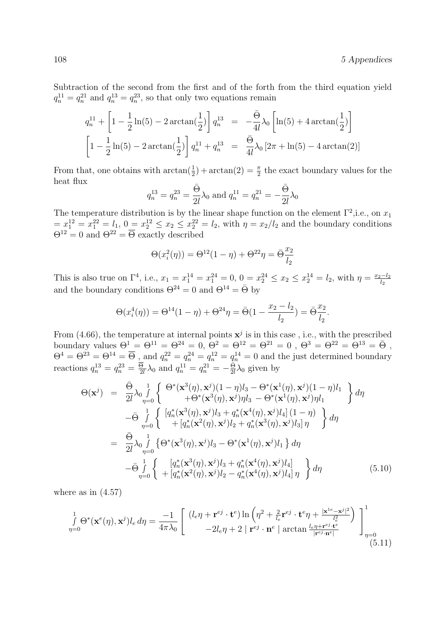Subtraction of the second from the first and of the forth from the third equation yield  $q_n^{11} = q_n^{21}$  and  $q_n^{13} = q_n^{23}$ , so that only two equations remain

$$
q_n^{11} + \left[1 - \frac{1}{2}\ln(5) - 2\arctan\left(\frac{1}{2}\right)\right] q_n^{13} = -\frac{\bar{\Theta}}{4l} \lambda_0 \left[\ln(5) + 4\arctan\left(\frac{1}{2}\right)\right]
$$
  

$$
\left[1 - \frac{1}{2}\ln(5) - 2\arctan\left(\frac{1}{2}\right)\right] q_n^{11} + q_n^{13} = \frac{\bar{\Theta}}{4l} \lambda_0 \left[2\pi + \ln(5) - 4\arctan(2)\right]
$$

From that, one obtains with  $\arctan(\frac{1}{2}) + \arctan(2) = \frac{\pi}{2}$  the exact boundary values for the heat flux

$$
q_n^{13} = q_n^{23} = \frac{\bar{\Theta}}{2l} \lambda_0
$$
 and  $q_n^{11} = q_n^{21} = -\frac{\bar{\Theta}}{2l} \lambda_0$ 

The temperature distribution is by the linear shape function on the element  $\Gamma^2$ , i.e., on  $x_1$  $= x_1^{12} = x_1^{22} = l_1, 0 \equiv x_2^{12} \le x_2 \le x_2^{22} = l_2$ , with  $\eta = x_2/l_2$  and the boundary conditions  $\Theta^{12} = 0$  and  $\Theta^{22} = \overline{\Theta}$  exactly described

$$
\Theta(x_i^2(\eta)) = \Theta^{12}(1-\eta) + \Theta^{22}\eta = \bar{\Theta}\frac{x_2}{l_2}
$$

This is also true on  $\Gamma^4$ , i.e.,  $x_1 = x_1^{14} = x_1^{24} = 0$ ,  $0 = x_2^{24} \le x_2 \le x_2^{14} = l_2$ , with  $\eta = \frac{x_2 - l_2}{l_2}$ and the boundary conditions  $\Theta^{24} = 0$  and  $\Theta^{14} = \overline{\Theta}$  by

$$
\Theta(x_i^4(\eta)) = \Theta^{14}(1-\eta) + \Theta^{24}\eta = \bar{\Theta}(1 - \frac{x_2 - l_2}{l_2}) = \bar{\Theta}\frac{x_2}{l_2}.
$$

From (4.66), the temperature at internal points  $x^j$  is in this case, i.e., with the prescribed boundary values  $\Theta^1 = \Theta^{11} = \Theta^{24} = 0$ ,  $\Theta^2 = \Theta^{12} = \Theta^{21} = 0$ ,  $\Theta^3 = \Theta^{22} = \Theta^{13} = \bar{\Theta}$ ,  $\Theta^4 = \Theta^{23} = \Theta^{14} = \overline{\Theta}$ , and  $q_n^{22} = q_n^{24} = q_n^{12} = q_n^{14} = 0$  and the just determined boundary reactions  $q_n^{13} = q_n^{23} = \frac{\Theta}{2}$  $\frac{\overline{9}}{2l}\lambda_0$  and  $q_n^{11} = q_n^{21} = -\frac{\overline{9}}{2l}$  $\frac{\Theta}{2l}\lambda_0$  given by

$$
\Theta(\mathbf{x}^{j}) = \frac{\bar{\Theta}}{2l} \lambda_{0} \int_{\eta=0}^{1} \left\{ \begin{array}{l} \Theta^{*}(\mathbf{x}^{3}(\eta), \mathbf{x}^{j})(1-\eta)l_{3} - \Theta^{*}(\mathbf{x}^{1}(\eta), \mathbf{x}^{j})(1-\eta)l_{1} \\ + \Theta^{*}(\mathbf{x}^{3}(\eta), \mathbf{x}^{j})\eta l_{3} - \Theta^{*}(\mathbf{x}^{1}(\eta), \mathbf{x}^{j})\eta l_{1} \end{array} \right\} d\eta
$$

$$
- \bar{\Theta} \int_{\eta=0}^{1} \left\{ \begin{array}{l} [q_{n}^{*}(\mathbf{x}^{3}(\eta), \mathbf{x}^{j})l_{3} + q_{n}^{*}(\mathbf{x}^{4}(\eta), \mathbf{x}^{j})l_{4}] (1-\eta) \\ + [q_{n}^{*}(\mathbf{x}^{2}(\eta), \mathbf{x}^{j})l_{2} + q_{n}^{*}(\mathbf{x}^{3}(\eta), \mathbf{x}^{j})l_{3}] \eta \end{array} \right\} d\eta
$$

$$
= \frac{\bar{\Theta}}{2l} \lambda_{0} \int_{\eta=0}^{1} \left\{ \Theta^{*}(\mathbf{x}^{3}(\eta), \mathbf{x}^{j})l_{3} - \Theta^{*}(\mathbf{x}^{1}(\eta), \mathbf{x}^{j})l_{1} \right\} d\eta
$$

$$
- \bar{\Theta} \int_{\eta=0}^{1} \left\{ \begin{array}{l} [q_{n}^{*}(\mathbf{x}^{3}(\eta), \mathbf{x}^{j})l_{3} + q_{n}^{*}(\mathbf{x}^{4}(\eta), \mathbf{x}^{j})l_{4}] \\ + [q_{n}^{*}(\mathbf{x}^{2}(\eta), \mathbf{x}^{j})l_{2} - q_{n}^{*}(\mathbf{x}^{4}(\eta), \mathbf{x}^{j})l_{4}] \eta \end{array} \right\} d\eta \tag{5.10}
$$

where as in  $(4.57)$ 

$$
\int_{\eta=0}^{1} \Theta^*(\mathbf{x}^e(\eta), \mathbf{x}^j) l_e d\eta = \frac{-1}{4\pi\lambda_0} \begin{bmatrix} (l_e \eta + \mathbf{r}^{ej} \cdot \mathbf{t}^e) \ln\left(\eta^2 + \frac{2}{l_e} \mathbf{r}^{ej} \cdot \mathbf{t}^e \eta + \frac{|\mathbf{x}^{1e} - \mathbf{x}^j|^2}{l_e^2}\right) \\ -2l_e \eta + 2 |\mathbf{r}^{ej} \cdot \mathbf{n}^e| \arctan\frac{l_e \eta + \mathbf{r}^{ej} \cdot \mathbf{t}^e}{|\mathbf{r}^{ej} \cdot \mathbf{n}^e|} \end{bmatrix} \bigg]_{\eta=0}^{1}
$$
(5.11)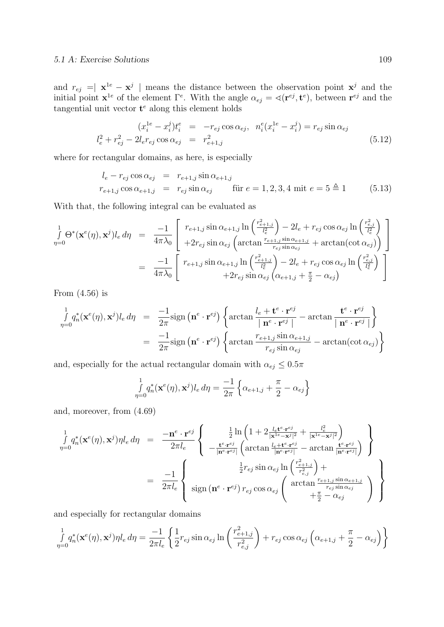and  $r_{ej} = |\mathbf{x}^{1e} - \mathbf{x}^{j}|$  means the distance between the observation point  $\mathbf{x}^{j}$  and the initial point  $\mathbf{x}^{1e}$  of the element  $\Gamma^e$ . With the angle  $\alpha_{ej} = \mathcal{A}(\mathbf{r}^{ej}, \mathbf{t}^e)$ , between  $\mathbf{r}^{ej}$  and the tangential unit vector  $t^e$  along this element holds

$$
(x_i^{1e} - x_i^j)t_i^e = -r_{ej}\cos\alpha_{ej}, \ \ n_i^e(x_i^{1e} - x_i^j) = r_{ej}\sin\alpha_{ej}
$$
  

$$
l_e^2 + r_{ej}^2 - 2l_e r_{ej}\cos\alpha_{ej} = r_{e+1,j}^2
$$
 (5.12)

where for rectangular domains, as here, is especially

$$
l_e - r_{ej} \cos \alpha_{ej} = r_{e+1,j} \sin \alpha_{e+1,j}
$$
  

$$
r_{e+1,j} \cos \alpha_{e+1,j} = r_{ej} \sin \alpha_{ej} \qquad \text{für } e = 1, 2, 3, 4 \text{ mit } e = 5 \triangleq 1 \tag{5.13}
$$

With that, the following integral can be evaluated as

$$
\int_{\eta=0}^{1} \Theta^*(\mathbf{x}^e(\eta), \mathbf{x}^j) l_e d\eta = \frac{-1}{4\pi\lambda_0} \begin{bmatrix} r_{e+1,j} \sin \alpha_{e+1,j} \ln\left(\frac{r_{e+1,j}^2}{l_e^2}\right) - 2l_e + r_{ej} \cos \alpha_{ej} \ln\left(\frac{r_{e,j}^2}{l_e^2}\right) \\ + 2r_{ej} \sin \alpha_{ej} \left(\arctan\frac{r_{e+1,j} \sin \alpha_{e+1,j}}{r_{ej} \sin \alpha_{ej}} + \arctan(\cot \alpha_{ej})\right) \end{bmatrix}
$$

$$
= \frac{-1}{4\pi\lambda_0} \begin{bmatrix} r_{e+1,j} \sin \alpha_{e+1,j} \ln\left(\frac{r_{e+1,j}^2}{l_e^2}\right) - 2l_e + r_{ej} \cos \alpha_{ej} \ln\left(\frac{r_{e,j}^2}{l_e^2}\right) \\ + 2r_{ej} \sin \alpha_{ej} \left(\alpha_{e+1,j} + \frac{\pi}{2} - \alpha_{ej}\right) \end{bmatrix}
$$

From (4.56) is

$$
\int_{\eta=0}^{1} q_n^* (\mathbf{x}^e(\eta), \mathbf{x}^j) l_e d\eta = \frac{-1}{2\pi} \text{sign}(\mathbf{n}^e \cdot \mathbf{r}^{ej}) \left\{ \arctan \frac{l_e + \mathbf{t}^e \cdot \mathbf{r}^{ej}}{|\mathbf{n}^e \cdot \mathbf{r}^{ej}|} - \arctan \frac{\mathbf{t}^e \cdot \mathbf{r}^{ej}}{|\mathbf{n}^e \cdot \mathbf{r}^{ej}|} \right\}
$$
\n
$$
= \frac{-1}{2\pi} \text{sign}(\mathbf{n}^e \cdot \mathbf{r}^{ej}) \left\{ \arctan \frac{r_{e+1,j} \sin \alpha_{e+1,j}}{r_{ej} \sin \alpha_{ej}} - \arctan(\cot \alpha_{ej}) \right\}
$$

and, especially for the actual rectangular domain with  $\alpha_{ej} \leq 0.5\pi$ 

$$
\int_{\eta=0}^{1} q_n^* (\mathbf{x}^e(\eta), \mathbf{x}^j) l_e d\eta = \frac{-1}{2\pi} \left\{ \alpha_{e+1,j} + \frac{\pi}{2} - \alpha_{e,j} \right\}
$$

and, moreover, from (4.69)

$$
\int_{\eta=0}^{1} q_n^*(\mathbf{x}^e(\eta), \mathbf{x}^j) \eta l_e d\eta = \frac{-\mathbf{n}^e \cdot \mathbf{r}^{ej}}{2\pi l_e} \left\{ \begin{array}{c} \frac{1}{2} \ln \left( 1 + 2 \frac{l_e \mathbf{t}^e \cdot \mathbf{r}^{ej}}{|\mathbf{x}^{1e} - \mathbf{x}^j|^2} + \frac{l_e^2}{|\mathbf{x}^{1e} - \mathbf{x}^j|^2} \right) \\ -\frac{\mathbf{t}^e \cdot \mathbf{r}^{ej}}{|\mathbf{n}^e \cdot \mathbf{r}^{ej}|} \left( \arctan \frac{l_e + \mathbf{t}^e \cdot \mathbf{r}^{ej}}{|\mathbf{n}^e \cdot \mathbf{r}^{ej}|} - \arctan \frac{\mathbf{t}^e \cdot \mathbf{r}^{ej}}{|\mathbf{n}^e \cdot \mathbf{r}^{ej}|} \right) \end{array} \right\}
$$
\n
$$
= \frac{-1}{2\pi l_e} \left\{ \text{sign} \left( \mathbf{n}^e \cdot \mathbf{r}^{ej} \right) r_{ej} \cos \alpha_{ej} \left( \arctan \frac{r_{e+1,j} \sin \alpha_{e+1,j}}{r_{ej} \sin \alpha_{ej}} + \frac{\pi}{2} - \alpha_{ej} \right) \right\}
$$

and especially for rectangular domains

$$
\int_{\eta=0}^{1} q_n^*(\mathbf{x}^e(\eta), \mathbf{x}^j) \eta l_e d\eta = \frac{-1}{2\pi l_e} \left\{ \frac{1}{2} r_{ej} \sin \alpha_{ej} \ln \left( \frac{r_{e+1,j}^2}{r_{e,j}^2} \right) + r_{ej} \cos \alpha_{ej} \left( \alpha_{e+1,j} + \frac{\pi}{2} - \alpha_{ej} \right) \right\}
$$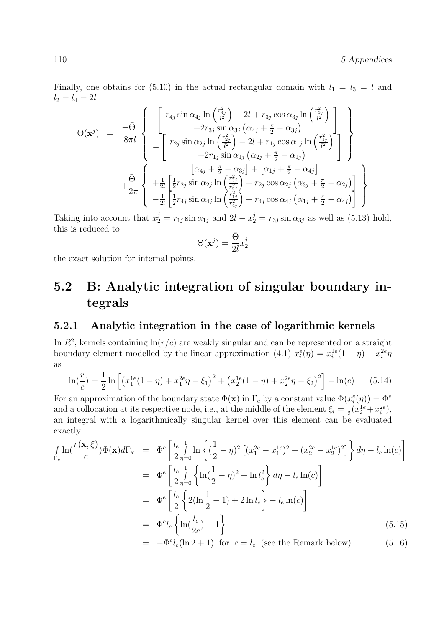Finally, one obtains for (5.10) in the actual rectangular domain with  $l_1 = l_3 = l$  and  $l_2 = l_4 = 2l$ 

$$
\Theta(\mathbf{x}^{j}) = \frac{-\bar{\Theta}}{8\pi l} \left\{ \begin{array}{l} \begin{bmatrix} r_{4j} \sin \alpha_{4j} \ln \left( \frac{r_{4j}^{2}}{l^{2}} \right) - 2l + r_{3j} \cos \alpha_{3j} \ln \left( \frac{r_{3j}^{2}}{l^{2}} \right) \\ + 2r_{3j} \sin \alpha_{3j} \left( \alpha_{4j} + \frac{\pi}{2} - \alpha_{3j} \right) \\ - \left[ r_{2j} \sin \alpha_{2j} \ln \left( \frac{r_{2j}^{2}}{l^{2}} \right) - 2l + r_{1j} \cos \alpha_{1j} \ln \left( \frac{r_{1j}^{2}}{l^{2}} \right) \\ + 2r_{1j} \sin \alpha_{1j} \left( \alpha_{2j} + \frac{\pi}{2} - \alpha_{1j} \right) \end{bmatrix} \right\} \\ + \frac{\bar{\Theta}}{2\pi} \left\{ \begin{array}{l} \frac{1}{2}r_{2j} \sin \alpha_{2j} \ln \left( \frac{r_{3j}^{2}}{l^{2}} \right) + \left[ \alpha_{1j} + \frac{\pi}{2} - \alpha_{4j} \right] \\ + \frac{1}{2\pi} \left[ \frac{1}{2}r_{2j} \sin \alpha_{2j} \ln \left( \frac{r_{3j}^{2}}{r_{2j}^{2}} \right) + r_{2j} \cos \alpha_{2j} \left( \alpha_{3j} + \frac{\pi}{2} - \alpha_{2j} \right) \right] \\ - \frac{1}{2l} \left[ \frac{1}{2}r_{4j} \sin \alpha_{4j} \ln \left( \frac{r_{1j}^{2}}{r_{4j}^{2}} \right) + r_{4j} \cos \alpha_{4j} \left( \alpha_{1j} + \frac{\pi}{2} - \alpha_{4j} \right) \end{bmatrix} \right\} \end{array} \right\}
$$

Taking into account that  $x_2^j = r_{1j} \sin \alpha_{1j}$  and  $2l - x_2^j = r_{3j} \sin \alpha_{3j}$  as well as (5.13) hold, this is reduced to

$$
\Theta(\mathbf{x}^j) = \frac{\bar{\Theta}}{2l} x_2^j
$$

the exact solution for internal points.

## 5.2 B: Analytic integration of singular boundary integrals

#### 5.2.1 Analytic integration in the case of logarithmic kernels

In  $R^2$ , kernels containing  $\ln(r/c)$  are weakly singular and can be represented on a straight boundary element modelled by the linear approximation (4.1)  $x_i^e(\eta) = x_i^{1e}(1-\eta) + x_i^{2e}\eta$ as

$$
\ln(\frac{r}{c}) = \frac{1}{2}\ln\left[\left(x_1^{1e}(1-\eta) + x_1^{2e}\eta - \xi_1\right)^2 + \left(x_2^{1e}(1-\eta) + x_2^{2e}\eta - \xi_2\right)^2\right] - \ln(c) \tag{5.14}
$$

For an approximation of the boundary state  $\Phi(\mathbf{x})$  in  $\Gamma_e$  by a constant value  $\Phi(x_i^e(\eta)) = \Phi^e$ and a collocation at its respective node, i.e., at the middle of the element  $\xi_i = \frac{1}{2}$  $\frac{1}{2}(x_i^{1e}+x_i^{2e}),$ an integral with a logarithmically singular kernel over this element can be evaluated exactly

$$
\int_{\Gamma_e} \ln\left(\frac{r(\mathbf{x}, \xi)}{c}\right) \Phi(\mathbf{x}) d\Gamma_{\mathbf{x}} = \Phi^e \left[\frac{l_e}{2} \int_{\eta=0}^1 \ln\left\{ \left(\frac{1}{2} - \eta\right)^2 \left[ (x_1^{2e} - x_1^{1e})^2 + (x_2^{2e} - x_2^{1e})^2 \right] \right\} d\eta - l_e \ln(c) \right]
$$
\n
$$
= \Phi^e \left[\frac{l_e}{2} \int_{\eta=0}^1 \left\{ \ln\left(\frac{1}{2} - \eta\right)^2 + \ln l_e^2 \right\} d\eta - l_e \ln(c) \right]
$$
\n
$$
= \Phi^e \left[\frac{l_e}{2} \left\{ 2(\ln \frac{1}{2} - 1) + 2 \ln l_e \right\} - l_e \ln(c) \right]
$$
\n
$$
= \Phi^e l_e \left\{ \ln\left(\frac{l_e}{2c}\right) - 1 \right\}
$$
\n
$$
= -\Phi^e l_e (\ln 2 + 1) \text{ for } c = l_e \text{ (see the Remark below)} \tag{5.16}
$$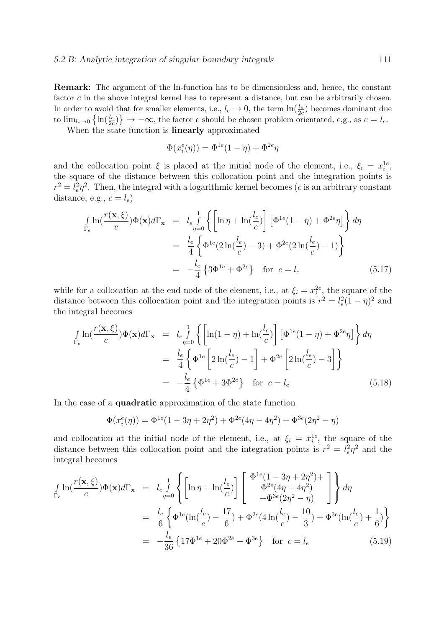Remark: The argument of the ln-function has to be dimensionless and, hence, the constant factor  $c$  in the above integral kernel has to represent a distance, but can be arbitrarily chosen. In order to avoid that for smaller elements, i.e.,  $l_e \to 0$ , the term  $\ln(\frac{l_e}{2c})$  becomes dominant due to  $\lim_{l_e \to 0} \left\{ \ln \left( \frac{l_e}{2c} \right) \right\} \to -\infty$ , the factor c should be chosen problem orientated, e,g., as  $c = l_e$ .

When the state function is linearly approximated

$$
\Phi(x_i^e(\eta)) = \Phi^{1e}(1-\eta) + \Phi^{2e}\eta
$$

and the collocation point  $\xi$  is placed at the initial node of the element, i.e.,  $\xi_i = x_i^{1e}$ , the square of the distance between this collocation point and the integration points is  $r^2 = l_e^2 \eta^2$ . Then, the integral with a logarithmic kernel becomes (c is an arbitrary constant distance, e.g.,  $c = l_e$ )

$$
\int_{\Gamma_e} \ln\left(\frac{r(\mathbf{x}, \xi)}{c}\right) \Phi(\mathbf{x}) d\Gamma_{\mathbf{x}} = l_e \int_{\eta=0}^1 \left\{ \left[ \ln \eta + \ln\left(\frac{l_e}{c}\right) \right] \left[ \Phi^{1e}(1-\eta) + \Phi^{2e}\eta \right] \right\} d\eta
$$
\n
$$
= \frac{l_e}{4} \left\{ \Phi^{1e}(2\ln\left(\frac{l_e}{c}\right) - 3) + \Phi^{2e}(2\ln\left(\frac{l_e}{c}\right) - 1) \right\}
$$
\n
$$
= -\frac{l_e}{4} \left\{ 3\Phi^{1e} + \Phi^{2e} \right\} \quad \text{for } c = l_e \tag{5.17}
$$

while for a collocation at the end node of the element, i.e., at  $\xi_i = x_i^{2e}$ , the square of the distance between this collocation point and the integration points is  $r^2 = l_e^2(1 - \eta)^2$  and the integral becomes

$$
\int_{\Gamma_e} \ln\left(\frac{r(\mathbf{x}, \xi)}{c}\right) \Phi(\mathbf{x}) d\Gamma_{\mathbf{x}} = l_e \int_{\eta=0}^1 \left\{ \left[ \ln(1-\eta) + \ln\left(\frac{l_e}{c}\right) \right] \left[ \Phi^{1e}(1-\eta) + \Phi^{2e}\eta \right] \right\} d\eta
$$
\n
$$
= \frac{l_e}{4} \left\{ \Phi^{1e} \left[ 2\ln\left(\frac{l_e}{c}\right) - 1 \right] + \Phi^{2e} \left[ 2\ln\left(\frac{l_e}{c}\right) - 3 \right] \right\}
$$
\n
$$
= -\frac{l_e}{4} \left\{ \Phi^{1e} + 3\Phi^{2e} \right\} \quad \text{for } c = l_e \tag{5.18}
$$

In the case of a quadratic approximation of the state function

$$
\Phi(x_i^e(\eta)) = \Phi^{1e}(1 - 3\eta + 2\eta^2) + \Phi^{2e}(4\eta - 4\eta^2) + \Phi^{3e}(2\eta^2 - \eta)
$$

and collocation at the initial node of the element, i.e., at  $\xi_i = x_i^{1e}$ , the square of the distance between this collocation point and the integration points is  $r^2 = l_e^2 \eta^2$  and the integral becomes

$$
\int_{\Gamma_e} \ln(\frac{r(\mathbf{x}, \xi)}{c}) \Phi(\mathbf{x}) d\Gamma_{\mathbf{x}} = l_e \int_{\eta=0}^1 \left\{ \left[ \ln \eta + \ln(\frac{l_e}{c}) \right] \left[ \frac{\Phi^{1e}(1 - 3\eta + 2\eta^2) + \Phi^{2e}(4\eta - 4\eta^2)}{\Phi^{2e}(4\eta - 4\eta^2)} \right] \right\} d\eta
$$
\n
$$
= \frac{l_e}{6} \left\{ \Phi^{1e}(\ln(\frac{l_e}{c}) - \frac{17}{6}) + \Phi^{2e}(4\ln(\frac{l_e}{c}) - \frac{10}{3}) + \Phi^{3e}(\ln(\frac{l_e}{c}) + \frac{1}{6}) \right\}
$$
\n
$$
= -\frac{l_e}{36} \left\{ 17\Phi^{1e} + 20\Phi^{2e} - \Phi^{3e} \right\} \text{ for } c = l_e \tag{5.19}
$$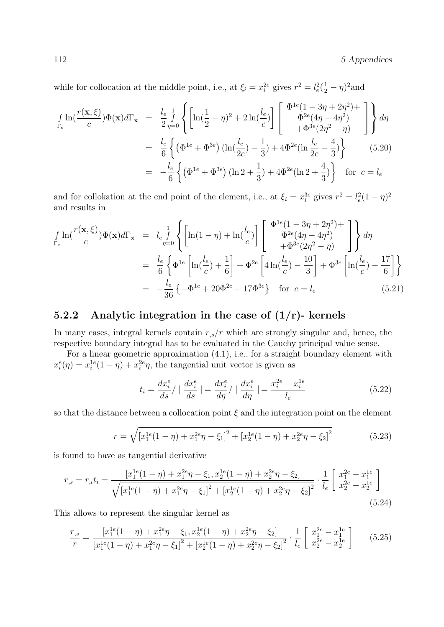112 5 Appendices

while for collocation at the middle point, i.e., at  $\xi_i = x_i^{2e}$  gives  $r^2 = l_e^2(\frac{1}{2} - \eta)^2$  and

$$
\int_{\Gamma_e} \ln\left(\frac{r(\mathbf{x}, \xi)}{c}\right) \Phi(\mathbf{x}) d\Gamma_{\mathbf{x}} = \frac{l_e}{2} \int_{\eta=0}^1 \left\{ \left[ \ln\left(\frac{1}{2} - \eta\right)^2 + 2 \ln\left(\frac{l_e}{c}\right) \right] \left[ \begin{array}{c} \Phi^{1e}(1 - 3\eta + 2\eta^2) + \\ \Phi^{2e}(4\eta - 4\eta^2) \\ + \Phi^{3e}(2\eta^2 - \eta) \end{array} \right] \right\} d\eta
$$
\n
$$
= \frac{l_e}{6} \left\{ \left( \Phi^{1e} + \Phi^{3e} \right) \left( \ln\left(\frac{l_e}{2c}\right) - \frac{1}{3} \right) + 4\Phi^{2e} \left( \ln\frac{l_e}{2c} - \frac{4}{3} \right) \right\} \qquad (5.20)
$$
\n
$$
= -\frac{l_e}{6} \left\{ \left( \Phi^{1e} + \Phi^{3e} \right) \left( \ln 2 + \frac{1}{3} \right) + 4\Phi^{2e} \left( \ln 2 + \frac{4}{3} \right) \right\} \qquad \text{for } c = l_e
$$

and for collokation at the end point of the element, i.e., at  $\xi_i = x_i^{3e}$  gives  $r^2 = l_e^2(1 - \eta)^2$ and results in

$$
\int_{\Gamma_e} \ln(\frac{r(\mathbf{x}, \xi)}{c}) \Phi(\mathbf{x}) d\Gamma_{\mathbf{x}} = l_e \int_{\eta=0}^1 \left\{ \left[ \ln(1-\eta) + \ln(\frac{l_e}{c}) \right] \left[ \frac{\Phi^{1e}(1-3\eta+2\eta^2)}{\Phi^{2e}(4\eta-4\eta^2)} \right] \right\} d\eta
$$
\n
$$
= \frac{l_e}{6} \left\{ \Phi^{1e} \left[ \ln(\frac{l_e}{c}) + \frac{1}{6} \right] + \Phi^{2e} \left[ 4 \ln(\frac{l_e}{c}) - \frac{10}{3} \right] + \Phi^{3e} \left[ \ln(\frac{l_e}{c}) - \frac{17}{6} \right] \right\}
$$
\n
$$
= -\frac{l_e}{36} \left\{ -\Phi^{1e} + 20\Phi^{2e} + 17\Phi^{3e} \right\} \text{ for } c = l_e \qquad (5.21)
$$

### 5.2.2 Analytic integration in the case of  $(1/r)$ - kernels

In many cases, integral kernels contain  $r_{,s}/r$  which are strongly singular and, hence, the respective boundary integral has to be evaluated in the Cauchy principal value sense.

For a linear geometric approximation (4.1), i.e., for a straight boundary element with  $x_i^e(\eta) = x_i^{1e}(1-\eta) + x_i^{2e}\eta$ , the tangential unit vector is given as

$$
t_i = \frac{dx_i^e}{ds} / \left| \frac{dx_i^e}{ds} \right| = \frac{dx_i^e}{d\eta} / \left| \frac{dx_i^e}{d\eta} \right| = \frac{x_i^{2e} - x_i^{1e}}{l_e}
$$
 (5.22)

so that the distance between a collocation point  $\xi$  and the integration point on the element

$$
r = \sqrt{\left[x_1^{1e}(1-\eta) + x_1^{2e}\eta - \xi_1\right]^2 + \left[x_2^{1e}(1-\eta) + x_2^{2e}\eta - \xi_2\right]^2}
$$
(5.23)

is found to have as tangential derivative

$$
r_{,s} = r_{,i}t_{i} = \frac{\left[x_{1}^{1e}(1-\eta) + x_{1}^{2e}\eta - \xi_{1}, x_{2}^{1e}(1-\eta) + x_{2}^{2e}\eta - \xi_{2}\right]}{\sqrt{\left[x_{1}^{1e}(1-\eta) + x_{1}^{2e}\eta - \xi_{1}\right]^{2} + \left[x_{2}^{1e}(1-\eta) + x_{2}^{2e}\eta - \xi_{2}\right]^{2}}} \cdot \frac{1}{l_{e}} \left[\begin{array}{c}x_{1}^{2e} - x_{1}^{1e} \\ x_{2}^{2e} - x_{2}^{1e} \end{array}\right]
$$
\n(5.24)

This allows to represent the singular kernel as

$$
\frac{r_{,s}}{r} = \frac{\left[x_1^{1e}(1-\eta) + x_1^{2e}\eta - \xi_1, x_2^{1e}(1-\eta) + x_2^{2e}\eta - \xi_2\right]}{\left[x_1^{1e}(1-\eta) + x_1^{2e}\eta - \xi_1\right]^2 + \left[x_2^{1e}(1-\eta) + x_2^{2e}\eta - \xi_2\right]^2} \cdot \frac{1}{l_e} \left[\begin{array}{c} x_1^{2e} - x_1^{1e} \\ x_2^{2e} - x_2^{1e} \end{array}\right] \tag{5.25}
$$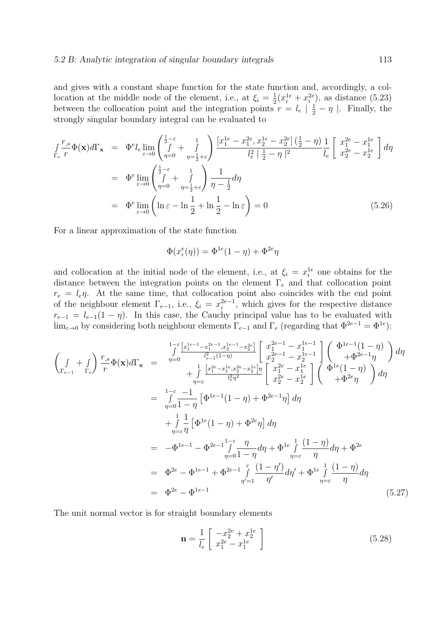and gives with a constant shape function for the state function and, accordingly, a collocation at the middle node of the element, i.e., at  $\xi_i = \frac{1}{2}$  $\frac{1}{2}(x_i^{1e} + x_i^{2e}),$  as distance (5.23) between the collocation point and the integration points  $r = l_e \mid \frac{1}{2} - \eta \mid$ . Finally, the strongly singular boundary integral can be evaluated to

$$
\int_{\Gamma_e} \frac{r_{,s}}{r} \Phi(\mathbf{x}) d\Gamma_{\mathbf{x}} = \Phi^e l_e \lim_{\varepsilon \to 0} \left( \int_{\eta=0}^{\frac{1}{2}-\varepsilon} + \int_{\eta=\frac{1}{2}+\varepsilon}^{\eta} \right) \frac{[x_1^{1e} - x_1^{2e}, x_2^{1e} - x_2^{2e}] \left(\frac{1}{2} - \eta\right) \mathbf{1}}{l_e^2 \left|\frac{1}{2} - \eta\right|^2} \left[ x_2^{2e} - x_2^{1e} \right] d\eta
$$
\n
$$
= \Phi^e \lim_{\varepsilon \to 0} \left( \int_{\eta=0}^{\frac{1}{2}-\varepsilon} + \int_{\eta=\frac{1}{2}+\varepsilon}^{\eta} \right) \frac{1}{\eta-\frac{1}{2}} d\eta
$$
\n
$$
= \Phi^e \lim_{\varepsilon \to 0} \left( \ln \varepsilon - \ln \frac{1}{2} + \ln \frac{1}{2} - \ln \varepsilon \right) = 0 \tag{5.26}
$$

For a linear approximation of the state function

$$
\Phi(x_i^e(\eta)) = \Phi^{1e}(1-\eta) + \Phi^{2e}\eta
$$

and collocation at the initial node of the element, i.e., at  $\xi_i = x_i^{1e}$  one obtains for the distance between the integration points on the element  $\Gamma_e$  and that collocation point  $r_e = l_e \eta$ . At the same time, that collocation point also coincides with the end point of the neighbour element  $\Gamma_{e-1}$ , i.e.,  $\xi_i = x_i^{2e-1}$  $i^{2e-1}$ , which gives for the respective distance  $r_{e-1} = l_{e-1}(1 - \eta)$ . In this case, the Cauchy principal value has to be evaluated with  $\lim_{\varepsilon \to 0}$  by considering both neighbour elements  $\Gamma_{e-1}$  and  $\Gamma_e$  (regarding that  $\Phi^{2e-1} = \Phi^{1e}$ ):

$$
\begin{split}\n\left(\int_{\Gamma_{e-1}} + \int_{\Gamma_{e}}\right) \frac{r_{,s}}{r} \Phi(\mathbf{x}) d\Gamma_{\mathbf{x}} &= \frac{\int_{\Gamma_{e-1}}^{\Gamma_{e-1}^{1}e-1} - x_{1}^{2e-1} - x_{2}^{2e}}{r^{2}} \left[\frac{x_{1}^{2e-1} - x_{1}^{1e-1}}{x_{2}^{2e-1} - x_{2}^{1e-1}}\right] \left(\frac{\Phi^{1e-1}(1-\eta)}{+\Phi^{2e-1}\eta}\right) d\eta \\
&+ \int_{\eta=\varepsilon} \frac{\left[x_{1}^{2e-1} - x_{1}^{1e-1}x_{2}^{2e-1} - x_{2}^{1e-1}x_{2}^{1e-1} - x_{2}^{1e-1}x_{2}^{1e-1} - x_{2}^{1e-1}x_{2}^{1e-1} - x_{2}^{1e-1}x_{2}^{1e-1} - x_{2}^{1e-1}x_{2}^{1e-1} - x_{2}^{1e-1}x_{2}^{1e-1} - x_{2}^{1e-1}x_{2}^{1e-1} - x_{2}^{1e-1}x_{2}^{1e-1} - x_{2}^{1e-1}x_{2}^{1e-1} - x_{2}^{1e-1}x_{2}^{1e-1} - x_{2}^{1e-1}x_{2}^{1e-1} - x_{2}^{1e-1}x_{2}^{1e-1} - x_{2}^{1e-1}x_{2}^{1e-1} - x_{2}^{1e-1}x_{2}^{1e-1} - x_{2}^{1e-1}x_{2}^{1e-1} - x_{2}^{1e-1}x_{2}^{1e-1} - x_{2}^{1e-1}x_{2}^{1e-1} - x_{2}^{1e-1}x_{2}^{1e-1} - x_{2}^{1e-1}x_{2}^{1e-1} - x_{2}^{1e-1}x_{2}^{1e-1} - x_{2}^{1e-1}x_{2}^{1e-1} - x_{2}^{1e-1}x_{2}^{1e-1} - x_{2}^{1e-1}x_{2}^{1e-1} - x_{2}^{1e-1}x_{2}^{1e-1} - x_{2}^{1e-1}x
$$

The unit normal vector is for straight boundary elements

$$
\mathbf{n} = \frac{1}{l_e} \begin{bmatrix} -x_2^{2e} + x_2^{1e} \\ x_1^{2e} - x_1^{1e} \end{bmatrix}
$$
 (5.28)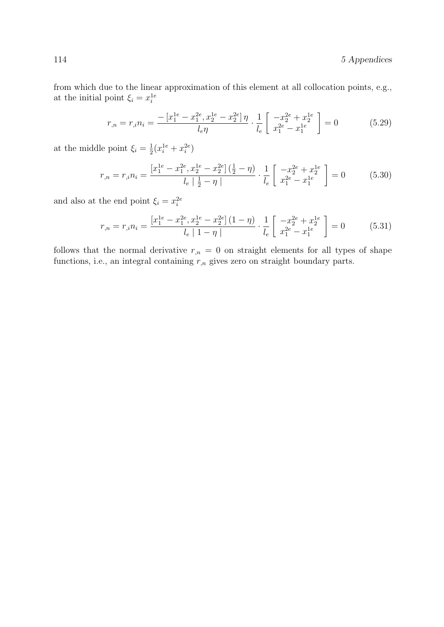from which due to the linear approximation of this element at all collocation points, e.g., at the initial point  $\xi_i = x_i^{1e}$ 

$$
r_{,n} = r_{,i} n_i = \frac{-\left[x_1^{1e} - x_1^{2e}, x_2^{1e} - x_2^{2e}\right]\eta}{l_e \eta} \cdot \frac{1}{l_e} \left[\begin{array}{c} -x_2^{2e} + x_2^{1e} \\ x_1^{2e} - x_1^{1e} \end{array}\right] = 0 \tag{5.29}
$$

at the middle point  $\xi_i = \frac{1}{2}$  $\frac{1}{2}(x_i^{1e}+x_i^{2e})$ 

$$
r_{,n} = r_{,i} n_i = \frac{\left[x_1^{1e} - x_1^{2e}, x_2^{1e} - x_2^{2e}\right] \left(\frac{1}{2} - \eta\right)}{l_e \left|\frac{1}{2} - \eta\right|} \cdot \frac{1}{l_e} \left[\begin{array}{c} -x_2^{2e} + x_2^{1e} \\ x_1^{2e} - x_1^{1e} \end{array}\right] = 0\tag{5.30}
$$

and also at the end point  $\xi_i = x_i^{2e}$ 

$$
r_{,n} = r_{,i} n_i = \frac{\left[x_1^{1e} - x_1^{2e}, x_2^{1e} - x_2^{2e}\right](1-\eta)}{l_e \mid 1-\eta \mid} \cdot \frac{1}{l_e} \left[ \begin{array}{c} -x_2^{2e} + x_2^{1e} \\ x_1^{2e} - x_1^{1e} \end{array} \right] = 0 \tag{5.31}
$$

follows that the normal derivative  $r_{n} = 0$  on straight elements for all types of shape functions, i.e., an integral containing  $r_{,n}$  gives zero on straight boundary parts.